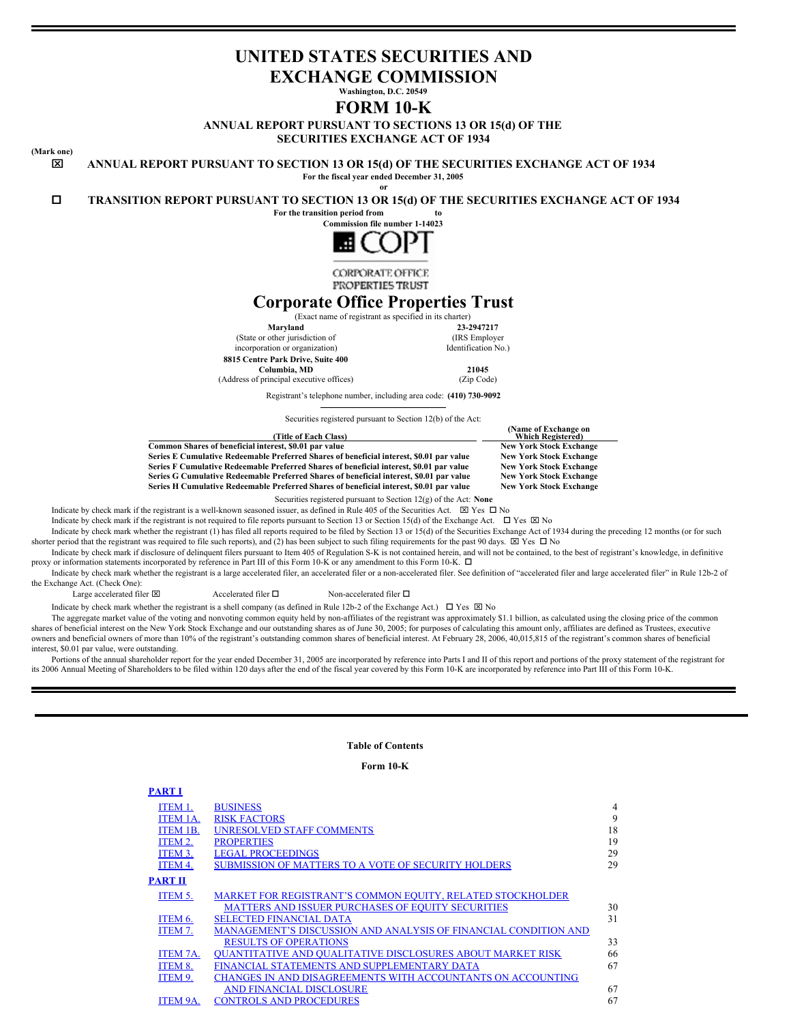# **UNITED STATES SECURITIES AND EXCHANGE COMMISSION**

**Washington, D.C. 20549**

# **FORM 10-K**

**ANNUAL REPORT PURSUANT TO SECTIONS 13 OR 15(d) OF THE**

**SECURITIES EXCHANGE ACT OF 1934**

**(Mark one)**

x **ANNUAL REPORT PURSUANT TO SECTION 13 OR 15(d) OF THE SECURITIES EXCHANGE ACT OF 1934**

**For the fiscal year ended December 31, 2005**

**or**

o **TRANSITION REPORT PURSUANT TO SECTION 13 OR 15(d) OF THE SECURITIES EXCHANGE ACT OF 1934**

**For the transition period from to**



**CORPORATE OFFICE** PROPERTIES TRUST

# **Corporate Office Properties Trust**

(Exact name of registrant as specified in its charter)<br>Maryland 23-2 (State or other jurisdiction of incorporation or organization) **8815 Centre Park Drive, Suite 400**

**Maryland 23-2947217** (IRS Employer Identification No.) **Columbia, MD 21045**

(Address of principal executive offices) (Zip Code)

Registrant's telephone number, including area code: **(410) 730-9092**

Securities registered pursuant to Section 12(b) of the Act:

| (Title of Each Class)                                                                    | (Name of Exchange on<br>Which Registered) |
|------------------------------------------------------------------------------------------|-------------------------------------------|
| Common Shares of beneficial interest, \$0.01 par value                                   | <b>New York Stock Exchange</b>            |
| Series E Cumulative Redeemable Preferred Shares of beneficial interest, \$0.01 par value | <b>New York Stock Exchange</b>            |
| Series F Cumulative Redeemable Preferred Shares of beneficial interest, \$0.01 par value | <b>New York Stock Exchange</b>            |
| Series G Cumulative Redeemable Preferred Shares of beneficial interest, \$0.01 par value | <b>New York Stock Exchange</b>            |
| Series H Cumulative Redeemable Preferred Shares of beneficial interest, \$0.01 par value | <b>New York Stock Exchange</b>            |

Securities registered pursuant to Section 12(g) of the Act: **None**

Indicate by check mark if the registrant is a well-known seasoned issuer, as defined in Rule 405 of the Securities Act.  $\boxtimes$  Yes  $\Box$  No

Indicate by check mark if the registrant is not required to file reports pursuant to Section 13 or Section 15(d) of the Exchange Act.  $\Box$  Yes  $\boxtimes$  No

Indicate by check mark whether the registrant (1) has filed all reports required to be filed by Section 13 or 15(d) of the Securities Exchange Act of 1934 during the preceding 12 months (or for such shorter period that the registrant was required to file such reports), and (2) has been subject to such filing requirements for the past 90 days.  $\boxtimes$  Yes  $\Box$  No

Indicate by check mark if disclosure of delinquent filers pursuant to Item 405 of Regulation S-K is not contained herein, and will not be contained, to the best of registrant's knowledge, in definitive proxy or information statements incorporated by reference in Part III of this Form 10-K or any amendment to this Form 10-K.  $\Box$ 

Indicate by check mark whether the registrant is a large accelerated filer, an accelerated filer or a non-accelerated filer. See definition of "accelerated filer and large accelerated filer" in Rule 12b-2 of the Exchange Act. (Check One):

Large accelerated filer  $\boxtimes$  Accelerated filer  $\Box$  Non-accelerated filer  $\Box$ 

Indicate by check mark whether the registrant is a shell company (as defined in Rule 12b-2 of the Exchange Act.)  $\Box$  Yes  $\boxtimes$  No

The aggregate market value of the voting and nonvoting common equity held by non-affiliates of the registrant was approximately \$1.1 billion, as calculated using the closing price of the common shares of beneficial interest on the New York Stock Exchange and our outstanding shares as of June 30, 2005; for purposes of calculating this amount only, affiliates are defined as Trustees, executive<br>owners and beneficial interest, \$0.01 par value, were outstanding.

Portions of the annual shareholder report for the year ended December 31, 2005 are incorporated by reference into Parts I and II of this report and portions of the proxy statement of the registrant for its 2006 Annual Meeting of Shareholders to be filed within 120 days after the end of the fiscal year covered by this Form 10-K are incorporated by reference into Part III of this Form 10-K.

# **Table of Contents**

#### **Form 10-K**

| <b>PART I</b>  |                                                                   |                |
|----------------|-------------------------------------------------------------------|----------------|
| ITEM 1.        | <b>BUSINESS</b>                                                   | $\overline{4}$ |
| ITEM 1A.       | <b>RISK FACTORS</b>                                               | 9              |
| ITEM 1B.       | UNRESOLVED STAFF COMMENTS                                         | 18             |
| ITEM 2.        | <b>PROPERTIES</b>                                                 | 19             |
| ITEM 3.        | <b>LEGAL PROCEEDINGS</b>                                          | 29             |
| ITEM 4.        | <b>SUBMISSION OF MATTERS TO A VOTE OF SECURITY HOLDERS</b>        | 29             |
| <b>PART II</b> |                                                                   |                |
| ITEM 5.        | <b>MARKET FOR REGISTRANT'S COMMON EQUITY, RELATED STOCKHOLDER</b> |                |
|                | <b>MATTERS AND ISSUER PURCHASES OF EQUITY SECURITIES</b>          | 30             |
| ITEM 6.        | <b>SELECTED FINANCIAL DATA</b>                                    | 31             |
| ITEM 7.        | MANAGEMENT'S DISCUSSION AND ANALYSIS OF FINANCIAL CONDITION AND   |                |
|                | <b>RESULTS OF OPERATIONS</b>                                      | 33             |
| ITEM 7A.       | <b>OUANTITATIVE AND OUALITATIVE DISCLOSURES ABOUT MARKET RISK</b> | 66             |
| ITEM 8.        | FINANCIAL STATEMENTS AND SUPPLEMENTARY DATA                       | 67             |
| ITEM 9.        | CHANGES IN AND DISAGREEMENTS WITH ACCOUNTANTS ON ACCOUNTING       |                |
|                | AND FINANCIAL DISCLOSURE                                          | 67             |
| ITEM 9A.       | <b>CONTROLS AND PROCEDURES</b>                                    | 67             |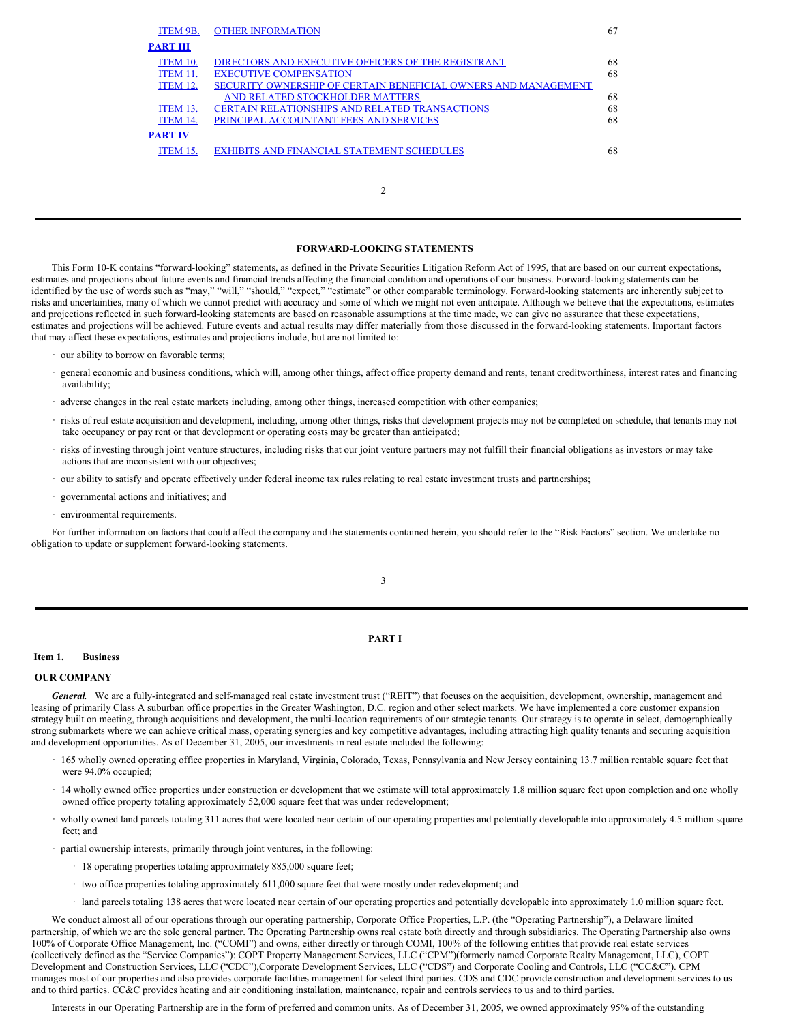| ITEM 9B.        | <b>OTHER INFORMATION</b>                                       | 67 |
|-----------------|----------------------------------------------------------------|----|
| <b>PART III</b> |                                                                |    |
| ITEM 10.        | DIRECTORS AND EXECUTIVE OFFICERS OF THE REGISTRANT             | 68 |
| ITEM 11.        | <b>EXECUTIVE COMPENSATION</b>                                  | 68 |
| <b>ITEM 12.</b> | SECURITY OWNERSHIP OF CERTAIN BENEFICIAL OWNERS AND MANAGEMENT |    |
|                 | AND RELATED STOCKHOLDER MATTERS                                | 68 |
| ITEM 13         | <b>CERTAIN RELATIONSHIPS AND RELATED TRANSACTIONS</b>          | 68 |
| <b>ITEM 14.</b> | PRINCIPAL ACCOUNTANT FEES AND SERVICES                         | 68 |
| <b>PART IV</b>  |                                                                |    |
| ITEM 15         | <b>EXHIBITS AND FINANCIAL STATEMENT SCHEDULES</b>              | 68 |
|                 |                                                                |    |
|                 |                                                                |    |

## **FORWARD-LOOKING STATEMENTS**

2

This Form 10-K contains "forward-looking" statements, as defined in the Private Securities Litigation Reform Act of 1995, that are based on our current expectations, estimates and projections about future events and financial trends affecting the financial condition and operations of our business. Forward-looking statements can be identified by the use of words such as "may," "will," "should," "expect," "estimate" or other comparable terminology. Forward-looking statements are inherently subject to risks and uncertainties, many of which we cannot predict with accuracy and some of which we might not even anticipate. Although we believe that the expectations, estimates and projections reflected in such forward-looking statements are based on reasonable assumptions at the time made, we can give no assurance that these expectations, estimates and projections will be achieved. Future events and actual results may differ materially from those discussed in the forward-looking statements. Important factors that may affect these expectations, estimates and projections include, but are not limited to:

- · our ability to borrow on favorable terms;
- · general economic and business conditions, which will, among other things, affect office property demand and rents, tenant creditworthiness, interest rates and financing availability;
- · adverse changes in the real estate markets including, among other things, increased competition with other companies;
- · risks of real estate acquisition and development, including, among other things, risks that development projects may not be completed on schedule, that tenants may not take occupancy or pay rent or that development or operating costs may be greater than anticipated;
- · risks of investing through joint venture structures, including risks that our joint venture partners may not fulfill their financial obligations as investors or may take actions that are inconsistent with our objectives;
- · our ability to satisfy and operate effectively under federal income tax rules relating to real estate investment trusts and partnerships;
- · governmental actions and initiatives; and
- · environmental requirements.

For further information on factors that could affect the company and the statements contained herein, you should refer to the "Risk Factors" section. We undertake no obligation to update or supplement forward-looking statements.

# <span id="page-1-0"></span>**PART I**

## <span id="page-1-1"></span>**Item 1. Business**

# **OUR COMPANY**

*General.* We are a fully-integrated and self-managed real estate investment trust ("REIT") that focuses on the acquisition, development, ownership, management and leasing of primarily Class A suburban office properties in the Greater Washington, D.C. region and other select markets. We have implemented a core customer expansion strategy built on meeting, through acquisitions and development, the multi-location requirements of our strategic tenants. Our strategy is to operate in select, demographically strong submarkets where we can achieve critical mass, operating synergies and key competitive advantages, including attracting high quality tenants and securing acquisition and development opportunities. As of December 31, 2005, our investments in real estate included the following:

- · 165 wholly owned operating office properties in Maryland, Virginia, Colorado, Texas, Pennsylvania and New Jersey containing 13.7 million rentable square feet that were 94.0% occupied;
- · 14 wholly owned office properties under construction or development that we estimate will total approximately 1.8 million square feet upon completion and one wholly owned office property totaling approximately 52,000 square feet that was under redevelopment;
- · wholly owned land parcels totaling 311 acres that were located near certain of our operating properties and potentially developable into approximately 4.5 million square feet; and
- · partial ownership interests, primarily through joint ventures, in the following:
	- · 18 operating properties totaling approximately 885,000 square feet;
	- · two office properties totaling approximately 611,000 square feet that were mostly under redevelopment; and
	- · land parcels totaling 138 acres that were located near certain of our operating properties and potentially developable into approximately 1.0 million square feet.

We conduct almost all of our operations through our operating partnership, Corporate Office Properties, L.P. (the "Operating Partnership"), a Delaware limited partnership, of which we are the sole general partner. The Operating Partnership owns real estate both directly and through subsidiaries. The Operating Partnership also owns 100% of Corporate Office Management, Inc. ("COMI") and owns, either directly or through COMI, 100% of the following entities that provide real estate services (collectively defined as the "Service Companies"): COPT Property Management Services, LLC ("CPM")(formerly named Corporate Realty Management, LLC), COPT Development and Construction Services, LLC ("CDC"),Corporate Development Services, LLC ("CDS") and Corporate Cooling and Controls, LLC ("CC&C"). CPM manages most of our properties and also provides corporate facilities management for select third parties. CDS and CDC provide construction and development services to us and to third parties. CC&C provides heating and air conditioning installation, maintenance, repair and controls services to us and to third parties.

Interests in our Operating Partnership are in the form of preferred and common units. As of December 31, 2005, we owned approximately 95% of the outstanding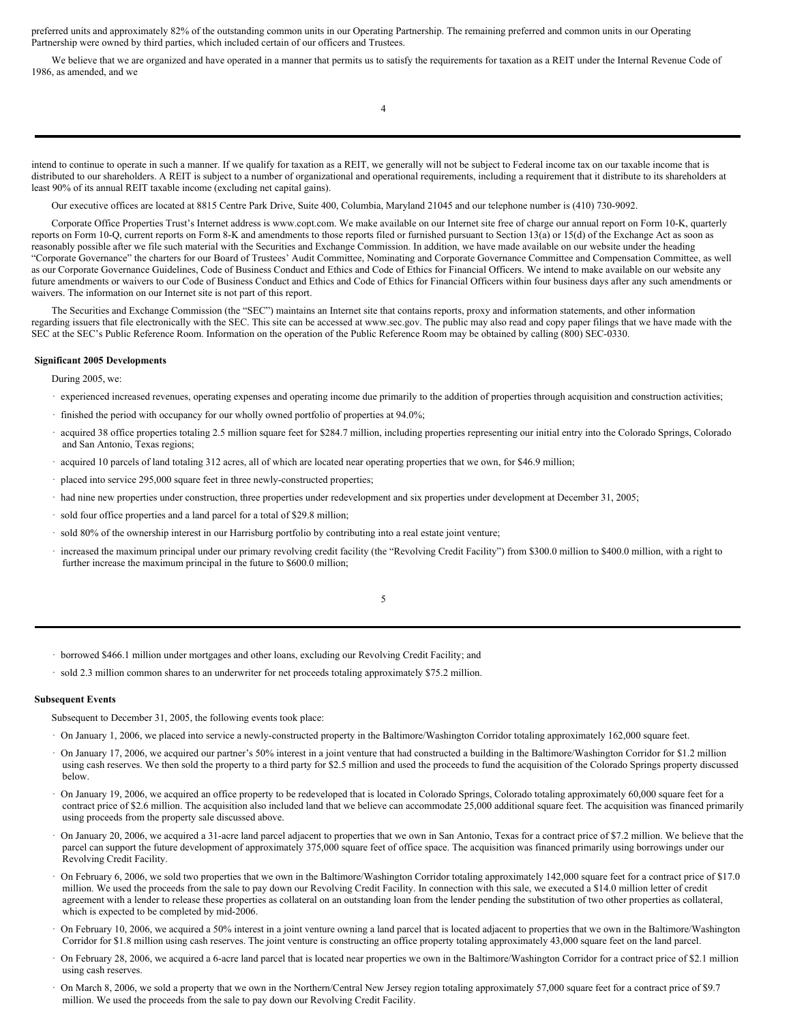preferred units and approximately 82% of the outstanding common units in our Operating Partnership. The remaining preferred and common units in our Operating Partnership were owned by third parties, which included certain of our officers and Trustees.

We believe that we are organized and have operated in a manner that permits us to satisfy the requirements for taxation as a REIT under the Internal Revenue Code of 1986, as amended, and we

4

intend to continue to operate in such a manner. If we qualify for taxation as a REIT, we generally will not be subject to Federal income tax on our taxable income that is distributed to our shareholders. A REIT is subject to a number of organizational and operational requirements, including a requirement that it distribute to its shareholders at least 90% of its annual REIT taxable income (excluding net capital gains).

Our executive offices are located at 8815 Centre Park Drive, Suite 400, Columbia, Maryland 21045 and our telephone number is (410) 730-9092.

Corporate Office Properties Trust's Internet address is www.copt.com. We make available on our Internet site free of charge our annual report on Form 10-K, quarterly reports on Form 10-Q, current reports on Form 8-K and amendments to those reports filed or furnished pursuant to Section 13(a) or 15(d) of the Exchange Act as soon as reasonably possible after we file such material with the Securities and Exchange Commission. In addition, we have made available on our website under the heading "Corporate Governance" the charters for our Board of Trustees' Audit Committee, Nominating and Corporate Governance Committee and Compensation Committee, as well as our Corporate Governance Guidelines, Code of Business Conduct and Ethics and Code of Ethics for Financial Officers. We intend to make available on our website any future amendments or waivers to our Code of Business Conduct and Ethics and Code of Ethics for Financial Officers within four business days after any such amendments or waivers. The information on our Internet site is not part of this report.

The Securities and Exchange Commission (the "SEC") maintains an Internet site that contains reports, proxy and information statements, and other information regarding issuers that file electronically with the SEC. This site can be accessed at www.sec.gov. The public may also read and copy paper filings that we have made with the SEC at the SEC's Public Reference Room. Information on the operation of the Public Reference Room may be obtained by calling (800) SEC-0330.

# **Significant 2005 Developments**

During 2005, we:

- · experienced increased revenues, operating expenses and operating income due primarily to the addition of properties through acquisition and construction activities;
- · finished the period with occupancy for our wholly owned portfolio of properties at 94.0%;
- · acquired 38 office properties totaling 2.5 million square feet for \$284.7 million, including properties representing our initial entry into the Colorado Springs, Colorado and San Antonio, Texas regions;
- · acquired 10 parcels of land totaling 312 acres, all of which are located near operating properties that we own, for \$46.9 million;
- · placed into service 295,000 square feet in three newly-constructed properties;
- · had nine new properties under construction, three properties under redevelopment and six properties under development at December 31, 2005;
- · sold four office properties and a land parcel for a total of \$29.8 million;
- · sold 80% of the ownership interest in our Harrisburg portfolio by contributing into a real estate joint venture;
- · increased the maximum principal under our primary revolving credit facility (the "Revolving Credit Facility") from \$300.0 million to \$400.0 million, with a right to further increase the maximum principal in the future to \$600.0 million;

5

- · borrowed \$466.1 million under mortgages and other loans, excluding our Revolving Credit Facility; and
- · sold 2.3 million common shares to an underwriter for net proceeds totaling approximately \$75.2 million.

# **Subsequent Events**

Subsequent to December 31, 2005, the following events took place:

- · On January 1, 2006, we placed into service a newly-constructed property in the Baltimore/Washington Corridor totaling approximately 162,000 square feet.
- · On January 17, 2006, we acquired our partner's 50% interest in a joint venture that had constructed a building in the Baltimore/Washington Corridor for \$1.2 million using cash reserves. We then sold the property to a third party for \$2.5 million and used the proceeds to fund the acquisition of the Colorado Springs property discussed below.
- · On January 19, 2006, we acquired an office property to be redeveloped that is located in Colorado Springs, Colorado totaling approximately 60,000 square feet for a contract price of \$2.6 million. The acquisition also included land that we believe can accommodate 25,000 additional square feet. The acquisition was financed primarily using proceeds from the property sale discussed above.
- · On January 20, 2006, we acquired a 31-acre land parcel adjacent to properties that we own in San Antonio, Texas for a contract price of \$7.2 million. We believe that the parcel can support the future development of approximately 375,000 square feet of office space. The acquisition was financed primarily using borrowings under our Revolving Credit Facility.
- · On February 6, 2006, we sold two properties that we own in the Baltimore/Washington Corridor totaling approximately 142,000 square feet for a contract price of \$17.0 million. We used the proceeds from the sale to pay down our Revolving Credit Facility. In connection with this sale, we executed a \$14.0 million letter of credit agreement with a lender to release these properties as collateral on an outstanding loan from the lender pending the substitution of two other properties as collateral, which is expected to be completed by mid-2006.
- · On February 10, 2006, we acquired a 50% interest in a joint venture owning a land parcel that is located adjacent to properties that we own in the Baltimore/Washington Corridor for \$1.8 million using cash reserves. The joint venture is constructing an office property totaling approximately 43,000 square feet on the land parcel.
- · On February 28, 2006, we acquired a 6-acre land parcel that is located near properties we own in the Baltimore/Washington Corridor for a contract price of \$2.1 million using cash reserves.
- · On March 8, 2006, we sold a property that we own in the Northern/Central New Jersey region totaling approximately 57,000 square feet for a contract price of \$9.7 million. We used the proceeds from the sale to pay down our Revolving Credit Facility.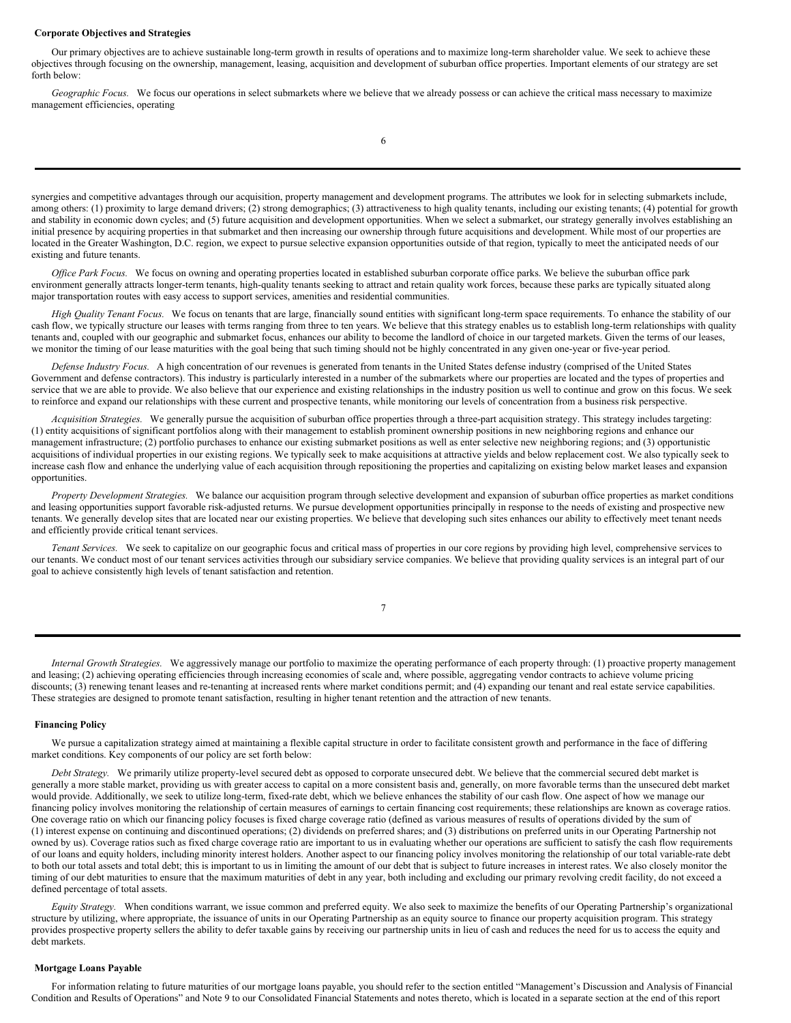# **Corporate Objectives and Strategies**

Our primary objectives are to achieve sustainable long-term growth in results of operations and to maximize long-term shareholder value. We seek to achieve these objectives through focusing on the ownership, management, leasing, acquisition and development of suburban office properties. Important elements of our strategy are set forth below:

*Geographic Focus.* We focus our operations in select submarkets where we believe that we already possess or can achieve the critical mass necessary to maximize management efficiencies, operating

synergies and competitive advantages through our acquisition, property management and development programs. The attributes we look for in selecting submarkets include, among others: (1) proximity to large demand drivers; (2) strong demographics; (3) attractiveness to high quality tenants, including our existing tenants; (4) potential for growth and stability in economic down cycles; and (5) future acquisition and development opportunities. When we select a submarket, our strategy generally involves establishing an initial presence by acquiring properties in that submarket and then increasing our ownership through future acquisitions and development. While most of our properties are located in the Greater Washington, D.C. region, we expect to pursue selective expansion opportunities outside of that region, typically to meet the anticipated needs of our existing and future tenants.

*Office Park Focus.* We focus on owning and operating properties located in established suburban corporate office parks. We believe the suburban office park environment generally attracts longer-term tenants, high-quality tenants seeking to attract and retain quality work forces, because these parks are typically situated along major transportation routes with easy access to support services, amenities and residential communities.

*High Quality Tenant Focus.* We focus on tenants that are large, financially sound entities with significant long-term space requirements. To enhance the stability of our cash flow, we typically structure our leases with terms ranging from three to ten years. We believe that this strategy enables us to establish long-term relationships with quality tenants and, coupled with our geographic and submarket focus, enhances our ability to become the landlord of choice in our targeted markets. Given the terms of our leases, we monitor the timing of our lease maturities with the goal being that such timing should not be highly concentrated in any given one-year or five-year period.

*Defense Industry Focus.* A high concentration of our revenues is generated from tenants in the United States defense industry (comprised of the United States Government and defense contractors). This industry is particularly interested in a number of the submarkets where our properties are located and the types of properties and service that we are able to provide. We also believe that our experience and existing relationships in the industry position us well to continue and grow on this focus. We seek to reinforce and expand our relationships with these current and prospective tenants, while monitoring our levels of concentration from a business risk perspective.

*Acquisition Strategies.* We generally pursue the acquisition of suburban office properties through a three-part acquisition strategy. This strategy includes targeting: (1) entity acquisitions of significant portfolios along with their management to establish prominent ownership positions in new neighboring regions and enhance our management infrastructure; (2) portfolio purchases to enhance our existing submarket positions as well as enter selective new neighboring regions; and (3) opportunistic acquisitions of individual properties in our existing regions. We typically seek to make acquisitions at attractive yields and below replacement cost. We also typically seek to increase cash flow and enhance the underlying value of each acquisition through repositioning the properties and capitalizing on existing below market leases and expansion opportunities.

*Property Development Strategies.* We balance our acquisition program through selective development and expansion of suburban office properties as market conditions and leasing opportunities support favorable risk-adjusted returns. We pursue development opportunities principally in response to the needs of existing and prospective new tenants. We generally develop sites that are located near our existing properties. We believe that developing such sites enhances our ability to effectively meet tenant needs and efficiently provide critical tenant services.

*Tenant Services.* We seek to capitalize on our geographic focus and critical mass of properties in our core regions by providing high level, comprehensive services to our tenants. We conduct most of our tenant services activities through our subsidiary service companies. We believe that providing quality services is an integral part of our goal to achieve consistently high levels of tenant satisfaction and retention.

*Internal Growth Strategies.* We aggressively manage our portfolio to maximize the operating performance of each property through: (1) proactive property management and leasing; (2) achieving operating efficiencies through increasing economies of scale and, where possible, aggregating vendor contracts to achieve volume pricing discounts; (3) renewing tenant leases and re-tenanting at increased rents where market conditions permit; and (4) expanding our tenant and real estate service capabilities. These strategies are designed to promote tenant satisfaction, resulting in higher tenant retention and the attraction of new tenants.

### **Financing Policy**

We pursue a capitalization strategy aimed at maintaining a flexible capital structure in order to facilitate consistent growth and performance in the face of differing market conditions. Key components of our policy are set forth below:

*Debt Strategy.* We primarily utilize property-level secured debt as opposed to corporate unsecured debt. We believe that the commercial secured debt market is generally a more stable market, providing us with greater access to capital on a more consistent basis and, generally, on more favorable terms than the unsecured debt market would provide. Additionally, we seek to utilize long-term, fixed-rate debt, which we believe enhances the stability of our cash flow. One aspect of how we manage our financing policy involves monitoring the relationship of certain measures of earnings to certain financing cost requirements; these relationships are known as coverage ratios. One coverage ratio on which our financing policy focuses is fixed charge coverage ratio (defined as various measures of results of operations divided by the sum of (1) interest expense on continuing and discontinued operations; (2) dividends on preferred shares; and (3) distributions on preferred units in our Operating Partnership not owned by us). Coverage ratios such as fixed charge coverage ratio are important to us in evaluating whether our operations are sufficient to satisfy the cash flow requirements of our loans and equity holders, including minority interest holders. Another aspect to our financing policy involves monitoring the relationship of our total variable-rate debt to both our total assets and total debt; this is important to us in limiting the amount of our debt that is subject to future increases in interest rates. We also closely monitor the timing of our debt maturities to ensure that the maximum maturities of debt in any year, both including and excluding our primary revolving credit facility, do not exceed a defined percentage of total assets.

*Equity Strategy.* When conditions warrant, we issue common and preferred equity. We also seek to maximize the benefits of our Operating Partnership's organizational structure by utilizing, where appropriate, the issuance of units in our Operating Partnership as an equity source to finance our property acquisition program. This strategy provides prospective property sellers the ability to defer taxable gains by receiving our partnership units in lieu of cash and reduces the need for us to access the equity and debt markets.

### **Mortgage Loans Payable**

For information relating to future maturities of our mortgage loans payable, you should refer to the section entitled "Management's Discussion and Analysis of Financial Condition and Results of Operations" and Note 9 to our Consolidated Financial Statements and notes thereto, which is located in a separate section at the end of this report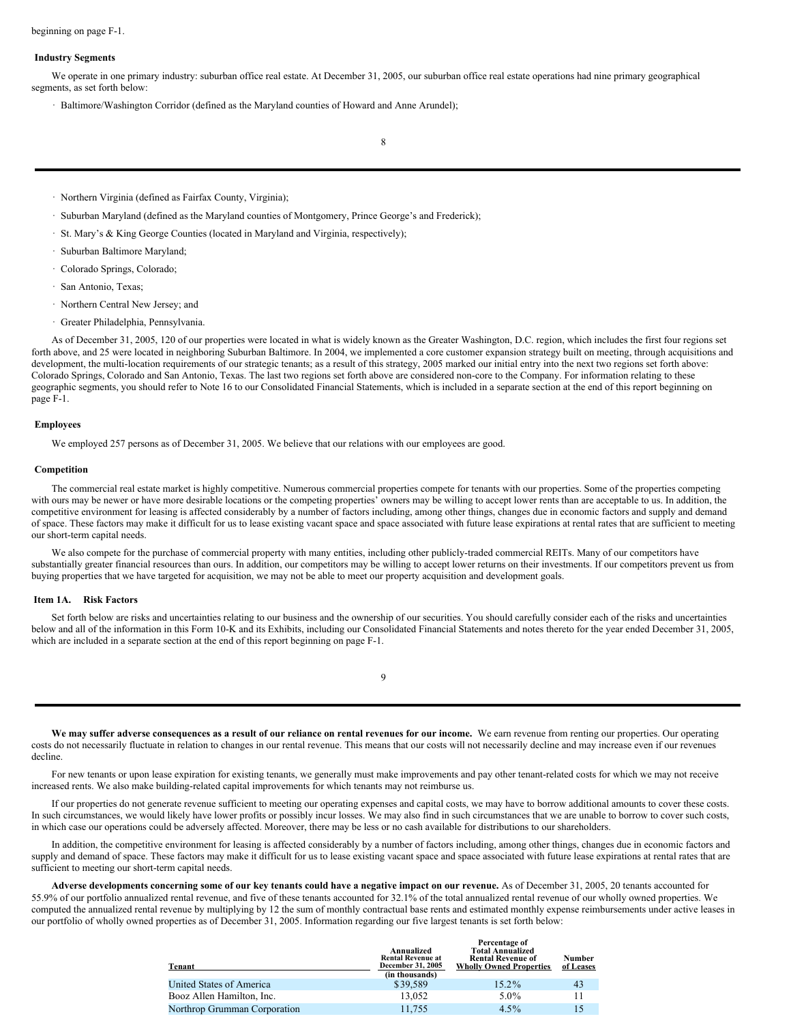# beginning on page F-1.

#### **Industry Segments**

We operate in one primary industry: suburban office real estate. At December 31, 2005, our suburban office real estate operations had nine primary geographical segments, as set forth below:

· Baltimore/Washington Corridor (defined as the Maryland counties of Howard and Anne Arundel);

8

- · Northern Virginia (defined as Fairfax County, Virginia);
- · Suburban Maryland (defined as the Maryland counties of Montgomery, Prince George's and Frederick);
- · St. Mary's & King George Counties (located in Maryland and Virginia, respectively);
- · Suburban Baltimore Maryland;
- · Colorado Springs, Colorado;
- · San Antonio, Texas;
- · Northern Central New Jersey; and
- · Greater Philadelphia, Pennsylvania.

As of December 31, 2005, 120 of our properties were located in what is widely known as the Greater Washington, D.C. region, which includes the first four regions set forth above, and 25 were located in neighboring Suburban Baltimore. In 2004, we implemented a core customer expansion strategy built on meeting, through acquisitions and development, the multi-location requirements of our strategic tenants; as a result of this strategy, 2005 marked our initial entry into the next two regions set forth above: Colorado Springs, Colorado and San Antonio, Texas. The last two regions set forth above are considered non-core to the Company. For information relating to these geographic segments, you should refer to Note 16 to our Consolidated Financial Statements, which is included in a separate section at the end of this report beginning on page F-1.

#### **Employees**

We employed 257 persons as of December 31, 2005. We believe that our relations with our employees are good.

### **Competition**

The commercial real estate market is highly competitive. Numerous commercial properties compete for tenants with our properties. Some of the properties competing with ours may be newer or have more desirable locations or the competing properties' owners may be willing to accept lower rents than are acceptable to us. In addition, the competitive environment for leasing is affected considerably by a number of factors including, among other things, changes due in economic factors and supply and demand of space. These factors may make it difficult for us to lease existing vacant space and space associated with future lease expirations at rental rates that are sufficient to meeting our short-term capital needs.

We also compete for the purchase of commercial property with many entities, including other publicly-traded commercial REITs. Many of our competitors have substantially greater financial resources than ours. In addition, our competitors may be willing to accept lower returns on their investments. If our competitors prevent us from buying properties that we have targeted for acquisition, we may not be able to meet our property acquisition and development goals.

### <span id="page-4-0"></span>**Item 1A. Risk Factors**

Set forth below are risks and uncertainties relating to our business and the ownership of our securities. You should carefully consider each of the risks and uncertainties below and all of the information in this Form 10-K and its Exhibits, including our Consolidated Financial Statements and notes thereto for the year ended December 31, 2005, which are included in a separate section at the end of this report beginning on page F-1.

|   | ٧            |   |  |
|---|--------------|---|--|
| t |              |   |  |
|   |              | I |  |
|   | I<br>ł<br>۰. |   |  |
|   | v            |   |  |

We may suffer adverse consequences as a result of our reliance on rental revenues for our income. We earn revenue from renting our properties. Our operating costs do not necessarily fluctuate in relation to changes in our rental revenue. This means that our costs will not necessarily decline and may increase even if our revenues decline.

For new tenants or upon lease expiration for existing tenants, we generally must make improvements and pay other tenant-related costs for which we may not receive increased rents. We also make building-related capital improvements for which tenants may not reimburse us.

If our properties do not generate revenue sufficient to meeting our operating expenses and capital costs, we may have to borrow additional amounts to cover these costs. In such circumstances, we would likely have lower profits or possibly incur losses. We may also find in such circumstances that we are unable to borrow to cover such costs, in which case our operations could be adversely affected. Moreover, there may be less or no cash available for distributions to our shareholders.

In addition, the competitive environment for leasing is affected considerably by a number of factors including, among other things, changes due in economic factors and supply and demand of space. These factors may make it difficult for us to lease existing vacant space and space associated with future lease expirations at rental rates that are sufficient to meeting our short-term capital needs.

Adverse developments concerning some of our key tenants could have a negative impact on our revenue. As of December 31, 2005, 20 tenants accounted for 55.9% of our portfolio annualized rental revenue, and five of these tenants accounted for 32.1% of the total annualized rental revenue of our wholly owned properties. We computed the annualized rental revenue by multiplying by 12 the sum of monthly contractual base rents and estimated monthly expense reimbursements under active leases in our portfolio of wholly owned properties as of December 31, 2005. Information regarding our five largest tenants is set forth below:

| Tenant                       | Annualized<br><b>Rental Revenue at</b><br>December 31, 2005<br>(in thousands) | Percentage of<br><b>Total Annualized</b><br><b>Rental Revenue of</b><br><b>Wholly Owned Properties</b> | <b>Number</b><br>of Leases |
|------------------------------|-------------------------------------------------------------------------------|--------------------------------------------------------------------------------------------------------|----------------------------|
| United States of America     | \$39,589                                                                      | $15.2\%$                                                                                               | 43                         |
| Booz Allen Hamilton, Inc.    | 13.052                                                                        | $5.0\%$                                                                                                |                            |
| Northrop Grumman Corporation | 11.755                                                                        | $4.5\%$                                                                                                |                            |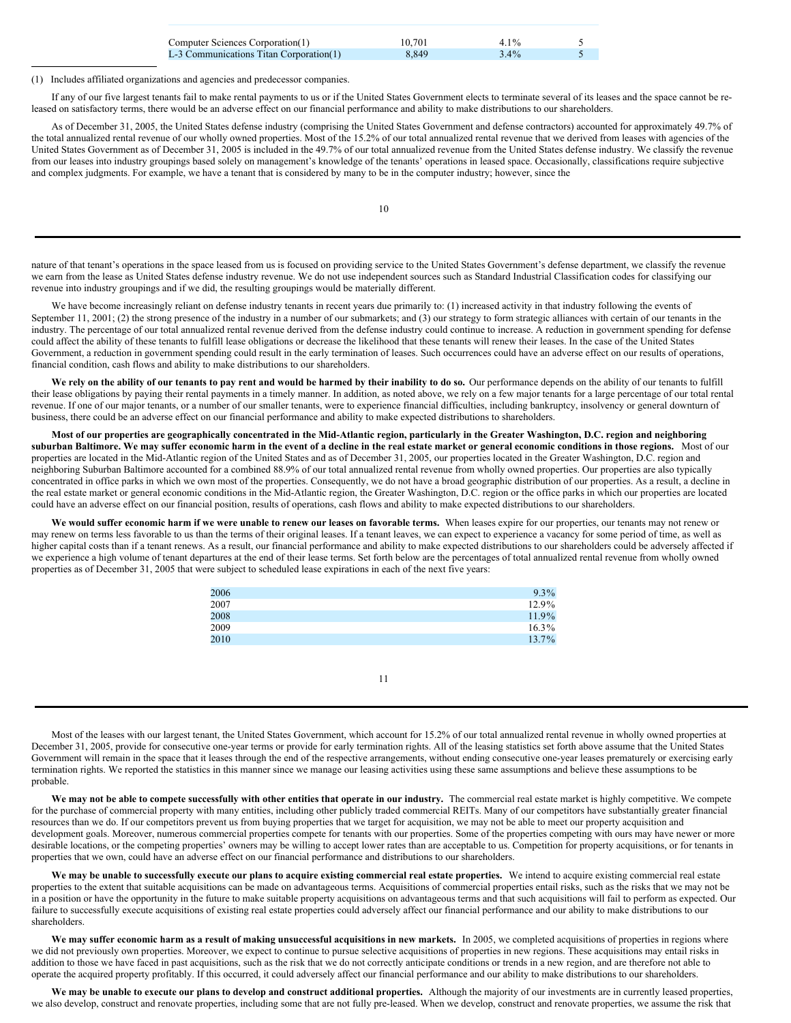| Computer Sciences Corporation(1)        | 10.701 | $4.1\%$ |  |
|-----------------------------------------|--------|---------|--|
| L-3 Communications Titan Corporation(1) | 8.849  | $3.4\%$ |  |

(1) Includes affiliated organizations and agencies and predecessor companies.

If any of our five largest tenants fail to make rental payments to us or if the United States Government elects to terminate several of its leases and the space cannot be released on satisfactory terms, there would be an adverse effect on our financial performance and ability to make distributions to our shareholders.

As of December 31, 2005, the United States defense industry (comprising the United States Government and defense contractors) accounted for approximately 49.7% of the total annualized rental revenue of our wholly owned properties. Most of the 15.2% of our total annualized rental revenue that we derived from leases with agencies of the United States Government as of December 31, 2005 is included in the 49.7% of our total annualized revenue from the United States defense industry. We classify the revenue from our leases into industry groupings based solely on management's knowledge of the tenants' operations in leased space. Occasionally, classifications require subjective and complex judgments. For example, we have a tenant that is considered by many to be in the computer industry; however, since the

10

nature of that tenant's operations in the space leased from us is focused on providing service to the United States Government's defense department, we classify the revenue we earn from the lease as United States defense industry revenue. We do not use independent sources such as Standard Industrial Classification codes for classifying our revenue into industry groupings and if we did, the resulting groupings would be materially different.

We have become increasingly reliant on defense industry tenants in recent years due primarily to: (1) increased activity in that industry following the events of September 11, 2001; (2) the strong presence of the industry in a number of our submarkets; and (3) our strategy to form strategic alliances with certain of our tenants in the industry. The percentage of our total annualized rental revenue derived from the defense industry could continue to increase. A reduction in government spending for defense could affect the ability of these tenants to fulfill lease obligations or decrease the likelihood that these tenants will renew their leases. In the case of the United States Government, a reduction in government spending could result in the early termination of leases. Such occurrences could have an adverse effect on our results of operations, financial condition, cash flows and ability to make distributions to our shareholders.

We rely on the ability of our tenants to pay rent and would be harmed by their inability to do so. Our performance depends on the ability of our tenants to fulfill their lease obligations by paying their rental payments in a timely manner. In addition, as noted above, we rely on a few major tenants for a large percentage of our total rental revenue. If one of our major tenants, or a number of our smaller tenants, were to experience financial difficulties, including bankruptcy, insolvency or general downturn of business, there could be an adverse effect on our financial performance and ability to make expected distributions to shareholders.

Most of our properties are geographically concentrated in the Mid-Atlantic region, particularly in the Greater Washington, D.C. region and neighboring suburban Baltimore. We may suffer economic harm in the event of a decline in the real estate market or general economic conditions in those regions. Most of our properties are located in the Mid-Atlantic region of the United States and as of December 31, 2005, our properties located in the Greater Washington, D.C. region and neighboring Suburban Baltimore accounted for a combined 88.9% of our total annualized rental revenue from wholly owned properties. Our properties are also typically concentrated in office parks in which we own most of the properties. Consequently, we do not have a broad geographic distribution of our properties. As a result, a decline in the real estate market or general economic conditions in the Mid-Atlantic region, the Greater Washington, D.C. region or the office parks in which our properties are located could have an adverse effect on our financial position, results of operations, cash flows and ability to make expected distributions to our shareholders.

We would suffer economic harm if we were unable to renew our leases on favorable terms. When leases expire for our properties, our tenants may not renew or may renew on terms less favorable to us than the terms of their original leases. If a tenant leaves, we can expect to experience a vacancy for some period of time, as well as higher capital costs than if a tenant renews. As a result, our financial performance and ability to make expected distributions to our shareholders could be adversely affected if we experience a high volume of tenant departures at the end of their lease terms. Set forth below are the percentages of total annualized rental revenue from wholly owned properties as of December 31, 2005 that were subject to scheduled lease expirations in each of the next five years:

| 2006 | $9.3\%$  |
|------|----------|
| 2007 | 12.9%    |
| 2008 | $11.9\%$ |
| 2009 | $16.3\%$ |
| 2010 | $13.7\%$ |

11

Most of the leases with our largest tenant, the United States Government, which account for 15.2% of our total annualized rental revenue in wholly owned properties at December 31, 2005, provide for consecutive one-year terms or provide for early termination rights. All of the leasing statistics set forth above assume that the United States Government will remain in the space that it leases through the end of the respective arrangements, without ending consecutive one-year leases prematurely or exercising early termination rights. We reported the statistics in this manner since we manage our leasing activities using these same assumptions and believe these assumptions to be probable.

We may not be able to compete successfully with other entities that operate in our industry. The commercial real estate market is highly competitive. We compete for the purchase of commercial property with many entities, including other publicly traded commercial REITs. Many of our competitors have substantially greater financial resources than we do. If our competitors prevent us from buying properties that we target for acquisition, we may not be able to meet our property acquisition and development goals. Moreover, numerous commercial properties compete for tenants with our properties. Some of the properties competing with ours may have newer or more desirable locations, or the competing properties' owners may be willing to accept lower rates than are acceptable to us. Competition for property acquisitions, or for tenants in properties that we own, could have an adverse effect on our financial performance and distributions to our shareholders.

We may be unable to successfully execute our plans to acquire existing commercial real estate properties. We intend to acquire existing commercial real estate properties to the extent that suitable acquisitions can be made on advantageous terms. Acquisitions of commercial properties entail risks, such as the risks that we may not be in a position or have the opportunity in the future to make suitable property acquisitions on advantageous terms and that such acquisitions will fail to perform as expected. Our failure to successfully execute acquisitions of existing real estate properties could adversely affect our financial performance and our ability to make distributions to our shareholders.

We may suffer economic harm as a result of making unsuccessful acquisitions in new markets. In 2005, we completed acquisitions of properties in regions where we did not previously own properties. Moreover, we expect to continue to pursue selective acquisitions of properties in new regions. These acquisitions may entail risks in addition to those we have faced in past acquisitions, such as the risk that we do not correctly anticipate conditions or trends in a new region, and are therefore not able to operate the acquired property profitably. If this occurred, it could adversely affect our financial performance and our ability to make distributions to our shareholders.

We may be unable to execute our plans to develop and construct additional properties. Although the majority of our investments are in currently leased properties, we also develop, construct and renovate properties, including some that are not fully pre-leased. When we develop, construct and renovate properties, we assume the risk that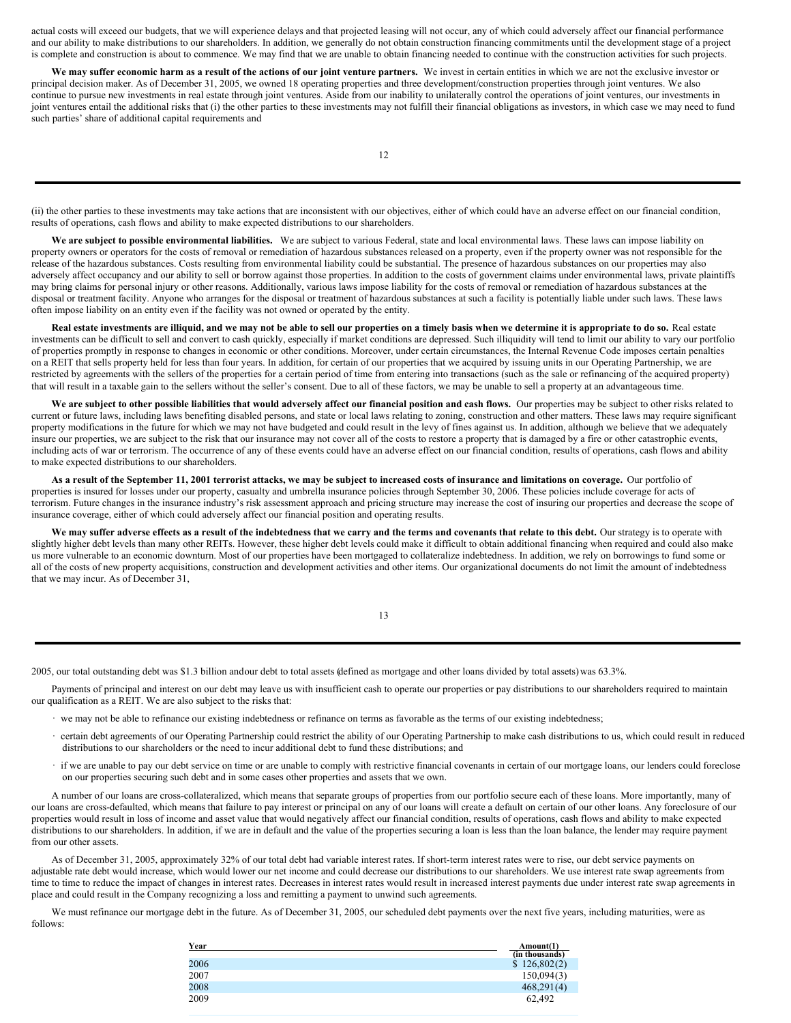actual costs will exceed our budgets, that we will experience delays and that projected leasing will not occur, any of which could adversely affect our financial performance and our ability to make distributions to our shareholders. In addition, we generally do not obtain construction financing commitments until the development stage of a project is complete and construction is about to commence. We may find that we are unable to obtain financing needed to continue with the construction activities for such projects.

We may suffer economic harm as a result of the actions of our joint venture partners. We invest in certain entities in which we are not the exclusive investor or principal decision maker. As of December 31, 2005, we owned 18 operating properties and three development/construction properties through joint ventures. We also continue to pursue new investments in real estate through joint ventures. Aside from our inability to unilaterally control the operations of joint ventures, our investments in joint ventures entail the additional risks that (i) the other parties to these investments may not fulfill their financial obligations as investors, in which case we may need to fund such parties' share of additional capital requirements and

(ii) the other parties to these investments may take actions that are inconsistent with our objectives, either of which could have an adverse effect on our financial condition, results of operations, cash flows and ability to make expected distributions to our shareholders.

**We are subject to possible environmental liabilities.** We are subject to various Federal, state and local environmental laws. These laws can impose liability on property owners or operators for the costs of removal or remediation of hazardous substances released on a property, even if the property owner was not responsible for the release of the hazardous substances. Costs resulting from environmental liability could be substantial. The presence of hazardous substances on our properties may also adversely affect occupancy and our ability to sell or borrow against those properties. In addition to the costs of government claims under environmental laws, private plaintiffs may bring claims for personal injury or other reasons. Additionally, various laws impose liability for the costs of removal or remediation of hazardous substances at the disposal or treatment facility. Anyone who arranges for the disposal or treatment of hazardous substances at such a facility is potentially liable under such laws. These laws often impose liability on an entity even if the facility was not owned or operated by the entity.

Real estate investments are illiquid, and we may not be able to sell our properties on a timely basis when we determine it is appropriate to do so. Real estate investments can be difficult to sell and convert to cash quickly, especially if market conditions are depressed. Such illiquidity will tend to limit our ability to vary our portfolio of properties promptly in response to changes in economic or other conditions. Moreover, under certain circumstances, the Internal Revenue Code imposes certain penalties on a REIT that sells property held for less than four years. In addition, for certain of our properties that we acquired by issuing units in our Operating Partnership, we are restricted by agreements with the sellers of the properties for a certain period of time from entering into transactions (such as the sale or refinancing of the acquired property) that will result in a taxable gain to the sellers without the seller's consent. Due to all of these factors, we may be unable to sell a property at an advantageous time.

We are subject to other possible liabilities that would adversely affect our financial position and cash flows. Our properties may be subject to other risks related to current or future laws, including laws benefiting disabled persons, and state or local laws relating to zoning, construction and other matters. These laws may require significant property modifications in the future for which we may not have budgeted and could result in the levy of fines against us. In addition, although we believe that we adequately insure our properties, we are subject to the risk that our insurance may not cover all of the costs to restore a property that is damaged by a fire or other catastrophic events, including acts of war or terrorism. The occurrence of any of these events could have an adverse effect on our financial condition, results of operations, cash flows and ability to make expected distributions to our shareholders.

As a result of the September 11, 2001 terrorist attacks, we may be subject to increased costs of insurance and limitations on coverage. Our portfolio of properties is insured for losses under our property, casualty and umbrella insurance policies through September 30, 2006. These policies include coverage for acts of terrorism. Future changes in the insurance industry's risk assessment approach and pricing structure may increase the cost of insuring our properties and decrease the scope of insurance coverage, either of which could adversely affect our financial position and operating results.

We may suffer adverse effects as a result of the indebtedness that we carry and the terms and covenants that relate to this debt. Our strategy is to operate with slightly higher debt levels than many other REITs. However, these higher debt levels could make it difficult to obtain additional financing when required and could also make us more vulnerable to an economic downturn. Most of our properties have been mortgaged to collateralize indebtedness. In addition, we rely on borrowings to fund some or all of the costs of new property acquisitions, construction and development activities and other items. Our organizational documents do not limit the amount of indebtedness that we may incur. As of December 31,

13

2005, our total outstanding debt was \$1.3 billion andour debt to total assets (defined as mortgage and other loans divided by total assets)was 63.3%.

Payments of principal and interest on our debt may leave us with insufficient cash to operate our properties or pay distributions to our shareholders required to maintain our qualification as a REIT. We are also subject to the risks that:

- · we may not be able to refinance our existing indebtedness or refinance on terms as favorable as the terms of our existing indebtedness;
- · certain debt agreements of our Operating Partnership could restrict the ability of our Operating Partnership to make cash distributions to us, which could result in reduced distributions to our shareholders or the need to incur additional debt to fund these distributions; and
- · if we are unable to pay our debt service on time or are unable to comply with restrictive financial covenants in certain of our mortgage loans, our lenders could foreclose on our properties securing such debt and in some cases other properties and assets that we own.

A number of our loans are cross-collateralized, which means that separate groups of properties from our portfolio secure each of these loans. More importantly, many of our loans are cross-defaulted, which means that failure to pay interest or principal on any of our loans will create a default on certain of our other loans. Any foreclosure of our properties would result in loss of income and asset value that would negatively affect our financial condition, results of operations, cash flows and ability to make expected distributions to our shareholders. In addition, if we are in default and the value of the properties securing a loan is less than the loan balance, the lender may require payment from our other assets.

As of December 31, 2005, approximately 32% of our total debt had variable interest rates. If short-term interest rates were to rise, our debt service payments on adjustable rate debt would increase, which would lower our net income and could decrease our distributions to our shareholders. We use interest rate swap agreements from time to time to reduce the impact of changes in interest rates. Decreases in interest rates would result in increased interest payments due under interest rate swap agreements in place and could result in the Company recognizing a loss and remitting a payment to unwind such agreements.

We must refinance our mortgage debt in the future. As of December 31, 2005, our scheduled debt payments over the next five years, including maturities, were as follows:

| Year | Amount(1)      |
|------|----------------|
|      | (in thousands) |
| 2006 | \$126,802(2)   |
| 2007 | 150,094(3)     |
| 2008 | 468,291(4)     |
| 2009 | 62.492         |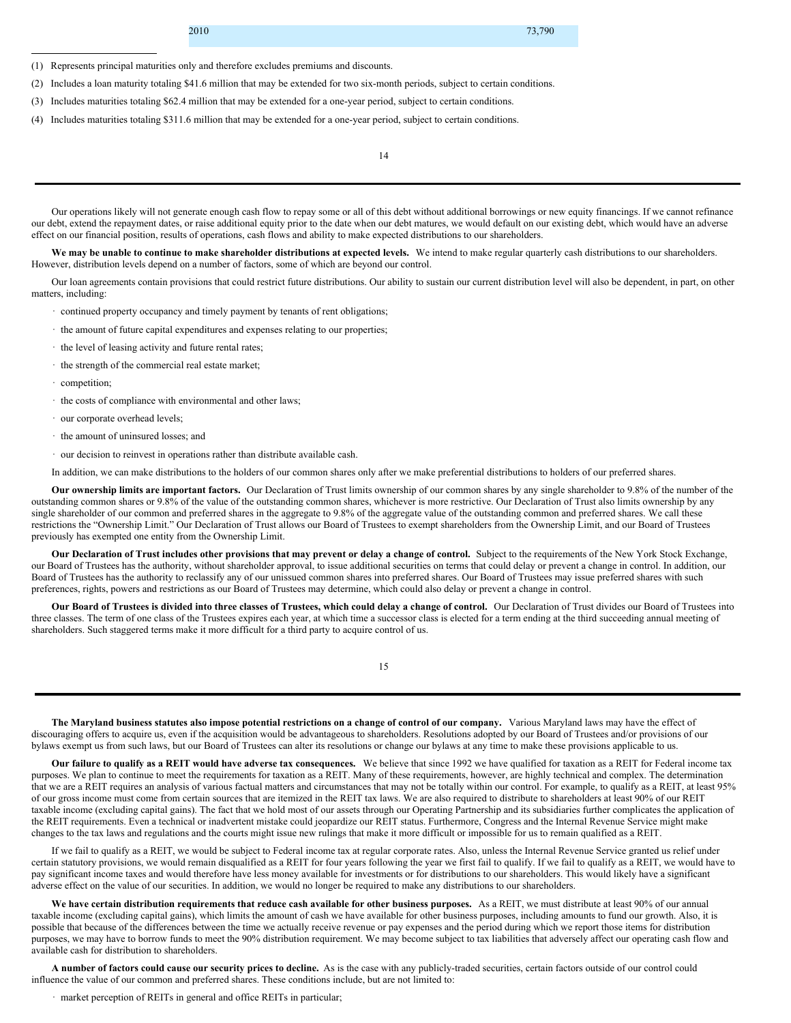- (1) Represents principal maturities only and therefore excludes premiums and discounts.
- (2) Includes a loan maturity totaling \$41.6 million that may be extended for two six-month periods, subject to certain conditions.
- (3) Includes maturities totaling \$62.4 million that may be extended for a one-year period, subject to certain conditions.
- (4) Includes maturities totaling \$311.6 million that may be extended for a one-year period, subject to certain conditions.

14

Our operations likely will not generate enough cash flow to repay some or all of this debt without additional borrowings or new equity financings. If we cannot refinance our debt, extend the repayment dates, or raise additional equity prior to the date when our debt matures, we would default on our existing debt, which would have an adverse effect on our financial position, results of operations, cash flows and ability to make expected distributions to our shareholders.

We may be unable to continue to make shareholder distributions at expected levels. We intend to make regular quarterly cash distributions to our shareholders. However, distribution levels depend on a number of factors, some of which are beyond our control.

Our loan agreements contain provisions that could restrict future distributions. Our ability to sustain our current distribution level will also be dependent, in part, on other matters, including:

- · continued property occupancy and timely payment by tenants of rent obligations;
- · the amount of future capital expenditures and expenses relating to our properties;
- · the level of leasing activity and future rental rates;
- · the strength of the commercial real estate market;
- · competition;
- · the costs of compliance with environmental and other laws;
- · our corporate overhead levels;
- · the amount of uninsured losses; and
- · our decision to reinvest in operations rather than distribute available cash.

In addition, we can make distributions to the holders of our common shares only after we make preferential distributions to holders of our preferred shares.

**Our ownership limits are important factors.** Our Declaration of Trust limits ownership of our common shares by any single shareholder to 9.8% of the number of the outstanding common shares or 9.8% of the value of the outstanding common shares, whichever is more restrictive. Our Declaration of Trust also limits ownership by any single shareholder of our common and preferred shares in the aggregate to 9.8% of the aggregate value of the outstanding common and preferred shares. We call these restrictions the "Ownership Limit." Our Declaration of Trust allows our Board of Trustees to exempt shareholders from the Ownership Limit, and our Board of Trustees previously has exempted one entity from the Ownership Limit.

Our Declaration of Trust includes other provisions that may prevent or delay a change of control. Subject to the requirements of the New York Stock Exchange, our Board of Trustees has the authority, without shareholder approval, to issue additional securities on terms that could delay or prevent a change in control. In addition, our Board of Trustees has the authority to reclassify any of our unissued common shares into preferred shares. Our Board of Trustees may issue preferred shares with such preferences, rights, powers and restrictions as our Board of Trustees may determine, which could also delay or prevent a change in control.

Our Board of Trustees is divided into three classes of Trustees, which could delay a change of control. Our Declaration of Trust divides our Board of Trustees into three classes. The term of one class of the Trustees expires each year, at which time a successor class is elected for a term ending at the third succeeding annual meeting of shareholders. Such staggered terms make it more difficult for a third party to acquire control of us.

| ۰.     |
|--------|
| $\sim$ |

The Maryland business statutes also impose potential restrictions on a change of control of our company. Various Maryland laws may have the effect of discouraging offers to acquire us, even if the acquisition would be advantageous to shareholders. Resolutions adopted by our Board of Trustees and/or provisions of our bylaws exempt us from such laws, but our Board of Trustees can alter its resolutions or change our bylaws at any time to make these provisions applicable to us.

Our failure to qualify as a REIT would have adverse tax consequences. We believe that since 1992 we have qualified for taxation as a REIT for Federal income tax purposes. We plan to continue to meet the requirements for taxation as a REIT. Many of these requirements, however, are highly technical and complex. The determination that we are a REIT requires an analysis of various factual matters and circumstances that may not be totally within our control. For example, to qualify as a REIT, at least 95% of our gross income must come from certain sources that are itemized in the REIT tax laws. We are also required to distribute to shareholders at least 90% of our REIT taxable income (excluding capital gains). The fact that we hold most of our assets through our Operating Partnership and its subsidiaries further complicates the application of the REIT requirements. Even a technical or inadvertent mistake could jeopardize our REIT status. Furthermore, Congress and the Internal Revenue Service might make changes to the tax laws and regulations and the courts might issue new rulings that make it more difficult or impossible for us to remain qualified as a REIT.

If we fail to qualify as a REIT, we would be subject to Federal income tax at regular corporate rates. Also, unless the Internal Revenue Service granted us relief under certain statutory provisions, we would remain disqualified as a REIT for four years following the year we first fail to qualify. If we fail to qualify as a REIT, we would have to pay significant income taxes and would therefore have less money available for investments or for distributions to our shareholders. This would likely have a significant adverse effect on the value of our securities. In addition, we would no longer be required to make any distributions to our shareholders.

We have certain distribution requirements that reduce cash available for other business purposes. As a REIT, we must distribute at least 90% of our annual taxable income (excluding capital gains), which limits the amount of cash we have available for other business purposes, including amounts to fund our growth. Also, it is possible that because of the differences between the time we actually receive revenue or pay expenses and the period during which we report those items for distribution purposes, we may have to borrow funds to meet the 90% distribution requirement. We may become subject to tax liabilities that adversely affect our operating cash flow and available cash for distribution to shareholders.

A number of factors could cause our security prices to decline. As is the case with any publicly-traded securities, certain factors outside of our control could influence the value of our common and preferred shares. These conditions include, but are not limited to:

· market perception of REITs in general and office REITs in particular;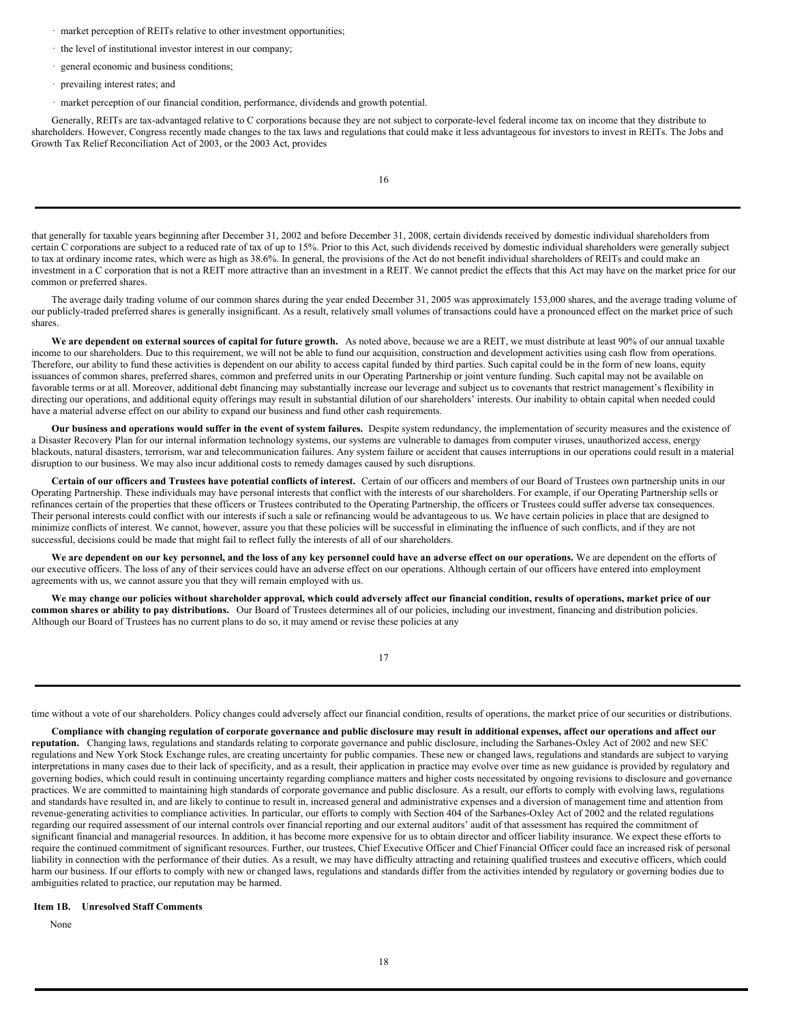- · market perception of REITs relative to other investment opportunities;
- · the level of institutional investor interest in our company;
- · general economic and business conditions;
- · prevailing interest rates; and
- · market perception of our financial condition, performance, dividends and growth potential.

Generally, REITs are tax-advantaged relative to C corporations because they are not subject to corporate-level federal income tax on income that they distribute to shareholders. However, Congress recently made changes to the tax laws and regulations that could make it less advantageous for investors to invest in REITs. The Jobs and Growth Tax Relief Reconciliation Act of 2003, or the 2003 Act, provides

16

that generally for taxable years beginning after December 31, 2002 and before December 31, 2008, certain dividends received by domestic individual shareholders from certain C corporations are subject to a reduced rate of tax of up to 15%. Prior to this Act, such dividends received by domestic individual shareholders were generally subject to tax at ordinary income rates, which were as high as 38.6%. In general, the provisions of the Act do not benefit individual shareholders of REITs and could make an investment in a C corporation that is not a REIT more attractive than an investment in a REIT. We cannot predict the effects that this Act may have on the market price for our common or preferred shares.

The average daily trading volume of our common shares during the year ended December 31, 2005 was approximately 153,000 shares, and the average trading volume of our publicly-traded preferred shares is generally insignificant. As a result, relatively small volumes of transactions could have a pronounced effect on the market price of such shares.

We are dependent on external sources of capital for future growth. As noted above, because we are a REIT, we must distribute at least 90% of our annual taxable income to our shareholders. Due to this requirement, we will not be able to fund our acquisition, construction and development activities using cash flow from operations. Therefore, our ability to fund these activities is dependent on our ability to access capital funded by third parties. Such capital could be in the form of new loans, equity issuances of common shares, preferred shares, common and preferred units in our Operating Partnership or joint venture funding. Such capital may not be available on favorable terms or at all. Moreover, additional debt financing may substantially increase our leverage and subject us to covenants that restrict management's flexibility in directing our operations, and additional equity offerings may result in substantial dilution of our shareholders' interests. Our inability to obtain capital when needed could have a material adverse effect on our ability to expand our business and fund other cash requirements.

Our business and operations would suffer in the event of system failures. Despite system redundancy, the implementation of security measures and the existence of a Disaster Recovery Plan for our internal information technology systems, our systems are vulnerable to damages from computer viruses, unauthorized access, energy blackouts, natural disasters, terrorism, war and telecommunication failures. Any system failure or accident that causes interruptions in our operations could result in a material disruption to our business. We may also incur additional costs to remedy damages caused by such disruptions.

Certain of our officers and Trustees have potential conflicts of interest. Certain of our officers and members of our Board of Trustees own partnership units in our Operating Partnership. These individuals may have personal interests that conflict with the interests of our shareholders. For example, if our Operating Partnership sells or refinances certain of the properties that these officers or Trustees contributed to the Operating Partnership, the officers or Trustees could suffer adverse tax consequences. Their personal interests could conflict with our interests if such a sale or refinancing would be advantageous to us. We have certain policies in place that are designed to minimize conflicts of interest. We cannot, however, assure you that these policies will be successful in eliminating the influence of such conflicts, and if they are not successful, decisions could be made that might fail to reflect fully the interests of all of our shareholders.

We are dependent on our key personnel, and the loss of any key personnel could have an adverse effect on our operations. We are dependent on the efforts of our executive officers. The loss of any of their services could have an adverse effect on our operations. Although certain of our officers have entered into employment agreements with us, we cannot assure you that they will remain employed with us.

We may change our policies without shareholder approval, which could adversely affect our financial condition, results of operations, market price of our **common shares or ability to pay distributions.** Our Board of Trustees determines all of our policies, including our investment, financing and distribution policies. Although our Board of Trustees has no current plans to do so, it may amend or revise these policies at any

17

time without a vote of our shareholders. Policy changes could adversely affect our financial condition, results of operations, the market price of our securities or distributions.

Compliance with changing regulation of corporate governance and public disclosure may result in additional expenses, affect our operations and affect our **reputation.** Changing laws, regulations and standards relating to corporate governance and public disclosure, including the Sarbanes-Oxley Act of 2002 and new SEC regulations and New York Stock Exchange rules, are creating uncertainty for public companies. These new or changed laws, regulations and standards are subject to varying interpretations in many cases due to their lack of specificity, and as a result, their application in practice may evolve over time as new guidance is provided by regulatory and governing bodies, which could result in continuing uncertainty regarding compliance matters and higher costs necessitated by ongoing revisions to disclosure and governance practices. We are committed to maintaining high standards of corporate governance and public disclosure. As a result, our efforts to comply with evolving laws, regulations and standards have resulted in, and are likely to continue to result in, increased general and administrative expenses and a diversion of management time and attention from revenue-generating activities to compliance activities. In particular, our efforts to comply with Section 404 of the Sarbanes-Oxley Act of 2002 and the related regulations regarding our required assessment of our internal controls over financial reporting and our external auditors' audit of that assessment has required the commitment of significant financial and managerial resources. In addition, it has become more expensive for us to obtain director and officer liability insurance. We expect these efforts to require the continued commitment of significant resources. Further, our trustees, Chief Executive Officer and Chief Financial Officer could face an increased risk of personal liability in connection with the performance of their duties. As a result, we may have difficulty attracting and retaining qualified trustees and executive officers, which could harm our business. If our efforts to comply with new or changed laws, regulations and standards differ from the activities intended by regulatory or governing bodies due to ambiguities related to practice, our reputation may be harmed.

# <span id="page-8-0"></span>**Item 1B. Unresolved Staff Comments**

None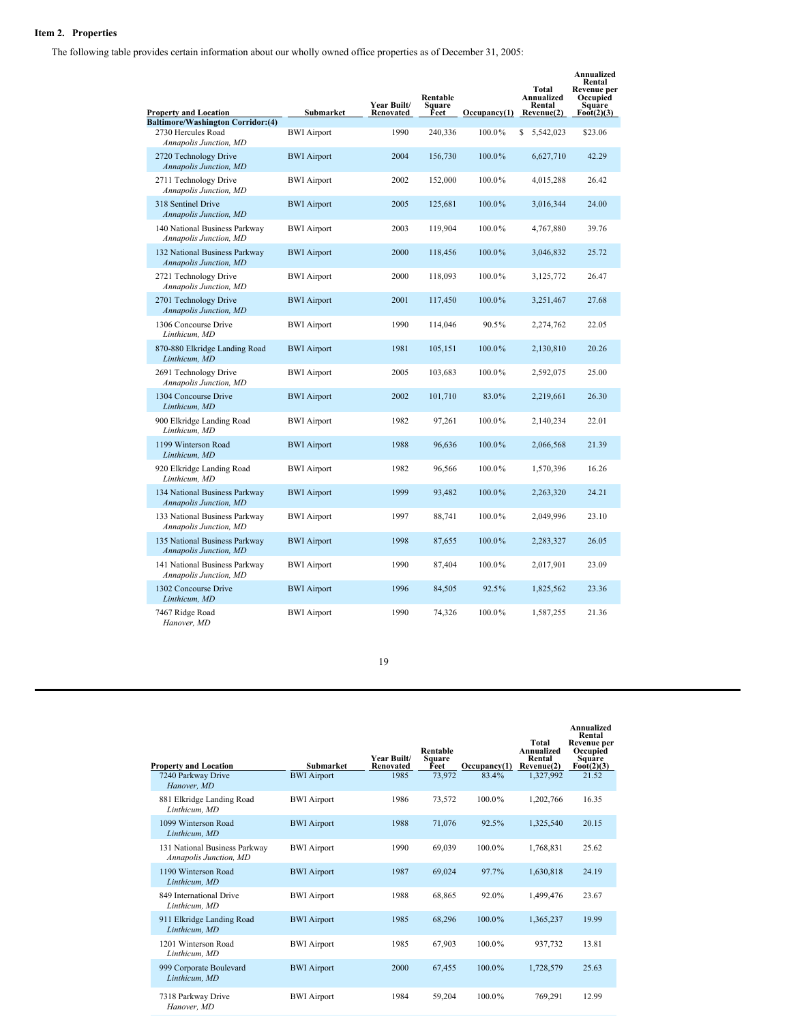# <span id="page-9-0"></span>**Item 2. Properties**

The following table provides certain information about our wholly owned office properties as of December 31, 2005:

| <b>Property and Location</b>                                   | Submarket          | Year Built/<br>Renovated | Rentable<br>Square<br>Feet | $Occupancy(1)$ Revenue(2) | Total<br>Annualized<br>Rental | Annualized<br>Rental<br>Revenue per<br>Occupied<br>Square<br>$\text{Foot}(2)(3)$ |
|----------------------------------------------------------------|--------------------|--------------------------|----------------------------|---------------------------|-------------------------------|----------------------------------------------------------------------------------|
| <b>Baltimore/Washington Corridor: (4)</b>                      |                    |                          |                            |                           |                               |                                                                                  |
| 2730 Hercules Road<br>Annapolis Junction, MD                   | <b>BWI</b> Airport | 1990                     | 240,336                    | 100.0%                    | 5,542,023<br>S                | \$23.06                                                                          |
| 2720 Technology Drive<br>Annapolis Junction, MD                | <b>BWI</b> Airport | 2004                     | 156,730                    | 100.0%                    | 6,627,710                     | 42.29                                                                            |
| 2711 Technology Drive<br>Annapolis Junction, MD                | <b>BWI</b> Airport | 2002                     | 152,000                    | 100.0%                    | 4,015,288                     | 26.42                                                                            |
| 318 Sentinel Drive<br>Annapolis Junction, MD                   | <b>BWI</b> Airport | 2005                     | 125,681                    | 100.0%                    | 3,016,344                     | 24.00                                                                            |
| 140 National Business Parkway<br>Annapolis Junction, MD        | <b>BWI</b> Airport | 2003                     | 119,904                    | 100.0%                    | 4,767,880                     | 39.76                                                                            |
| 132 National Business Parkway<br><b>Annapolis Junction, MD</b> | <b>BWI</b> Airport | 2000                     | 118,456                    | 100.0%                    | 3,046,832                     | 25.72                                                                            |
| 2721 Technology Drive<br>Annapolis Junction, MD                | <b>BWI</b> Airport | 2000                     | 118,093                    | 100.0%                    | 3,125,772                     | 26.47                                                                            |
| 2701 Technology Drive<br>Annapolis Junction, MD                | <b>BWI</b> Airport | 2001                     | 117,450                    | 100.0%                    | 3,251,467                     | 27.68                                                                            |
| 1306 Concourse Drive<br>Linthicum, MD                          | <b>BWI</b> Airport | 1990                     | 114,046                    | 90.5%                     | 2,274,762                     | 22.05                                                                            |
| 870-880 Elkridge Landing Road<br>Linthicum, MD                 | <b>BWI</b> Airport | 1981                     | 105,151                    | 100.0%                    | 2,130,810                     | 20.26                                                                            |
| 2691 Technology Drive<br>Annapolis Junction, MD                | <b>BWI</b> Airport | 2005                     | 103,683                    | 100.0%                    | 2,592,075                     | 25.00                                                                            |
| 1304 Concourse Drive<br>Linthicum, MD                          | <b>BWI</b> Airport | 2002                     | 101,710                    | 83.0%                     | 2,219,661                     | 26.30                                                                            |
| 900 Elkridge Landing Road<br>Linthicum, MD                     | <b>BWI</b> Airport | 1982                     | 97,261                     | 100.0%                    | 2,140,234                     | 22.01                                                                            |
| 1199 Winterson Road<br>Linthicum, MD                           | <b>BWI</b> Airport | 1988                     | 96,636                     | 100.0%                    | 2,066,568                     | 21.39                                                                            |
| 920 Elkridge Landing Road<br>Linthicum, MD                     | <b>BWI</b> Airport | 1982                     | 96,566                     | 100.0%                    | 1,570,396                     | 16.26                                                                            |
| 134 National Business Parkway<br>Annapolis Junction, MD        | <b>BWI</b> Airport | 1999                     | 93,482                     | 100.0%                    | 2,263,320                     | 24.21                                                                            |
| 133 National Business Parkway<br>Annapolis Junction, MD        | <b>BWI</b> Airport | 1997                     | 88,741                     | 100.0%                    | 2,049,996                     | 23.10                                                                            |
| 135 National Business Parkway<br>Annapolis Junction, MD        | <b>BWI</b> Airport | 1998                     | 87,655                     | 100.0%                    | 2,283,327                     | 26.05                                                                            |
| 141 National Business Parkway<br>Annapolis Junction, MD        | <b>BWI</b> Airport | 1990                     | 87,404                     | 100.0%                    | 2,017,901                     | 23.09                                                                            |
| 1302 Concourse Drive<br>Linthicum, MD                          | <b>BWI</b> Airport | 1996                     | 84,505                     | 92.5%                     | 1,825,562                     | 23.36                                                                            |
| 7467 Ridge Road<br>Hanover, MD                                 | <b>BWI</b> Airport | 1990                     | 74,326                     | 100.0%                    | 1,587,255                     | 21.36                                                                            |

19

| <b>Property and Location</b><br>7240 Parkway Drive<br>Hanover, MD | <b>Submarket</b><br><b>BWI</b> Airport | Year Built/<br>Renovated<br>1985 | Rentable<br>Square<br>Feet<br>73.972 | Occupancy(1)<br>83.4% | Total<br>Annualized<br>Rental<br>Revenue(2)<br>1,327,992 | Annualized<br>Rental<br>Revenue per<br>Occupied<br>Square<br>Foot(2)(3)<br>21.52 |
|-------------------------------------------------------------------|----------------------------------------|----------------------------------|--------------------------------------|-----------------------|----------------------------------------------------------|----------------------------------------------------------------------------------|
| 881 Elkridge Landing Road<br>Linthicum, MD                        | <b>BWI</b> Airport                     | 1986                             | 73,572                               | 100.0%                | 1.202.766                                                | 16.35                                                                            |
| 1099 Winterson Road<br>Linthicum, MD                              | <b>BWI</b> Airport                     | 1988                             | 71,076                               | 92.5%                 | 1,325,540                                                | 20.15                                                                            |
| 131 National Business Parkway<br>Annapolis Junction, MD           | <b>BWI</b> Airport                     | 1990                             | 69.039                               | 100.0%                | 1,768,831                                                | 25.62                                                                            |
| 1190 Winterson Road<br>Linthicum, MD                              | <b>BWI</b> Airport                     | 1987                             | 69.024                               | 97.7%                 | 1.630.818                                                | 24.19                                                                            |
| 849 International Drive<br>Linthicum, MD                          | <b>BWI</b> Airport                     | 1988                             | 68.865                               | 92.0%                 | 1,499,476                                                | 23.67                                                                            |
| 911 Elkridge Landing Road<br>Linthicum, MD                        | <b>BWI</b> Airport                     | 1985                             | 68,296                               | 100.0%                | 1,365,237                                                | 19.99                                                                            |
| 1201 Winterson Road<br>Linthicum, MD                              | <b>BWI</b> Airport                     | 1985                             | 67,903                               | 100.0%                | 937,732                                                  | 13.81                                                                            |
| 999 Corporate Boulevard<br>Linthicum, MD                          | <b>BWI</b> Airport                     | 2000                             | 67,455                               | 100.0%                | 1,728,579                                                | 25.63                                                                            |
| 7318 Parkway Drive<br>Hanover, MD                                 | <b>BWI</b> Airport                     | 1984                             | 59,204                               | 100.0%                | 769,291                                                  | 12.99                                                                            |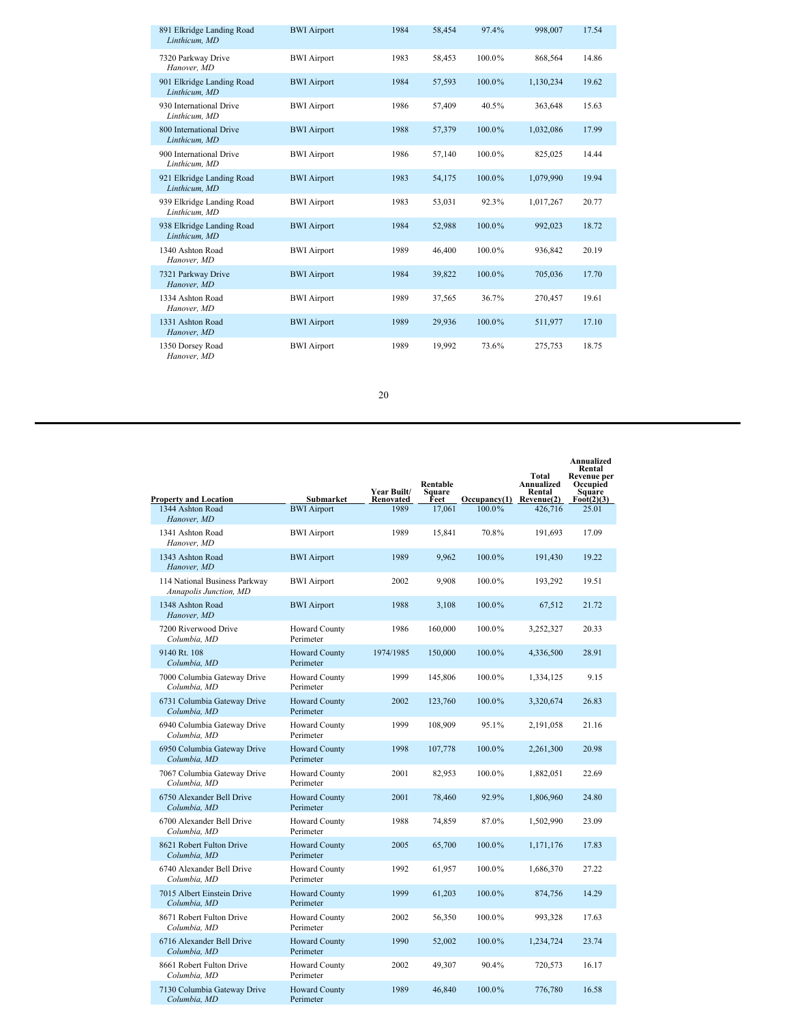| 891 Elkridge Landing Road<br>Linthicum, MD | <b>BWI</b> Airport | 1984 | 58,454 | 97.4%  | 998,007   | 17.54 |
|--------------------------------------------|--------------------|------|--------|--------|-----------|-------|
| 7320 Parkway Drive<br>Hanover, MD          | <b>BWI</b> Airport | 1983 | 58,453 | 100.0% | 868,564   | 14.86 |
| 901 Elkridge Landing Road<br>Linthicum, MD | <b>BWI</b> Airport | 1984 | 57,593 | 100.0% | 1,130,234 | 19.62 |
| 930 International Drive<br>Linthicum, MD   | <b>BWI</b> Airport | 1986 | 57,409 | 40.5%  | 363,648   | 15.63 |
| 800 International Drive<br>Linthicum, MD   | <b>BWI</b> Airport | 1988 | 57,379 | 100.0% | 1,032,086 | 17.99 |
| 900 International Drive<br>Linthicum, MD   | <b>BWI</b> Airport | 1986 | 57,140 | 100.0% | 825,025   | 14.44 |
| 921 Elkridge Landing Road<br>Linthicum, MD | <b>BWI</b> Airport | 1983 | 54,175 | 100.0% | 1,079,990 | 19.94 |
| 939 Elkridge Landing Road<br>Linthicum, MD | <b>BWI</b> Airport | 1983 | 53,031 | 92.3%  | 1,017,267 | 20.77 |
| 938 Elkridge Landing Road<br>Linthicum, MD | <b>BWI</b> Airport | 1984 | 52,988 | 100.0% | 992,023   | 18.72 |
| 1340 Ashton Road<br>Hanover, MD            | <b>BWI</b> Airport | 1989 | 46,400 | 100.0% | 936,842   | 20.19 |
| 7321 Parkway Drive<br>Hanover, MD          | <b>BWI</b> Airport | 1984 | 39,822 | 100.0% | 705,036   | 17.70 |
| 1334 Ashton Road<br>Hanover, MD            | <b>BWI</b> Airport | 1989 | 37,565 | 36.7%  | 270,457   | 19.61 |
| 1331 Ashton Road<br>Hanover, MD            | <b>BWI</b> Airport | 1989 | 29,936 | 100.0% | 511,977   | 17.10 |
| 1350 Dorsey Road<br>Hanover, MD            | <b>BWI</b> Airport | 1989 | 19.992 | 73.6%  | 275,753   | 18.75 |

20

| <b>Property and Location</b>                            | Submarket                         | Year Built/<br>Renovated | Rentable<br>Square<br>Feet | $Occupancy(1)$ Revenue(2) | Total<br>Annualized<br>Rental | Annualized<br>Rental<br>Revenue per<br>Occupied<br>Square<br>$\text{Foot}(2)(3)$ |
|---------------------------------------------------------|-----------------------------------|--------------------------|----------------------------|---------------------------|-------------------------------|----------------------------------------------------------------------------------|
| 1344 Ashton Road<br>Hanover, MD                         | <b>BWI</b> Airport                | 1989                     | 17,061                     | 100.0%                    | 426,716                       | 25.01                                                                            |
| 1341 Ashton Road<br>Hanover, MD                         | <b>BWI</b> Airport                | 1989                     | 15.841                     | 70.8%                     | 191.693                       | 17.09                                                                            |
| 1343 Ashton Road<br>Hanover, MD                         | <b>BWI</b> Airport                | 1989                     | 9,962                      | 100.0%                    | 191,430                       | 19.22                                                                            |
| 114 National Business Parkway<br>Annapolis Junction, MD | <b>BWI</b> Airport                | 2002                     | 9.908                      | 100.0%                    | 193,292                       | 19.51                                                                            |
| 1348 Ashton Road<br>Hanover, MD                         | <b>BWI</b> Airport                | 1988                     | 3,108                      | 100.0%                    | 67,512                        | 21.72                                                                            |
| 7200 Riverwood Drive<br>Columbia, MD                    | <b>Howard County</b><br>Perimeter | 1986                     | 160,000                    | 100.0%                    | 3,252,327                     | 20.33                                                                            |
| 9140 Rt. 108<br>Columbia, MD                            | <b>Howard County</b><br>Perimeter | 1974/1985                | 150,000                    | 100.0%                    | 4,336,500                     | 28.91                                                                            |
| 7000 Columbia Gateway Drive<br>Columbia, MD             | <b>Howard County</b><br>Perimeter | 1999                     | 145,806                    | 100.0%                    | 1,334,125                     | 9.15                                                                             |
| 6731 Columbia Gateway Drive<br>Columbia, MD             | <b>Howard County</b><br>Perimeter | 2002                     | 123,760                    | 100.0%                    | 3,320,674                     | 26.83                                                                            |
| 6940 Columbia Gateway Drive<br>Columbia, MD             | <b>Howard County</b><br>Perimeter | 1999                     | 108,909                    | 95.1%                     | 2,191,058                     | 21.16                                                                            |
| 6950 Columbia Gateway Drive<br>Columbia, MD             | <b>Howard County</b><br>Perimeter | 1998                     | 107,778                    | 100.0%                    | 2,261,300                     | 20.98                                                                            |
| 7067 Columbia Gateway Drive<br>Columbia, MD             | <b>Howard County</b><br>Perimeter | 2001                     | 82,953                     | 100.0%                    | 1,882,051                     | 22.69                                                                            |
| 6750 Alexander Bell Drive<br>Columbia, MD               | <b>Howard County</b><br>Perimeter | 2001                     | 78,460                     | 92.9%                     | 1,806,960                     | 24.80                                                                            |
| 6700 Alexander Bell Drive<br>Columbia, MD               | <b>Howard County</b><br>Perimeter | 1988                     | 74,859                     | 87.0%                     | 1,502,990                     | 23.09                                                                            |
| 8621 Robert Fulton Drive<br>Columbia, MD                | <b>Howard County</b><br>Perimeter | 2005                     | 65,700                     | 100.0%                    | 1,171,176                     | 17.83                                                                            |
| 6740 Alexander Bell Drive<br>Columbia, MD               | <b>Howard County</b><br>Perimeter | 1992                     | 61,957                     | 100.0%                    | 1,686,370                     | 27.22                                                                            |
| 7015 Albert Einstein Drive<br>Columbia, MD              | <b>Howard County</b><br>Perimeter | 1999                     | 61,203                     | 100.0%                    | 874,756                       | 14.29                                                                            |
| 8671 Robert Fulton Drive<br>Columbia, MD                | <b>Howard County</b><br>Perimeter | 2002                     | 56,350                     | 100.0%                    | 993,328                       | 17.63                                                                            |
| 6716 Alexander Bell Drive<br>Columbia, MD               | <b>Howard County</b><br>Perimeter | 1990                     | 52,002                     | 100.0%                    | 1,234,724                     | 23.74                                                                            |
| 8661 Robert Fulton Drive<br>Columbia, MD                | <b>Howard County</b><br>Perimeter | 2002                     | 49,307                     | 90.4%                     | 720,573                       | 16.17                                                                            |
| 7130 Columbia Gateway Drive                             | <b>Howard County</b>              | 1989                     | 46,840                     | 100.0%                    | 776,780                       | 16.58                                                                            |

*Columbia, MD*

Perimeter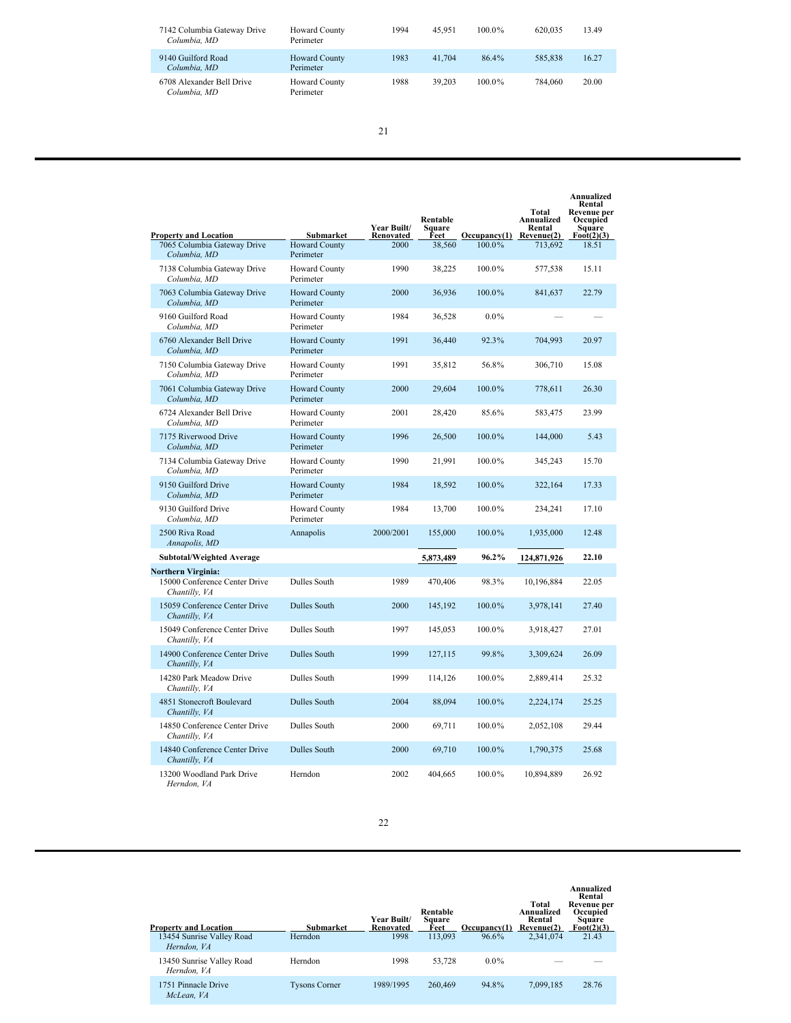| 7142 Columbia Gateway Drive<br>Columbia, MD | <b>Howard County</b><br>Perimeter | 1994 | 45.951 | $100.0\%$ | 620.035 | 13.49 |
|---------------------------------------------|-----------------------------------|------|--------|-----------|---------|-------|
| 9140 Guilford Road<br>Columbia, MD          | <b>Howard County</b><br>Perimeter | 1983 | 41.704 | 86.4%     | 585.838 | 16.27 |
| 6708 Alexander Bell Drive<br>Columbia, MD   | <b>Howard County</b><br>Perimeter | 1988 | 39.203 | $100.0\%$ | 784,060 | 20.00 |

| <b>Property and Location</b>                   | Submarket                         | Year Built/<br>Renovated | Rentable<br>Square<br>Feet | $Occupancy(1)$ Revenue(2) | Total<br>Annualized<br>Rental | Annualized<br>Rental<br>Revenue per<br>Occupied<br>Square<br>$\overline{\text{Foot}}(2)(3)$ |
|------------------------------------------------|-----------------------------------|--------------------------|----------------------------|---------------------------|-------------------------------|---------------------------------------------------------------------------------------------|
| 7065 Columbia Gateway Drive<br>Columbia, MD    | <b>Howard County</b><br>Perimeter | 2000                     | 38,560                     | 100.0%                    | 713.692                       | 18.51                                                                                       |
| 7138 Columbia Gateway Drive<br>Columbia, MD    | <b>Howard County</b><br>Perimeter | 1990                     | 38,225                     | 100.0%                    | 577,538                       | 15.11                                                                                       |
| 7063 Columbia Gateway Drive<br>Columbia, MD    | <b>Howard County</b><br>Perimeter | 2000                     | 36,936                     | 100.0%                    | 841,637                       | 22.79                                                                                       |
| 9160 Guilford Road<br>Columbia, MD             | <b>Howard County</b><br>Perimeter | 1984                     | 36,528                     | $0.0\%$                   |                               |                                                                                             |
| 6760 Alexander Bell Drive<br>Columbia, MD      | <b>Howard County</b><br>Perimeter | 1991                     | 36,440                     | 92.3%                     | 704,993                       | 20.97                                                                                       |
| 7150 Columbia Gateway Drive<br>Columbia, MD    | <b>Howard County</b><br>Perimeter | 1991                     | 35,812                     | 56.8%                     | 306,710                       | 15.08                                                                                       |
| 7061 Columbia Gateway Drive<br>Columbia, MD    | <b>Howard County</b><br>Perimeter | 2000                     | 29,604                     | 100.0%                    | 778,611                       | 26.30                                                                                       |
| 6724 Alexander Bell Drive<br>Columbia, MD      | <b>Howard County</b><br>Perimeter | 2001                     | 28,420                     | 85.6%                     | 583,475                       | 23.99                                                                                       |
| 7175 Riverwood Drive<br>Columbia, MD           | <b>Howard County</b><br>Perimeter | 1996                     | 26,500                     | 100.0%                    | 144,000                       | 5.43                                                                                        |
| 7134 Columbia Gateway Drive<br>Columbia, MD    | <b>Howard County</b><br>Perimeter | 1990                     | 21,991                     | 100.0%                    | 345,243                       | 15.70                                                                                       |
| 9150 Guilford Drive<br>Columbia, MD            | <b>Howard County</b><br>Perimeter | 1984                     | 18,592                     | 100.0%                    | 322,164                       | 17.33                                                                                       |
| 9130 Guilford Drive<br>Columbia, MD            | <b>Howard County</b><br>Perimeter | 1984                     | 13,700                     | 100.0%                    | 234,241                       | 17.10                                                                                       |
| 2500 Riva Road<br>Annapolis, MD                | Annapolis                         | 2000/2001                | 155,000                    | 100.0%                    | 1,935,000                     | 12.48                                                                                       |
| Subtotal/Weighted Average                      |                                   |                          | 5,873,489                  | $96.2\%$                  | 124,871,926                   | 22.10                                                                                       |
| Northern Virginia:                             |                                   |                          |                            |                           |                               |                                                                                             |
| 15000 Conference Center Drive<br>Chantilly, VA | <b>Dulles South</b>               | 1989                     | 470,406                    | 98.3%                     | 10,196,884                    | 22.05                                                                                       |
| 15059 Conference Center Drive<br>Chantilly, VA | <b>Dulles South</b>               | 2000                     | 145,192                    | 100.0%                    | 3,978,141                     | 27.40                                                                                       |
| 15049 Conference Center Drive<br>Chantilly, VA | Dulles South                      | 1997                     | 145,053                    | 100.0%                    | 3,918,427                     | 27.01                                                                                       |
| 14900 Conference Center Drive<br>Chantilly, VA | <b>Dulles South</b>               | 1999                     | 127,115                    | 99.8%                     | 3,309,624                     | 26.09                                                                                       |
| 14280 Park Meadow Drive<br>Chantilly, VA       | <b>Dulles South</b>               | 1999                     | 114,126                    | 100.0%                    | 2,889,414                     | 25.32                                                                                       |
| 4851 Stonecroft Boulevard<br>Chantilly, VA     | Dulles South                      | 2004                     | 88.094                     | 100.0%                    | 2,224,174                     | 25.25                                                                                       |
| 14850 Conference Center Drive<br>Chantilly, VA | <b>Dulles South</b>               | 2000                     | 69,711                     | 100.0%                    | 2,052,108                     | 29.44                                                                                       |
| 14840 Conference Center Drive<br>Chantilly, VA | Dulles South                      | 2000                     | 69,710                     | 100.0%                    | 1,790,375                     | 25.68                                                                                       |
| 13200 Woodland Park Drive<br>Herndon, VA       | Herndon                           | 2002                     | 404,665                    | 100.0%                    | 10,894,889                    | 26.92                                                                                       |

| <b>Property and Location</b><br>13454 Sunrise Valley Road<br>Herndon, VA | Submarket<br>Herndon | Year Built/<br>Renovated<br>1998 | Rentable<br>Square<br>Feet<br>113,093 | Occupancy(1)<br>96.6% | Total<br>Annualized<br>Rental<br>Revenue(2)<br>2.341.074 | Annualized<br>Rental<br>Revenue per<br>Occupied<br>Square<br>$\text{Foot}(2)(3)$<br>21.43 |
|--------------------------------------------------------------------------|----------------------|----------------------------------|---------------------------------------|-----------------------|----------------------------------------------------------|-------------------------------------------------------------------------------------------|
| 13450 Sunrise Valley Road<br>Herndon, VA                                 | Herndon              | 1998                             | 53.728                                | $0.0\%$               |                                                          |                                                                                           |
| 1751 Pinnacle Drive<br>McLean, VA                                        | <b>Tysons Corner</b> | 1989/1995                        | 260,469                               | 94.8%                 | 7.099.185                                                | 28.76                                                                                     |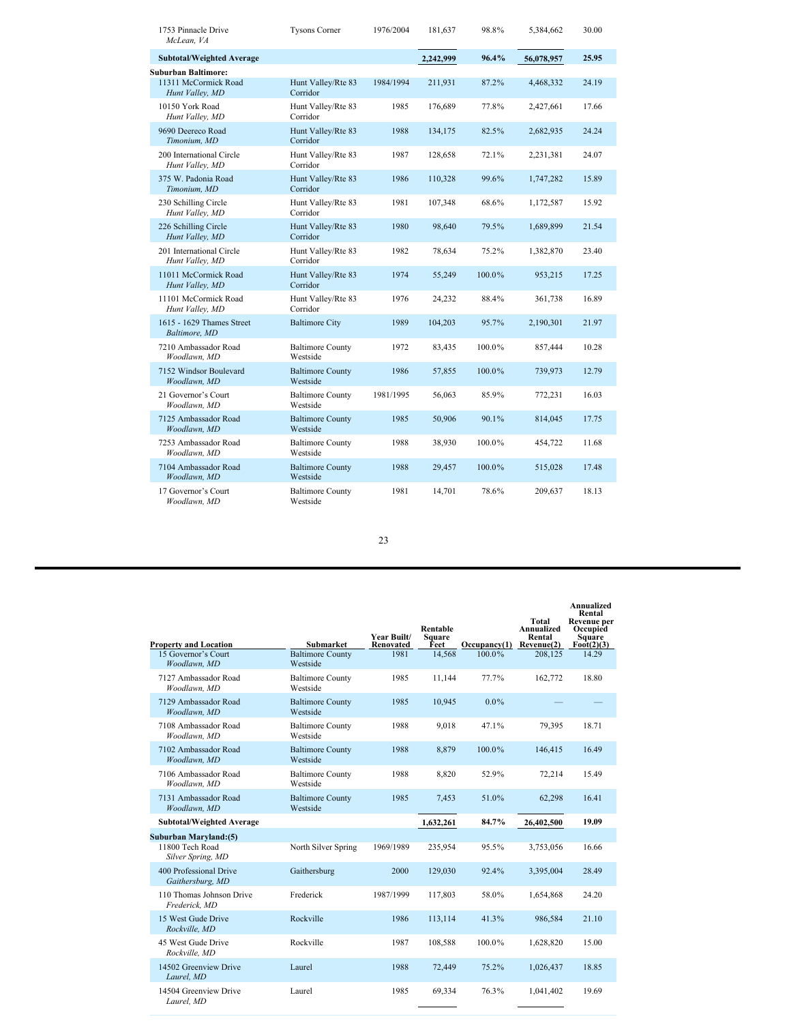| 1753 Pinnacle Drive<br>McLean, VA           | <b>Tysons Corner</b><br>1976/2004   |           | 181,637   | 98.8%  | 5,384,662  | 30.00 |  |
|---------------------------------------------|-------------------------------------|-----------|-----------|--------|------------|-------|--|
| <b>Subtotal/Weighted Average</b>            |                                     |           | 2,242,999 | 96.4%  | 56,078,957 | 25.95 |  |
| Suburban Baltimore:                         |                                     |           |           |        |            |       |  |
| 11311 McCormick Road<br>Hunt Valley, MD     | Hunt Valley/Rte 83<br>Corridor      | 1984/1994 | 211,931   | 87.2%  | 4,468,332  | 24.19 |  |
| 10150 York Road<br>Hunt Valley, MD          | Hunt Valley/Rte 83<br>Corridor      | 1985      | 176,689   | 77.8%  | 2,427,661  | 17.66 |  |
| 9690 Deereco Road<br>Timonium, MD           | Hunt Valley/Rte 83<br>Corridor      | 1988      | 134,175   | 82.5%  | 2,682,935  | 24.24 |  |
| 200 International Circle<br>Hunt Valley, MD | Hunt Valley/Rte 83<br>Corridor      | 1987      | 128,658   | 72.1%  | 2,231,381  | 24.07 |  |
| 375 W. Padonia Road<br>Timonium, MD         | Hunt Valley/Rte 83<br>Corridor      | 1986      | 110,328   | 99.6%  | 1,747,282  | 15.89 |  |
| 230 Schilling Circle<br>Hunt Valley, MD     | Hunt Valley/Rte 83<br>Corridor      | 1981      | 107,348   | 68.6%  | 1,172,587  | 15.92 |  |
| 226 Schilling Circle<br>Hunt Valley, MD     | Hunt Valley/Rte 83<br>Corridor      | 1980      | 98,640    | 79.5%  | 1,689,899  | 21.54 |  |
| 201 International Circle<br>Hunt Valley, MD | Hunt Valley/Rte 83<br>Corridor      | 1982      | 78,634    | 75.2%  | 1,382,870  | 23.40 |  |
| 11011 McCormick Road<br>Hunt Valley, MD     | Hunt Valley/Rte 83<br>Corridor      | 1974      | 55,249    | 100.0% | 953,215    | 17.25 |  |
| 11101 McCormick Road<br>Hunt Valley, MD     | Hunt Valley/Rte 83<br>Corridor      | 1976      | 24,232    | 88.4%  | 361,738    | 16.89 |  |
| 1615 - 1629 Thames Street<br>Baltimore, MD  | <b>Baltimore City</b>               | 1989      | 104,203   | 95.7%  | 2,190,301  | 21.97 |  |
| 7210 Ambassador Road<br>Woodlawn, MD        | <b>Baltimore County</b><br>Westside | 1972      | 83,435    | 100.0% | 857,444    | 10.28 |  |
| 7152 Windsor Boulevard<br>Woodlawn, MD      | <b>Baltimore County</b><br>Westside | 1986      | 57,855    | 100.0% | 739,973    | 12.79 |  |
| 21 Governor's Court<br>Woodlawn, MD         | <b>Baltimore County</b><br>Westside | 1981/1995 | 56,063    | 85.9%  | 772,231    | 16.03 |  |
| 7125 Ambassador Road<br>Woodlawn, MD        | <b>Baltimore County</b><br>Westside | 1985      | 50,906    | 90.1%  | 814,045    | 17.75 |  |
| 7253 Ambassador Road<br>Woodlawn, MD        | <b>Baltimore County</b><br>Westside | 1988      | 38,930    | 100.0% | 454,722    | 11.68 |  |
| 7104 Ambassador Road<br>Woodlawn, MD        | <b>Baltimore County</b><br>Westside | 1988      | 29,457    | 100.0% | 515,028    | 17.48 |  |
| 17 Governor's Court<br>Woodlawn, MD         | <b>Baltimore County</b><br>Westside | 1981      | 14,701    | 78.6%  | 209,637    | 18.13 |  |

| <b>Property and Location</b>               | <b>Submarket</b>                                     | Year Built/<br>Renovated | Rentable<br><b>Square</b><br>Feet | $Occupancy(1)$ Revenue(2) | Total<br>Annualized<br>Rental | Annualized<br>Rental<br>Revenue per<br>Occupied<br>Square<br>$\text{Foot}(2)(3)$ |
|--------------------------------------------|------------------------------------------------------|--------------------------|-----------------------------------|---------------------------|-------------------------------|----------------------------------------------------------------------------------|
| 15 Governor's Court<br>Woodlawn, MD        | <b>Baltimore County</b><br>Westside                  | 1981                     | 14,568                            | 100.0%                    | 208,125                       | 14.29                                                                            |
| 7127 Ambassador Road<br>Woodlawn, MD       | <b>Baltimore County</b><br>Westside                  | 1985                     | 11.144                            | 77.7%                     | 162,772                       | 18.80                                                                            |
| 7129 Ambassador Road<br>Woodlawn, MD       | <b>Baltimore County</b><br>Westside                  | 1985                     | 10.945                            | $0.0\%$                   |                               |                                                                                  |
| 7108 Ambassador Road<br>Woodlawn, MD       | <b>Baltimore County</b><br>Westside                  | 1988                     | 9.018                             | 47.1%                     | 79,395                        | 18.71                                                                            |
| 7102 Ambassador Road<br>Woodlawn, MD       | <b>Baltimore County</b><br>Westside                  | 1988                     | 8,879                             | 100.0%                    | 146,415                       | 16.49                                                                            |
| 7106 Ambassador Road<br>Woodlawn, MD       | 1988<br><b>Baltimore County</b><br>8,820<br>Westside |                          | 52.9%                             | 72,214                    | 15.49                         |                                                                                  |
| 7131 Ambassador Road<br>Woodlawn, MD       | <b>Baltimore County</b><br>Westside                  | 1985                     | 7,453                             | 51.0%                     | 62,298                        | 16.41                                                                            |
| <b>Subtotal/Weighted Average</b>           |                                                      |                          | 1,632,261                         | 84.7%                     | 26,402,500                    | 19.09                                                                            |
| Suburban Maryland: (5)                     |                                                      |                          |                                   |                           |                               |                                                                                  |
| 11800 Tech Road<br>Silver Spring, MD       | North Silver Spring                                  | 1969/1989                | 235,954                           | 95.5%                     | 3,753,056                     | 16.66                                                                            |
| 400 Professional Drive<br>Gaithersburg, MD | Gaithersburg                                         | 2000                     | 129,030                           | 92.4%                     | 3,395,004                     | 28.49                                                                            |
| 110 Thomas Johnson Drive<br>Frederick, MD  | Frederick                                            | 1987/1999                | 117,803                           | 58.0%                     | 1.654.868                     | 24.20                                                                            |
| 15 West Gude Drive<br>Rockville, MD        | Rockville                                            | 1986                     | 113,114                           | 41.3%                     | 986,584                       | 21.10                                                                            |
| 45 West Gude Drive<br>Rockville, MD        | Rockville                                            | 1987                     | 108,588                           | 100.0%                    | 1,628,820                     | 15.00                                                                            |
| 14502 Greenview Drive<br>Laurel, MD        | Laurel                                               | 1988                     | 72,449                            | 75.2%                     | 1,026,437                     | 18.85                                                                            |
| 14504 Greenview Drive<br>Laurel. MD        | Laurel                                               | 1985                     | 69,334                            | 76.3%                     | 1,041,402                     | 19.69                                                                            |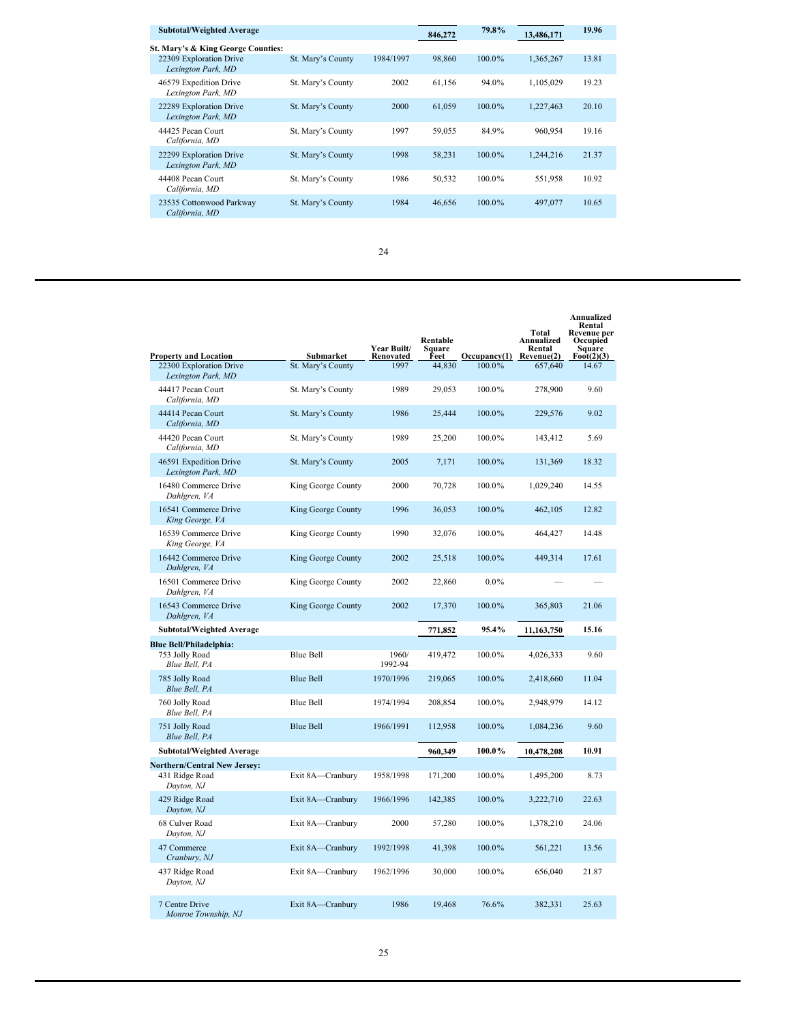| <b>Subtotal/Weighted Average</b>              |                   |           | 846,272 | 79.8%     | 13,486,171 | 19.96 |
|-----------------------------------------------|-------------------|-----------|---------|-----------|------------|-------|
| St. Mary's & King George Counties:            |                   |           |         |           |            |       |
| 22309 Exploration Drive<br>Lexington Park, MD | St. Mary's County | 1984/1997 | 98.860  | 100.0%    | 1,365,267  | 13.81 |
| 46579 Expedition Drive<br>Lexington Park, MD  | St. Mary's County | 2002      | 61,156  | 94.0%     | 1,105,029  | 19.23 |
| 22289 Exploration Drive<br>Lexington Park, MD | St. Mary's County | 2000      | 61,059  | $100.0\%$ | 1,227,463  | 20.10 |
| 44425 Pecan Court<br>California, MD           | St. Mary's County | 1997      | 59,055  | 84.9%     | 960,954    | 19.16 |
| 22299 Exploration Drive<br>Lexington Park, MD | St. Mary's County | 1998      | 58,231  | $100.0\%$ | 1,244,216  | 21.37 |
| 44408 Pecan Court<br>California, MD           | St. Mary's County | 1986      | 50.532  | 100.0%    | 551.958    | 10.92 |
| 23535 Cottonwood Parkway<br>California, MD    | St. Mary's County | 1984      | 46,656  | $100.0\%$ | 497,077    | 10.65 |
|                                               |                   |           |         |           |            |       |

| <b>Property and Location</b>                                 | Submarket          | Year Built/<br>Renovated | Rentable<br>Square<br>Feet | $Occupancy(1)$ Revenue(2) | Total<br>Annualized<br>Rental | Annualized<br>Rental<br>Revenue per<br>Occupied<br>Square<br>$\text{Foot}(2)(3)$ |
|--------------------------------------------------------------|--------------------|--------------------------|----------------------------|---------------------------|-------------------------------|----------------------------------------------------------------------------------|
| 22300 Exploration Drive<br>Lexington Park, MD                | St. Mary's County  | 1997                     | 44,830                     | 100.0%                    | 657,640                       | 14.67                                                                            |
| 44417 Pecan Court<br>California, MD                          | St. Mary's County  | 1989                     | 29,053                     | 100.0%                    | 278,900                       | 9.60                                                                             |
| 44414 Pecan Court<br>California, MD                          | St. Mary's County  | 1986                     | 25,444                     | 100.0%                    | 229,576                       | 9.02                                                                             |
| 44420 Pecan Court<br>California, MD                          | St. Mary's County  | 1989                     | 25,200                     | 100.0%                    | 143,412                       | 5.69                                                                             |
| 46591 Expedition Drive<br>Lexington Park, MD                 | St. Mary's County  | 2005                     | 7,171                      | 100.0%                    | 131,369                       | 18.32                                                                            |
| 16480 Commerce Drive<br>Dahlgren, VA                         | King George County | 2000                     | 70,728                     | 100.0%                    | 1,029,240                     | 14.55                                                                            |
| 16541 Commerce Drive<br>King George, VA                      | King George County | 1996                     | 36,053                     | 100.0%                    | 462,105                       | 12.82                                                                            |
| 16539 Commerce Drive<br>King George, VA                      | King George County | 1990                     | 32,076                     | 100.0%                    | 464,427                       | 14.48                                                                            |
| 16442 Commerce Drive<br>Dahlgren, VA                         | King George County | 2002                     | 25,518                     | 100.0%                    | 449,314                       | 17.61                                                                            |
| 16501 Commerce Drive<br>Dahlgren, VA                         | King George County | 2002                     | 22,860                     | $0.0\%$                   |                               |                                                                                  |
| 16543 Commerce Drive<br>Dahlgren, VA                         | King George County | 2002                     | 17,370                     | 100.0%                    | 365,803                       | 21.06                                                                            |
| <b>Subtotal/Weighted Average</b>                             |                    |                          | 771,852                    | 95.4%                     | 11,163,750                    | 15.16                                                                            |
| Blue Bell/Philadelphia:                                      |                    |                          |                            |                           |                               |                                                                                  |
| 753 Jolly Road<br>Blue Bell, PA                              | Blue Bell          | 1960/<br>1992-94         | 419,472                    | 100.0%                    | 4,026,333                     | 9.60                                                                             |
| 785 Jolly Road<br>Blue Bell, PA                              | <b>Blue Bell</b>   | 1970/1996                | 219,065                    | 100.0%                    | 2,418,660                     | 11.04                                                                            |
| 760 Jolly Road<br>Blue Bell, PA                              | Blue Bell          | 1974/1994                | 208,854                    | 100.0%                    | 2,948,979                     | 14.12                                                                            |
| 751 Jolly Road<br>Blue Bell, PA                              | <b>Blue Bell</b>   | 1966/1991                | 112,958                    | 100.0%                    | 1,084,236                     | 9.60                                                                             |
| <b>Subtotal/Weighted Average</b>                             |                    |                          | 960,349                    | 100.0%                    | 10,478,208                    | 10.91                                                                            |
| Northern/Central New Jersey:<br>431 Ridge Road<br>Dayton, NJ | Exit 8A-Cranbury   | 1958/1998                | 171,200                    | 100.0%                    | 1,495,200                     | 8.73                                                                             |
| 429 Ridge Road<br>Dayton, NJ                                 | Exit 8A-Cranbury   | 1966/1996                | 142,385                    | 100.0%                    | 3,222,710                     | 22.63                                                                            |
| 68 Culver Road<br>Dayton, NJ                                 | Exit 8A-Cranbury   | 2000                     | 57,280                     | 100.0%                    | 1,378,210                     | 24.06                                                                            |
| 47 Commerce<br>Cranbury, NJ                                  | Exit 8A-Cranbury   | 1992/1998                | 41,398                     | 100.0%                    | 561,221                       | 13.56                                                                            |
| 437 Ridge Road<br>Dayton, NJ                                 | Exit 8A-Cranbury   | 1962/1996                | 30,000                     | 100.0%                    | 656,040                       | 21.87                                                                            |
| 7 Centre Drive<br>Monroe Township, NJ                        | Exit 8A-Cranbury   | 1986                     | 19,468                     | 76.6%                     | 382,331                       | 25.63                                                                            |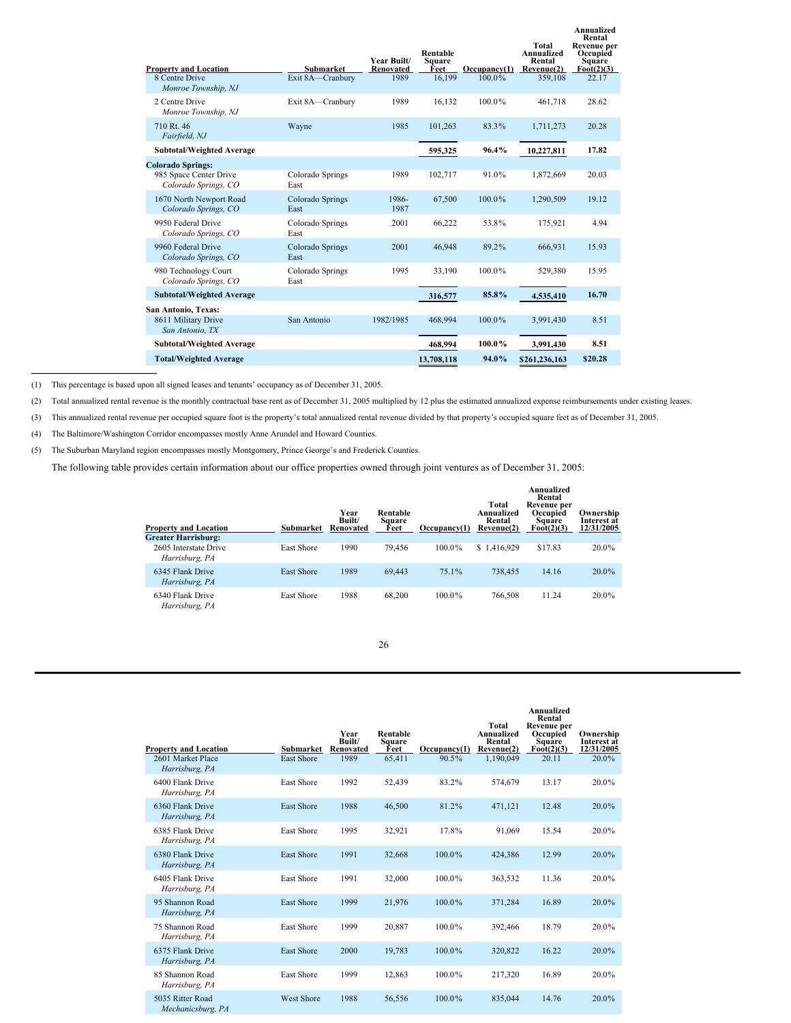| <b>Property and Location</b>                    | <b>Submarket</b>         | <b>Year Built/</b><br>Renovated | Rentable<br><b>Square</b><br>Feet | Occupancy(1) | Total<br>Annualized<br>Rental<br>Revenue(2) | Annualized<br>Rental<br>Revenue per<br>Occupied<br>Square<br>$\text{Foot}(2)(3)$ |
|-------------------------------------------------|--------------------------|---------------------------------|-----------------------------------|--------------|---------------------------------------------|----------------------------------------------------------------------------------|
| 8 Centre Drive<br>Monroe Township, NJ           | Exit 8A-Cranbury         | 1989                            | 16.199                            | 100.0%       | 359,108                                     | 22.17                                                                            |
| 2 Centre Drive<br>Monroe Township, NJ           | Exit 8A-Cranbury         | 1989                            | 16,132                            | 100.0%       | 461,718                                     | 28.62                                                                            |
| 710 Rt. 46<br>Fairfield, NJ                     | Wayne                    | 1985                            | 101,263                           | 83.3%        | 1,711,273                                   | 20.28                                                                            |
| Subtotal/Weighted Average                       |                          |                                 | 595,325                           | 96.4%        | 10,227,811                                  | 17.82                                                                            |
| <b>Colorado Springs:</b>                        |                          |                                 |                                   |              |                                             |                                                                                  |
| 985 Space Center Drive<br>Colorado Springs, CO  | Colorado Springs<br>East | 1989                            | 102,717                           | 91.0%        | 1,872,669                                   | 20.03                                                                            |
| 1670 North Newport Road<br>Colorado Springs, CO | Colorado Springs<br>East | 1986-<br>1987                   | 67,500                            | 100.0%       | 1,290,509                                   | 19.12                                                                            |
| 9950 Federal Drive<br>Colorado Springs, CO      | Colorado Springs<br>East | 2001                            | 66,222                            | 53.8%        | 175,921                                     | 4.94                                                                             |
| 9960 Federal Drive<br>Colorado Springs, CO      | Colorado Springs<br>East | 2001                            | 46.948                            | 89.2%        | 666,931                                     | 15.93                                                                            |
| 980 Technology Court<br>Colorado Springs, CO    | Colorado Springs<br>East | 1995                            | 33,190                            | 100.0%       | 529,380                                     | 15.95                                                                            |
| <b>Subtotal/Weighted Average</b>                |                          |                                 | 316,577                           | 85.8%        | 4,535,410                                   | 16.70                                                                            |
| San Antonio, Texas:                             |                          |                                 |                                   |              |                                             |                                                                                  |
| 8611 Military Drive<br>San Antonio, TX          | San Antonio              | 1982/1985                       | 468,994                           | 100.0%       | 3,991,430                                   | 8.51                                                                             |
| <b>Subtotal/Weighted Average</b>                |                          |                                 | 468.994                           | 100.0%       | 3.991.430                                   | 8.51                                                                             |
| <b>Total/Weighted Average</b>                   |                          |                                 | 13,708,118                        | 94.0%        | \$261,236,163                               | \$20.28                                                                          |

(1) This percentage is based upon all signed leases and tenants' occupancy as of December 31, 2005.

(2) Total annualized rental revenue is the monthly contractual base rent as of December 31, 2005 multiplied by 12 plus the estimated annualized expense reimbursements under existing leases.

(3) This annualized rental revenue per occupied square foot is the property's total annualized rental revenue divided by that property's occupied square feet as of December 31, 2005.

(4) The Baltimore/Washington Corridor encompasses mostly Anne Arundel and Howard Counties.

(5) The Suburban Maryland region encompasses mostly Montgomery, Prince George's and Frederick Counties.

The following table provides certain information about our office properties owned through joint ventures as of December 31, 2005:

|  | <b>Property and Location</b><br>Greater Harrisburg: | Submarket         | Year<br>Built/<br>Renovated | Rentable<br>Square<br>Feet | Occupancy(1) | Total<br>Annualized<br>Rental<br>Revenue(2) | Annualized<br>Rental<br>Revenue per<br>Occupied<br>Square<br>$\text{Foot}(2)(3)$ | Ownership<br>Interest at<br>12/31/2005 |
|--|-----------------------------------------------------|-------------------|-----------------------------|----------------------------|--------------|---------------------------------------------|----------------------------------------------------------------------------------|----------------------------------------|
|  | 2605 Interstate Drive<br>Harrisburg, PA             | <b>East Shore</b> | 1990                        | 79.456                     | $100.0\%$    | \$1.416.929                                 | \$17.83                                                                          | 20.0%                                  |
|  | 6345 Flank Drive<br>Harrisburg, PA                  | <b>East Shore</b> | 1989                        | 69.443                     | 75.1%        | 738,455                                     | 14.16                                                                            | 20.0%                                  |
|  | 6340 Flank Drive<br>Harrisburg, PA                  | <b>East Shore</b> | 1988                        | 68,200                     | 100.0%       | 766,508                                     | 11.24                                                                            | 20.0%                                  |

# 26

| <b>Property and Location</b><br>2601 Market Place | Submarket<br><b>East Shore</b> | Year<br>Built/<br>Renovated<br>1989 | Rentable<br>Square<br>Feet<br>65.411 | Occupancy(1)<br>90.5% | Total<br>Annualized<br>Rental<br>Revenue(2)<br>1,190,049 | Annualized<br>Rental<br>Revenue per<br>Occupied<br>Square<br>$\text{Foot}(2)(3)$<br>20.11 | Ownership<br>Interest at<br>12/31/2005<br>20.0% |
|---------------------------------------------------|--------------------------------|-------------------------------------|--------------------------------------|-----------------------|----------------------------------------------------------|-------------------------------------------------------------------------------------------|-------------------------------------------------|
| Harrisburg, PA                                    |                                |                                     |                                      |                       |                                                          |                                                                                           |                                                 |
| 6400 Flank Drive<br>Harrisburg, PA                | <b>East Shore</b>              | 1992                                | 52,439                               | 83.2%                 | 574,679                                                  | 13.17                                                                                     | 20.0%                                           |
| 6360 Flank Drive<br>Harrisburg, PA                | <b>East Shore</b>              | 1988                                | 46,500                               | 81.2%                 | 471,121                                                  | 12.48                                                                                     | 20.0%                                           |
| 6385 Flank Drive<br>Harrisburg, PA                | <b>East Shore</b>              | 1995                                | 32,921                               | 17.8%                 | 91,069                                                   | 15.54                                                                                     | 20.0%                                           |
| 6380 Flank Drive<br>Harrisburg, PA                | <b>East Shore</b>              | 1991                                | 32,668                               | 100.0%                | 424,386                                                  | 12.99                                                                                     | 20.0%                                           |
| 6405 Flank Drive<br>Harrisburg, PA                | <b>East Shore</b>              | 1991                                | 32,000                               | 100.0%                | 363,532                                                  | 11.36                                                                                     | 20.0%                                           |
| 95 Shannon Road<br>Harrisburg, PA                 | <b>East Shore</b>              | 1999                                | 21,976                               | 100.0%                | 371,284                                                  | 16.89                                                                                     | 20.0%                                           |
| 75 Shannon Road<br>Harrisburg, PA                 | <b>East Shore</b>              | 1999                                | 20,887                               | 100.0%                | 392,466                                                  | 18.79                                                                                     | 20.0%                                           |
| 6375 Flank Drive<br>Harrisburg, PA                | <b>East Shore</b>              | 2000                                | 19,783                               | 100.0%                | 320,822                                                  | 16.22                                                                                     | 20.0%                                           |
| 85 Shannon Road<br>Harrisburg, PA                 | <b>East Shore</b>              | 1999                                | 12,863                               | 100.0%                | 217,320                                                  | 16.89                                                                                     | 20.0%                                           |
| 5035 Ritter Road<br>Mechanicsburg, PA             | <b>West Shore</b>              | 1988                                | 56,556                               | 100.0%                | 835,044                                                  | 14.76                                                                                     | 20.0%                                           |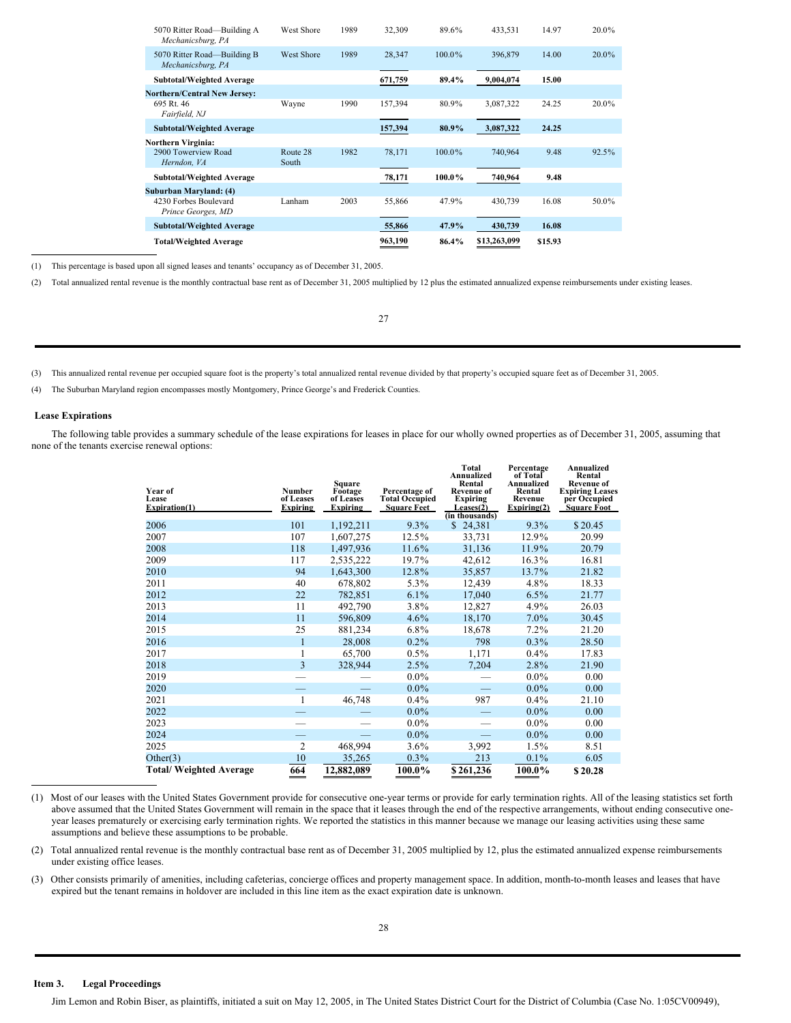| 5070 Ritter Road—Building A<br>Mechanicsburg, PA | West Shore        | 1989 | 32,309  | 89.6%     | 433,531      | 14.97   | 20.0% |
|--------------------------------------------------|-------------------|------|---------|-----------|--------------|---------|-------|
| 5070 Ritter Road—Building B<br>Mechanicsburg, PA | <b>West Shore</b> | 1989 | 28,347  | $100.0\%$ | 396,879      | 14.00   | 20.0% |
| Subtotal/Weighted Average                        |                   |      | 671,759 | 89.4%     | 9,004,074    | 15.00   |       |
| <b>Northern/Central New Jersey:</b>              |                   |      |         |           |              |         |       |
| 695 Rt. 46<br>Fairfield, NJ                      | Wayne             | 1990 | 157,394 | 80.9%     | 3,087,322    | 24.25   | 20.0% |
| <b>Subtotal/Weighted Average</b>                 |                   |      | 157,394 | 80.9%     | 3,087,322    | 24.25   |       |
| Northern Virginia:                               |                   |      |         |           |              |         |       |
| 2900 Towerview Road<br>Herndon, VA               | Route 28<br>South | 1982 | 78,171  | $100.0\%$ | 740,964      | 9.48    | 92.5% |
| Subtotal/Weighted Average                        |                   |      | 78,171  | 100.0%    | 740,964      | 9.48    |       |
| Suburban Maryland: (4)                           |                   |      |         |           |              |         |       |
| 4230 Forbes Boulevard<br>Prince Georges, MD      | Lanham            | 2003 | 55,866  | 47.9%     | 430,739      | 16.08   | 50.0% |
| <b>Subtotal/Weighted Average</b>                 |                   |      | 55,866  | 47.9%     | 430,739      | 16.08   |       |
| <b>Total/Weighted Average</b>                    |                   |      | 963,190 | 86.4%     | \$13,263,099 | \$15.93 |       |

(1) This percentage is based upon all signed leases and tenants' occupancy as of December 31, 2005.

(2) Total annualized rental revenue is the monthly contractual base rent as of December 31, 2005 multiplied by 12 plus the estimated annualized expense reimbursements under existing leases.

# $27$

(3) This annualized rental revenue per occupied square foot is the property's total annualized rental revenue divided by that property's occupied square feet as of December 31, 2005.

(4) The Suburban Maryland region encompasses mostly Montgomery, Prince George's and Frederick Counties.

## **Lease Expirations**

The following table provides a summary schedule of the lease expirations for leases in place for our wholly owned properties as of December 31, 2005, assuming that none of the tenants exercise renewal options:

| Year of<br>Lease<br>Expiration(1) | <b>Number</b><br>of Leases<br>Expiring | Square<br>Footage<br>of Leases<br><b>Expiring</b> | Percentage of<br><b>Total Occupied</b><br><b>Square Feet</b> | <b>Total</b><br>Annualized<br>Rental<br><b>Revenue of</b><br><b>Expiring</b><br>Leases(2)<br>(in thousands) | Percentage<br>of Total<br>Annualized<br>Rental<br>Revenue<br>Expiring(2) | Annualized<br>Rental<br><b>Revenue of</b><br><b>Expiring Leases</b><br>per Occupied<br><b>Square Foot</b> |
|-----------------------------------|----------------------------------------|---------------------------------------------------|--------------------------------------------------------------|-------------------------------------------------------------------------------------------------------------|--------------------------------------------------------------------------|-----------------------------------------------------------------------------------------------------------|
| 2006                              | 101                                    | 1,192,211                                         | $9.3\%$                                                      | \$24,381                                                                                                    | $9.3\%$                                                                  | \$20.45                                                                                                   |
| 2007                              | 107                                    | 1,607,275                                         | 12.5%                                                        | 33,731                                                                                                      | 12.9%                                                                    | 20.99                                                                                                     |
| 2008                              | 118                                    | 1,497,936                                         | 11.6%                                                        | 31,136                                                                                                      | 11.9%                                                                    | 20.79                                                                                                     |
| 2009                              | 117                                    | 2,535,222                                         | 19.7%                                                        | 42.612                                                                                                      | 16.3%                                                                    | 16.81                                                                                                     |
| 2010                              | 94                                     | 1,643,300                                         | 12.8%                                                        | 35,857                                                                                                      | 13.7%                                                                    | 21.82                                                                                                     |
| 2011                              | 40                                     | 678,802                                           | 5.3%                                                         | 12,439                                                                                                      | 4.8%                                                                     | 18.33                                                                                                     |
| 2012                              | 22                                     | 782,851                                           | $6.1\%$                                                      | 17,040                                                                                                      | 6.5%                                                                     | 21.77                                                                                                     |
| 2013                              | 11                                     | 492,790                                           | 3.8%                                                         | 12,827                                                                                                      | 4.9%                                                                     | 26.03                                                                                                     |
| 2014                              | 11                                     | 596,809                                           | 4.6%                                                         | 18,170                                                                                                      | $7.0\%$                                                                  | 30.45                                                                                                     |
| 2015                              | 25                                     | 881,234                                           | $6.8\%$                                                      | 18,678                                                                                                      | $7.2\%$                                                                  | 21.20                                                                                                     |
| 2016                              | 1                                      | 28,008                                            | $0.2\%$                                                      | 798                                                                                                         | $0.3\%$                                                                  | 28.50                                                                                                     |
| 2017                              | 1                                      | 65,700                                            | $0.5\%$                                                      | 1,171                                                                                                       | $0.4\%$                                                                  | 17.83                                                                                                     |
| 2018                              | 3                                      | 328,944                                           | 2.5%                                                         | 7,204                                                                                                       | 2.8%                                                                     | 21.90                                                                                                     |
| 2019                              |                                        |                                                   | $0.0\%$                                                      |                                                                                                             | $0.0\%$                                                                  | 0.00                                                                                                      |
| 2020                              |                                        |                                                   | $0.0\%$                                                      |                                                                                                             | $0.0\%$                                                                  | 0.00                                                                                                      |
| 2021                              | $\mathbf{1}$                           | 46,748                                            | $0.4\%$                                                      | 987                                                                                                         | $0.4\%$                                                                  | 21.10                                                                                                     |
| 2022                              |                                        |                                                   | $0.0\%$                                                      |                                                                                                             | $0.0\%$                                                                  | 0.00                                                                                                      |
| 2023                              |                                        |                                                   | $0.0\%$                                                      |                                                                                                             | $0.0\%$                                                                  | 0.00                                                                                                      |
| 2024                              |                                        |                                                   | $0.0\%$                                                      |                                                                                                             | $0.0\%$                                                                  | 0.00                                                                                                      |
| 2025                              | $\overline{2}$                         | 468,994                                           | $3.6\%$                                                      | 3,992                                                                                                       | $1.5\%$                                                                  | 8.51                                                                                                      |
| Other $(3)$                       | 10                                     | 35,265                                            | $0.3\%$                                                      | 213                                                                                                         | $0.1\%$                                                                  | 6.05                                                                                                      |
| <b>Total/Weighted Average</b>     | 664                                    | 12,882,089                                        | 100.0%                                                       | \$261,236                                                                                                   | 100.0%                                                                   | \$20.28                                                                                                   |

<sup>(1)</sup> Most of our leases with the United States Government provide for consecutive one-year terms or provide for early termination rights. All of the leasing statistics set forth above assumed that the United States Government will remain in the space that it leases through the end of the respective arrangements, without ending consecutive oneyear leases prematurely or exercising early termination rights. We reported the statistics in this manner because we manage our leasing activities using these same assumptions and believe these assumptions to be probable.

(2) Total annualized rental revenue is the monthly contractual base rent as of December 31, 2005 multiplied by 12, plus the estimated annualized expense reimbursements under existing office leases.

(3) Other consists primarily of amenities, including cafeterias, concierge offices and property management space. In addition, month-to-month leases and leases that have expired but the tenant remains in holdover are included in this line item as the exact expiration date is unknown.

<span id="page-15-0"></span>**Item 3. Legal Proceedings**

Jim Lemon and Robin Biser, as plaintiffs, initiated a suit on May 12, 2005, in The United States District Court for the District of Columbia (Case No. 1:05CV00949),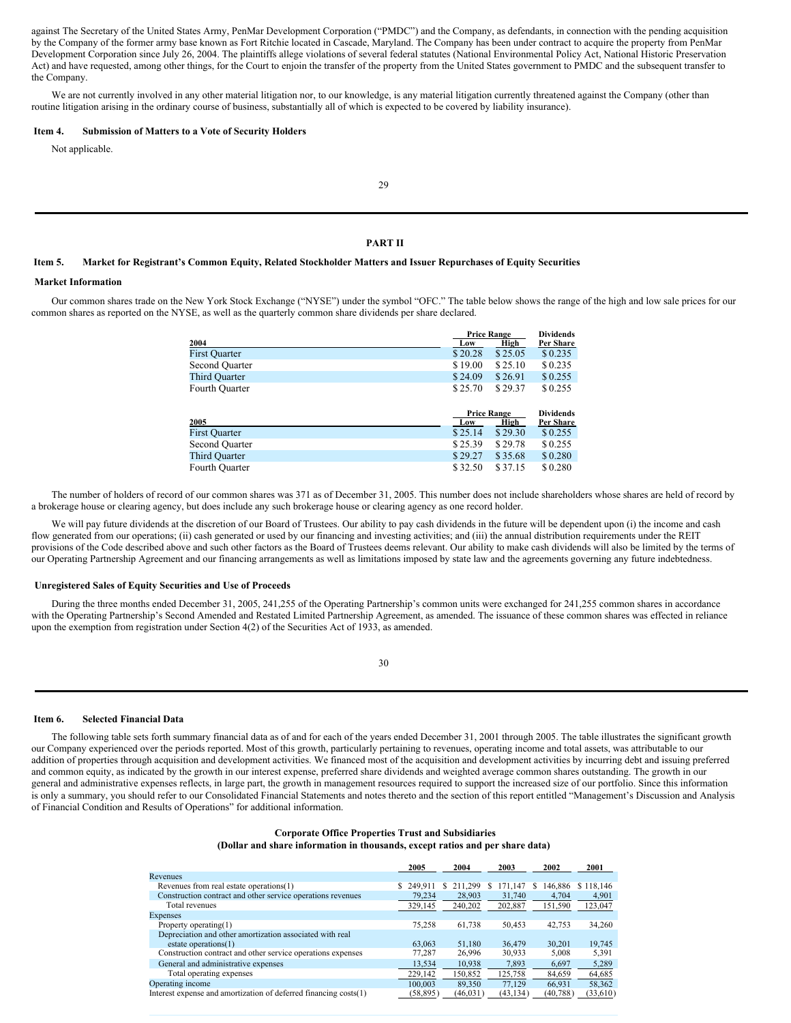against The Secretary of the United States Army, PenMar Development Corporation ("PMDC") and the Company, as defendants, in connection with the pending acquisition by the Company of the former army base known as Fort Ritchie located in Cascade, Maryland. The Company has been under contract to acquire the property from PenMar Development Corporation since July 26, 2004. The plaintiffs allege violations of several federal statutes (National Environmental Policy Act, National Historic Preservation Act) and have requested, among other things, for the Court to enjoin the transfer of the property from the United States government to PMDC and the subsequent transfer to the Company.

We are not currently involved in any other material litigation nor, to our knowledge, is any material litigation currently threatened against the Company (other than routine litigation arising in the ordinary course of business, substantially all of which is expected to be covered by liability insurance).

#### <span id="page-16-0"></span>**Item 4. Submission of Matters to a Vote of Security Holders**

Not applicable.

29

# <span id="page-16-1"></span>**PART II**

# <span id="page-16-2"></span>Item 5. Market for Registrant's Common Equity, Related Stockholder Matters and Issuer Repurchases of Equity Securities

# **Market Information**

Our common shares trade on the New York Stock Exchange ("NYSE") under the symbol "OFC." The table below shows the range of the high and low sale prices for our common shares as reported on the NYSE, as well as the quarterly common share dividends per share declared.

|                      | <b>Price Range</b> | <b>Dividends</b>   |                  |
|----------------------|--------------------|--------------------|------------------|
| 2004                 | Low                | High               | Per Share        |
| <b>First Quarter</b> | \$20.28            | \$25.05            | \$0.235          |
| Second Quarter       | \$19.00            | \$25.10            | \$0.235          |
| <b>Third Quarter</b> | \$24.09            | \$26.91            | \$0.255          |
| Fourth Quarter       | \$25.70            | \$29.37            | \$0.255          |
|                      |                    |                    |                  |
|                      |                    | <b>Price Range</b> | <b>Dividends</b> |
| 2005                 | Low                | High               | Per Share        |
| <b>First Quarter</b> | \$25.14            | \$29.30            | \$0.255          |
| Second Quarter       |                    |                    | \$0.255          |
|                      | \$25.39            | \$29.78            |                  |
| <b>Third Quarter</b> | \$29.27            | \$35.68            | \$0.280          |

The number of holders of record of our common shares was 371 as of December 31, 2005. This number does not include shareholders whose shares are held of record by a brokerage house or clearing agency, but does include any such brokerage house or clearing agency as one record holder.

We will pay future dividends at the discretion of our Board of Trustees. Our ability to pay cash dividends in the future will be dependent upon (i) the income and cash flow generated from our operations; (ii) cash generated or used by our financing and investing activities; and (iii) the annual distribution requirements under the REIT provisions of the Code described above and such other factors as the Board of Trustees deems relevant. Our ability to make cash dividends will also be limited by the terms of our Operating Partnership Agreement and our financing arrangements as well as limitations imposed by state law and the agreements governing any future indebtedness.

#### **Unregistered Sales of Equity Securities and Use of Proceeds**

During the three months ended December 31, 2005, 241,255 of the Operating Partnership's common units were exchanged for 241,255 common shares in accordance with the Operating Partnership's Second Amended and Restated Limited Partnership Agreement, as amended. The issuance of these common shares was effected in reliance upon the exemption from registration under Section 4(2) of the Securities Act of 1933, as amended.

30

#### <span id="page-16-3"></span>**Item 6. Selected Financial Data**

The following table sets forth summary financial data as of and for each of the years ended December 31, 2001 through 2005. The table illustrates the significant growth our Company experienced over the periods reported. Most of this growth, particularly pertaining to revenues, operating income and total assets, was attributable to our addition of properties through acquisition and development activities. We financed most of the acquisition and development activities by incurring debt and issuing preferred and common equity, as indicated by the growth in our interest expense, preferred share dividends and weighted average common shares outstanding. The growth in our general and administrative expenses reflects, in large part, the growth in management resources required to support the increased size of our portfolio. Since this information is only a summary, you should refer to our Consolidated Financial Statements and notes thereto and the section of this report entitled "Management's Discussion and Analysis of Financial Condition and Results of Operations" for additional information.

**Corporate Office Properties Trust and Subsidiaries (Dollar and share information in thousands, except ratios and per share data)**

|                                                                  | 2005          | 2004      | 2003         | 2002      | 2001      |
|------------------------------------------------------------------|---------------|-----------|--------------|-----------|-----------|
| Revenues                                                         |               |           |              |           |           |
| Revenues from real estate operations(1)                          | 249.911<br>S. | 211.299   | 171.147<br>S | 146.886   | \$118,146 |
| Construction contract and other service operations revenues      | 79,234        | 28,903    | 31,740       | 4,704     | 4,901     |
| Total revenues                                                   | 329,145       | 240,202   | 202,887      | 151,590   | 123,047   |
| <b>Expenses</b>                                                  |               |           |              |           |           |
| Property operating $(1)$                                         | 75,258        | 61.738    | 50.453       | 42.753    | 34,260    |
| Depreciation and other amortization associated with real         |               |           |              |           |           |
| estate operations $(1)$                                          | 63,063        | 51.180    | 36,479       | 30,201    | 19,745    |
| Construction contract and other service operations expenses      | 77,287        | 26,996    | 30,933       | 5.008     | 5,391     |
| General and administrative expenses                              | 13,534        | 10,938    | 7,893        | 6,697     | 5,289     |
| Total operating expenses                                         | 229.142       | 150,852   | 125,758      | 84,659    | 64,685    |
| Operating income                                                 | 100,003       | 89,350    | 77.129       | 66.931    | 58,362    |
| Interest expense and amortization of deferred financing costs(1) | (58, 895)     | (46, 031) | (43, 134)    | (40, 788) | (33,610)  |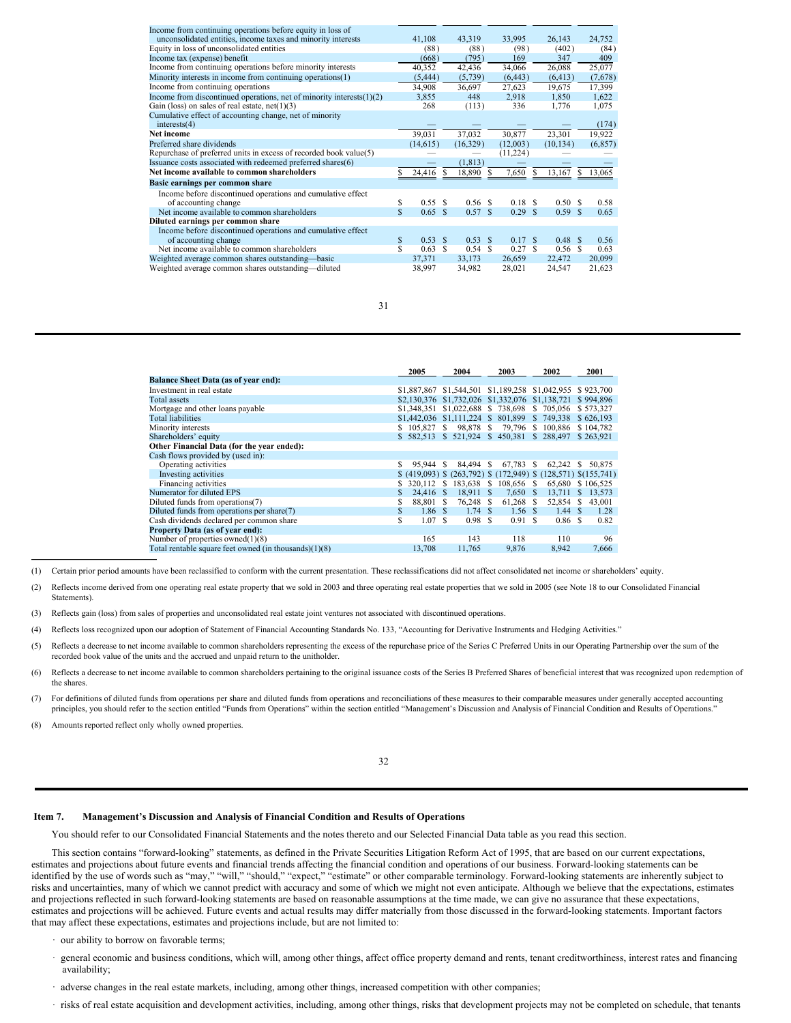| Income from continuing operations before equity in loss of              |              |          |                    |           |    |          |   |           |          |
|-------------------------------------------------------------------------|--------------|----------|--------------------|-----------|----|----------|---|-----------|----------|
| unconsolidated entities, income taxes and minority interests            |              | 41.108   |                    | 43,319    |    | 33,995   |   | 26,143    | 24,752   |
| Equity in loss of unconsolidated entities                               |              | (88)     |                    | (88)      |    | (98)     |   | (402)     | (84)     |
| Income tax (expense) benefit                                            |              | (668)    |                    | (795)     |    | 169      |   | 347       | 409      |
| Income from continuing operations before minority interests             |              | 40,352   |                    | 42,436    |    | 34,066   |   | 26,088    | 25,077   |
| Minority interests in income from continuing operations(1)              |              | (5, 444) |                    | (5,739)   |    | (6, 443) |   | (6, 413)  | (7,678)  |
| Income from continuing operations                                       |              | 34,908   |                    | 36,697    |    | 27,623   |   | 19,675    | 17,399   |
| Income from discontinued operations, net of minority interests $(1)(2)$ |              | 3,855    |                    | 448       |    | 2,918    |   | 1,850     | 1,622    |
| Gain (loss) on sales of real estate, $net(1)(3)$                        |              | 268      |                    | (113)     |    | 336      |   | 1,776     | 1,075    |
| Cumulative effect of accounting change, net of minority                 |              |          |                    |           |    |          |   |           |          |
| interests(4)                                                            |              |          |                    |           |    |          |   |           | (174)    |
| Net income                                                              |              | 39,031   |                    | 37,032    |    | 30,877   |   | 23,301    | 19,922   |
| Preferred share dividends                                               |              | (14,615) |                    | (16,329)  |    | (12,003) |   | (10, 134) | (6, 857) |
| Repurchase of preferred units in excess of recorded book value(5)       |              |          |                    |           |    | (11,224) |   |           |          |
| Issuance costs associated with redeemed preferred shares(6)             |              |          |                    | (1, 813)  |    |          |   |           |          |
| Net income available to common shareholders                             |              | 24,416   | S                  | 18,890    | -S | 7,650    | S | 13,167    | \$13,065 |
| Basic earnings per common share                                         |              |          |                    |           |    |          |   |           |          |
| Income before discontinued operations and cumulative effect             |              |          |                    |           |    |          |   |           |          |
| of accounting change                                                    | \$           | 0.55     | -8                 | 0.56 S    |    | 0.18S    |   | 0.50 S    | 0.58     |
| Net income available to common shareholders                             | $\mathbf{s}$ | 0.65     | - \$               | 0.57 S    |    | 0.29 S   |   | 0.59 S    | 0.65     |
| Diluted earnings per common share                                       |              |          |                    |           |    |          |   |           |          |
| Income before discontinued operations and cumulative effect             |              |          |                    |           |    |          |   |           |          |
| of accounting change                                                    | \$           | 0.53     | $\mathbf{\hat{s}}$ | 0.53 S    |    | 0.17S    |   | 0.48 S    | 0.56     |
| Net income available to common shareholders                             | S            | 0.63     | -S                 | $0.54$ \$ |    | 0.27 S   |   | 0.56 S    | 0.63     |
| Weighted average common shares outstanding—basic                        |              | 37,371   |                    | 33,173    |    | 26,659   |   | 22,472    | 20,099   |
| Weighted average common shares outstanding-diluted                      |              | 38,997   |                    | 34,982    |    | 28,021   |   | 24,547    | 21,623   |
|                                                                         |              |          |                    |           |    |          |   |           |          |

|                                                          |    | 2005        |              | 2004                                                             |    | 2003       | 2002      |              | 2001      |
|----------------------------------------------------------|----|-------------|--------------|------------------------------------------------------------------|----|------------|-----------|--------------|-----------|
| <b>Balance Sheet Data (as of year end):</b>              |    |             |              |                                                                  |    |            |           |              |           |
| Investment in real estate                                |    |             |              | \$1,887,867 \$1,544,501 \$1,189,258 \$1,042,955 \$923,700        |    |            |           |              |           |
| Total assets                                             |    |             |              | \$2,130,376 \$1,732,026 \$1,332,076 \$1,138,721                  |    |            |           |              | \$994,896 |
| Mortgage and other loans payable                         |    | \$1,348,351 |              | \$1,022,688 \$ 738,698 \$ 705,056                                |    |            |           |              | \$573.327 |
| <b>Total liabilities</b>                                 |    |             |              | \$1,442,036 \$1,111,224 \$                                       |    | 801,899    | \$749.338 |              | \$626,193 |
| Minority interests                                       | S. | 105.827     | S            | 98,878 \$                                                        |    | 79,796 \$  | 100.886   |              | \$104.782 |
| Shareholders' equity                                     |    | \$582.513   |              | \$521,924 \$450,381                                              |    |            | \$288,497 |              | \$263,921 |
| Other Financial Data (for the year ended):               |    |             |              |                                                                  |    |            |           |              |           |
| Cash flows provided by (used in):                        |    |             |              |                                                                  |    |            |           |              |           |
| Operating activities                                     | \$ | 95.944      | -S           | 84.494 \$                                                        |    | 67.783 \$  | 62.242    | -S           | 50.875    |
| Investing activities                                     |    |             |              | \$ (419,093) \$ (263,792) \$ (172,949) \$ (128,571) \$ (155,741) |    |            |           |              |           |
| Financing activities                                     |    | 320.112     | $\mathbf{s}$ | 183.638 \$                                                       |    | 108.656 \$ | 65,680    |              | \$106,525 |
| Numerator for diluted EPS                                |    | 24,416 \$   |              | 18,911                                                           | -S | 7,650 \$   | 13,711    | <sup>S</sup> | 13,573    |
| Diluted funds from operations(7)                         | S  | 88,801      | -S           | 76,248 \$                                                        |    | 61,268 \$  | 52,854    | S            | 43,001    |
| Diluted funds from operations per share(7)               | \$ | $1.86$ \$   |              | $1.74$ \$                                                        |    | $1.56$ \$  | 1.44 S    |              | 1.28      |
| Cash dividends declared per common share                 | \$ | 1.07        | -S           | 0.98 S                                                           |    | 0.91 S     | 0.86 S    |              | 0.82      |
| Property Data (as of year end):                          |    |             |              |                                                                  |    |            |           |              |           |
| Number of properties owned $(1)(8)$                      |    | 165         |              | 143                                                              |    | 118        | 110       |              | 96        |
| Total rentable square feet owned (in thousands) $(1)(8)$ |    | 13.708      |              | 11,765                                                           |    | 9.876      | 8.942     |              | 7.666     |
|                                                          |    |             |              |                                                                  |    |            |           |              |           |

(1) Certain prior period amounts have been reclassified to conform with the current presentation. These reclassifications did not affect consolidated net income or shareholders' equity.

- (2) Reflects income derived from one operating real estate property that we sold in 2003 and three operating real estate properties that we sold in 2005 (see Note 18 to our Consolidated Financial Statements).
- (3) Reflects gain (loss) from sales of properties and unconsolidated real estate joint ventures not associated with discontinued operations.
- (4) Reflects loss recognized upon our adoption of Statement of Financial Accounting Standards No. 133, "Accounting for Derivative Instruments and Hedging Activities."
- (5) Reflects a decrease to net income available to common shareholders representing the excess of the repurchase price of the Series C Preferred Units in our Operating Partnership over the sum of the recorded book value of the units and the accrued and unpaid return to the unitholder.
- (6) Reflects a decrease to net income available to common shareholders pertaining to the original issuance costs of the Series B Preferred Shares of beneficial interest that was recognized upon redemption of the shares.
- (7) For definitions of diluted funds from operations per share and diluted funds from operations and reconciliations of these measures to their comparable measures under generally accepted accounting principles, you should refer to the section entitled "Funds from Operations" within the section entitled "Management's Discussion and Analysis of Financial Condition and Results of Operations."

(8) Amounts reported reflect only wholly owned properties.

# <span id="page-17-0"></span>**Item 7. Management's Discussion and Analysis of Financial Condition and Results of Operations**

You should refer to our Consolidated Financial Statements and the notes thereto and our Selected Financial Data table as you read this section.

This section contains "forward-looking" statements, as defined in the Private Securities Litigation Reform Act of 1995, that are based on our current expectations, estimates and projections about future events and financial trends affecting the financial condition and operations of our business. Forward-looking statements can be identified by the use of words such as "may," "will," "should," "expect," "estimate" or other comparable terminology. Forward-looking statements are inherently subject to risks and uncertainties, many of which we cannot predict with accuracy and some of which we might not even anticipate. Although we believe that the expectations, estimates and projections reflected in such forward-looking statements are based on reasonable assumptions at the time made, we can give no assurance that these expectations, estimates and projections will be achieved. Future events and actual results may differ materially from those discussed in the forward-looking statements. Important factors that may affect these expectations, estimates and projections include, but are not limited to:

- · our ability to borrow on favorable terms;
- · general economic and business conditions, which will, among other things, affect office property demand and rents, tenant creditworthiness, interest rates and financing availability;
- · adverse changes in the real estate markets, including, among other things, increased competition with other companies;
- · risks of real estate acquisition and development activities, including, among other things, risks that development projects may not be completed on schedule, that tenants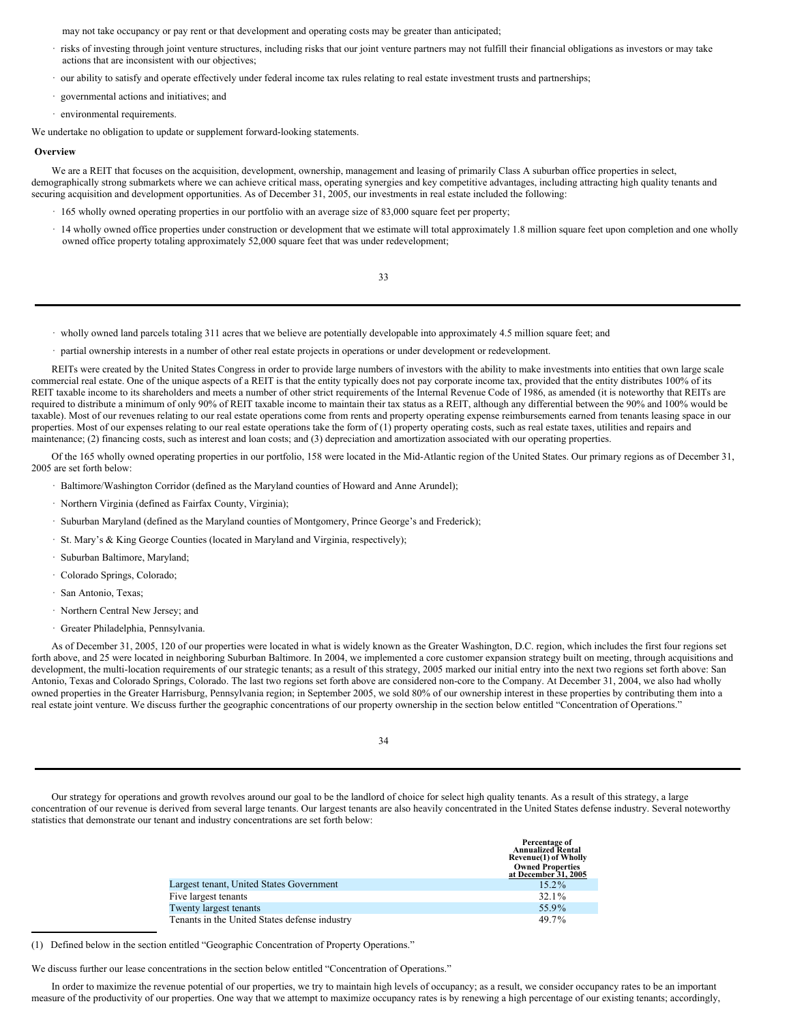may not take occupancy or pay rent or that development and operating costs may be greater than anticipated;

- · risks of investing through joint venture structures, including risks that our joint venture partners may not fulfill their financial obligations as investors or may take actions that are inconsistent with our objectives;
- · our ability to satisfy and operate effectively under federal income tax rules relating to real estate investment trusts and partnerships;
- · governmental actions and initiatives; and
- · environmental requirements.

We undertake no obligation to update or supplement forward-looking statements.

## **Overview**

We are a REIT that focuses on the acquisition, development, ownership, management and leasing of primarily Class A suburban office properties in select, demographically strong submarkets where we can achieve critical mass, operating synergies and key competitive advantages, including attracting high quality tenants and securing acquisition and development opportunities. As of December 31, 2005, our investments in real estate included the following:

- · 165 wholly owned operating properties in our portfolio with an average size of 83,000 square feet per property;
- · 14 wholly owned office properties under construction or development that we estimate will total approximately 1.8 million square feet upon completion and one wholly owned office property totaling approximately 52,000 square feet that was under redevelopment;

| I | I |
|---|---|
| I | I |
| × | × |
|   |   |

- · wholly owned land parcels totaling 311 acres that we believe are potentially developable into approximately 4.5 million square feet; and
- · partial ownership interests in a number of other real estate projects in operations or under development or redevelopment.

REITs were created by the United States Congress in order to provide large numbers of investors with the ability to make investments into entities that own large scale commercial real estate. One of the unique aspects of a REIT is that the entity typically does not pay corporate income tax, provided that the entity distributes 100% of its REIT taxable income to its shareholders and meets a number of other strict requirements of the Internal Revenue Code of 1986, as amended (it is noteworthy that REITs are required to distribute a minimum of only 90% of REIT taxable income to maintain their tax status as a REIT, although any differential between the 90% and 100% would be taxable). Most of our revenues relating to our real estate operations come from rents and property operating expense reimbursements earned from tenants leasing space in our properties. Most of our expenses relating to our real estate operations take the form of (1) property operating costs, such as real estate taxes, utilities and repairs and maintenance; (2) financing costs, such as interest and loan costs; and (3) depreciation and amortization associated with our operating properties.

Of the 165 wholly owned operating properties in our portfolio, 158 were located in the Mid-Atlantic region of the United States. Our primary regions as of December 31, 2005 are set forth below:

- · Baltimore/Washington Corridor (defined as the Maryland counties of Howard and Anne Arundel);
- · Northern Virginia (defined as Fairfax County, Virginia);
- · Suburban Maryland (defined as the Maryland counties of Montgomery, Prince George's and Frederick);
- · St. Mary's & King George Counties (located in Maryland and Virginia, respectively);
- · Suburban Baltimore, Maryland;
- · Colorado Springs, Colorado;
- · San Antonio, Texas;
- · Northern Central New Jersey; and
- · Greater Philadelphia, Pennsylvania.

As of December 31, 2005, 120 of our properties were located in what is widely known as the Greater Washington, D.C. region, which includes the first four regions set forth above, and 25 were located in neighboring Suburban Baltimore. In 2004, we implemented a core customer expansion strategy built on meeting, through acquisitions and development, the multi-location requirements of our strategic tenants; as a result of this strategy, 2005 marked our initial entry into the next two regions set forth above: San Antonio, Texas and Colorado Springs, Colorado. The last two regions set forth above are considered non-core to the Company. At December 31, 2004, we also had wholly owned properties in the Greater Harrisburg, Pennsylvania region; in September 2005, we sold 80% of our ownership interest in these properties by contributing them into a real estate joint venture. We discuss further the geographic concentrations of our property ownership in the section below entitled "Concentration of Operations."

Our strategy for operations and growth revolves around our goal to be the landlord of choice for select high quality tenants. As a result of this strategy, a large concentration of our revenue is derived from several large tenants. Our largest tenants are also heavily concentrated in the United States defense industry. Several noteworthy statistics that demonstrate our tenant and industry concentrations are set forth below:

|                                               | Percentage of<br><b>Annualized</b> Rental<br>Revenue(1) of Wholly<br><b>Owned Properties</b><br>at December 31, 2005 |
|-----------------------------------------------|----------------------------------------------------------------------------------------------------------------------|
| Largest tenant, United States Government      | $15.2\%$                                                                                                             |
| Five largest tenants                          | $32.1\%$                                                                                                             |
| Twenty largest tenants                        | 55.9%                                                                                                                |
| Tenants in the United States defense industry | 49.7%                                                                                                                |

(1) Defined below in the section entitled "Geographic Concentration of Property Operations."

We discuss further our lease concentrations in the section below entitled "Concentration of Operations."

In order to maximize the revenue potential of our properties, we try to maintain high levels of occupancy; as a result, we consider occupancy rates to be an important measure of the productivity of our properties. One way that we attempt to maximize occupancy rates is by renewing a high percentage of our existing tenants; accordingly,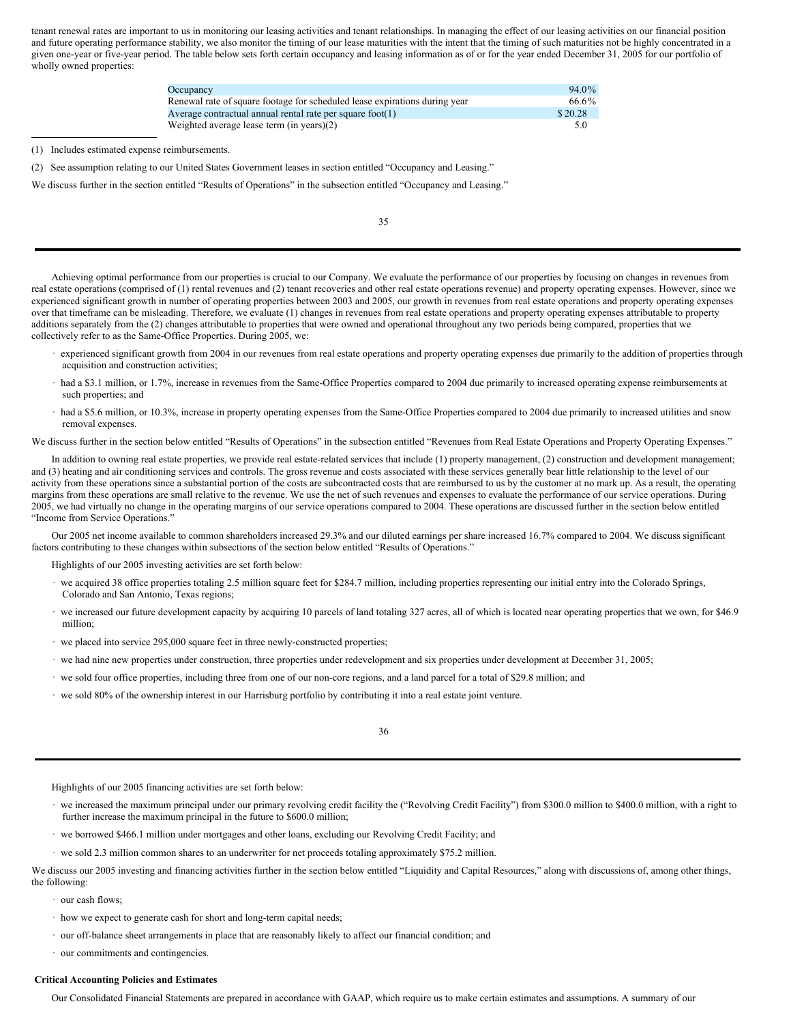tenant renewal rates are important to us in monitoring our leasing activities and tenant relationships. In managing the effect of our leasing activities on our financial position and future operating performance stability, we also monitor the timing of our lease maturities with the intent that the timing of such maturities not be highly concentrated in a given one-year or five-year period. The table below sets forth certain occupancy and leasing information as of or for the year ended December 31, 2005 for our portfolio of wholly owned properties:

| Occupancy                                                                  | 94.0%   |
|----------------------------------------------------------------------------|---------|
| Renewal rate of square footage for scheduled lease expirations during year | 66.6%   |
| Average contractual annual rental rate per square foot $(1)$               | \$20.28 |
| Weighted average lease term $(in \text{ years})(2)$                        | 5 O     |

<sup>(1)</sup> Includes estimated expense reimbursements.

We discuss further in the section entitled "Results of Operations" in the subsection entitled "Occupancy and Leasing."

Achieving optimal performance from our properties is crucial to our Company. We evaluate the performance of our properties by focusing on changes in revenues from real estate operations (comprised of (1) rental revenues and (2) tenant recoveries and other real estate operations revenue) and property operating expenses. However, since we experienced significant growth in number of operating properties between 2003 and 2005, our growth in revenues from real estate operations and property operating expenses over that timeframe can be misleading. Therefore, we evaluate (1) changes in revenues from real estate operations and property operating expenses attributable to property additions separately from the (2) changes attributable to properties that were owned and operational throughout any two periods being compared, properties that we collectively refer to as the Same-Office Properties. During 2005, we:

- experienced significant growth from 2004 in our revenues from real estate operations and property operating expenses due primarily to the addition of properties through acquisition and construction activities;
- · had a \$3.1 million, or 1.7%, increase in revenues from the Same-Office Properties compared to 2004 due primarily to increased operating expense reimbursements at such properties; and
- · had a \$5.6 million, or 10.3%, increase in property operating expenses from the Same-Office Properties compared to 2004 due primarily to increased utilities and snow removal expenses.

We discuss further in the section below entitled "Results of Operations" in the subsection entitled "Revenues from Real Estate Operations and Property Operating Expenses."

In addition to owning real estate properties, we provide real estate-related services that include (1) property management, (2) construction and development management; and (3) heating and air conditioning services and controls. The gross revenue and costs associated with these services generally bear little relationship to the level of our activity from these operations since a substantial portion of the costs are subcontracted costs that are reimbursed to us by the customer at no mark up. As a result, the operating margins from these operations are small relative to the revenue. We use the net of such revenues and expenses to evaluate the performance of our service operations. During 2005, we had virtually no change in the operating margins of our service operations compared to 2004. These operations are discussed further in the section below entitled "Income from Service Operations."

Our 2005 net income available to common shareholders increased 29.3% and our diluted earnings per share increased 16.7% compared to 2004. We discuss significant factors contributing to these changes within subsections of the section below entitled "Results of Operations."

Highlights of our 2005 investing activities are set forth below:

- · we acquired 38 office properties totaling 2.5 million square feet for \$284.7 million, including properties representing our initial entry into the Colorado Springs, Colorado and San Antonio, Texas regions;
- · we increased our future development capacity by acquiring 10 parcels of land totaling 327 acres, all of which is located near operating properties that we own, for \$46.9 million;
- · we placed into service 295,000 square feet in three newly-constructed properties;
- · we had nine new properties under construction, three properties under redevelopment and six properties under development at December 31, 2005;
- · we sold four office properties, including three from one of our non-core regions, and a land parcel for a total of \$29.8 million; and
- · we sold 80% of the ownership interest in our Harrisburg portfolio by contributing it into a real estate joint venture.

36

Highlights of our 2005 financing activities are set forth below:

- we increased the maximum principal under our primary revolving credit facility the ("Revolving Credit Facility") from \$300.0 million to \$400.0 million, with a right to further increase the maximum principal in the future to \$600.0 million;
- · we borrowed \$466.1 million under mortgages and other loans, excluding our Revolving Credit Facility; and
- · we sold 2.3 million common shares to an underwriter for net proceeds totaling approximately \$75.2 million.

We discuss our 2005 investing and financing activities further in the section below entitled "Liquidity and Capital Resources," along with discussions of, among other things, the following:

- · our cash flows;
- · how we expect to generate cash for short and long-term capital needs;
- · our off-balance sheet arrangements in place that are reasonably likely to affect our financial condition; and
- · our commitments and contingencies.

# **Critical Accounting Policies and Estimates**

Our Consolidated Financial Statements are prepared in accordance with GAAP, which require us to make certain estimates and assumptions. A summary of our

<sup>(2)</sup> See assumption relating to our United States Government leases in section entitled "Occupancy and Leasing."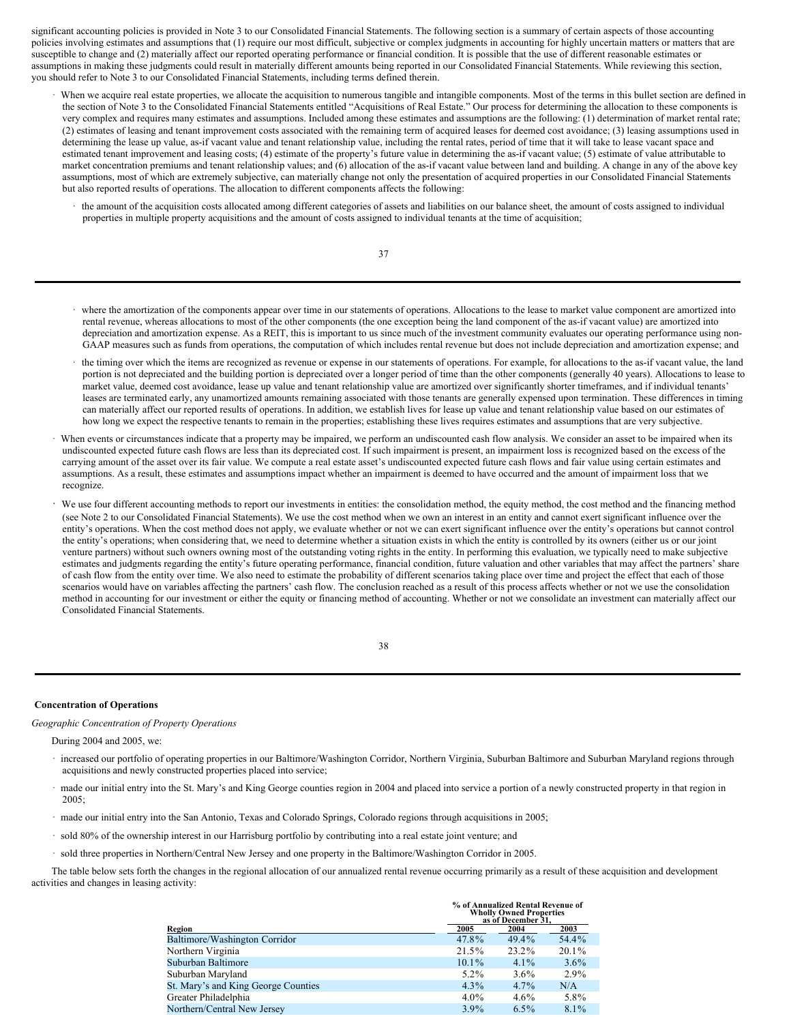significant accounting policies is provided in Note 3 to our Consolidated Financial Statements. The following section is a summary of certain aspects of those accounting policies involving estimates and assumptions that (1) require our most difficult, subjective or complex judgments in accounting for highly uncertain matters or matters that are susceptible to change and (2) materially affect our reported operating performance or financial condition. It is possible that the use of different reasonable estimates or assumptions in making these judgments could result in materially different amounts being reported in our Consolidated Financial Statements. While reviewing this section, you should refer to Note 3 to our Consolidated Financial Statements, including terms defined therein.

- When we acquire real estate properties, we allocate the acquisition to numerous tangible and intangible components. Most of the terms in this bullet section are defined in the section of Note 3 to the Consolidated Financial Statements entitled "Acquisitions of Real Estate." Our process for determining the allocation to these components is very complex and requires many estimates and assumptions. Included among these estimates and assumptions are the following: (1) determination of market rental rate; (2) estimates of leasing and tenant improvement costs associated with the remaining term of acquired leases for deemed cost avoidance; (3) leasing assumptions used in determining the lease up value, as-if vacant value and tenant relationship value, including the rental rates, period of time that it will take to lease vacant space and estimated tenant improvement and leasing costs; (4) estimate of the property's future value in determining the as-if vacant value; (5) estimate of value attributable to market concentration premiums and tenant relationship values; and (6) allocation of the as-if vacant value between land and building. A change in any of the above key assumptions, most of which are extremely subjective, can materially change not only the presentation of acquired properties in our Consolidated Financial Statements but also reported results of operations. The allocation to different components affects the following:
	- · the amount of the acquisition costs allocated among different categories of assets and liabilities on our balance sheet, the amount of costs assigned to individual properties in multiple property acquisitions and the amount of costs assigned to individual tenants at the time of acquisition;

| I<br>I<br>i |  |
|-------------|--|

- · where the amortization of the components appear over time in our statements of operations. Allocations to the lease to market value component are amortized into rental revenue, whereas allocations to most of the other components (the one exception being the land component of the as-if vacant value) are amortized into depreciation and amortization expense. As a REIT, this is important to us since much of the investment community evaluates our operating performance using non-GAAP measures such as funds from operations, the computation of which includes rental revenue but does not include depreciation and amortization expense; and
- · the timing over which the items are recognized as revenue or expense in our statements of operations. For example, for allocations to the as-if vacant value, the land portion is not depreciated and the building portion is depreciated over a longer period of time than the other components (generally 40 years). Allocations to lease to market value, deemed cost avoidance, lease up value and tenant relationship value are amortized over significantly shorter timeframes, and if individual tenants' leases are terminated early, any unamortized amounts remaining associated with those tenants are generally expensed upon termination. These differences in timing can materially affect our reported results of operations. In addition, we establish lives for lease up value and tenant relationship value based on our estimates of how long we expect the respective tenants to remain in the properties; establishing these lives requires estimates and assumptions that are very subjective.
- When events or circumstances indicate that a property may be impaired, we perform an undiscounted cash flow analysis. We consider an asset to be impaired when its undiscounted expected future cash flows are less than its depreciated cost. If such impairment is present, an impairment loss is recognized based on the excess of the carrying amount of the asset over its fair value. We compute a real estate asset's undiscounted expected future cash flows and fair value using certain estimates and assumptions. As a result, these estimates and assumptions impact whether an impairment is deemed to have occurred and the amount of impairment loss that we recognize.
- We use four different accounting methods to report our investments in entities: the consolidation method, the equity method, the cost method and the financing method (see Note 2 to our Consolidated Financial Statements). We use the cost method when we own an interest in an entity and cannot exert significant influence over the entity's operations. When the cost method does not apply, we evaluate whether or not we can exert significant influence over the entity's operations but cannot control the entity's operations; when considering that, we need to determine whether a situation exists in which the entity is controlled by its owners (either us or our joint venture partners) without such owners owning most of the outstanding voting rights in the entity. In performing this evaluation, we typically need to make subjective estimates and judgments regarding the entity's future operating performance, financial condition, future valuation and other variables that may affect the partners' share of cash flow from the entity over time. We also need to estimate the probability of different scenarios taking place over time and project the effect that each of those scenarios would have on variables affecting the partners' cash flow. The conclusion reached as a result of this process affects whether or not we use the consolidation method in accounting for our investment or either the equity or financing method of accounting. Whether or not we consolidate an investment can materially affect our Consolidated Financial Statements.

# **Concentration of Operations**

*Geographic Concentration of Property Operations*

During 2004 and 2005, we:

- · increased our portfolio of operating properties in our Baltimore/Washington Corridor, Northern Virginia, Suburban Baltimore and Suburban Maryland regions through acquisitions and newly constructed properties placed into service;
- · made our initial entry into the St. Mary's and King George counties region in 2004 and placed into service a portion of a newly constructed property in that region in 2005;
- · made our initial entry into the San Antonio, Texas and Colorado Springs, Colorado regions through acquisitions in 2005;
- · sold 80% of the ownership interest in our Harrisburg portfolio by contributing into a real estate joint venture; and
- · sold three properties in Northern/Central New Jersey and one property in the Baltimore/Washington Corridor in 2005.

The table below sets forth the changes in the regional allocation of our annualized rental revenue occurring primarily as a result of these acquisition and development activities and changes in leasing activity:

|                                     | % of Annualized Rental Revenue of<br><b>Wholly Owned Properties</b><br>as of December 31. |          |          |  |  |
|-------------------------------------|-------------------------------------------------------------------------------------------|----------|----------|--|--|
| Region                              | 2005                                                                                      | 2004     | 2003     |  |  |
| Baltimore/Washington Corridor       | 47.8%                                                                                     | $49.4\%$ | 54.4%    |  |  |
| Northern Virginia                   | 21.5%                                                                                     | $23.2\%$ | $20.1\%$ |  |  |
| Suburban Baltimore                  | $10.1\%$                                                                                  | $4.1\%$  | $3.6\%$  |  |  |
| Suburban Maryland                   | $5.2\%$                                                                                   | $3.6\%$  | 2.9%     |  |  |
| St. Mary's and King George Counties | $4.3\%$                                                                                   | $4.7\%$  | N/A      |  |  |
| Greater Philadelphia                | $4.0\%$                                                                                   | $4.6\%$  | 5.8%     |  |  |
| Northern/Central New Jersey         | $3.9\%$                                                                                   | $6.5\%$  | $8.1\%$  |  |  |
|                                     |                                                                                           |          |          |  |  |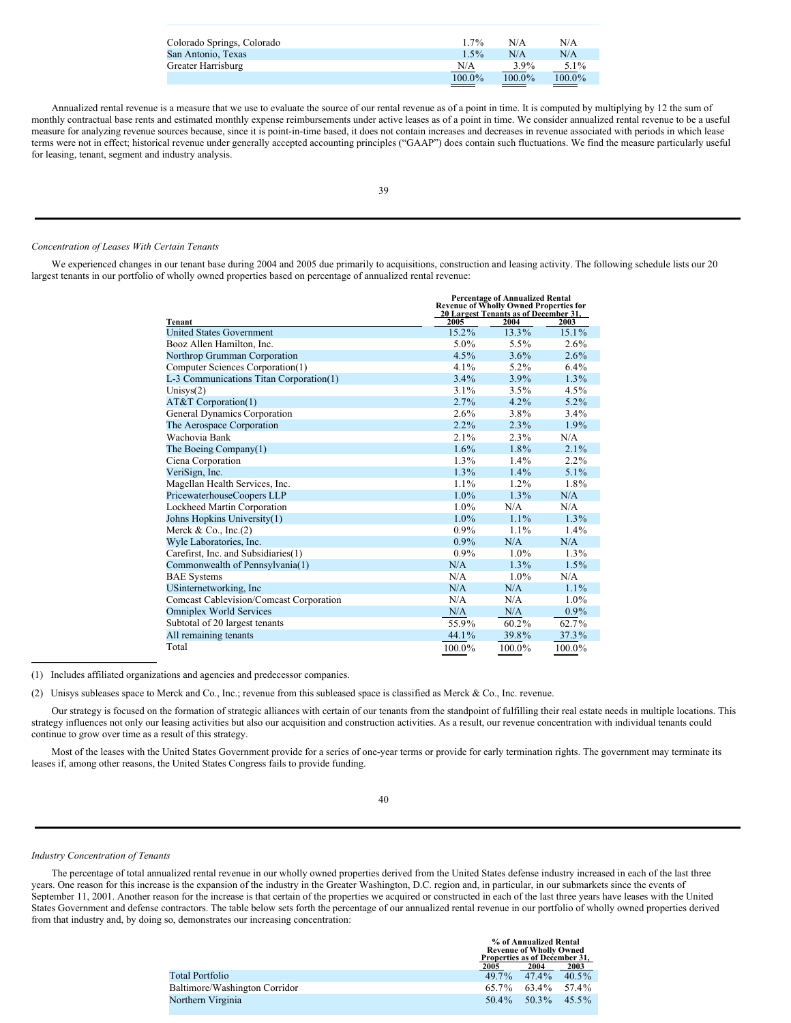| Colorado Springs, Colorado | 17%       | N/A       | N/A       |
|----------------------------|-----------|-----------|-----------|
| San Antonio, Texas         | $1.5\%$   | N/A       | N/A       |
| Greater Harrisburg         | N/A       | 3.9%      | $5.1\%$   |
|                            | $100.0\%$ | $100.0\%$ | $100.0\%$ |

Annualized rental revenue is a measure that we use to evaluate the source of our rental revenue as of a point in time. It is computed by multiplying by 12 the sum of monthly contractual base rents and estimated monthly expense reimbursements under active leases as of a point in time. We consider annualized rental revenue to be a useful measure for analyzing revenue sources because, since it is point-in-time based, it does not contain increases and decreases in revenue associated with periods in which lease terms were not in effect; historical revenue under generally accepted accounting principles ("GAAP") does contain such fluctuations. We find the measure particularly useful for leasing, tenant, segment and industry analysis.

# *Concentration of Leases With Certain Tenants*

We experienced changes in our tenant base during 2004 and 2005 due primarily to acquisitions, construction and leasing activity. The following schedule lists our 20 largest tenants in our portfolio of wholly owned properties based on percentage of annualized rental revenue:

|                                                | <b>Percentage of Annualized Rental</b><br><b>Revenue of Wholly Owned Properties for</b><br>20 Largest Tenants as of December 31, |          |         |
|------------------------------------------------|----------------------------------------------------------------------------------------------------------------------------------|----------|---------|
| <b>Tenant</b>                                  | 2005                                                                                                                             | 2004     | 2003    |
| <b>United States Government</b>                | $15.2\%$                                                                                                                         | 13.3%    | 15.1%   |
| Booz Allen Hamilton, Inc.                      | $5.0\%$                                                                                                                          | $5.5\%$  | $2.6\%$ |
| Northrop Grumman Corporation                   | $4.5\%$                                                                                                                          | 3.6%     | $2.6\%$ |
| Computer Sciences Corporation(1)               | $4.1\%$                                                                                                                          | $5.2\%$  | 6.4%    |
| L-3 Communications Titan Corporation(1)        | $3.4\%$                                                                                                                          | $3.9\%$  | $1.3\%$ |
| Unisys $(2)$                                   | $3.1\%$                                                                                                                          | $3.5\%$  | $4.5\%$ |
| AT&T Corporation(1)                            | $2.7\%$                                                                                                                          | $4.2\%$  | $5.2\%$ |
| General Dynamics Corporation                   | $2.6\%$                                                                                                                          | 3.8%     | $3.4\%$ |
| The Aerospace Corporation                      | $2.2\%$                                                                                                                          | $2.3\%$  | $1.9\%$ |
| Wachovia Bank                                  | $2.1\%$                                                                                                                          | $2.3\%$  | N/A     |
| The Boeing Company $(1)$                       | $1.6\%$                                                                                                                          | $1.8\%$  | $2.1\%$ |
| Ciena Corporation                              | $1.3\%$                                                                                                                          | $1.4\%$  | $2.2\%$ |
| VeriSign, Inc.                                 | $1.3\%$                                                                                                                          | $1.4\%$  | $5.1\%$ |
| Magellan Health Services, Inc.                 | $1.1\%$                                                                                                                          | $1.2\%$  | 1.8%    |
| PricewaterhouseCoopers LLP                     | $1.0\%$                                                                                                                          | $1.3\%$  | N/A     |
| Lockheed Martin Corporation                    | $1.0\%$                                                                                                                          | N/A      | N/A     |
| Johns Hopkins University(1)                    | $1.0\%$                                                                                                                          | $1.1\%$  | $1.3\%$ |
| Merck & Co., Inc. $(2)$                        | $0.9\%$                                                                                                                          | $1.1\%$  | 1.4%    |
| Wyle Laboratories, Inc.                        | $0.9\%$                                                                                                                          | N/A      | N/A     |
| Carefirst, Inc. and Subsidiaries(1)            | $0.9\%$                                                                                                                          | $1.0\%$  | $1.3\%$ |
| Commonwealth of Pennsylvania(1)                | N/A                                                                                                                              | $1.3\%$  | $1.5\%$ |
| <b>BAE</b> Systems                             | N/A                                                                                                                              | $1.0\%$  | N/A     |
| USinternetworking, Inc.                        | N/A                                                                                                                              | N/A      | $1.1\%$ |
| <b>Comcast Cablevision/Comcast Corporation</b> | N/A                                                                                                                              | N/A      | $1.0\%$ |
| <b>Omniplex World Services</b>                 | N/A                                                                                                                              | N/A      | $0.9\%$ |
| Subtotal of 20 largest tenants                 | 55.9%                                                                                                                            | $60.2\%$ | 62.7%   |
| All remaining tenants                          | 44.1%                                                                                                                            | 39.8%    | 37.3%   |
| Total                                          | 100.0%                                                                                                                           | 100.0%   | 100.0%  |

(1) Includes affiliated organizations and agencies and predecessor companies.

(2) Unisys subleases space to Merck and Co., Inc.; revenue from this subleased space is classified as Merck & Co., Inc. revenue.

Our strategy is focused on the formation of strategic alliances with certain of our tenants from the standpoint of fulfilling their real estate needs in multiple locations. This strategy influences not only our leasing activities but also our acquisition and construction activities. As a result, our revenue concentration with individual tenants could continue to grow over time as a result of this strategy.

Most of the leases with the United States Government provide for a series of one-year terms or provide for early termination rights. The government may terminate its leases if, among other reasons, the United States Congress fails to provide funding.

#### 40

#### *Industry Concentration of Tenants*

The percentage of total annualized rental revenue in our wholly owned properties derived from the United States defense industry increased in each of the last three years. One reason for this increase is the expansion of the industry in the Greater Washington, D.C. region and, in particular, in our submarkets since the events of September 11, 2001. Another reason for the increase is that certain of the properties we acquired or constructed in each of the last three years have leases with the United States Government and defense contractors. The table below sets forth the percentage of our annualized rental revenue in our portfolio of wholly owned properties derived from that industry and, by doing so, demonstrates our increasing concentration:

|                               | Properties as of December 31, | % of Annualized Rental<br><b>Revenue of Wholly Owned</b> |      |
|-------------------------------|-------------------------------|----------------------------------------------------------|------|
|                               | 2005                          | 2004                                                     | 2003 |
| <b>Total Portfolio</b>        |                               | $49.7\%$ $47.4\%$ $40.5\%$                               |      |
| Baltimore/Washington Corridor |                               | 65.7% 63.4% 57.4%                                        |      |
| Northern Virginia             |                               | $50.4\%$ $50.3\%$ $45.5\%$                               |      |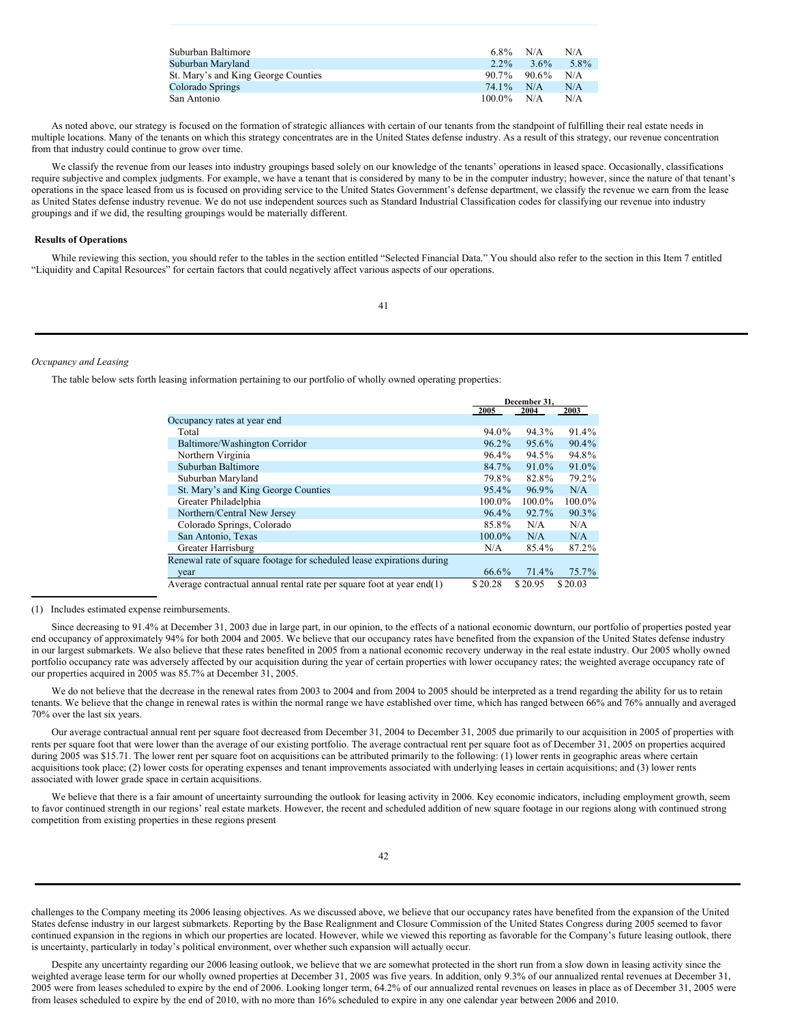| Suburban Baltimore                  | $6.8\%$ N/A   |                   | N/A  |
|-------------------------------------|---------------|-------------------|------|
| Suburban Maryland                   |               | $2.2\%$ 3.6%      | 5.8% |
| St. Mary's and King George Counties |               | $90.7\%$ $90.6\%$ | N/A  |
| Colorado Springs                    | $74.1\%$ N/A  |                   | N/A  |
| San Antonio                         | $100.0\%$ N/A |                   | N/A  |

As noted above, our strategy is focused on the formation of strategic alliances with certain of our tenants from the standpoint of fulfilling their real estate needs in multiple locations. Many of the tenants on which this strategy concentrates are in the United States defense industry. As a result of this strategy, our revenue concentration from that industry could continue to grow over time.

We classify the revenue from our leases into industry groupings based solely on our knowledge of the tenants' operations in leased space. Occasionally, classifications require subjective and complex judgments. For example, we have a tenant that is considered by many to be in the computer industry; however, since the nature of that tenant's operations in the space leased from us is focused on providing service to the United States Government's defense department, we classify the revenue we earn from the lease as United States defense industry revenue. We do not use independent sources such as Standard Industrial Classification codes for classifying our revenue into industry groupings and if we did, the resulting groupings would be materially different.

# **Results of Operations**

While reviewing this section, you should refer to the tables in the section entitled "Selected Financial Data." You should also refer to the section in this Item 7 entitled "Liquidity and Capital Resources" for certain factors that could negatively affect various aspects of our operations.

# *Occupancy and Leasing*

The table below sets forth leasing information pertaining to our portfolio of wholly owned operating properties:

|                                                                         | December 31. |          |          |
|-------------------------------------------------------------------------|--------------|----------|----------|
|                                                                         | 2005         | 2004     | 2003     |
| Occupancy rates at year end                                             |              |          |          |
| Total                                                                   | 94.0%        | 94.3%    | 91.4%    |
| Baltimore/Washington Corridor                                           | $96.2\%$     | 95.6%    | 90.4%    |
| Northern Virginia                                                       | 96.4%        | 94.5%    | 94.8%    |
| Suburban Baltimore                                                      | 84.7%        | 91.0%    | 91.0%    |
| Suburban Maryland                                                       | 79.8%        | 82.8%    | 79.2%    |
| St. Mary's and King George Counties                                     | 95.4%        | $96.9\%$ | N/A      |
| Greater Philadelphia                                                    | $100.0\%$    | 100.0%   | 100.0%   |
| Northern/Central New Jersey                                             | 96.4%        | 92.7%    | $90.3\%$ |
| Colorado Springs, Colorado                                              | 85.8%        | N/A      | N/A      |
| San Antonio, Texas                                                      | $100.0\%$    | N/A      | N/A      |
| Greater Harrisburg                                                      | N/A          | 85.4%    | 87.2%    |
| Renewal rate of square footage for scheduled lease expirations during   |              |          |          |
| year                                                                    | 66.6%        | 71.4%    | 75.7%    |
| Average contractual annual rental rate per square foot at year $end(1)$ | \$20.28      | \$20.95  | \$20.03  |

(1) Includes estimated expense reimbursements.

Since decreasing to 91.4% at December 31, 2003 due in large part, in our opinion, to the effects of a national economic downturn, our portfolio of properties posted year end occupancy of approximately 94% for both 2004 and 2005. We believe that our occupancy rates have benefited from the expansion of the United States defense industry in our largest submarkets. We also believe that these rates benefited in 2005 from a national economic recovery underway in the real estate industry. Our 2005 wholly owned portfolio occupancy rate was adversely affected by our acquisition during the year of certain properties with lower occupancy rates; the weighted average occupancy rate of our properties acquired in 2005 was 85.7% at December 31, 2005.

We do not believe that the decrease in the renewal rates from 2003 to 2004 and from 2004 to 2005 should be interpreted as a trend regarding the ability for us to retain tenants. We believe that the change in renewal rates is within the normal range we have established over time, which has ranged between 66% and 76% annually and averaged 70% over the last six years.

Our average contractual annual rent per square foot decreased from December 31, 2004 to December 31, 2005 due primarily to our acquisition in 2005 of properties with rents per square foot that were lower than the average of our existing portfolio. The average contractual rent per square foot as of December 31, 2005 on properties acquired during 2005 was \$15.71. The lower rent per square foot on acquisitions can be attributed primarily to the following: (1) lower rents in geographic areas where certain acquisitions took place; (2) lower costs for operating expenses and tenant improvements associated with underlying leases in certain acquisitions; and (3) lower rents associated with lower grade space in certain acquisitions.

We believe that there is a fair amount of uncertainty surrounding the outlook for leasing activity in 2006. Key economic indicators, including employment growth, seem to favor continued strength in our regions' real estate markets. However, the recent and scheduled addition of new square footage in our regions along with continued strong competition from existing properties in these regions present

challenges to the Company meeting its 2006 leasing objectives. As we discussed above, we believe that our occupancy rates have benefited from the expansion of the United States defense industry in our largest submarkets. Reporting by the Base Realignment and Closure Commission of the United States Congress during 2005 seemed to favor continued expansion in the regions in which our properties are located. However, while we viewed this reporting as favorable for the Company's future leasing outlook, there is uncertainty, particularly in today's political environment, over whether such expansion will actually occur.

Despite any uncertainty regarding our 2006 leasing outlook, we believe that we are somewhat protected in the short run from a slow down in leasing activity since the weighted average lease term for our wholly owned properties at December 31, 2005 was five years. In addition, only 9.3% of our annualized rental revenues at December 31, 2005 were from leases scheduled to expire by the end of 2006. Looking longer term, 64.2% of our annualized rental revenues on leases in place as of December 31, 2005 were from leases scheduled to expire by the end of 2010, with no more than 16% scheduled to expire in any one calendar year between 2006 and 2010.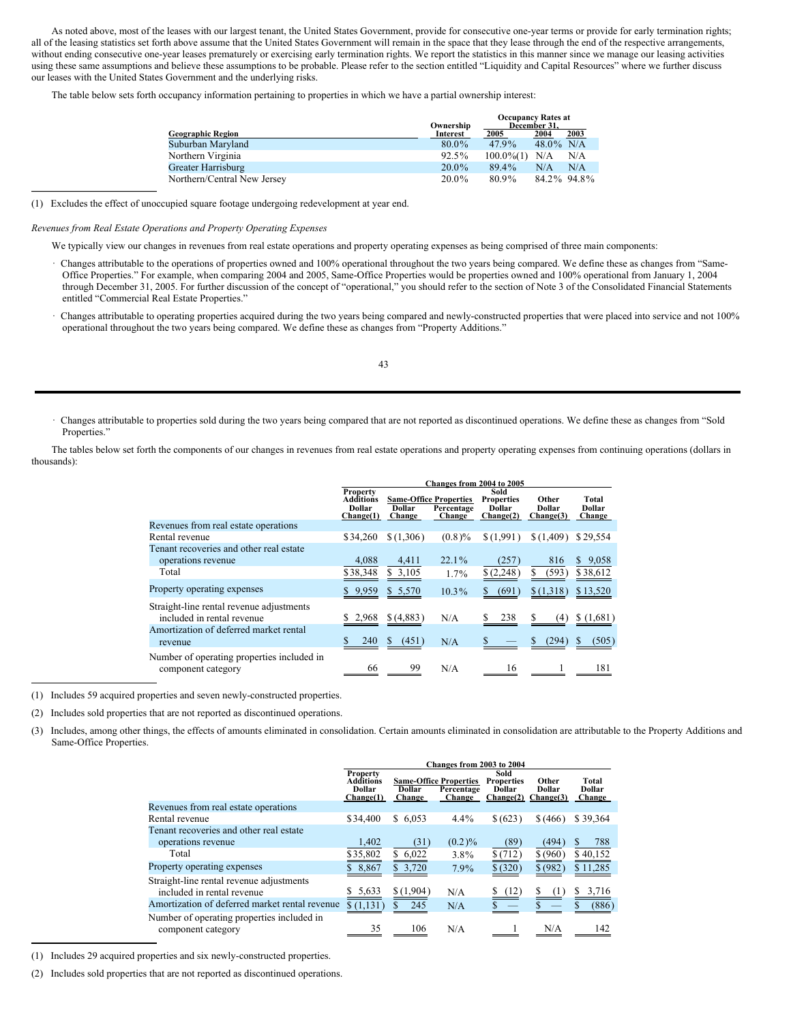As noted above, most of the leases with our largest tenant, the United States Government, provide for consecutive one-year terms or provide for early termination rights; all of the leasing statistics set forth above assume that the United States Government will remain in the space that they lease through the end of the respective arrangements, without ending consecutive one-year leases prematurely or exercising early termination rights. We report the statistics in this manner since we manage our leasing activities using these same assumptions and believe these assumptions to be probable. Please refer to the section entitled "Liquidity and Capital Resources" where we further discuss our leases with the United States Government and the underlying risks.

The table below sets forth occupancy information pertaining to properties in which we have a partial ownership interest:

|                             | Ownership | <b>Occupancy Rates at</b> | December 31. |             |
|-----------------------------|-----------|---------------------------|--------------|-------------|
| <b>Geographic Region</b>    | Interest  | 2005                      | 2004         | 2003        |
| Suburban Maryland           | 80.0%     | $47.9\%$                  | 48.0% $N/A$  |             |
| Northern Virginia           | 92.5%     | $100.0\%$ (1) N/A         |              | N/A         |
| Greater Harrisburg          | $20.0\%$  | 89.4%                     | N/A          | N/A         |
| Northern/Central New Jersey | 20.0%     | 80.9%                     |              | 84.2% 94.8% |

(1) Excludes the effect of unoccupied square footage undergoing redevelopment at year end.

*Revenues from Real Estate Operations and Property Operating Expenses*

We typically view our changes in revenues from real estate operations and property operating expenses as being comprised of three main components:

- · Changes attributable to the operations of properties owned and 100% operational throughout the two years being compared. We define these as changes from "Same-Office Properties." For example, when comparing 2004 and 2005, Same-Office Properties would be properties owned and 100% operational from January 1, 2004 through December 31, 2005. For further discussion of the concept of "operational," you should refer to the section of Note 3 of the Consolidated Financial Statements entitled "Commercial Real Estate Properties."
- · Changes attributable to operating properties acquired during the two years being compared and newly-constructed properties that were placed into service and not 100% operational throughout the two years being compared. We define these as changes from "Property Additions."

| ٦ |                  |
|---|------------------|
|   | I<br>I<br>-<br>v |

· Changes attributable to properties sold during the two years being compared that are not reported as discontinued operations. We define these as changes from "Sold Properties."

The tables below set forth the components of our changes in revenues from real estate operations and property operating expenses from continuing operations (dollars in thousands):

|                                                                        | Changes from 2004 to 2005                    |                  |                                                       |                                                  |                              |                                  |
|------------------------------------------------------------------------|----------------------------------------------|------------------|-------------------------------------------------------|--------------------------------------------------|------------------------------|----------------------------------|
|                                                                        | Property<br>Additions<br>Dollar<br>Change(1) | Dollar<br>Change | <b>Same-Office Properties</b><br>Percentage<br>Change | Sold<br><b>Properties</b><br>Dollar<br>Change(2) | Other<br>Dollar<br>Change(3) | Total<br>Dollar<br><b>Change</b> |
| Revenues from real estate operations                                   |                                              |                  |                                                       |                                                  |                              |                                  |
| Rental revenue                                                         | \$34,260                                     | \$(1,306)        | $(0.8)\%$                                             | \$(1,991)                                        | \$(1,409)                    | \$29,554                         |
| Tenant recoveries and other real estate<br>operations revenue          | 4,088                                        | 4,411            | $22.1\%$                                              | (257)                                            | 816                          | \$<br>9,058                      |
| Total                                                                  | \$38,348                                     | \$3,105          | $1.7\%$                                               | \$(2,248)                                        | (593)<br>S                   | \$38,612                         |
| Property operating expenses                                            | 9.959                                        | \$5,570          | $10.3\%$                                              | (691)<br>S                                       | \$(1,318)                    | \$13,520                         |
| Straight-line rental revenue adjustments<br>included in rental revenue | 2,968                                        | \$ (4,883)       | N/A                                                   | 238                                              | S<br>(4)                     | \$(1,681)                        |
| Amortization of deferred market rental<br>revenue                      | 240                                          | (451)<br>S       | N/A                                                   |                                                  | (294)<br>\$.                 | (505)<br><sup>S</sup>            |
| Number of operating properties included in<br>component category       | 66                                           | 99               | N/A                                                   | 16                                               |                              | 181                              |

(1) Includes 59 acquired properties and seven newly-constructed properties.

(2) Includes sold properties that are not reported as discontinued operations.

(3) Includes, among other things, the effects of amounts eliminated in consolidation. Certain amounts eliminated in consolidation are attributable to the Property Additions and Same-Office Properties.

|                                                                                                                          | Changes from 2003 to 2004                    |                         |                                                       |                                                  |                              |                           |
|--------------------------------------------------------------------------------------------------------------------------|----------------------------------------------|-------------------------|-------------------------------------------------------|--------------------------------------------------|------------------------------|---------------------------|
|                                                                                                                          | Property<br>Additions<br>Dollar<br>Change(1) | <b>Dollar</b><br>Change | <b>Same-Office Properties</b><br>Percentage<br>Change | Sold<br><b>Properties</b><br>Dollar<br>Change(2) | Other<br>Dollar<br>Change(3) | Total<br>Dollar<br>Change |
| Revenues from real estate operations                                                                                     |                                              |                         |                                                       |                                                  |                              |                           |
| Rental revenue                                                                                                           | \$34,400                                     | \$ 6,053                | 4.4%                                                  | \$ (623)                                         | \$ (466)                     | \$39,364                  |
| Tenant recoveries and other real estate<br>operations revenue                                                            | 1,402                                        | (31)                    | $(0.2)\%$                                             | (89)                                             | (494)                        | 788<br>S                  |
| Total                                                                                                                    | \$35,802                                     | \$6,022                 | 3.8%                                                  | \$(712)                                          | \$ (960)                     | \$40,152                  |
| Property operating expenses                                                                                              | 8,867                                        | \$3,720                 | 7.9%                                                  | \$ (320)                                         | \$ (982)                     | \$11,285                  |
| Straight-line rental revenue adjustments<br>included in rental revenue<br>Amortization of deferred market rental revenue | 5,633<br>\$(1,131)                           | \$(1,904)<br>245<br>\$  | N/A                                                   | (12)                                             | S<br>(1)                     | S<br>3,716<br>(886)<br>S  |
| Number of operating properties included in<br>component category                                                         | 35                                           | 106                     | N/A<br>N/A                                            | –                                                | N/A                          | 142                       |

(1) Includes 29 acquired properties and six newly-constructed properties.

<sup>(2)</sup> Includes sold properties that are not reported as discontinued operations.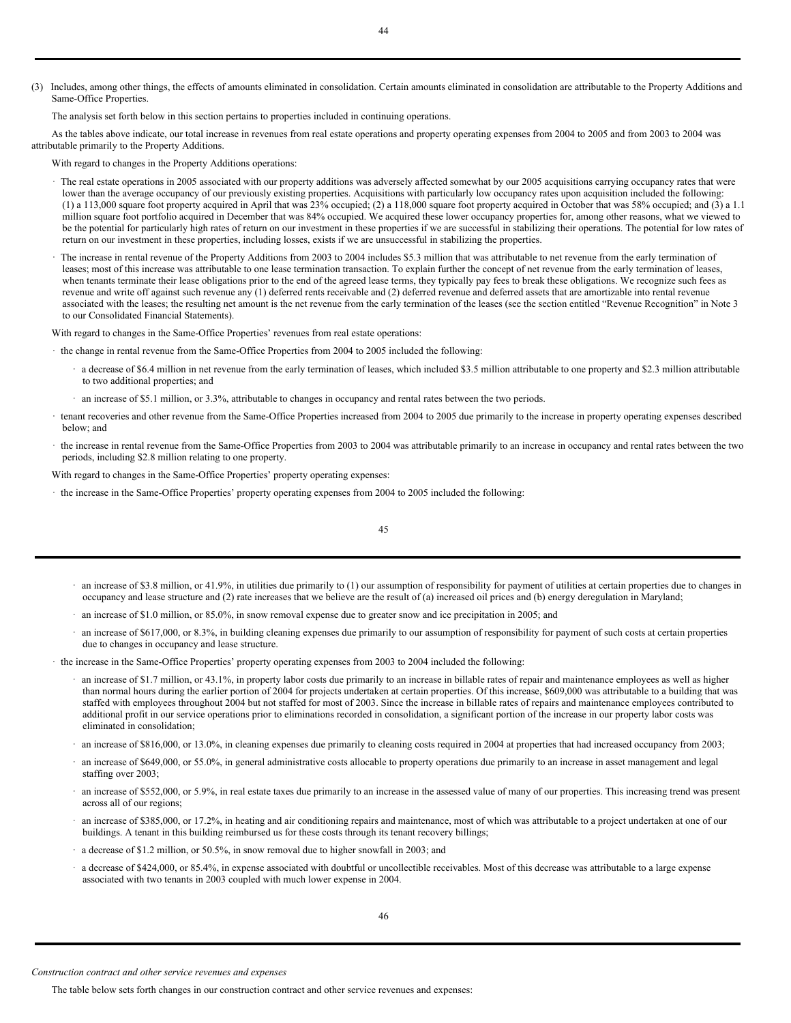(3) Includes, among other things, the effects of amounts eliminated in consolidation. Certain amounts eliminated in consolidation are attributable to the Property Additions and Same-Office Properties.

The analysis set forth below in this section pertains to properties included in continuing operations.

As the tables above indicate, our total increase in revenues from real estate operations and property operating expenses from 2004 to 2005 and from 2003 to 2004 was attributable primarily to the Property Additions.

With regard to changes in the Property Additions operations:

- · The real estate operations in 2005 associated with our property additions was adversely affected somewhat by our 2005 acquisitions carrying occupancy rates that were lower than the average occupancy of our previously existing properties. Acquisitions with particularly low occupancy rates upon acquisition included the following: (1) a 113,000 square foot property acquired in April that was 23% occupied; (2) a 118,000 square foot property acquired in October that was 58% occupied; and (3) a 1.1 million square foot portfolio acquired in December that was 84% occupied. We acquired these lower occupancy properties for, among other reasons, what we viewed to be the potential for particularly high rates of return on our investment in these properties if we are successful in stabilizing their operations. The potential for low rates of return on our investment in these properties, including losses, exists if we are unsuccessful in stabilizing the properties.
- The increase in rental revenue of the Property Additions from 2003 to 2004 includes \$5.3 million that was attributable to net revenue from the early termination of leases; most of this increase was attributable to one lease termination transaction. To explain further the concept of net revenue from the early termination of leases, when tenants terminate their lease obligations prior to the end of the agreed lease terms, they typically pay fees to break these obligations. We recognize such fees as revenue and write off against such revenue any (1) deferred rents receivable and (2) deferred revenue and deferred assets that are amortizable into rental revenue associated with the leases; the resulting net amount is the net revenue from the early termination of the leases (see the section entitled "Revenue Recognition" in Note 3 to our Consolidated Financial Statements).

With regard to changes in the Same-Office Properties' revenues from real estate operations:

· the change in rental revenue from the Same-Office Properties from 2004 to 2005 included the following:

- a decrease of \$6.4 million in net revenue from the early termination of leases, which included \$3.5 million attributable to one property and \$2.3 million attributable to two additional properties; and
- · an increase of \$5.1 million, or 3.3%, attributable to changes in occupancy and rental rates between the two periods.
- · tenant recoveries and other revenue from the Same-Office Properties increased from 2004 to 2005 due primarily to the increase in property operating expenses described below; and
- · the increase in rental revenue from the Same-Office Properties from 2003 to 2004 was attributable primarily to an increase in occupancy and rental rates between the two periods, including \$2.8 million relating to one property.

With regard to changes in the Same-Office Properties' property operating expenses:

· the increase in the Same-Office Properties' property operating expenses from 2004 to 2005 included the following:

45

- · an increase of \$3.8 million, or 41.9%, in utilities due primarily to (1) our assumption of responsibility for payment of utilities at certain properties due to changes in occupancy and lease structure and (2) rate increases that we believe are the result of (a) increased oil prices and (b) energy deregulation in Maryland;
- · an increase of \$1.0 million, or 85.0%, in snow removal expense due to greater snow and ice precipitation in 2005; and
- · an increase of \$617,000, or 8.3%, in building cleaning expenses due primarily to our assumption of responsibility for payment of such costs at certain properties due to changes in occupancy and lease structure.
- · the increase in the Same-Office Properties' property operating expenses from 2003 to 2004 included the following:
	- an increase of \$1.7 million, or 43.1%, in property labor costs due primarily to an increase in billable rates of repair and maintenance employees as well as higher than normal hours during the earlier portion of 2004 for projects undertaken at certain properties. Of this increase, \$609,000 was attributable to a building that was staffed with employees throughout 2004 but not staffed for most of 2003. Since the increase in billable rates of repairs and maintenance employees contributed to additional profit in our service operations prior to eliminations recorded in consolidation, a significant portion of the increase in our property labor costs was eliminated in consolidation;
	- · an increase of \$816,000, or 13.0%, in cleaning expenses due primarily to cleaning costs required in 2004 at properties that had increased occupancy from 2003;
	- an increase of \$649,000, or 55.0%, in general administrative costs allocable to property operations due primarily to an increase in asset management and legal staffing over 2003;
	- an increase of \$552,000, or 5.9%, in real estate taxes due primarily to an increase in the assessed value of many of our properties. This increasing trend was present across all of our regions;
	- · an increase of \$385,000, or 17.2%, in heating and air conditioning repairs and maintenance, most of which was attributable to a project undertaken at one of our buildings. A tenant in this building reimbursed us for these costs through its tenant recovery billings;
	- · a decrease of \$1.2 million, or 50.5%, in snow removal due to higher snowfall in 2003; and
	- · a decrease of \$424,000, or 85.4%, in expense associated with doubtful or uncollectible receivables. Most of this decrease was attributable to a large expense associated with two tenants in 2003 coupled with much lower expense in 2004.

46

*Construction contract and other service revenues and expenses*

The table below sets forth changes in our construction contract and other service revenues and expenses: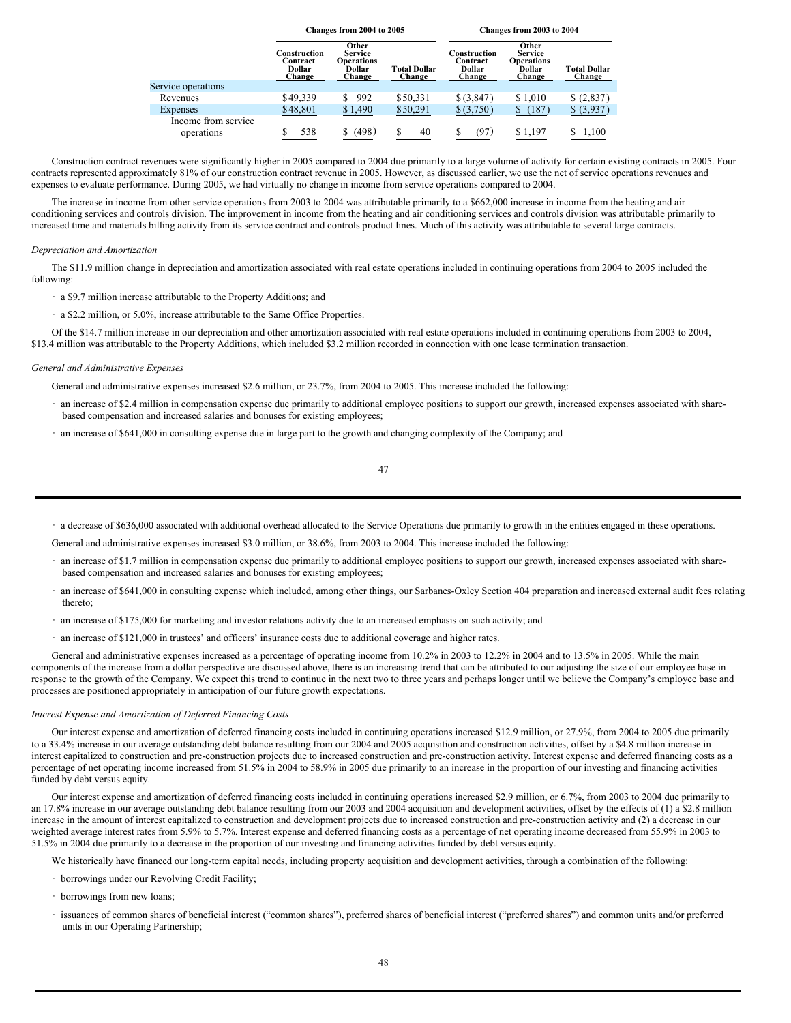|                                   | Changes from 2004 to 2005                    |                                                                  |                               | Changes from 2003 to 2004                    |                                                                         |                               |  |
|-----------------------------------|----------------------------------------------|------------------------------------------------------------------|-------------------------------|----------------------------------------------|-------------------------------------------------------------------------|-------------------------------|--|
|                                   | Construction<br>Contract<br>Dollar<br>Change | Other<br><b>Service</b><br><b>Operations</b><br>Dollar<br>Change | <b>Total Dollar</b><br>Change | Construction<br>Contract<br>Dollar<br>Change | Other<br><b>Service</b><br><b>Operations</b><br><b>Dollar</b><br>Change | <b>Total Dollar</b><br>Change |  |
| Service operations                |                                              |                                                                  |                               |                                              |                                                                         |                               |  |
| Revenues                          | \$49,339                                     | 992<br>S.                                                        | \$50,331                      | \$ (3,847)                                   | \$1,010                                                                 | \$(2,837)                     |  |
| Expenses                          | \$48,801                                     | \$1,490                                                          | \$50,291                      | $$$ $(3,750)$                                | (187)<br>S.                                                             | \$ (3,937)                    |  |
| Income from service<br>operations | 538                                          | (498)<br>S                                                       | 40                            | (97)                                         | \$1,197                                                                 | 1,100                         |  |

Construction contract revenues were significantly higher in 2005 compared to 2004 due primarily to a large volume of activity for certain existing contracts in 2005. Four contracts represented approximately 81% of our construction contract revenue in 2005. However, as discussed earlier, we use the net of service operations revenues and expenses to evaluate performance. During 2005, we had virtually no change in income from service operations compared to 2004.

The increase in income from other service operations from 2003 to 2004 was attributable primarily to a \$662,000 increase in income from the heating and air conditioning services and controls division. The improvement in income from the heating and air conditioning services and controls division was attributable primarily to increased time and materials billing activity from its service contract and controls product lines. Much of this activity was attributable to several large contracts.

## *Depreciation and Amortization*

The \$11.9 million change in depreciation and amortization associated with real estate operations included in continuing operations from 2004 to 2005 included the following:

· a \$9.7 million increase attributable to the Property Additions; and

· a \$2.2 million, or 5.0%, increase attributable to the Same Office Properties.

Of the \$14.7 million increase in our depreciation and other amortization associated with real estate operations included in continuing operations from 2003 to 2004, \$13.4 million was attributable to the Property Additions, which included \$3.2 million recorded in connection with one lease termination transaction.

## *General and Administrative Expenses*

General and administrative expenses increased \$2.6 million, or 23.7%, from 2004 to 2005. This increase included the following:

- an increase of \$2.4 million in compensation expense due primarily to additional employee positions to support our growth, increased expenses associated with sharebased compensation and increased salaries and bonuses for existing employees;
- · an increase of \$641,000 in consulting expense due in large part to the growth and changing complexity of the Company; and

47

· a decrease of \$636,000 associated with additional overhead allocated to the Service Operations due primarily to growth in the entities engaged in these operations.

General and administrative expenses increased \$3.0 million, or 38.6%, from 2003 to 2004. This increase included the following:

- · an increase of \$1.7 million in compensation expense due primarily to additional employee positions to support our growth, increased expenses associated with sharebased compensation and increased salaries and bonuses for existing employees;
- · an increase of \$641,000 in consulting expense which included, among other things, our Sarbanes-Oxley Section 404 preparation and increased external audit fees relating thereto;
- · an increase of \$175,000 for marketing and investor relations activity due to an increased emphasis on such activity; and
- · an increase of \$121,000 in trustees' and officers' insurance costs due to additional coverage and higher rates.

General and administrative expenses increased as a percentage of operating income from 10.2% in 2003 to 12.2% in 2004 and to 13.5% in 2005. While the main components of the increase from a dollar perspective are discussed above, there is an increasing trend that can be attributed to our adjusting the size of our employee base in response to the growth of the Company. We expect this trend to continue in the next two to three years and perhaps longer until we believe the Company's employee base and processes are positioned appropriately in anticipation of our future growth expectations.

### *Interest Expense and Amortization of Deferred Financing Costs*

Our interest expense and amortization of deferred financing costs included in continuing operations increased \$12.9 million, or 27.9%, from 2004 to 2005 due primarily to a 33.4% increase in our average outstanding debt balance resulting from our 2004 and 2005 acquisition and construction activities, offset by a \$4.8 million increase in interest capitalized to construction and pre-construction projects due to increased construction and pre-construction activity. Interest expense and deferred financing costs as a percentage of net operating income increased from 51.5% in 2004 to 58.9% in 2005 due primarily to an increase in the proportion of our investing and financing activities funded by debt versus equity.

Our interest expense and amortization of deferred financing costs included in continuing operations increased \$2.9 million, or 6.7%, from 2003 to 2004 due primarily to an 17.8% increase in our average outstanding debt balance resulting from our 2003 and 2004 acquisition and development activities, offset by the effects of (1) a \$2.8 million increase in the amount of interest capitalized to construction and development projects due to increased construction and pre-construction activity and (2) a decrease in our weighted average interest rates from 5.9% to 5.7%. Interest expense and deferred financing costs as a percentage of net operating income decreased from 55.9% in 2003 to 51.5% in 2004 due primarily to a decrease in the proportion of our investing and financing activities funded by debt versus equity.

We historically have financed our long-term capital needs, including property acquisition and development activities, through a combination of the following:

- · borrowings under our Revolving Credit Facility;
- · borrowings from new loans;
- · issuances of common shares of beneficial interest ("common shares"), preferred shares of beneficial interest ("preferred shares") and common units and/or preferred units in our Operating Partnership;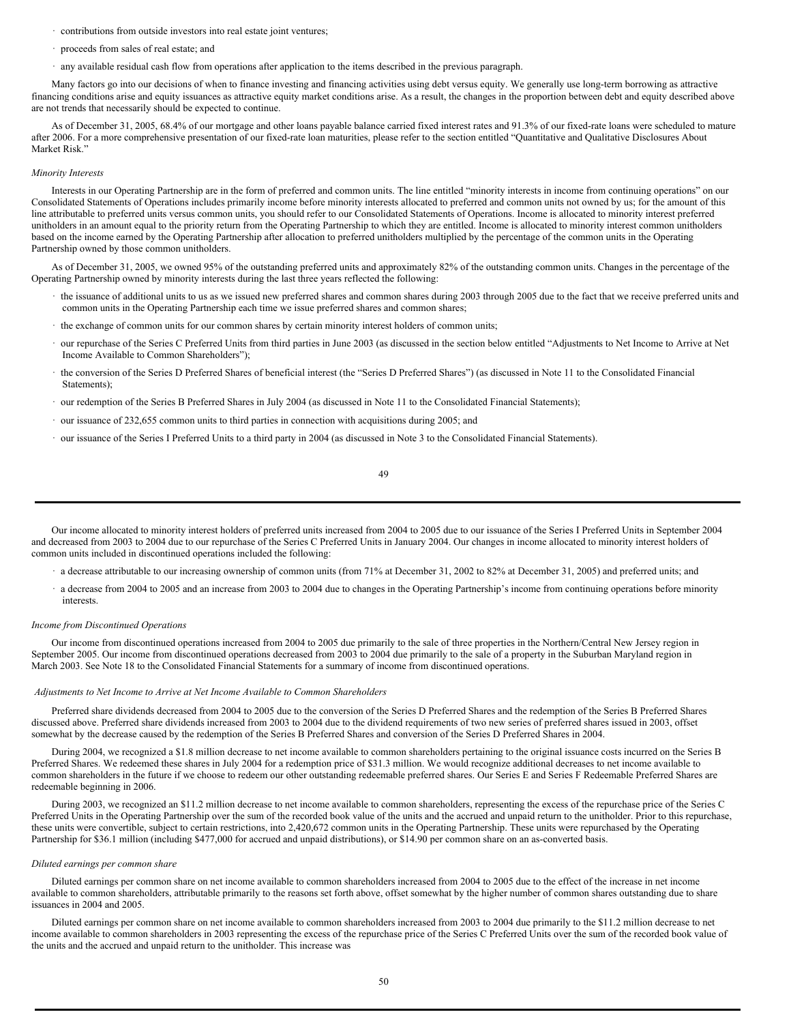- · contributions from outside investors into real estate joint ventures;
- · proceeds from sales of real estate; and
- · any available residual cash flow from operations after application to the items described in the previous paragraph.

Many factors go into our decisions of when to finance investing and financing activities using debt versus equity. We generally use long-term borrowing as attractive financing conditions arise and equity issuances as attractive equity market conditions arise. As a result, the changes in the proportion between debt and equity described above are not trends that necessarily should be expected to continue.

As of December 31, 2005, 68.4% of our mortgage and other loans payable balance carried fixed interest rates and 91.3% of our fixed-rate loans were scheduled to mature after 2006. For a more comprehensive presentation of our fixed-rate loan maturities, please refer to the section entitled "Quantitative and Qualitative Disclosures About Market Risk."

#### *Minority Interests*

Interests in our Operating Partnership are in the form of preferred and common units. The line entitled "minority interests in income from continuing operations" on our Consolidated Statements of Operations includes primarily income before minority interests allocated to preferred and common units not owned by us; for the amount of this line attributable to preferred units versus common units, you should refer to our Consolidated Statements of Operations. Income is allocated to minority interest preferred unitholders in an amount equal to the priority return from the Operating Partnership to which they are entitled. Income is allocated to minority interest common unitholders based on the income earned by the Operating Partnership after allocation to preferred unitholders multiplied by the percentage of the common units in the Operating Partnership owned by those common unitholders.

As of December 31, 2005, we owned 95% of the outstanding preferred units and approximately 82% of the outstanding common units. Changes in the percentage of the Operating Partnership owned by minority interests during the last three years reflected the following:

- · the issuance of additional units to us as we issued new preferred shares and common shares during 2003 through 2005 due to the fact that we receive preferred units and common units in the Operating Partnership each time we issue preferred shares and common shares;
- · the exchange of common units for our common shares by certain minority interest holders of common units;
- · our repurchase of the Series C Preferred Units from third parties in June 2003 (as discussed in the section below entitled "Adjustments to Net Income to Arrive at Net Income Available to Common Shareholders");
- · the conversion of the Series D Preferred Shares of beneficial interest (the "Series D Preferred Shares") (as discussed in Note 11 to the Consolidated Financial Statements);
- · our redemption of the Series B Preferred Shares in July 2004 (as discussed in Note 11 to the Consolidated Financial Statements);
- · our issuance of 232,655 common units to third parties in connection with acquisitions during 2005; and
- · our issuance of the Series I Preferred Units to a third party in 2004 (as discussed in Note 3 to the Consolidated Financial Statements).

49

Our income allocated to minority interest holders of preferred units increased from 2004 to 2005 due to our issuance of the Series I Preferred Units in September 2004 and decreased from 2003 to 2004 due to our repurchase of the Series C Preferred Units in January 2004. Our changes in income allocated to minority interest holders of common units included in discontinued operations included the following:

- · a decrease attributable to our increasing ownership of common units (from 71% at December 31, 2002 to 82% at December 31, 2005) and preferred units; and
- · a decrease from 2004 to 2005 and an increase from 2003 to 2004 due to changes in the Operating Partnership's income from continuing operations before minority interests.

## *Income from Discontinued Operations*

Our income from discontinued operations increased from 2004 to 2005 due primarily to the sale of three properties in the Northern/Central New Jersey region in September 2005. Our income from discontinued operations decreased from 2003 to 2004 due primarily to the sale of a property in the Suburban Maryland region in March 2003. See Note 18 to the Consolidated Financial Statements for a summary of income from discontinued operations.

#### *Adjustments to Net Income to Arrive at Net Income Available to Common Shareholders*

Preferred share dividends decreased from 2004 to 2005 due to the conversion of the Series D Preferred Shares and the redemption of the Series B Preferred Shares discussed above. Preferred share dividends increased from 2003 to 2004 due to the dividend requirements of two new series of preferred shares issued in 2003, offset somewhat by the decrease caused by the redemption of the Series B Preferred Shares and conversion of the Series D Preferred Shares in 2004.

During 2004, we recognized a \$1.8 million decrease to net income available to common shareholders pertaining to the original issuance costs incurred on the Series B Preferred Shares. We redeemed these shares in July 2004 for a redemption price of \$31.3 million. We would recognize additional decreases to net income available to common shareholders in the future if we choose to redeem our other outstanding redeemable preferred shares. Our Series E and Series F Redeemable Preferred Shares are redeemable beginning in 2006.

During 2003, we recognized an \$11.2 million decrease to net income available to common shareholders, representing the excess of the repurchase price of the Series C Preferred Units in the Operating Partnership over the sum of the recorded book value of the units and the accrued and unpaid return to the unitholder. Prior to this repurchase, these units were convertible, subject to certain restrictions, into 2,420,672 common units in the Operating Partnership. These units were repurchased by the Operating Partnership for \$36.1 million (including \$477,000 for accrued and unpaid distributions), or \$14.90 per common share on an as-converted basis.

#### *Diluted earnings per common share*

Diluted earnings per common share on net income available to common shareholders increased from 2004 to 2005 due to the effect of the increase in net income available to common shareholders, attributable primarily to the reasons set forth above, offset somewhat by the higher number of common shares outstanding due to share issuances in 2004 and 2005.

Diluted earnings per common share on net income available to common shareholders increased from 2003 to 2004 due primarily to the \$11.2 million decrease to net income available to common shareholders in 2003 representing the excess of the repurchase price of the Series C Preferred Units over the sum of the recorded book value of the units and the accrued and unpaid return to the unitholder. This increase was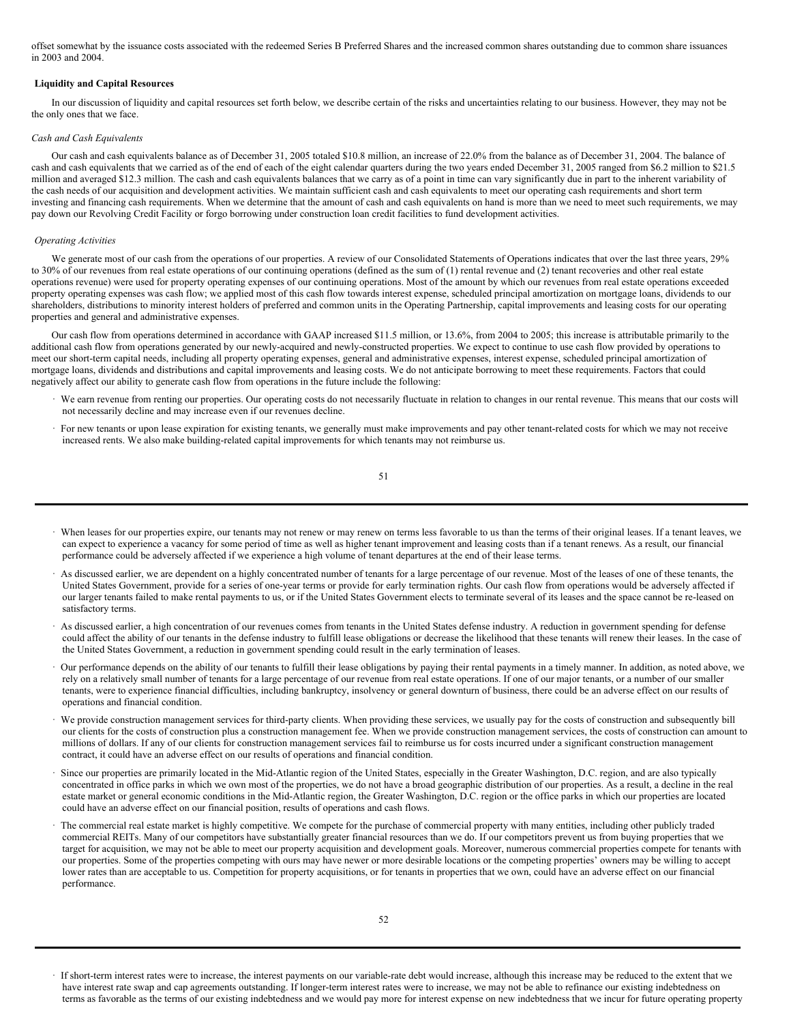offset somewhat by the issuance costs associated with the redeemed Series B Preferred Shares and the increased common shares outstanding due to common share issuances in 2003 and 2004.

#### **Liquidity and Capital Resources**

In our discussion of liquidity and capital resources set forth below, we describe certain of the risks and uncertainties relating to our business. However, they may not be the only ones that we face.

#### *Cash and Cash Equivalents*

Our cash and cash equivalents balance as of December 31, 2005 totaled \$10.8 million, an increase of 22.0% from the balance as of December 31, 2004. The balance of cash and cash equivalents that we carried as of the end of each of the eight calendar quarters during the two years ended December 31, 2005 ranged from \$6.2 million to \$21.5 million and averaged \$12.3 million. The cash and cash equivalents balances that we carry as of a point in time can vary significantly due in part to the inherent variability of the cash needs of our acquisition and development activities. We maintain sufficient cash and cash equivalents to meet our operating cash requirements and short term investing and financing cash requirements. When we determine that the amount of cash and cash equivalents on hand is more than we need to meet such requirements, we may pay down our Revolving Credit Facility or forgo borrowing under construction loan credit facilities to fund development activities.

## *Operating Activities*

We generate most of our cash from the operations of our properties. A review of our Consolidated Statements of Operations indicates that over the last three years, 29% to 30% of our revenues from real estate operations of our continuing operations (defined as the sum of (1) rental revenue and (2) tenant recoveries and other real estate operations revenue) were used for property operating expenses of our continuing operations. Most of the amount by which our revenues from real estate operations exceeded property operating expenses was cash flow; we applied most of this cash flow towards interest expense, scheduled principal amortization on mortgage loans, dividends to our shareholders, distributions to minority interest holders of preferred and common units in the Operating Partnership, capital improvements and leasing costs for our operating properties and general and administrative expenses.

Our cash flow from operations determined in accordance with GAAP increased \$11.5 million, or 13.6%, from 2004 to 2005; this increase is attributable primarily to the additional cash flow from operations generated by our newly-acquired and newly-constructed properties. We expect to continue to use cash flow provided by operations to meet our short-term capital needs, including all property operating expenses, general and administrative expenses, interest expense, scheduled principal amortization of mortgage loans, dividends and distributions and capital improvements and leasing costs. We do not anticipate borrowing to meet these requirements. Factors that could negatively affect our ability to generate cash flow from operations in the future include the following:

- · We earn revenue from renting our properties. Our operating costs do not necessarily fluctuate in relation to changes in our rental revenue. This means that our costs will not necessarily decline and may increase even if our revenues decline.
- · For new tenants or upon lease expiration for existing tenants, we generally must make improvements and pay other tenant-related costs for which we may not receive increased rents. We also make building-related capital improvements for which tenants may not reimburse us.

| I<br>I<br>$\sim$ |  |
|------------------|--|

- · When leases for our properties expire, our tenants may not renew or may renew on terms less favorable to us than the terms of their original leases. If a tenant leaves, we can expect to experience a vacancy for some period of time as well as higher tenant improvement and leasing costs than if a tenant renews. As a result, our financial performance could be adversely affected if we experience a high volume of tenant departures at the end of their lease terms.
- · As discussed earlier, we are dependent on a highly concentrated number of tenants for a large percentage of our revenue. Most of the leases of one of these tenants, the United States Government, provide for a series of one-year terms or provide for early termination rights. Our cash flow from operations would be adversely affected if our larger tenants failed to make rental payments to us, or if the United States Government elects to terminate several of its leases and the space cannot be re-leased on satisfactory terms.
- As discussed earlier, a high concentration of our revenues comes from tenants in the United States defense industry. A reduction in government spending for defense could affect the ability of our tenants in the defense industry to fulfill lease obligations or decrease the likelihood that these tenants will renew their leases. In the case of the United States Government, a reduction in government spending could result in the early termination of leases.
- · Our performance depends on the ability of our tenants to fulfill their lease obligations by paying their rental payments in a timely manner. In addition, as noted above, we rely on a relatively small number of tenants for a large percentage of our revenue from real estate operations. If one of our major tenants, or a number of our smaller tenants, were to experience financial difficulties, including bankruptcy, insolvency or general downturn of business, there could be an adverse effect on our results of operations and financial condition.
- · We provide construction management services for third-party clients. When providing these services, we usually pay for the costs of construction and subsequently bill our clients for the costs of construction plus a construction management fee. When we provide construction management services, the costs of construction can amount to millions of dollars. If any of our clients for construction management services fail to reimburse us for costs incurred under a significant construction management contract, it could have an adverse effect on our results of operations and financial condition.
- Since our properties are primarily located in the Mid-Atlantic region of the United States, especially in the Greater Washington, D.C. region, and are also typically concentrated in office parks in which we own most of the properties, we do not have a broad geographic distribution of our properties. As a result, a decline in the real estate market or general economic conditions in the Mid-Atlantic region, the Greater Washington, D.C. region or the office parks in which our properties are located could have an adverse effect on our financial position, results of operations and cash flows.
- · The commercial real estate market is highly competitive. We compete for the purchase of commercial property with many entities, including other publicly traded commercial REITs. Many of our competitors have substantially greater financial resources than we do. If our competitors prevent us from buying properties that we target for acquisition, we may not be able to meet our property acquisition and development goals. Moreover, numerous commercial properties compete for tenants with our properties. Some of the properties competing with ours may have newer or more desirable locations or the competing properties' owners may be willing to accept lower rates than are acceptable to us. Competition for property acquisitions, or for tenants in properties that we own, could have an adverse effect on our financial performance.

<sup>·</sup> If short-term interest rates were to increase, the interest payments on our variable-rate debt would increase, although this increase may be reduced to the extent that we have interest rate swap and cap agreements outstanding. If longer-term interest rates were to increase, we may not be able to refinance our existing indebtedness on terms as favorable as the terms of our existing indebtedness and we would pay more for interest expense on new indebtedness that we incur for future operating property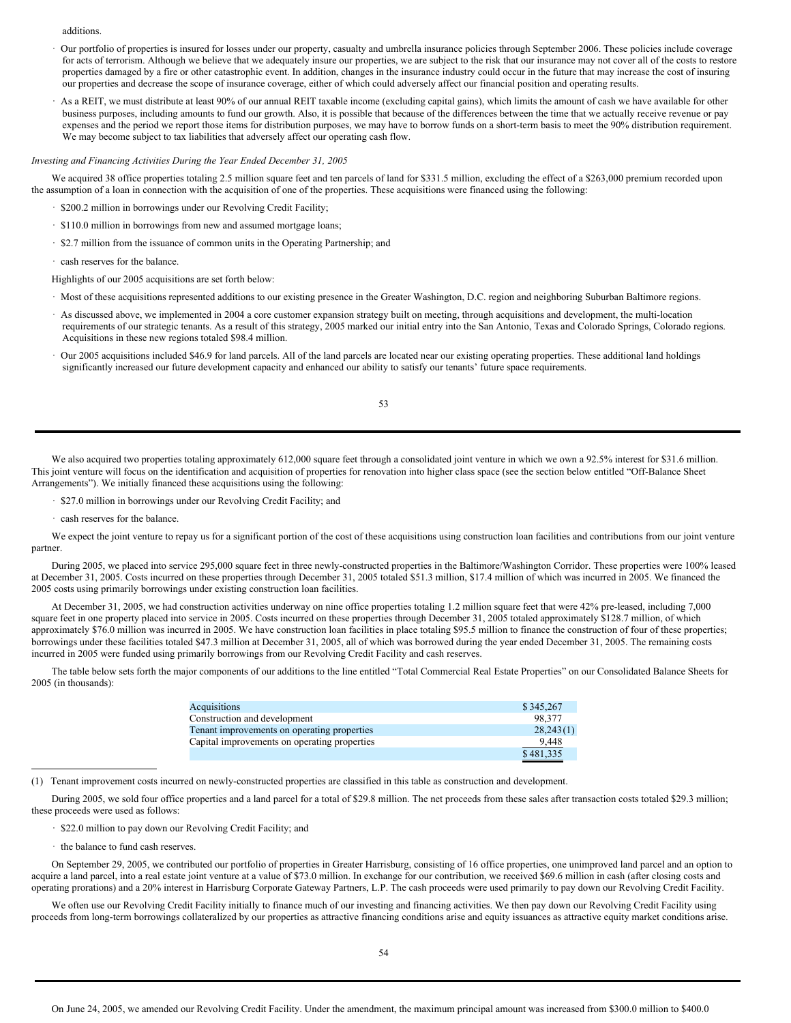#### additions.

- · Our portfolio of properties is insured for losses under our property, casualty and umbrella insurance policies through September 2006. These policies include coverage for acts of terrorism. Although we believe that we adequately insure our properties, we are subject to the risk that our insurance may not cover all of the costs to restore properties damaged by a fire or other catastrophic event. In addition, changes in the insurance industry could occur in the future that may increase the cost of insuring our properties and decrease the scope of insurance coverage, either of which could adversely affect our financial position and operating results.
- As a REIT, we must distribute at least 90% of our annual REIT taxable income (excluding capital gains), which limits the amount of cash we have available for other business purposes, including amounts to fund our growth. Also, it is possible that because of the differences between the time that we actually receive revenue or pay expenses and the period we report those items for distribution purposes, we may have to borrow funds on a short-term basis to meet the 90% distribution requirement. We may become subject to tax liabilities that adversely affect our operating cash flow.

#### *Investing and Financing Activities During the Year Ended December 31, 2005*

We acquired 38 office properties totaling 2.5 million square feet and ten parcels of land for \$331.5 million, excluding the effect of a \$263,000 premium recorded upon the assumption of a loan in connection with the acquisition of one of the properties. These acquisitions were financed using the following:

- · \$200.2 million in borrowings under our Revolving Credit Facility;
- · \$110.0 million in borrowings from new and assumed mortgage loans;
- · \$2.7 million from the issuance of common units in the Operating Partnership; and
- · cash reserves for the balance.

Highlights of our 2005 acquisitions are set forth below:

- · Most of these acquisitions represented additions to our existing presence in the Greater Washington, D.C. region and neighboring Suburban Baltimore regions.
- · As discussed above, we implemented in 2004 a core customer expansion strategy built on meeting, through acquisitions and development, the multi-location requirements of our strategic tenants. As a result of this strategy, 2005 marked our initial entry into the San Antonio, Texas and Colorado Springs, Colorado regions. Acquisitions in these new regions totaled \$98.4 million.
- · Our 2005 acquisitions included \$46.9 for land parcels. All of the land parcels are located near our existing operating properties. These additional land holdings significantly increased our future development capacity and enhanced our ability to satisfy our tenants' future space requirements.

| I<br>I<br>- | I<br>I<br>$\sim$ |
|-------------|------------------|

We also acquired two properties totaling approximately 612,000 square feet through a consolidated joint venture in which we own a 92.5% interest for \$31.6 million. This joint venture will focus on the identification and acquisition of properties for renovation into higher class space (see the section below entitled "Off-Balance Sheet Arrangements"). We initially financed these acquisitions using the following:

- · \$27.0 million in borrowings under our Revolving Credit Facility; and
- · cash reserves for the balance.

We expect the joint venture to repay us for a significant portion of the cost of these acquisitions using construction loan facilities and contributions from our joint venture partner.

During 2005, we placed into service 295,000 square feet in three newly-constructed properties in the Baltimore/Washington Corridor. These properties were 100% leased at December 31, 2005. Costs incurred on these properties through December 31, 2005 totaled \$51.3 million, \$17.4 million of which was incurred in 2005. We financed the 2005 costs using primarily borrowings under existing construction loan facilities.

At December 31, 2005, we had construction activities underway on nine office properties totaling 1.2 million square feet that were 42% pre-leased, including 7,000 square feet in one property placed into service in 2005. Costs incurred on these properties through December 31, 2005 totaled approximately \$128.7 million, of which approximately \$76.0 million was incurred in 2005. We have construction loan facilities in place totaling \$95.5 million to finance the construction of four of these properties; borrowings under these facilities totaled \$47.3 million at December 31, 2005, all of which was borrowed during the year ended December 31, 2005. The remaining costs incurred in 2005 were funded using primarily borrowings from our Revolving Credit Facility and cash reserves.

The table below sets forth the major components of our additions to the line entitled "Total Commercial Real Estate Properties" on our Consolidated Balance Sheets for 2005 (in thousands):

| Acquisitions                                 | \$345,267 |
|----------------------------------------------|-----------|
| Construction and development                 | 98.377    |
| Tenant improvements on operating properties  | 28,243(1) |
| Capital improvements on operating properties | 9.448     |
|                                              | \$481,335 |

(1) Tenant improvement costs incurred on newly-constructed properties are classified in this table as construction and development.

During 2005, we sold four office properties and a land parcel for a total of \$29.8 million. The net proceeds from these sales after transaction costs totaled \$29.3 million; these proceeds were used as follows:

- · \$22.0 million to pay down our Revolving Credit Facility; and
- · the balance to fund cash reserves.

On September 29, 2005, we contributed our portfolio of properties in Greater Harrisburg, consisting of 16 office properties, one unimproved land parcel and an option to acquire a land parcel, into a real estate joint venture at a value of \$73.0 million. In exchange for our contribution, we received \$69.6 million in cash (after closing costs and operating prorations) and a 20% interest in Harrisburg Corporate Gateway Partners, L.P. The cash proceeds were used primarily to pay down our Revolving Credit Facility.

We often use our Revolving Credit Facility initially to finance much of our investing and financing activities. We then pay down our Revolving Credit Facility using proceeds from long-term borrowings collateralized by our properties as attractive financing conditions arise and equity issuances as attractive equity market conditions arise.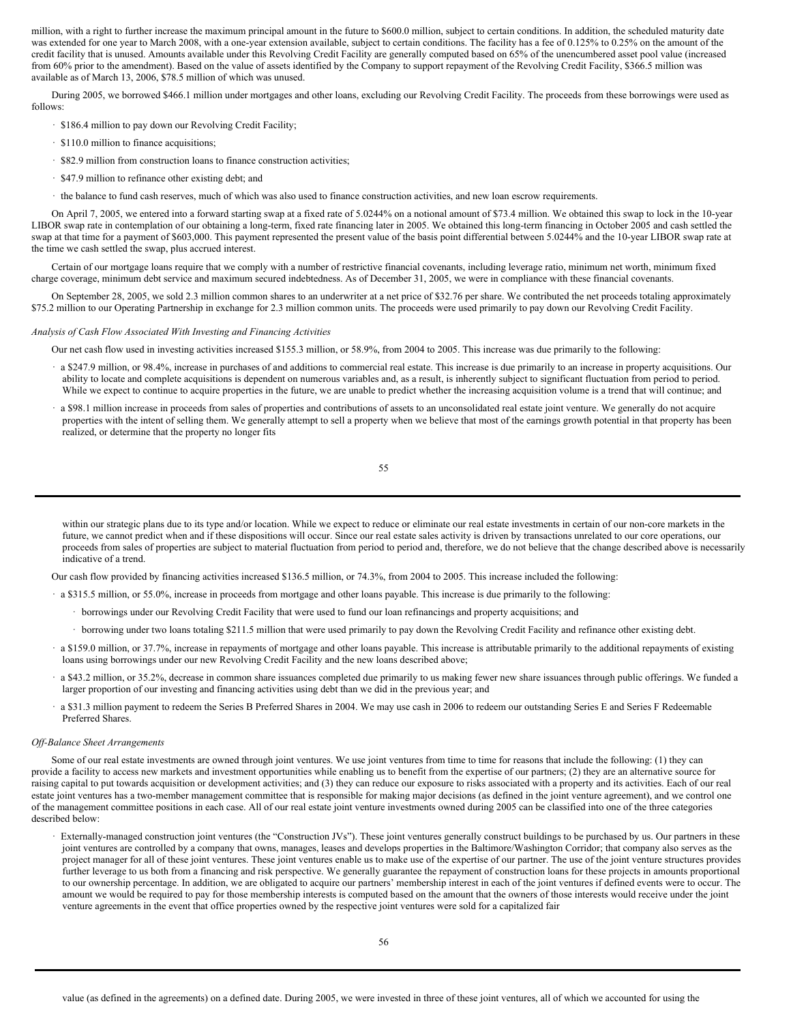million, with a right to further increase the maximum principal amount in the future to \$600.0 million, subject to certain conditions. In addition, the scheduled maturity date was extended for one year to March 2008, with a one-year extension available, subject to certain conditions. The facility has a fee of 0.125% to 0.25% on the amount of the credit facility that is unused. Amounts available under this Revolving Credit Facility are generally computed based on 65% of the unencumbered asset pool value (increased from 60% prior to the amendment). Based on the value of assets identified by the Company to support repayment of the Revolving Credit Facility, \$366.5 million was available as of March 13, 2006, \$78.5 million of which was unused.

During 2005, we borrowed \$466.1 million under mortgages and other loans, excluding our Revolving Credit Facility. The proceeds from these borrowings were used as follows:

- · \$186.4 million to pay down our Revolving Credit Facility;
- · \$110.0 million to finance acquisitions;
- · \$82.9 million from construction loans to finance construction activities;
- · \$47.9 million to refinance other existing debt; and
- · the balance to fund cash reserves, much of which was also used to finance construction activities, and new loan escrow requirements.

On April 7, 2005, we entered into a forward starting swap at a fixed rate of 5.0244% on a notional amount of \$73.4 million. We obtained this swap to lock in the 10-year LIBOR swap rate in contemplation of our obtaining a long-term, fixed rate financing later in 2005. We obtained this long-term financing in October 2005 and cash settled the swap at that time for a payment of \$603,000. This payment represented the present value of the basis point differential between 5.0244% and the 10-year LIBOR swap rate at the time we cash settled the swap, plus accrued interest.

Certain of our mortgage loans require that we comply with a number of restrictive financial covenants, including leverage ratio, minimum net worth, minimum fixed charge coverage, minimum debt service and maximum secured indebtedness. As of December 31, 2005, we were in compliance with these financial covenants.

On September 28, 2005, we sold 2.3 million common shares to an underwriter at a net price of \$32.76 per share. We contributed the net proceeds totaling approximately \$75.2 million to our Operating Partnership in exchange for 2.3 million common units. The proceeds were used primarily to pay down our Revolving Credit Facility.

#### *Analysis of Cash Flow Associated With Investing and Financing Activities*

Our net cash flow used in investing activities increased \$155.3 million, or 58.9%, from 2004 to 2005. This increase was due primarily to the following:

- a \$247.9 million, or 98.4%, increase in purchases of and additions to commercial real estate. This increase is due primarily to an increase in property acquisitions. Our ability to locate and complete acquisitions is dependent on numerous variables and, as a result, is inherently subject to significant fluctuation from period to period. While we expect to continue to acquire properties in the future, we are unable to predict whether the increasing acquisition volume is a trend that will continue; and
- · a \$98.1 million increase in proceeds from sales of properties and contributions of assets to an unconsolidated real estate joint venture. We generally do not acquire properties with the intent of selling them. We generally attempt to sell a property when we believe that most of the earnings growth potential in that property has been realized, or determine that the property no longer fits

55

within our strategic plans due to its type and/or location. While we expect to reduce or eliminate our real estate investments in certain of our non-core markets in the future, we cannot predict when and if these dispositions will occur. Since our real estate sales activity is driven by transactions unrelated to our core operations, our proceeds from sales of properties are subject to material fluctuation from period to period and, therefore, we do not believe that the change described above is necessarily indicative of a trend.

Our cash flow provided by financing activities increased \$136.5 million, or 74.3%, from 2004 to 2005. This increase included the following:

· a \$315.5 million, or 55.0%, increase in proceeds from mortgage and other loans payable. This increase is due primarily to the following:

- · borrowings under our Revolving Credit Facility that were used to fund our loan refinancings and property acquisitions; and
- · borrowing under two loans totaling \$211.5 million that were used primarily to pay down the Revolving Credit Facility and refinance other existing debt.
- · a \$159.0 million, or 37.7%, increase in repayments of mortgage and other loans payable. This increase is attributable primarily to the additional repayments of existing loans using borrowings under our new Revolving Credit Facility and the new loans described above;
- · a \$43.2 million, or 35.2%, decrease in common share issuances completed due primarily to us making fewer new share issuances through public offerings. We funded a larger proportion of our investing and financing activities using debt than we did in the previous year; and
- · a \$31.3 million payment to redeem the Series B Preferred Shares in 2004. We may use cash in 2006 to redeem our outstanding Series E and Series F Redeemable Preferred Shares.

#### *Of -Balance Sheet Arrangements*

Some of our real estate investments are owned through joint ventures. We use joint ventures from time to time for reasons that include the following: (1) they can provide a facility to access new markets and investment opportunities while enabling us to benefit from the expertise of our partners; (2) they are an alternative source for raising capital to put towards acquisition or development activities; and (3) they can reduce our exposure to risks associated with a property and its activities. Each of our real estate joint ventures has a two-member management committee that is responsible for making major decisions (as defined in the joint venture agreement), and we control one of the management committee positions in each case. All of our real estate joint venture investments owned during 2005 can be classified into one of the three categories described below:

· Externally-managed construction joint ventures (the "Construction JVs"). These joint ventures generally construct buildings to be purchased by us. Our partners in these joint ventures are controlled by a company that owns, manages, leases and develops properties in the Baltimore/Washington Corridor; that company also serves as the project manager for all of these joint ventures. These joint ventures enable us to make use of the expertise of our partner. The use of the joint venture structures provides further leverage to us both from a financing and risk perspective. We generally guarantee the repayment of construction loans for these projects in amounts proportional to our ownership percentage. In addition, we are obligated to acquire our partners' membership interest in each of the joint ventures if defined events were to occur. The amount we would be required to pay for those membership interests is computed based on the amount that the owners of those interests would receive under the joint venture agreements in the event that office properties owned by the respective joint ventures were sold for a capitalized fair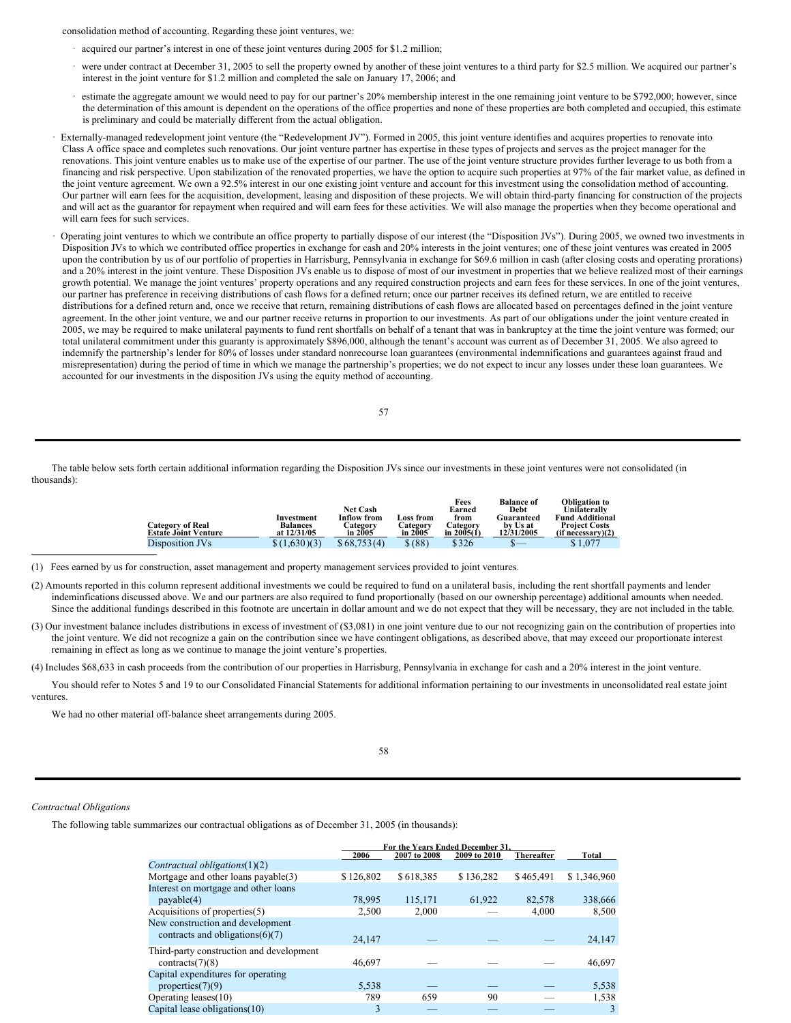consolidation method of accounting. Regarding these joint ventures, we:

- · acquired our partner's interest in one of these joint ventures during 2005 for \$1.2 million;
- · were under contract at December 31, 2005 to sell the property owned by another of these joint ventures to a third party for \$2.5 million. We acquired our partner's interest in the joint venture for \$1.2 million and completed the sale on January 17, 2006; and
- estimate the aggregate amount we would need to pay for our partner's 20% membership interest in the one remaining joint venture to be \$792,000; however, since the determination of this amount is dependent on the operations of the office properties and none of these properties are both completed and occupied, this estimate is preliminary and could be materially different from the actual obligation.
- · Externally-managed redevelopment joint venture (the "Redevelopment JV"). Formed in 2005, this joint venture identifies and acquires properties to renovate into Class A office space and completes such renovations. Our joint venture partner has expertise in these types of projects and serves as the project manager for the renovations. This joint venture enables us to make use of the expertise of our partner. The use of the joint venture structure provides further leverage to us both from a financing and risk perspective. Upon stabilization of the renovated properties, we have the option to acquire such properties at 97% of the fair market value, as defined in the joint venture agreement. We own a 92.5% interest in our one existing joint venture and account for this investment using the consolidation method of accounting. Our partner will earn fees for the acquisition, development, leasing and disposition of these projects. We will obtain third-party financing for construction of the projects and will act as the guarantor for repayment when required and will earn fees for these activities. We will also manage the properties when they become operational and will earn fees for such services.
- · Operating joint ventures to which we contribute an office property to partially dispose of our interest (the "Disposition JVs"). During 2005, we owned two investments in Disposition JVs to which we contributed office properties in exchange for cash and 20% interests in the joint ventures; one of these joint ventures was created in 2005 upon the contribution by us of our portfolio of properties in Harrisburg, Pennsylvania in exchange for \$69.6 million in cash (after closing costs and operating prorations) and a 20% interest in the joint venture. These Disposition JVs enable us to dispose of most of our investment in properties that we believe realized most of their earnings growth potential. We manage the joint ventures' property operations and any required construction projects and earn fees for these services. In one of the joint ventures, our partner has preference in receiving distributions of cash flows for a defined return; once our partner receives its defined return, we are entitled to receive distributions for a defined return and, once we receive that return, remaining distributions of cash flows are allocated based on percentages defined in the joint venture agreement. In the other joint venture, we and our partner receive returns in proportion to our investments. As part of our obligations under the joint venture created in 2005, we may be required to make unilateral payments to fund rent shortfalls on behalf of a tenant that was in bankruptcy at the time the joint venture was formed; our total unilateral commitment under this guaranty is approximately \$896,000, although the tenant's account was current as of December 31, 2005. We also agreed to indemnify the partnership's lender for 80% of losses under standard nonrecourse loan guarantees (environmental indemnifications and guarantees against fraud and misrepresentation) during the period of time in which we manage the partnership's properties; we do not expect to incur any losses under these loan guarantees. We accounted for our investments in the disposition JVs using the equity method of accounting.

57

The table below sets forth certain additional information regarding the Disposition JVs since our investments in these joint ventures were not consolidated (in thousands):

|                             |                 |             |           | Fees         | <b>Balance of</b> | <b>Obligation to</b>   |
|-----------------------------|-----------------|-------------|-----------|--------------|-------------------|------------------------|
|                             |                 | Net Cash    |           | Earned       | <b>Debt</b>       | Unilaterally           |
|                             | Investment      | Inflow from | Loss from | from         | Guaranteed        | <b>Fund Additional</b> |
| <b>Category of Real</b>     | <b>Balances</b> | Category    | Category  | Category     | by Us at          | <b>Project Costs</b>   |
| <b>Estate Joint Venture</b> | at 12/31/05     | in $2005$   | in 2005   | in $2005(1)$ | 12/31/2005        | (if necessary)(2)      |
| Disposition JVs             | \$(1,630)(3)    | \$68,753(4) | \$ (88)   | \$326        |                   | \$1,077                |

(1) Fees earned by us for construction, asset management and property management services provided to joint ventures.

- (2) Amounts reported in this column represent additional investments we could be required to fund on a unilateral basis, including the rent shortfall payments and lender indeminfications discussed above. We and our partners are also required to fund proportionally (based on our ownership percentage) additional amounts when needed. Since the additional fundings described in this footnote are uncertain in dollar amount and we do not expect that they will be necessary, they are not included in the table.
- (3) Our investment balance includes distributions in excess of investment of (\$3,081) in one joint venture due to our not recognizing gain on the contribution of properties into the joint venture. We did not recognize a gain on the contribution since we have contingent obligations, as described above, that may exceed our proportionate interest remaining in effect as long as we continue to manage the joint venture's properties.

(4) Includes \$68,633 in cash proceeds from the contribution of our properties in Harrisburg, Pennsylvania in exchange for cash and a 20% interest in the joint venture.

You should refer to Notes 5 and 19 to our Consolidated Financial Statements for additional information pertaining to our investments in unconsolidated real estate joint ventures.

We had no other material off-balance sheet arrangements during 2005.

### *Contractual Obligations*

The following table summarizes our contractual obligations as of December 31, 2005 (in thousands):

|                                          | For the Years Ended December 31. |              |              |            |             |  |
|------------------------------------------|----------------------------------|--------------|--------------|------------|-------------|--|
|                                          | 2006                             | 2007 to 2008 | 2009 to 2010 | Thereafter | Total       |  |
| Contractual obligations $(1)(2)$         |                                  |              |              |            |             |  |
| Mortgage and other loans payable(3)      | \$126,802                        | \$618,385    | \$136,282    | \$465,491  | \$1,346,960 |  |
| Interest on mortgage and other loans     |                                  |              |              |            |             |  |
| payable(4)                               | 78,995                           | 115,171      | 61,922       | 82,578     | 338,666     |  |
| Acquisitions of properties(5)            | 2,500                            | 2,000        |              | 4.000      | 8,500       |  |
| New construction and development         |                                  |              |              |            |             |  |
| contracts and obligations $(6)(7)$       | 24.147                           |              |              |            | 24,147      |  |
| Third-party construction and development |                                  |              |              |            |             |  |
| contracts $(7)(8)$                       | 46,697                           |              |              |            | 46,697      |  |
| Capital expenditures for operating       |                                  |              |              |            |             |  |
| properties $(7)(9)$                      | 5,538                            |              |              |            | 5,538       |  |
| Operating leases(10)                     | 789                              | 659          | 90           |            | 1,538       |  |
| Capital lease obligations (10)           | 3                                |              |              |            | 3           |  |
|                                          |                                  |              |              |            |             |  |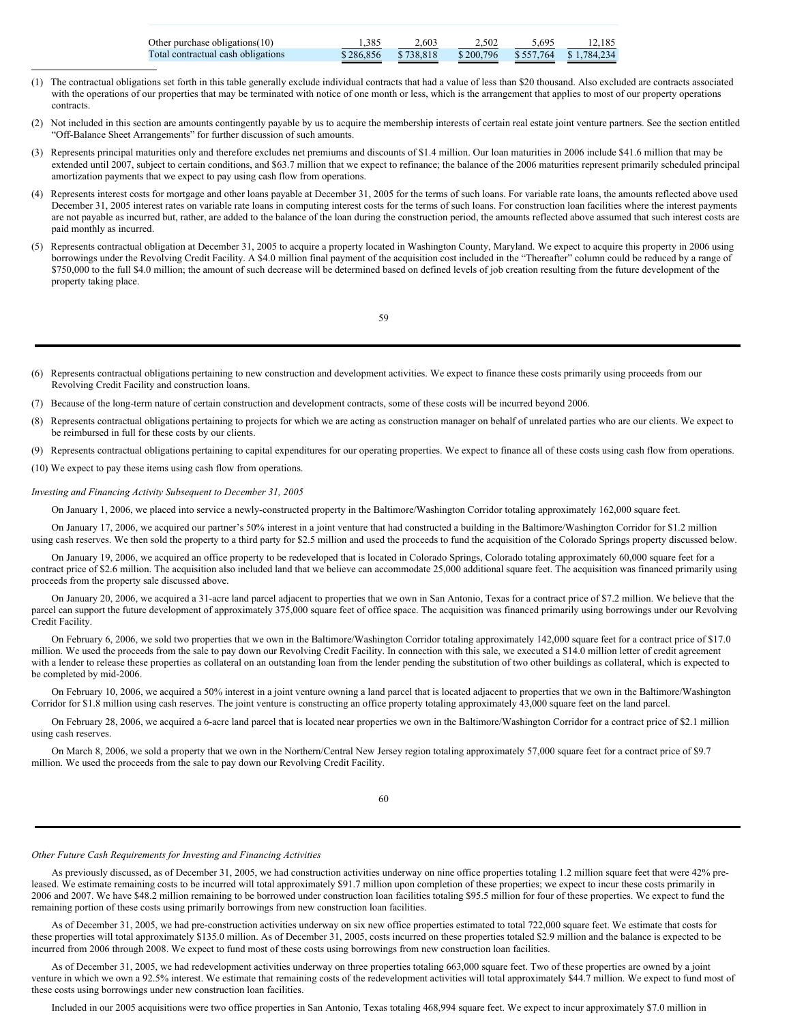Other purchase obligations(10) 1,385 2,603 2,502 5,695 12,185 Total contractual cash obligations  $\frac{$286,856}{}$   $\frac{$738,818}{}$   $\frac{$200,796}{}$   $\frac{$557,764}{}$   $\frac{$1,784,234}{}$ 

- (1) The contractual obligations set forth in this table generally exclude individual contracts that had a value of less than \$20 thousand. Also excluded are contracts associated with the operations of our properties that may be terminated with notice of one month or less, which is the arrangement that applies to most of our property operations contracts.
- (2) Not included in this section are amounts contingently payable by us to acquire the membership interests of certain real estate joint venture partners. See the section entitled "Off-Balance Sheet Arrangements" for further discussion of such amounts.
- (3) Represents principal maturities only and therefore excludes net premiums and discounts of \$1.4 million. Our loan maturities in 2006 include \$41.6 million that may be extended until 2007, subject to certain conditions, and \$63.7 million that we expect to refinance; the balance of the 2006 maturities represent primarily scheduled principal amortization payments that we expect to pay using cash flow from operations.
- (4) Represents interest costs for mortgage and other loans payable at December 31, 2005 for the terms of such loans. For variable rate loans, the amounts reflected above used December 31, 2005 interest rates on variable rate loans in computing interest costs for the terms of such loans. For construction loan facilities where the interest payments are not payable as incurred but, rather, are added to the balance of the loan during the construction period, the amounts reflected above assumed that such interest costs are paid monthly as incurred.
- (5) Represents contractual obligation at December 31, 2005 to acquire a property located in Washington County, Maryland. We expect to acquire this property in 2006 using borrowings under the Revolving Credit Facility. A \$4.0 million final payment of the acquisition cost included in the "Thereafter" column could be reduced by a range of \$750,000 to the full \$4.0 million; the amount of such decrease will be determined based on defined levels of job creation resulting from the future development of the property taking place.

59

- (6) Represents contractual obligations pertaining to new construction and development activities. We expect to finance these costs primarily using proceeds from our Revolving Credit Facility and construction loans.
- (7) Because of the long-term nature of certain construction and development contracts, some of these costs will be incurred beyond 2006.
- (8) Represents contractual obligations pertaining to projects for which we are acting as construction manager on behalf of unrelated parties who are our clients. We expect to be reimbursed in full for these costs by our clients.
- (9) Represents contractual obligations pertaining to capital expenditures for our operating properties. We expect to finance all of these costs using cash flow from operations.
- (10) We expect to pay these items using cash flow from operations.

### *Investing and Financing Activity Subsequent to December 31, 2005*

On January 1, 2006, we placed into service a newly-constructed property in the Baltimore/Washington Corridor totaling approximately 162,000 square feet.

On January 17, 2006, we acquired our partner's 50% interest in a joint venture that had constructed a building in the Baltimore/Washington Corridor for \$1.2 million using cash reserves. We then sold the property to a third party for \$2.5 million and used the proceeds to fund the acquisition of the Colorado Springs property discussed below.

On January 19, 2006, we acquired an office property to be redeveloped that is located in Colorado Springs, Colorado totaling approximately 60,000 square feet for a contract price of \$2.6 million. The acquisition also included land that we believe can accommodate 25,000 additional square feet. The acquisition was financed primarily using proceeds from the property sale discussed above.

On January 20, 2006, we acquired a 31-acre land parcel adjacent to properties that we own in San Antonio, Texas for a contract price of \$7.2 million. We believe that the parcel can support the future development of approximately 375,000 square feet of office space. The acquisition was financed primarily using borrowings under our Revolving Credit Facility.

On February 6, 2006, we sold two properties that we own in the Baltimore/Washington Corridor totaling approximately 142,000 square feet for a contract price of \$17.0 million. We used the proceeds from the sale to pay down our Revolving Credit Facility. In connection with this sale, we executed a \$14.0 million letter of credit agreement with a lender to release these properties as collateral on an outstanding loan from the lender pending the substitution of two other buildings as collateral, which is expected to be completed by mid-2006.

On February 10, 2006, we acquired a 50% interest in a joint venture owning a land parcel that is located adjacent to properties that we own in the Baltimore/Washington Corridor for \$1.8 million using cash reserves. The joint venture is constructing an office property totaling approximately 43,000 square feet on the land parcel.

On February 28, 2006, we acquired a 6-acre land parcel that is located near properties we own in the Baltimore/Washington Corridor for a contract price of \$2.1 million using cash reserves.

On March 8, 2006, we sold a property that we own in the Northern/Central New Jersey region totaling approximately 57,000 square feet for a contract price of \$9.7 million. We used the proceeds from the sale to pay down our Revolving Credit Facility.

60

#### *Other Future Cash Requirements for Investing and Financing Activities*

As previously discussed, as of December 31, 2005, we had construction activities underway on nine office properties totaling 1.2 million square feet that were 42% preleased. We estimate remaining costs to be incurred will total approximately \$91.7 million upon completion of these properties; we expect to incur these costs primarily in 2006 and 2007. We have \$48.2 million remaining to be borrowed under construction loan facilities totaling \$95.5 million for four of these properties. We expect to fund the remaining portion of these costs using primarily borrowings from new construction loan facilities.

As of December 31, 2005, we had pre-construction activities underway on six new office properties estimated to total 722,000 square feet. We estimate that costs for these properties will total approximately \$135.0 million. As of December 31, 2005, costs incurred on these properties totaled \$2.9 million and the balance is expected to be incurred from 2006 through 2008. We expect to fund most of these costs using borrowings from new construction loan facilities.

As of December 31, 2005, we had redevelopment activities underway on three properties totaling 663,000 square feet. Two of these properties are owned by a joint venture in which we own a 92.5% interest. We estimate that remaining costs of the redevelopment activities will total approximately \$44.7 million. We expect to fund most of these costs using borrowings under new construction loan facilities.

Included in our 2005 acquisitions were two office properties in San Antonio, Texas totaling 468,994 square feet. We expect to incur approximately \$7.0 million in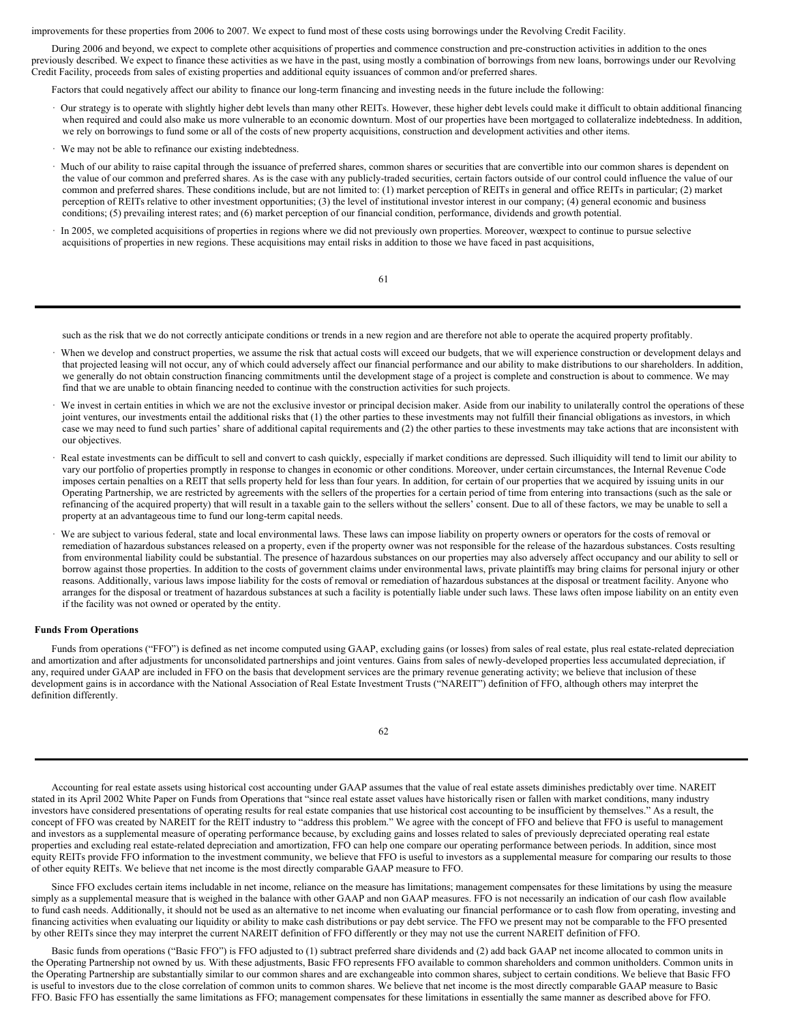improvements for these properties from 2006 to 2007. We expect to fund most of these costs using borrowings under the Revolving Credit Facility.

During 2006 and beyond, we expect to complete other acquisitions of properties and commence construction and pre-construction activities in addition to the ones previously described. We expect to finance these activities as we have in the past, using mostly a combination of borrowings from new loans, borrowings under our Revolving Credit Facility, proceeds from sales of existing properties and additional equity issuances of common and/or preferred shares.

Factors that could negatively affect our ability to finance our long-term financing and investing needs in the future include the following:

- · Our strategy is to operate with slightly higher debt levels than many other REITs. However, these higher debt levels could make it difficult to obtain additional financing when required and could also make us more vulnerable to an economic downturn. Most of our properties have been mortgaged to collateralize indebtedness. In addition, we rely on borrowings to fund some or all of the costs of new property acquisitions, construction and development activities and other items.
- · We may not be able to refinance our existing indebtedness.
- Much of our ability to raise capital through the issuance of preferred shares, common shares or securities that are convertible into our common shares is dependent on the value of our common and preferred shares. As is the case with any publicly-traded securities, certain factors outside of our control could influence the value of our common and preferred shares. These conditions include, but are not limited to: (1) market perception of REITs in general and office REITs in particular; (2) market perception of REITs relative to other investment opportunities; (3) the level of institutional investor interest in our company; (4) general economic and business conditions; (5) prevailing interest rates; and (6) market perception of our financial condition, performance, dividends and growth potential.
- In 2005, we completed acquisitions of properties in regions where we did not previously own properties. Moreover, weexpect to continue to pursue selective acquisitions of properties in new regions. These acquisitions may entail risks in addition to those we have faced in past acquisitions,

such as the risk that we do not correctly anticipate conditions or trends in a new region and are therefore not able to operate the acquired property profitably.

- When we develop and construct properties, we assume the risk that actual costs will exceed our budgets, that we will experience construction or development delays and that projected leasing will not occur, any of which could adversely affect our financial performance and our ability to make distributions to our shareholders. In addition, we generally do not obtain construction financing commitments until the development stage of a project is complete and construction is about to commence. We may find that we are unable to obtain financing needed to continue with the construction activities for such projects.
- We invest in certain entities in which we are not the exclusive investor or principal decision maker. Aside from our inability to unilaterally control the operations of these joint ventures, our investments entail the additional risks that (1) the other parties to these investments may not fulfill their financial obligations as investors, in which case we may need to fund such parties' share of additional capital requirements and (2) the other parties to these investments may take actions that are inconsistent with our objectives.
- · Real estate investments can be difficult to sell and convert to cash quickly, especially if market conditions are depressed. Such illiquidity will tend to limit our ability to vary our portfolio of properties promptly in response to changes in economic or other conditions. Moreover, under certain circumstances, the Internal Revenue Code imposes certain penalties on a REIT that sells property held for less than four years. In addition, for certain of our properties that we acquired by issuing units in our Operating Partnership, we are restricted by agreements with the sellers of the properties for a certain period of time from entering into transactions (such as the sale or refinancing of the acquired property) that will result in a taxable gain to the sellers without the sellers' consent. Due to all of these factors, we may be unable to sell a property at an advantageous time to fund our long-term capital needs.
- We are subject to various federal, state and local environmental laws. These laws can impose liability on property owners or operators for the costs of removal or remediation of hazardous substances released on a property, even if the property owner was not responsible for the release of the hazardous substances. Costs resulting from environmental liability could be substantial. The presence of hazardous substances on our properties may also adversely affect occupancy and our ability to sell or borrow against those properties. In addition to the costs of government claims under environmental laws, private plaintiffs may bring claims for personal injury or other reasons. Additionally, various laws impose liability for the costs of removal or remediation of hazardous substances at the disposal or treatment facility. Anyone who arranges for the disposal or treatment of hazardous substances at such a facility is potentially liable under such laws. These laws often impose liability on an entity even if the facility was not owned or operated by the entity.

# **Funds From Operations**

Funds from operations ("FFO") is defined as net income computed using GAAP, excluding gains (or losses) from sales of real estate, plus real estate-related depreciation and amortization and after adjustments for unconsolidated partnerships and joint ventures. Gains from sales of newly-developed properties less accumulated depreciation, if any, required under GAAP are included in FFO on the basis that development services are the primary revenue generating activity; we believe that inclusion of these development gains is in accordance with the National Association of Real Estate Investment Trusts ("NAREIT") definition of FFO, although others may interpret the definition differently.

| ٦<br>۰, | ۰. |
|---------|----|

Accounting for real estate assets using historical cost accounting under GAAP assumes that the value of real estate assets diminishes predictably over time. NAREIT stated in its April 2002 White Paper on Funds from Operations that "since real estate asset values have historically risen or fallen with market conditions, many industry investors have considered presentations of operating results for real estate companies that use historical cost accounting to be insufficient by themselves." As a result, the concept of FFO was created by NAREIT for the REIT industry to "address this problem." We agree with the concept of FFO and believe that FFO is useful to management and investors as a supplemental measure of operating performance because, by excluding gains and losses related to sales of previously depreciated operating real estate properties and excluding real estate-related depreciation and amortization, FFO can help one compare our operating performance between periods. In addition, since most equity REITs provide FFO information to the investment community, we believe that FFO is useful to investors as a supplemental measure for comparing our results to those of other equity REITs. We believe that net income is the most directly comparable GAAP measure to FFO.

Since FFO excludes certain items includable in net income, reliance on the measure has limitations; management compensates for these limitations by using the measure simply as a supplemental measure that is weighed in the balance with other GAAP and non GAAP measures. FFO is not necessarily an indication of our cash flow available to fund cash needs. Additionally, it should not be used as an alternative to net income when evaluating our financial performance or to cash flow from operating, investing and financing activities when evaluating our liquidity or ability to make cash distributions or pay debt service. The FFO we present may not be comparable to the FFO presented by other REITs since they may interpret the current NAREIT definition of FFO differently or they may not use the current NAREIT definition of FFO.

Basic funds from operations ("Basic FFO") is FFO adjusted to (1) subtract preferred share dividends and (2) add back GAAP net income allocated to common units in the Operating Partnership not owned by us. With these adjustments, Basic FFO represents FFO available to common shareholders and common unitholders. Common units in the Operating Partnership are substantially similar to our common shares and are exchangeable into common shares, subject to certain conditions. We believe that Basic FFO is useful to investors due to the close correlation of common units to common shares. We believe that net income is the most directly comparable GAAP measure to Basic FFO. Basic FFO has essentially the same limitations as FFO; management compensates for these limitations in essentially the same manner as described above for FFO.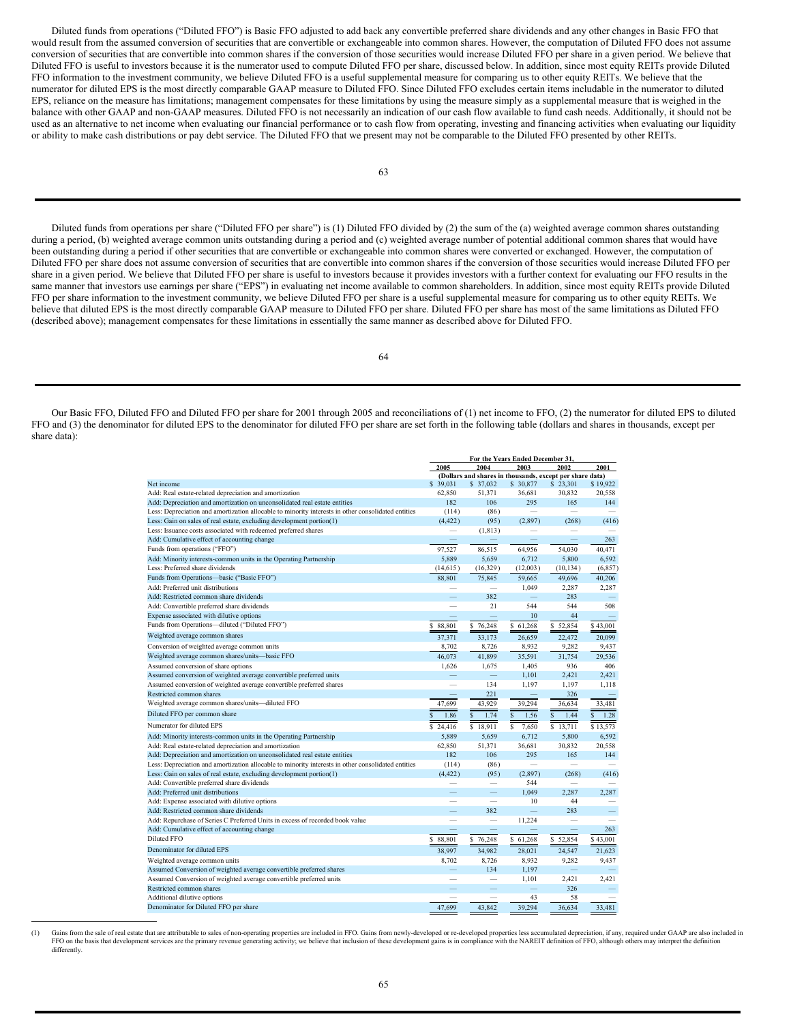Diluted funds from operations ("Diluted FFO") is Basic FFO adjusted to add back any convertible preferred share dividends and any other changes in Basic FFO that would result from the assumed conversion of securities that are convertible or exchangeable into common shares. However, the computation of Diluted FFO does not assume conversion of securities that are convertible into common shares if the conversion of those securities would increase Diluted FFO per share in a given period. We believe that Diluted FFO is useful to investors because it is the numerator used to compute Diluted FFO per share, discussed below. In addition, since most equity REITs provide Diluted FFO information to the investment community, we believe Diluted FFO is a useful supplemental measure for comparing us to other equity REITs. We believe that the numerator for diluted EPS is the most directly comparable GAAP measure to Diluted FFO. Since Diluted FFO excludes certain items includable in the numerator to diluted EPS, reliance on the measure has limitations; management compensates for these limitations by using the measure simply as a supplemental measure that is weighed in the balance with other GAAP and non-GAAP measures. Diluted FFO is not necessarily an indication of our cash flow available to fund cash needs. Additionally, it should not be used as an alternative to net income when evaluating our financial performance or to cash flow from operating, investing and financing activities when evaluating our liquidity or ability to make cash distributions or pay debt service. The Diluted FFO that we present may not be comparable to the Diluted FFO presented by other REITs.

Diluted funds from operations per share ("Diluted FFO per share") is (1) Diluted FFO divided by (2) the sum of the (a) weighted average common shares outstanding during a period, (b) weighted average common units outstanding during a period and (c) weighted average number of potential additional common shares that would have been outstanding during a period if other securities that are convertible or exchangeable into common shares were converted or exchanged. However, the computation of Diluted FFO per share does not assume conversion of securities that are convertible into common shares if the conversion of those securities would increase Diluted FFO per share in a given period. We believe that Diluted FFO per share is useful to investors because it provides investors with a further context for evaluating our FFO results in the same manner that investors use earnings per share ("EPS") in evaluating net income available to common shareholders. In addition, since most equity REITs provide Diluted FFO per share information to the investment community, we believe Diluted FFO per share is a useful supplemental measure for comparing us to other equity REITs. We believe that diluted EPS is the most directly comparable GAAP measure to Diluted FFO per share. Diluted FFO per share has most of the same limitations as Diluted FFO (described above); management compensates for these limitations in essentially the same manner as described above for Diluted FFO.

## 64

Our Basic FFO, Diluted FFO and Diluted FFO per share for 2001 through 2005 and reconciliations of (1) net income to FFO, (2) the numerator for diluted EPS to diluted FFO and (3) the denominator for diluted EPS to the denominator for diluted FFO per share are set forth in the following table (dollars and shares in thousands, except per share data):

|                                                                                                    | For the Years Ended December 31, |                          |                          |                                                          |                          |
|----------------------------------------------------------------------------------------------------|----------------------------------|--------------------------|--------------------------|----------------------------------------------------------|--------------------------|
|                                                                                                    | 2005                             | 2004                     | 2003                     | 2002                                                     | 2001                     |
|                                                                                                    |                                  |                          |                          | (Dollars and shares in thousands, except per share data) |                          |
| Net income                                                                                         | \$ 39,031                        | \$ 37,032                | \$ 30,877                | \$23,301                                                 | \$19,922                 |
| Add: Real estate-related depreciation and amortization                                             | 62.850                           | 51.371                   | 36,681                   | 30.832                                                   | 20,558                   |
| Add: Depreciation and amortization on unconsolidated real estate entities                          | 182                              | 106                      | 295                      | 165                                                      | 144                      |
| Less: Depreciation and amortization allocable to minority interests in other consolidated entities | (114)                            | (86)                     |                          |                                                          |                          |
| Less: Gain on sales of real estate, excluding development portion(1)                               | (4, 422)                         | (95)                     | (2,897)                  | (268)                                                    | (416)                    |
| Less: Issuance costs associated with redeemed preferred shares                                     | $\overline{\phantom{m}}$         | (1, 813)                 | -                        | -                                                        |                          |
| Add: Cumulative effect of accounting change                                                        |                                  |                          | $\overline{\phantom{0}}$ | -                                                        | 263                      |
| Funds from operations ("FFO")                                                                      | 97.527                           | 86.515                   | 64.956                   | 54,030                                                   | 40.471                   |
| Add: Minority interests-common units in the Operating Partnership                                  | 5,889                            | 5,659                    | 6,712                    | 5,800                                                    | 6,592                    |
| Less: Preferred share dividends                                                                    | (14, 615)                        | (16,329)                 | (12,003)                 | (10, 134)                                                | (6, 857)                 |
| Funds from Operations-basic ("Basic FFO")                                                          | 88,801                           | 75,845                   | 59,665                   | 49,696                                                   | 40,206                   |
| Add: Preferred unit distributions                                                                  |                                  |                          | 1,049                    | 2,287                                                    | 2,287                    |
| Add: Restricted common share dividends                                                             |                                  | 382                      |                          | 283                                                      |                          |
| Add: Convertible preferred share dividends                                                         | -                                | 21                       | 544                      | 544                                                      | 508                      |
| Expense associated with dilutive options                                                           | $\qquad \qquad$                  | $\equiv$                 | 10                       | 44                                                       | $\overline{\phantom{0}}$ |
| Funds from Operations-diluted ("Diluted FFO")                                                      | \$88,801                         | \$76,248                 | S<br>61,268              | \$52,854                                                 | \$43,001                 |
| Weighted average common shares                                                                     | 37,371                           | 33,173                   | 26,659                   | 22,472                                                   | 20,099                   |
| Conversion of weighted average common units                                                        | 8,702                            | 8,726                    | 8,932                    | 9.282                                                    | 9,437                    |
| Weighted average common shares/units-basic FFO                                                     | 46.073                           | 41,899                   | 35,591                   | 31,754                                                   | 29,536                   |
| Assumed conversion of share options                                                                | 1,626                            | 1,675                    | 1,405                    | 936                                                      | 406                      |
| Assumed conversion of weighted average convertible preferred units                                 |                                  | -                        | 1,101                    | 2,421                                                    | 2,421                    |
| Assumed conversion of weighted average convertible preferred shares                                |                                  | 134                      | 1,197                    | 1,197                                                    | 1,118                    |
| Restricted common shares                                                                           |                                  | 221                      |                          | 326                                                      |                          |
| Weighted average common shares/units-diluted FFO                                                   | 47,699                           | 43,929                   | 39,294                   | 36,634                                                   | 33,481                   |
| Diluted FFO per common share                                                                       | \$<br>1.86                       | $\mathsf{s}$<br>1.74     | $\mathsf{s}$<br>1.56     | \$<br>1.44                                               | \$<br>1.28               |
| Numerator for diluted EPS                                                                          | S.<br>24,416                     | \$18,911                 | S<br>7.650               | \$13,711                                                 | \$13,573                 |
| Add: Minority interests-common units in the Operating Partnership                                  | 5,889                            | 5,659                    | 6,712                    | 5,800                                                    | 6,592                    |
| Add: Real estate-related depreciation and amortization                                             | 62,850                           | 51.371                   | 36,681                   | 30.832                                                   | 20,558                   |
| Add: Depreciation and amortization on unconsolidated real estate entities                          | 182                              | 106                      | 295                      | 165                                                      | 144                      |
| Less: Depreciation and amortization allocable to minority interests in other consolidated entities | (114)                            | (86)                     |                          |                                                          |                          |
| Less: Gain on sales of real estate, excluding development portion(1)                               | (4, 422)                         | (95)                     | (2, 897)                 | (268)                                                    | (416)                    |
| Add: Convertible preferred share dividends                                                         |                                  |                          | 544                      |                                                          |                          |
| Add: Preferred unit distributions                                                                  |                                  | $\equiv$                 | 1.049                    | 2,287                                                    | 2,287                    |
| Add: Expense associated with dilutive options                                                      |                                  | $\overline{\phantom{a}}$ | 10                       | 44                                                       |                          |
| Add: Restricted common share dividends                                                             | -                                | 382                      | $\equiv$                 | 283                                                      | -                        |
| Add: Repurchase of Series C Preferred Units in excess of recorded book value                       |                                  | $\overline{\phantom{a}}$ | 11,224                   | $\overline{\phantom{a}}$                                 |                          |
| Add: Cumulative effect of accounting change                                                        |                                  |                          |                          |                                                          | 263                      |
| <b>Diluted FFO</b>                                                                                 | \$<br>88,801                     | \$76,248                 | S<br>61,268              | \$52,854                                                 | \$43,001                 |
| Denominator for diluted EPS                                                                        | 38,997                           | 34,982                   | 28,021                   | 24,547                                                   | 21,623                   |
| Weighted average common units                                                                      | 8.702                            | 8.726                    | 8,932                    | 9.282                                                    | 9,437                    |
| Assumed Conversion of weighted average convertible preferred shares                                |                                  | 134                      | 1,197                    |                                                          |                          |
| Assumed Conversion of weighted average convertible preferred units                                 |                                  |                          | 1,101                    | 2,421                                                    | 2.421                    |
| Restricted common shares                                                                           |                                  |                          |                          | 326                                                      |                          |
| Additional dilutive options                                                                        |                                  |                          | 43                       | 58                                                       |                          |
| Denominator for Diluted FFO per share                                                              | 47.699                           | 43.842                   | 39.294                   | 36.634                                                   | 33,481                   |
|                                                                                                    |                                  |                          |                          |                                                          |                          |

(1) Gains from the sale of real estate that are attributable to sales of non-operating properties are included in FFO. Gains from newly-developed or re-developed properties less accumulated depreciation, if any, required u FFO on the basis that development services are the primary revenue generating activity; we believe that inclusion of these development gains is in compliance with the NAREIT definition of FFO, although others may interpret differently.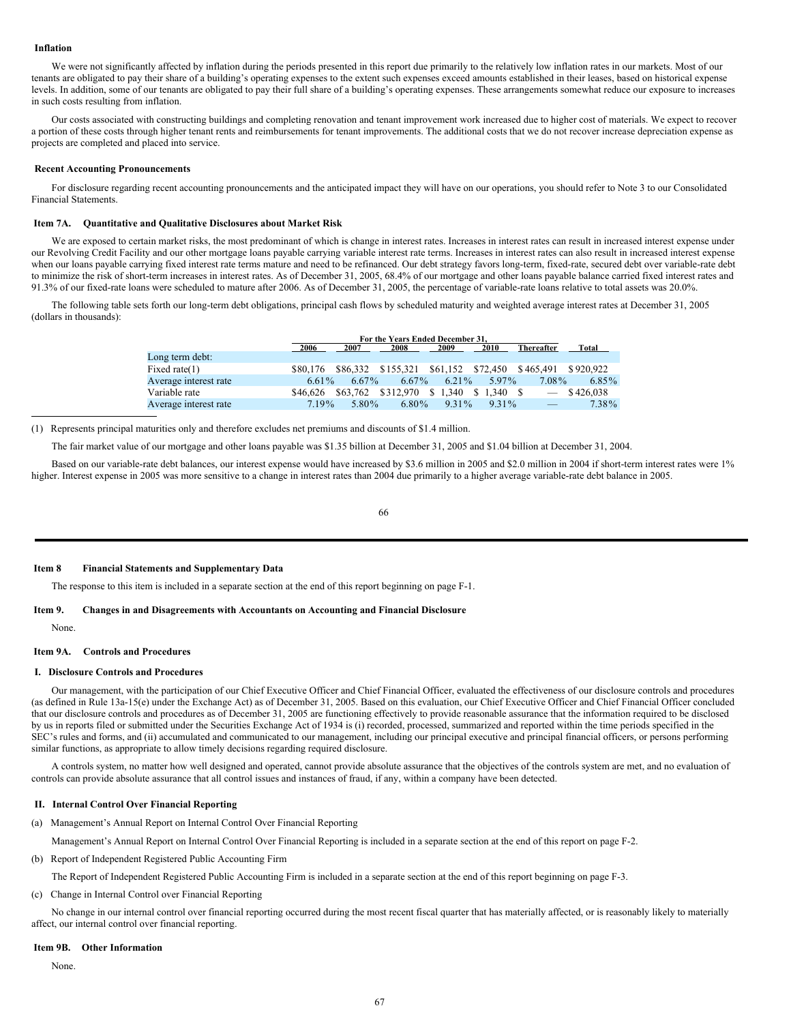# **Inflation**

We were not significantly affected by inflation during the periods presented in this report due primarily to the relatively low inflation rates in our markets. Most of our tenants are obligated to pay their share of a building's operating expenses to the extent such expenses exceed amounts established in their leases, based on historical expense levels. In addition, some of our tenants are obligated to pay their full share of a building's operating expenses. These arrangements somewhat reduce our exposure to increases in such costs resulting from inflation.

Our costs associated with constructing buildings and completing renovation and tenant improvement work increased due to higher cost of materials. We expect to recover a portion of these costs through higher tenant rents and reimbursements for tenant improvements. The additional costs that we do not recover increase depreciation expense as projects are completed and placed into service.

#### **Recent Accounting Pronouncements**

For disclosure regarding recent accounting pronouncements and the anticipated impact they will have on our operations, you should refer to Note 3 to our Consolidated Financial Statements.

#### <span id="page-34-0"></span>**Item 7A. Quantitative and Qualitative Disclosures about Market Risk**

We are exposed to certain market risks, the most predominant of which is change in interest rates. Increases in interest rates can result in increased interest expense under our Revolving Credit Facility and our other mortgage loans payable carrying variable interest rate terms. Increases in interest rates can also result in increased interest expense when our loans payable carrying fixed interest rate terms mature and need to be refinanced. Our debt strategy favors long-term, fixed-rate, secured debt over variable-rate debt to minimize the risk of short-term increases in interest rates. As of December 31, 2005, 68.4% of our mortgage and other loans payable balance carried fixed interest rates and 91.3% of our fixed-rate loans were scheduled to mature after 2006. As of December 31, 2005, the percentage of variable-rate loans relative to total assets was 20.0%.

The following table sets forth our long-term debt obligations, principal cash flows by scheduled maturity and weighted average interest rates at December 31, 2005 (dollars in thousands):

|                       |          | For the Years Ended December 31. |                                                          |          |          |                          |           |
|-----------------------|----------|----------------------------------|----------------------------------------------------------|----------|----------|--------------------------|-----------|
|                       | 2006     | 2007                             | 2008                                                     | 2009     | 2010     | Thereafter               | Total     |
| Long term debt:       |          |                                  |                                                          |          |          |                          |           |
| Fixed rate $(1)$      | \$80.176 |                                  | \$86,332 \$155,321 \$61,152 \$72,450 \$465,491 \$920,922 |          |          |                          |           |
| Average interest rate | $6.61\%$ | $6.67\%$                         | $6.67\%$                                                 | $6.21\%$ | 5.97%    | $7.08\%$                 | $6.85\%$  |
| Variable rate         | \$46,626 |                                  | \$63.762 \$312.970 \$1.340 \$1.340 \$                    |          |          | $\overline{\phantom{a}}$ | \$426,038 |
| Average interest rate | $7.19\%$ | 5.80%                            | $6.80\%$                                                 | $9.31\%$ | $9.31\%$ |                          | 7.38%     |

(1) Represents principal maturities only and therefore excludes net premiums and discounts of \$1.4 million.

The fair market value of our mortgage and other loans payable was \$1.35 billion at December 31, 2005 and \$1.04 billion at December 31, 2004.

Based on our variable-rate debt balances, our interest expense would have increased by \$3.6 million in 2005 and \$2.0 million in 2004 if short-term interest rates were 1% higher. Interest expense in 2005 was more sensitive to a change in interest rates than 2004 due primarily to a higher average variable-rate debt balance in 2005.

66

#### <span id="page-34-1"></span>**Item 8 Financial Statements and Supplementary Data**

The response to this item is included in a separate section at the end of this report beginning on page F-1.

#### <span id="page-34-2"></span>**Item 9. Changes in and Disagreements with Accountants on Accounting and Financial Disclosure**

None.

# <span id="page-34-3"></span>**Item 9A. Controls and Procedures**

# **I. Disclosure Controls and Procedures**

Our management, with the participation of our Chief Executive Officer and Chief Financial Officer, evaluated the effectiveness of our disclosure controls and procedures (as defined in Rule 13a-15(e) under the Exchange Act) as of December 31, 2005. Based on this evaluation, our Chief Executive Officer and Chief Financial Officer concluded that our disclosure controls and procedures as of December 31, 2005 are functioning effectively to provide reasonable assurance that the information required to be disclosed by us in reports filed or submitted under the Securities Exchange Act of 1934 is (i) recorded, processed, summarized and reported within the time periods specified in the SEC's rules and forms, and (ii) accumulated and communicated to our management, including our principal executive and principal financial officers, or persons performing similar functions, as appropriate to allow timely decisions regarding required disclosure.

A controls system, no matter how well designed and operated, cannot provide absolute assurance that the objectives of the controls system are met, and no evaluation of controls can provide absolute assurance that all control issues and instances of fraud, if any, within a company have been detected.

# **II. Internal Control Over Financial Reporting**

(a) Management's Annual Report on Internal Control Over Financial Reporting

Management's Annual Report on Internal Control Over Financial Reporting is included in a separate section at the end of this report on page F-2.

(b) Report of Independent Registered Public Accounting Firm

The Report of Independent Registered Public Accounting Firm is included in a separate section at the end of this report beginning on page F-3.

# (c) Change in Internal Control over Financial Reporting

No change in our internal control over financial reporting occurred during the most recent fiscal quarter that has materially affected, or is reasonably likely to materially affect, our internal control over financial reporting.

# <span id="page-34-4"></span>**Item 9B. Other Information**

None.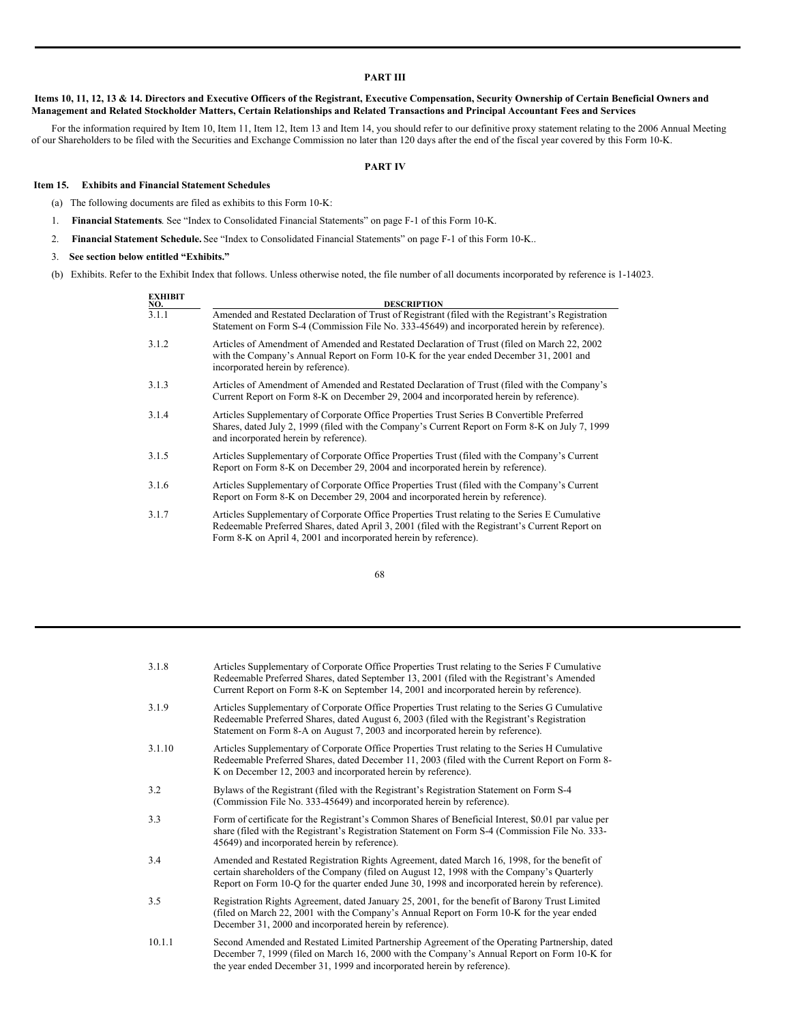# <span id="page-35-0"></span>**PART III**

# <span id="page-35-1"></span>Items 10, 11, 12, 13 & 14. Directors and Executive Officers of the Registrant, Executive Compensation, Security Ownership of Certain Beneficial Owners and Management and Related Stockholder Matters, Certain Relationships and Related Transactions and Principal Accountant Fees and Services

For the information required by Item 10, Item 11, Item 12, Item 13 and Item 14, you should refer to our definitive proxy statement relating to the 2006 Annual Meeting of our Shareholders to be filed with the Securities and Exchange Commission no later than 120 days after the end of the fiscal year covered by this Form 10-K.

# <span id="page-35-2"></span>**PART IV**

# <span id="page-35-3"></span>**Item 15. Exhibits and Financial Statement Schedules**

- (a) The following documents are filed as exhibits to this Form 10-K:
- 1. **Financial Statements**. See "Index to Consolidated Financial Statements" on page F-1 of this Form 10-K.
- 2. **Financial Statement Schedule.** See "Index to Consolidated Financial Statements" on page F-1 of this Form 10-K..
- 3. **See section below entitled "Exhibits."**
- (b) Exhibits. Refer to the Exhibit Index that follows. Unless otherwise noted, the file number of all documents incorporated by reference is 1-14023.

| <b>EXHIBIT</b><br>NO. | <b>DESCRIPTION</b>                                                                                                                                                                                                                                                     |
|-----------------------|------------------------------------------------------------------------------------------------------------------------------------------------------------------------------------------------------------------------------------------------------------------------|
| 3.1.1                 | Amended and Restated Declaration of Trust of Registrant (filed with the Registrant's Registration<br>Statement on Form S-4 (Commission File No. 333-45649) and incorporated herein by reference).                                                                      |
| 3.1.2                 | Articles of Amendment of Amended and Restated Declaration of Trust (filed on March 22, 2002)<br>with the Company's Annual Report on Form 10-K for the year ended December 31, 2001 and<br>incorporated herein by reference).                                           |
| 3.1.3                 | Articles of Amendment of Amended and Restated Declaration of Trust (filed with the Company's<br>Current Report on Form 8-K on December 29, 2004 and incorporated herein by reference).                                                                                 |
| 3.1.4                 | Articles Supplementary of Corporate Office Properties Trust Series B Convertible Preferred<br>Shares, dated July 2, 1999 (filed with the Company's Current Report on Form 8-K on July 7, 1999)<br>and incorporated herein by reference).                               |
| 3.1.5                 | Articles Supplementary of Corporate Office Properties Trust (filed with the Company's Current<br>Report on Form 8-K on December 29, 2004 and incorporated herein by reference).                                                                                        |
| 3.1.6                 | Articles Supplementary of Corporate Office Properties Trust (filed with the Company's Current<br>Report on Form 8-K on December 29, 2004 and incorporated herein by reference).                                                                                        |
| 3.1.7                 | Articles Supplementary of Corporate Office Properties Trust relating to the Series E Cumulative<br>Redeemable Preferred Shares, dated April 3, 2001 (filed with the Registrant's Current Report on<br>Form 8-K on April 4, 2001 and incorporated herein by reference). |

68

| 3.1.8  | Articles Supplementary of Corporate Office Properties Trust relating to the Series F Cumulative<br>Redeemable Preferred Shares, dated September 13, 2001 (filed with the Registrant's Amended<br>Current Report on Form 8-K on September 14, 2001 and incorporated herein by reference).     |
|--------|----------------------------------------------------------------------------------------------------------------------------------------------------------------------------------------------------------------------------------------------------------------------------------------------|
| 3.1.9  | Articles Supplementary of Corporate Office Properties Trust relating to the Series G Cumulative<br>Redeemable Preferred Shares, dated August 6, 2003 (filed with the Registrant's Registration<br>Statement on Form 8-A on August 7, 2003 and incorporated herein by reference).             |
| 3.1.10 | Articles Supplementary of Corporate Office Properties Trust relating to the Series H Cumulative<br>Redeemable Preferred Shares, dated December 11, 2003 (filed with the Current Report on Form 8-<br>K on December 12, 2003 and incorporated herein by reference).                           |
| 3.2    | Bylaws of the Registrant (filed with the Registrant's Registration Statement on Form S-4<br>(Commission File No. 333-45649) and incorporated herein by reference).                                                                                                                           |
| 3.3    | Form of certificate for the Registrant's Common Shares of Beneficial Interest, \$0.01 par value per<br>share (filed with the Registrant's Registration Statement on Form S-4 (Commission File No. 333-<br>45649) and incorporated herein by reference).                                      |
| 3.4    | Amended and Restated Registration Rights Agreement, dated March 16, 1998, for the benefit of<br>certain shareholders of the Company (filed on August 12, 1998 with the Company's Quarterly<br>Report on Form 10-Q for the quarter ended June 30, 1998 and incorporated herein by reference). |
| 3.5    | Registration Rights Agreement, dated January 25, 2001, for the benefit of Barony Trust Limited<br>(filed on March 22, 2001 with the Company's Annual Report on Form 10-K for the year ended<br>December 31, 2000 and incorporated herein by reference).                                      |
| 10.1.1 | Second Amended and Restated Limited Partnership Agreement of the Operating Partnership, dated<br>December 7, 1999 (filed on March 16, 2000 with the Company's Annual Report on Form 10-K for<br>the year ended December 31, 1999 and incorporated herein by reference).                      |
|        |                                                                                                                                                                                                                                                                                              |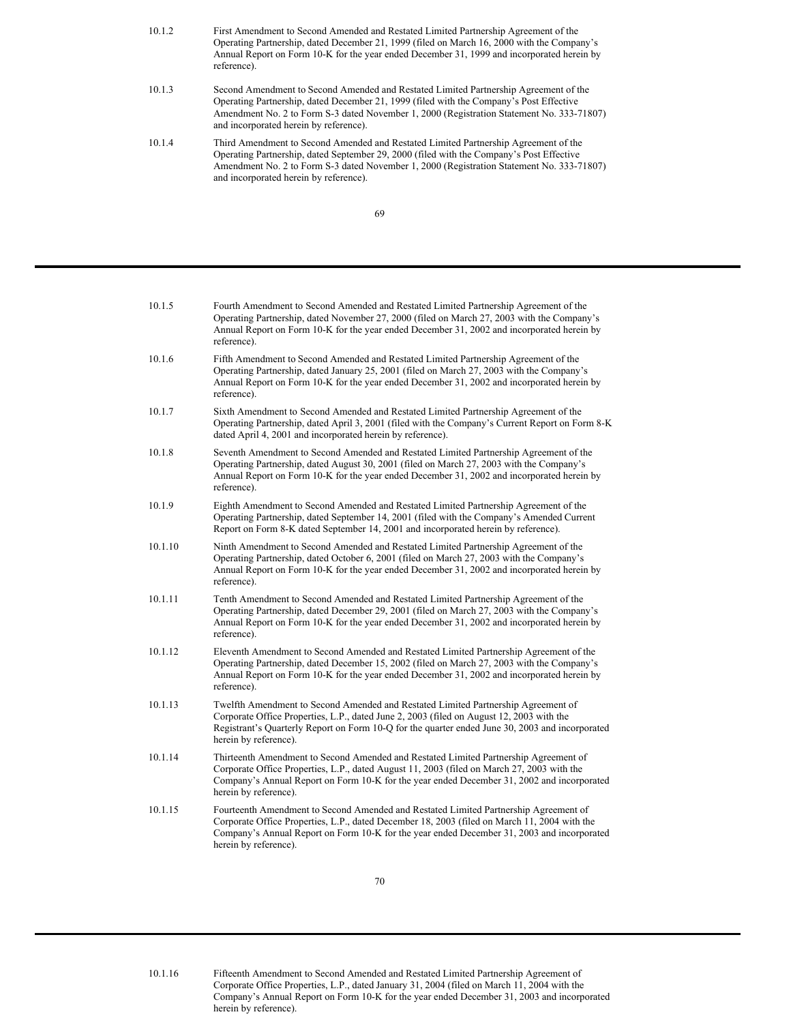- 10.1.2 First Amendment to Second Amended and Restated Limited Partnership Agreement of the Operating Partnership, dated December 21, 1999 (filed on March 16, 2000 with the Company's Annual Report on Form 10-K for the year ended December 31, 1999 and incorporated herein by reference).
- 10.1.3 Second Amendment to Second Amended and Restated Limited Partnership Agreement of the Operating Partnership, dated December 21, 1999 (filed with the Company's Post Effective Amendment No. 2 to Form S-3 dated November 1, 2000 (Registration Statement No. 333-71807) and incorporated herein by reference).
- 10.1.4 Third Amendment to Second Amended and Restated Limited Partnership Agreement of the Operating Partnership, dated September 29, 2000 (filed with the Company's Post Effective Amendment No. 2 to Form S-3 dated November 1, 2000 (Registration Statement No. 333-71807) and incorporated herein by reference).

69

| 10.1.5  | Fourth Amendment to Second Amended and Restated Limited Partnership Agreement of the<br>Operating Partnership, dated November 27, 2000 (filed on March 27, 2003 with the Company's<br>Annual Report on Form 10-K for the year ended December 31, 2002 and incorporated herein by<br>reference).             |
|---------|-------------------------------------------------------------------------------------------------------------------------------------------------------------------------------------------------------------------------------------------------------------------------------------------------------------|
| 10.1.6  | Fifth Amendment to Second Amended and Restated Limited Partnership Agreement of the<br>Operating Partnership, dated January 25, 2001 (filed on March 27, 2003 with the Company's<br>Annual Report on Form 10-K for the year ended December 31, 2002 and incorporated herein by<br>reference).               |
| 10.1.7  | Sixth Amendment to Second Amended and Restated Limited Partnership Agreement of the<br>Operating Partnership, dated April 3, 2001 (filed with the Company's Current Report on Form 8-K)<br>dated April 4, 2001 and incorporated herein by reference).                                                       |
| 10.1.8  | Seventh Amendment to Second Amended and Restated Limited Partnership Agreement of the<br>Operating Partnership, dated August 30, 2001 (filed on March 27, 2003 with the Company's<br>Annual Report on Form 10-K for the year ended December 31, 2002 and incorporated herein by<br>reference).              |
| 10.1.9  | Eighth Amendment to Second Amended and Restated Limited Partnership Agreement of the<br>Operating Partnership, dated September 14, 2001 (filed with the Company's Amended Current<br>Report on Form 8-K dated September 14, 2001 and incorporated herein by reference).                                     |
| 10.1.10 | Ninth Amendment to Second Amended and Restated Limited Partnership Agreement of the<br>Operating Partnership, dated October 6, 2001 (filed on March 27, 2003 with the Company's<br>Annual Report on Form 10-K for the year ended December 31, 2002 and incorporated herein by<br>reference).                |
| 10.1.11 | Tenth Amendment to Second Amended and Restated Limited Partnership Agreement of the<br>Operating Partnership, dated December 29, 2001 (filed on March 27, 2003 with the Company's<br>Annual Report on Form 10-K for the year ended December 31, 2002 and incorporated herein by<br>reference).              |
| 10.1.12 | Eleventh Amendment to Second Amended and Restated Limited Partnership Agreement of the<br>Operating Partnership, dated December 15, 2002 (filed on March 27, 2003 with the Company's<br>Annual Report on Form 10-K for the year ended December 31, 2002 and incorporated herein by<br>reference).           |
| 10.1.13 | Twelfth Amendment to Second Amended and Restated Limited Partnership Agreement of<br>Corporate Office Properties, L.P., dated June 2, 2003 (filed on August 12, 2003 with the<br>Registrant's Quarterly Report on Form 10-Q for the quarter ended June 30, 2003 and incorporated<br>herein by reference).   |
| 10.1.14 | Thirteenth Amendment to Second Amended and Restated Limited Partnership Agreement of<br>Corporate Office Properties, L.P., dated August 11, 2003 (filed on March 27, 2003 with the<br>Company's Annual Report on Form 10-K for the year ended December 31, 2002 and incorporated<br>herein by reference).   |
| 10.1.15 | Fourteenth Amendment to Second Amended and Restated Limited Partnership Agreement of<br>Corporate Office Properties, L.P., dated December 18, 2003 (filed on March 11, 2004 with the<br>Company's Annual Report on Form 10-K for the year ended December 31, 2003 and incorporated<br>herein by reference). |

10.1.16 Fifteenth Amendment to Second Amended and Restated Limited Partnership Agreement of Corporate Office Properties, L.P., dated January 31, 2004 (filed on March 11, 2004 with the Company's Annual Report on Form 10-K for the year ended December 31, 2003 and incorporated herein by reference).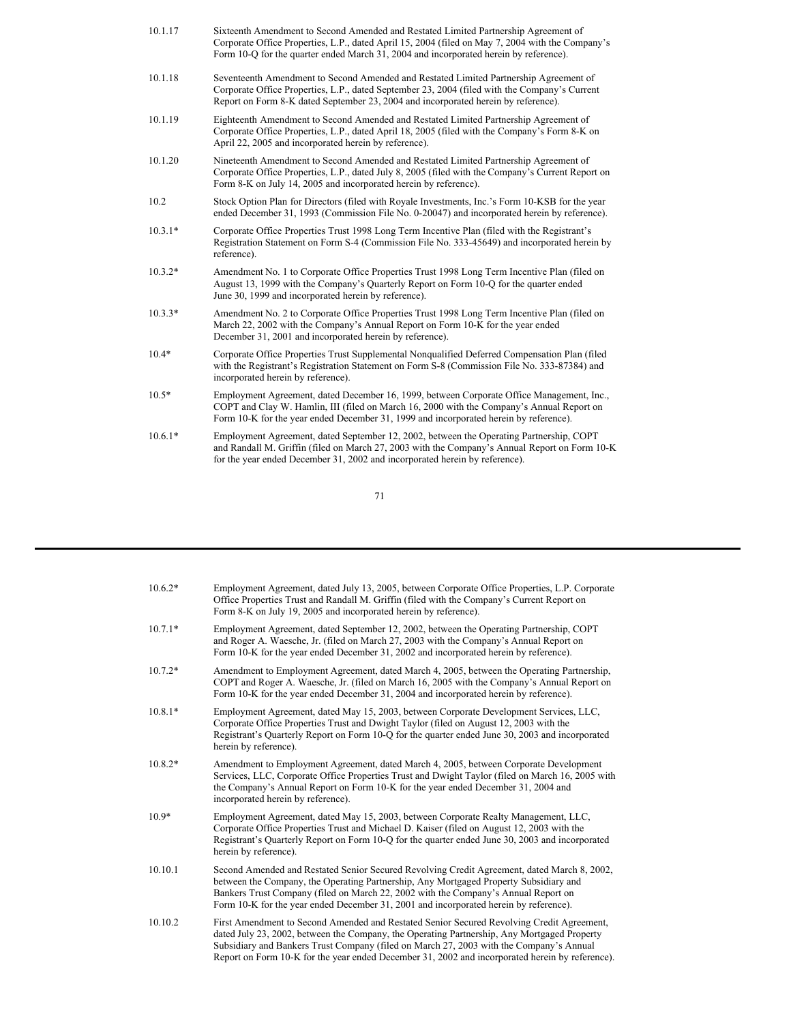- 10.1.17 Sixteenth Amendment to Second Amended and Restated Limited Partnership Agreement of Corporate Office Properties, L.P., dated April 15, 2004 (filed on May 7, 2004 with the Company's Form 10-Q for the quarter ended March 31, 2004 and incorporated herein by reference). 10.1.18 Seventeenth Amendment to Second Amended and Restated Limited Partnership Agreement of Corporate Office Properties, L.P., dated September 23, 2004 (filed with the Company's Current Report on Form 8-K dated September 23, 2004 and incorporated herein by reference). 10.1.19 Eighteenth Amendment to Second Amended and Restated Limited Partnership Agreement of Corporate Office Properties, L.P., dated April 18, 2005 (filed with the Company's Form 8-K on April 22, 2005 and incorporated herein by reference).
- 10.1.20 Nineteenth Amendment to Second Amended and Restated Limited Partnership Agreement of Corporate Office Properties, L.P., dated July 8, 2005 (filed with the Company's Current Report on Form 8-K on July 14, 2005 and incorporated herein by reference).
- 10.2 Stock Option Plan for Directors (filed with Royale Investments, Inc.'s Form 10-KSB for the year ended December 31, 1993 (Commission File No. 0-20047) and incorporated herein by reference).
- 10.3.1\* Corporate Office Properties Trust 1998 Long Term Incentive Plan (filed with the Registrant's Registration Statement on Form S-4 (Commission File No. 333-45649) and incorporated herein by reference).
- 10.3.2\* Amendment No. 1 to Corporate Office Properties Trust 1998 Long Term Incentive Plan (filed on August 13, 1999 with the Company's Quarterly Report on Form 10-Q for the quarter ended June 30, 1999 and incorporated herein by reference).
- 10.3.3\* Amendment No. 2 to Corporate Office Properties Trust 1998 Long Term Incentive Plan (filed on March 22, 2002 with the Company's Annual Report on Form 10-K for the year ended December 31, 2001 and incorporated herein by reference).
- 10.4\* Corporate Office Properties Trust Supplemental Nonqualified Deferred Compensation Plan (filed with the Registrant's Registration Statement on Form S-8 (Commission File No. 333-87384) and incorporated herein by reference).
- 10.5\* Employment Agreement, dated December 16, 1999, between Corporate Office Management, Inc., COPT and Clay W. Hamlin, III (filed on March 16, 2000 with the Company's Annual Report on Form 10-K for the year ended December 31, 1999 and incorporated herein by reference).
- 10.6.1\* Employment Agreement, dated September 12, 2002, between the Operating Partnership, COPT and Randall M. Griffin (filed on March 27, 2003 with the Company's Annual Report on Form 10-K for the year ended December 31, 2002 and incorporated herein by reference).

71

| $10.6.2*$ | Employment Agreement, dated July 13, 2005, between Corporate Office Properties, L.P. Corporate<br>Office Properties Trust and Randall M. Griffin (filed with the Company's Current Report on<br>Form 8-K on July 19, 2005 and incorporated herein by reference).                                                                                                                       |
|-----------|----------------------------------------------------------------------------------------------------------------------------------------------------------------------------------------------------------------------------------------------------------------------------------------------------------------------------------------------------------------------------------------|
| $10.7.1*$ | Employment Agreement, dated September 12, 2002, between the Operating Partnership, COPT<br>and Roger A. Waesche, Jr. (filed on March 27, 2003 with the Company's Annual Report on<br>Form 10-K for the year ended December 31, 2002 and incorporated herein by reference).                                                                                                             |
| $10.7.2*$ | Amendment to Employment Agreement, dated March 4, 2005, between the Operating Partnership,<br>COPT and Roger A. Waesche, Jr. (filed on March 16, 2005 with the Company's Annual Report on<br>Form 10-K for the year ended December 31, 2004 and incorporated herein by reference).                                                                                                     |
| $10.8.1*$ | Employment Agreement, dated May 15, 2003, between Corporate Development Services, LLC,<br>Corporate Office Properties Trust and Dwight Taylor (filed on August 12, 2003 with the<br>Registrant's Quarterly Report on Form 10-Q for the quarter ended June 30, 2003 and incorporated<br>herein by reference).                                                                           |
| $10.8.2*$ | Amendment to Employment Agreement, dated March 4, 2005, between Corporate Development<br>Services, LLC, Corporate Office Properties Trust and Dwight Taylor (filed on March 16, 2005 with<br>the Company's Annual Report on Form 10-K for the year ended December 31, 2004 and<br>incorporated herein by reference).                                                                   |
| $10.9*$   | Employment Agreement, dated May 15, 2003, between Corporate Realty Management, LLC,<br>Corporate Office Properties Trust and Michael D. Kaiser (filed on August 12, 2003 with the<br>Registrant's Quarterly Report on Form 10-Q for the quarter ended June 30, 2003 and incorporated<br>herein by reference).                                                                          |
| 10.10.1   | Second Amended and Restated Senior Secured Revolving Credit Agreement, dated March 8, 2002,<br>between the Company, the Operating Partnership, Any Mortgaged Property Subsidiary and<br>Bankers Trust Company (filed on March 22, 2002 with the Company's Annual Report on<br>Form 10-K for the year ended December 31, 2001 and incorporated herein by reference).                    |
| 10.10.2   | First Amendment to Second Amended and Restated Senior Secured Revolving Credit Agreement,<br>dated July 23, 2002, between the Company, the Operating Partnership, Any Mortgaged Property<br>Subsidiary and Bankers Trust Company (filed on March 27, 2003 with the Company's Annual<br>Report on Form 10-K for the year ended December 31, 2002 and incorporated herein by reference). |
|           |                                                                                                                                                                                                                                                                                                                                                                                        |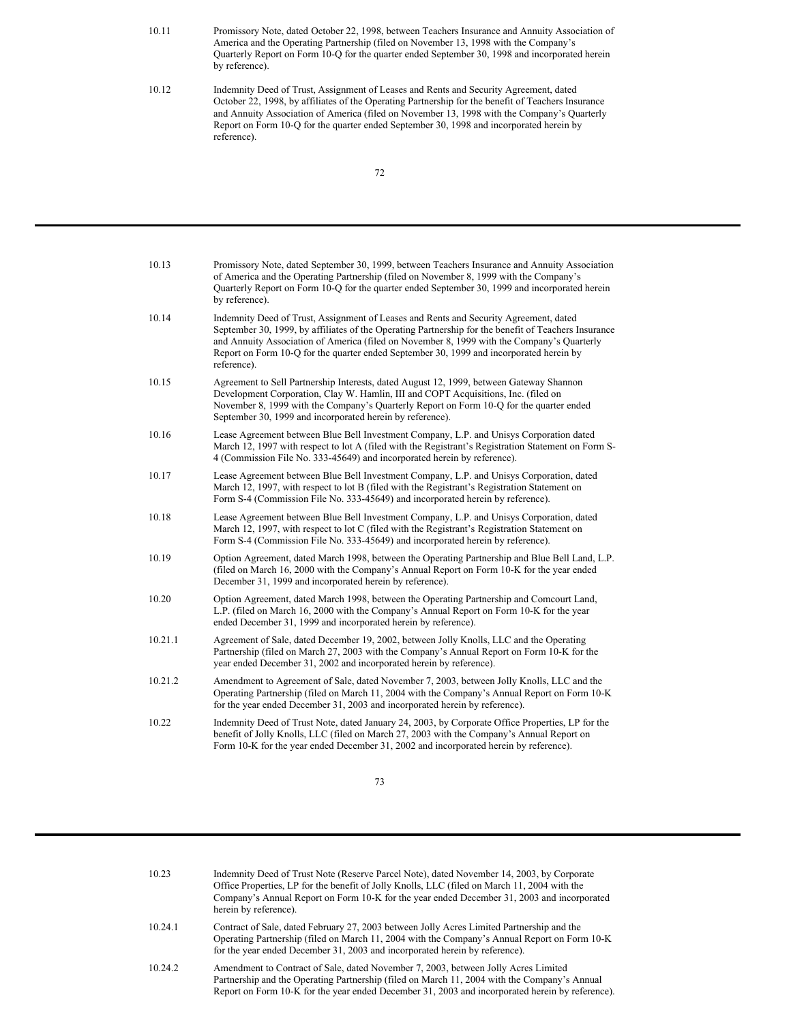10.11 Promissory Note, dated October 22, 1998, between Teachers Insurance and Annuity Association of America and the Operating Partnership (filed on November 13, 1998 with the Company's Quarterly Report on Form 10-Q for the quarter ended September 30, 1998 and incorporated herein by reference).

10.12 Indemnity Deed of Trust, Assignment of Leases and Rents and Security Agreement, dated October 22, 1998, by affiliates of the Operating Partnership for the benefit of Teachers Insurance and Annuity Association of America (filed on November 13, 1998 with the Company's Quarterly Report on Form 10-Q for the quarter ended September 30, 1998 and incorporated herein by reference).

| 10.13   | Promissory Note, dated September 30, 1999, between Teachers Insurance and Annuity Association<br>of America and the Operating Partnership (filed on November 8, 1999 with the Company's<br>Quarterly Report on Form 10-O for the quarter ended September 30, 1999 and incorporated herein<br>by reference).                                                                                           |
|---------|-------------------------------------------------------------------------------------------------------------------------------------------------------------------------------------------------------------------------------------------------------------------------------------------------------------------------------------------------------------------------------------------------------|
| 10.14   | Indemnity Deed of Trust, Assignment of Leases and Rents and Security Agreement, dated<br>September 30, 1999, by affiliates of the Operating Partnership for the benefit of Teachers Insurance<br>and Annuity Association of America (filed on November 8, 1999 with the Company's Quarterly<br>Report on Form 10-Q for the quarter ended September 30, 1999 and incorporated herein by<br>reference). |
| 10.15   | Agreement to Sell Partnership Interests, dated August 12, 1999, between Gateway Shannon<br>Development Corporation, Clay W. Hamlin, III and COPT Acquisitions, Inc. (filed on<br>November 8, 1999 with the Company's Quarterly Report on Form 10-Q for the quarter ended<br>September 30, 1999 and incorporated herein by reference).                                                                 |
| 10.16   | Lease Agreement between Blue Bell Investment Company, L.P. and Unisys Corporation dated<br>March 12, 1997 with respect to lot A (filed with the Registrant's Registration Statement on Form S-<br>4 (Commission File No. 333-45649) and incorporated herein by reference).                                                                                                                            |
| 10.17   | Lease Agreement between Blue Bell Investment Company, L.P. and Unisys Corporation, dated<br>March 12, 1997, with respect to lot B (filed with the Registrant's Registration Statement on<br>Form S-4 (Commission File No. 333-45649) and incorporated herein by reference).                                                                                                                           |
| 10.18   | Lease Agreement between Blue Bell Investment Company, L.P. and Unisys Corporation, dated<br>March 12, 1997, with respect to lot C (filed with the Registrant's Registration Statement on<br>Form S-4 (Commission File No. 333-45649) and incorporated herein by reference).                                                                                                                           |
| 10.19   | Option Agreement, dated March 1998, between the Operating Partnership and Blue Bell Land, L.P.<br>(filed on March 16, 2000 with the Company's Annual Report on Form 10-K for the year ended<br>December 31, 1999 and incorporated herein by reference).                                                                                                                                               |
| 10.20   | Option Agreement, dated March 1998, between the Operating Partnership and Comcourt Land,<br>L.P. (filed on March 16, 2000 with the Company's Annual Report on Form 10-K for the year<br>ended December 31, 1999 and incorporated herein by reference).                                                                                                                                                |
| 10.21.1 | Agreement of Sale, dated December 19, 2002, between Jolly Knolls, LLC and the Operating<br>Partnership (filed on March 27, 2003 with the Company's Annual Report on Form 10-K for the<br>year ended December 31, 2002 and incorporated herein by reference).                                                                                                                                          |
| 10.21.2 | Amendment to Agreement of Sale, dated November 7, 2003, between Jolly Knolls, LLC and the<br>Operating Partnership (filed on March 11, 2004 with the Company's Annual Report on Form 10-K<br>for the year ended December 31, 2003 and incorporated herein by reference).                                                                                                                              |
| 10.22   | Indemnity Deed of Trust Note, dated January 24, 2003, by Corporate Office Properties, LP for the<br>benefit of Jolly Knolls, LLC (filed on March 27, 2003 with the Company's Annual Report on<br>Form 10-K for the year ended December 31, 2002 and incorporated herein by reference).                                                                                                                |

73

| 10.23   | Indemnity Deed of Trust Note (Reserve Parcel Note), dated November 14, 2003, by Corporate<br>Office Properties, LP for the benefit of Jolly Knolls, LLC (filed on March 11, 2004 with the<br>Company's Annual Report on Form 10-K for the year ended December 31, 2003 and incorporated<br>herein by reference). |
|---------|------------------------------------------------------------------------------------------------------------------------------------------------------------------------------------------------------------------------------------------------------------------------------------------------------------------|
| 10.24.1 | Contract of Sale, dated February 27, 2003 between Jolly Acres Limited Partnership and the<br>Operating Partnership (filed on March 11, 2004 with the Company's Annual Report on Form 10-K<br>for the year ended December 31, 2003 and incorporated herein by reference).                                         |
| 10.24.2 | Amendment to Contract of Sale, dated November 7, 2003, between Jolly Acres Limited<br>Partnership and the Operating Partnership (filed on March 11, 2004 with the Company's Annual<br>Report on Form 10-K for the year ended December 31, 2003 and incorporated herein by reference).                            |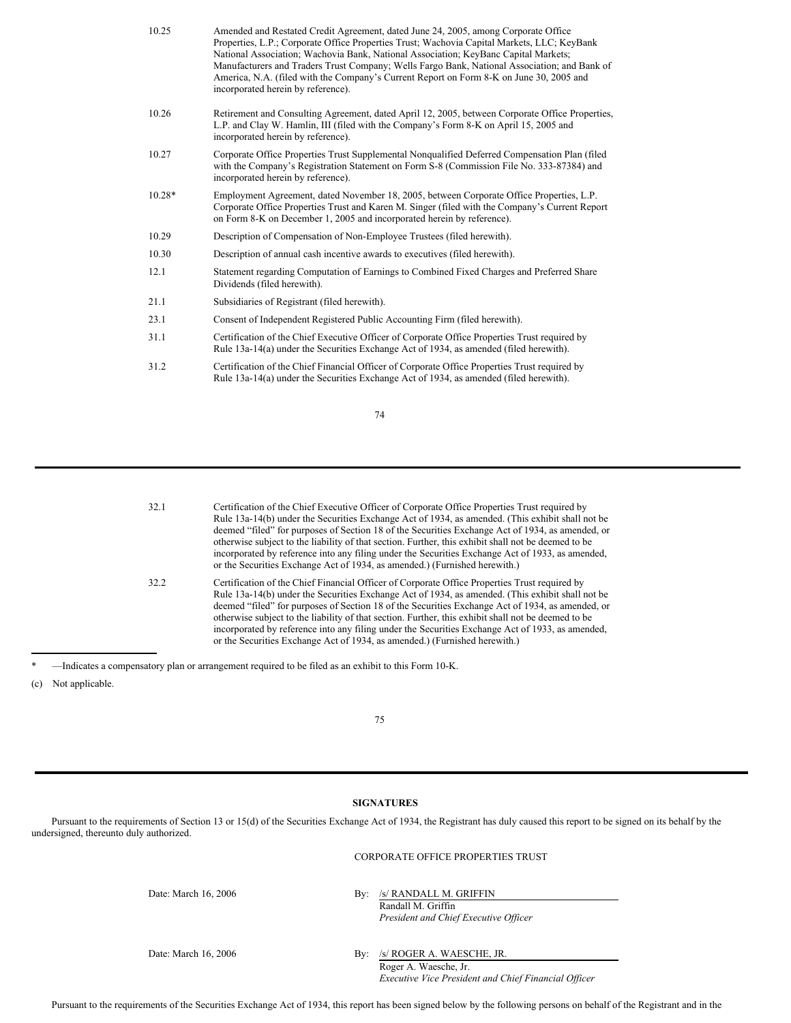| 10.25    | Amended and Restated Credit Agreement, dated June 24, 2005, among Corporate Office<br>Properties, L.P.; Corporate Office Properties Trust; Wachovia Capital Markets, LLC; KeyBank<br>National Association; Wachovia Bank, National Association; KeyBanc Capital Markets;<br>Manufacturers and Traders Trust Company; Wells Fargo Bank, National Association; and Bank of<br>America, N.A. (filed with the Company's Current Report on Form 8-K on June 30, 2005 and<br>incorporated herein by reference). |
|----------|-----------------------------------------------------------------------------------------------------------------------------------------------------------------------------------------------------------------------------------------------------------------------------------------------------------------------------------------------------------------------------------------------------------------------------------------------------------------------------------------------------------|
| 10.26    | Retirement and Consulting Agreement, dated April 12, 2005, between Corporate Office Properties,<br>L.P. and Clay W. Hamlin, III (filed with the Company's Form 8-K on April 15, 2005 and<br>incorporated herein by reference).                                                                                                                                                                                                                                                                            |
| 10.27    | Corporate Office Properties Trust Supplemental Nonqualified Deferred Compensation Plan (filed<br>with the Company's Registration Statement on Form S-8 (Commission File No. 333-87384) and<br>incorporated herein by reference).                                                                                                                                                                                                                                                                          |
| $10.28*$ | Employment Agreement, dated November 18, 2005, between Corporate Office Properties, L.P.<br>Corporate Office Properties Trust and Karen M. Singer (filed with the Company's Current Report<br>on Form 8-K on December 1, 2005 and incorporated herein by reference).                                                                                                                                                                                                                                      |
| 10.29    | Description of Compensation of Non-Employee Trustees (filed herewith).                                                                                                                                                                                                                                                                                                                                                                                                                                    |
| 10.30    | Description of annual cash incentive awards to executives (filed herewith).                                                                                                                                                                                                                                                                                                                                                                                                                               |
| 12.1     | Statement regarding Computation of Earnings to Combined Fixed Charges and Preferred Share<br>Dividends (filed herewith).                                                                                                                                                                                                                                                                                                                                                                                  |
| 21.1     | Subsidiaries of Registrant (filed herewith).                                                                                                                                                                                                                                                                                                                                                                                                                                                              |
| 23.1     | Consent of Independent Registered Public Accounting Firm (filed herewith).                                                                                                                                                                                                                                                                                                                                                                                                                                |
| 31.1     | Certification of the Chief Executive Officer of Corporate Office Properties Trust required by<br>Rule 13a-14(a) under the Securities Exchange Act of 1934, as amended (filed herewith).                                                                                                                                                                                                                                                                                                                   |
| 31.2     | Certification of the Chief Financial Officer of Corporate Office Properties Trust required by<br>Rule 13a-14(a) under the Securities Exchange Act of 1934, as amended (filed herewith).                                                                                                                                                                                                                                                                                                                   |

74

32.1 Certification of the Chief Executive Officer of Corporate Office Properties Trust required by Rule 13a-14(b) under the Securities Exchange Act of 1934, as amended. (This exhibit shall not be deemed "filed" for purposes of Section 18 of the Securities Exchange Act of 1934, as amended, or otherwise subject to the liability of that section. Further, this exhibit shall not be deemed to be incorporated by reference into any filing under the Securities Exchange Act of 1933, as amended, or the Securities Exchange Act of 1934, as amended.) (Furnished herewith.) 32.2 Certification of the Chief Financial Officer of Corporate Office Properties Trust required by Rule 13a-14(b) under the Securities Exchange Act of 1934, as amended. (This exhibit shall not be deemed "filed" for purposes of Section 18 of the Securities Exchange Act of 1934, as amended, or otherwise subject to the liability of that section. Further, this exhibit shall not be deemed to be incorporated by reference into any filing under the Securities Exchange Act of 1933, as amended, or the Securities Exchange Act of 1934, as amended.) (Furnished herewith.)

-Indicates a compensatory plan or arrangement required to be filed as an exhibit to this Form 10-K.

(c) Not applicable.

75

# **SIGNATURES**

Pursuant to the requirements of Section 13 or 15(d) of the Securities Exchange Act of 1934, the Registrant has duly caused this report to be signed on its behalf by the undersigned, thereunto duly authorized.

|                      |     | <b>CORPORATE OFFICE PROPERTIES TRUST</b>                                                                   |
|----------------------|-----|------------------------------------------------------------------------------------------------------------|
| Date: March 16, 2006 | By: | /s/ RANDALL M. GRIFFIN<br>Randall M. Griffin<br>President and Chief Executive Officer                      |
| Date: March 16, 2006 | By: | /s/ ROGER A. WAESCHE, JR.<br>Roger A. Waesche, Jr.<br>Executive Vice President and Chief Financial Officer |

Pursuant to the requirements of the Securities Exchange Act of 1934, this report has been signed below by the following persons on behalf of the Registrant and in the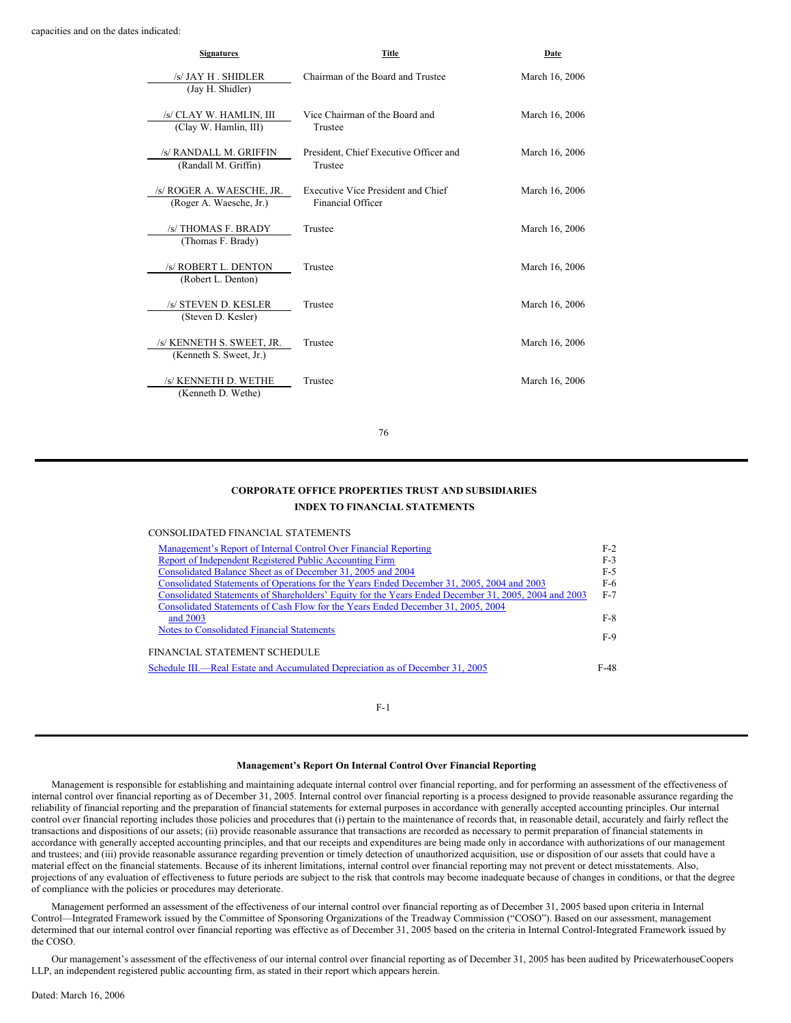#### capacities and on the dates indicated:

| <b>Signatures</b>                                    | <b>Title</b>                                                   | Date           |  |
|------------------------------------------------------|----------------------------------------------------------------|----------------|--|
| /s/ JAY H. SHIDLER<br>(Jay H. Shidler)               | Chairman of the Board and Trustee                              | March 16, 2006 |  |
| /s/ CLAY W. HAMLIN, III<br>(Clay W. Hamlin, III)     | Vice Chairman of the Board and<br>Trustee                      | March 16, 2006 |  |
| /s/ RANDALL M. GRIFFIN<br>(Randall M. Griffin)       | President, Chief Executive Officer and<br>Trustee              | March 16, 2006 |  |
| /s/ ROGER A. WAESCHE, JR.<br>(Roger A. Waesche, Jr.) | Executive Vice President and Chief<br><b>Financial Officer</b> | March 16, 2006 |  |
| /s/ THOMAS F. BRADY<br>(Thomas F. Brady)             | Trustee                                                        | March 16, 2006 |  |
| /s/ ROBERT L. DENTON<br>(Robert L. Denton)           | Trustee                                                        | March 16, 2006 |  |
| /s/ STEVEN D. KESLER<br>(Steven D. Kesler)           | Trustee                                                        | March 16, 2006 |  |
| /s/ KENNETH S. SWEET, JR.<br>(Kenneth S. Sweet, Jr.) | Trustee                                                        | March 16, 2006 |  |
| /s/ KENNETH D. WETHE<br>(Kenneth D. Wethe)           | Trustee                                                        | March 16, 2006 |  |

76

# **CORPORATE OFFICE PROPERTIES TRUST AND SUBSIDIARIES INDEX TO FINANCIAL STATEMENTS**

# CONSOLIDATED FINANCIAL STATEMENTS

| Management's Report of Internal Control Over Financial Reporting                                     | $F-2$ |
|------------------------------------------------------------------------------------------------------|-------|
| Report of Independent Registered Public Accounting Firm                                              | $F-3$ |
| Consolidated Balance Sheet as of December 31, 2005 and 2004                                          | $F-5$ |
| Consolidated Statements of Operations for the Years Ended December 31, 2005, 2004 and 2003           | F-6   |
| Consolidated Statements of Shareholders' Equity for the Years Ended December 31, 2005, 2004 and 2003 | $F-7$ |
| Consolidated Statements of Cash Flow for the Years Ended December 31, 2005, 2004                     |       |
| and 2003                                                                                             | $F-8$ |
| <b>Notes to Consolidated Financial Statements</b>                                                    | $F-9$ |
| FINANCIAL STATEMENT SCHEDULE                                                                         |       |
| Schedule III.—Real Estate and Accumulated Depreciation as of December 31, 2005                       | F-48  |

# F-1

# <span id="page-40-0"></span>**Management's Report On Internal Control Over Financial Reporting**

Management is responsible for establishing and maintaining adequate internal control over financial reporting, and for performing an assessment of the effectiveness of internal control over financial reporting as of December 31, 2005. Internal control over financial reporting is a process designed to provide reasonable assurance regarding the reliability of financial reporting and the preparation of financial statements for external purposes in accordance with generally accepted accounting principles. Our internal control over financial reporting includes those policies and procedures that (i) pertain to the maintenance of records that, in reasonable detail, accurately and fairly reflect the transactions and dispositions of our assets; (ii) provide reasonable assurance that transactions are recorded as necessary to permit preparation of financial statements in accordance with generally accepted accounting principles, and that our receipts and expenditures are being made only in accordance with authorizations of our management and trustees; and (iii) provide reasonable assurance regarding prevention or timely detection of unauthorized acquisition, use or disposition of our assets that could have a material effect on the financial statements. Because of its inherent limitations, internal control over financial reporting may not prevent or detect misstatements. Also, projections of any evaluation of effectiveness to future periods are subject to the risk that controls may become inadequate because of changes in conditions, or that the degree of compliance with the policies or procedures may deteriorate.

Management performed an assessment of the effectiveness of our internal control over financial reporting as of December 31, 2005 based upon criteria in Internal Control—Integrated Framework issued by the Committee of Sponsoring Organizations of the Treadway Commission ("COSO"). Based on our assessment, management determined that our internal control over financial reporting was effective as of December 31, 2005 based on the criteria in Internal Control-Integrated Framework issued by the COSO.

Our management's assessment of the effectiveness of our internal control over financial reporting as of December 31, 2005 has been audited by PricewaterhouseCoopers LLP, an independent registered public accounting firm, as stated in their report which appears herein.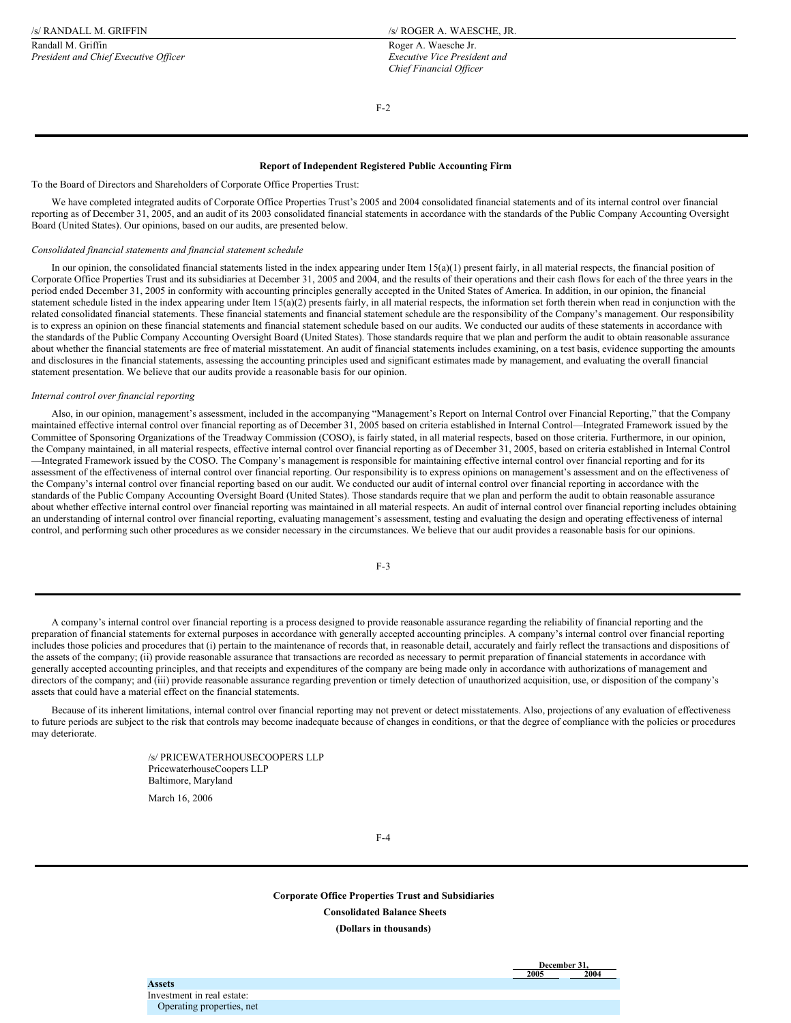*Chief Financial Of icer*

F-2

## <span id="page-41-0"></span>**Report of Independent Registered Public Accounting Firm**

To the Board of Directors and Shareholders of Corporate Office Properties Trust:

We have completed integrated audits of Corporate Office Properties Trust's 2005 and 2004 consolidated financial statements and of its internal control over financial reporting as of December 31, 2005, and an audit of its 2003 consolidated financial statements in accordance with the standards of the Public Company Accounting Oversight Board (United States). Our opinions, based on our audits, are presented below.

# *Consolidated financial statements and financial statement schedule*

In our opinion, the consolidated financial statements listed in the index appearing under Item 15(a)(1) present fairly, in all material respects, the financial position of Corporate Office Properties Trust and its subsidiaries at December 31, 2005 and 2004, and the results of their operations and their cash flows for each of the three years in the period ended December 31, 2005 in conformity with accounting principles generally accepted in the United States of America. In addition, in our opinion, the financial statement schedule listed in the index appearing under Item 15(a)(2) presents fairly, in all material respects, the information set forth therein when read in conjunction with the related consolidated financial statements. These financial statements and financial statement schedule are the responsibility of the Company's management. Our responsibility is to express an opinion on these financial statements and financial statement schedule based on our audits. We conducted our audits of these statements in accordance with the standards of the Public Company Accounting Oversight Board (United States). Those standards require that we plan and perform the audit to obtain reasonable assurance about whether the financial statements are free of material misstatement. An audit of financial statements includes examining, on a test basis, evidence supporting the amounts and disclosures in the financial statements, assessing the accounting principles used and significant estimates made by management, and evaluating the overall financial statement presentation. We believe that our audits provide a reasonable basis for our opinion.

# *Internal control over financial reporting*

Also, in our opinion, management's assessment, included in the accompanying "Management's Report on Internal Control over Financial Reporting," that the Company maintained effective internal control over financial reporting as of December 31, 2005 based on criteria established in Internal Control—Integrated Framework issued by the Committee of Sponsoring Organizations of the Treadway Commission (COSO), is fairly stated, in all material respects, based on those criteria. Furthermore, in our opinion, the Company maintained, in all material respects, effective internal control over financial reporting as of December 31, 2005, based on criteria established in Internal Control —Integrated Framework issued by the COSO. The Company's management is responsible for maintaining effective internal control over financial reporting and for its assessment of the effectiveness of internal control over financial reporting. Our responsibility is to express opinions on management's assessment and on the effectiveness of the Company's internal control over financial reporting based on our audit. We conducted our audit of internal control over financial reporting in accordance with the standards of the Public Company Accounting Oversight Board (United States). Those standards require that we plan and perform the audit to obtain reasonable assurance about whether effective internal control over financial reporting was maintained in all material respects. An audit of internal control over financial reporting includes obtaining an understanding of internal control over financial reporting, evaluating management's assessment, testing and evaluating the design and operating effectiveness of internal control, and performing such other procedures as we consider necessary in the circumstances. We believe that our audit provides a reasonable basis for our opinions.

| _ | ı<br>ı<br>$\sim$ |
|---|------------------|
|   |                  |

A company's internal control over financial reporting is a process designed to provide reasonable assurance regarding the reliability of financial reporting and the preparation of financial statements for external purposes in accordance with generally accepted accounting principles. A company's internal control over financial reporting includes those policies and procedures that (i) pertain to the maintenance of records that, in reasonable detail, accurately and fairly reflect the transactions and dispositions of the assets of the company; (ii) provide reasonable assurance that transactions are recorded as necessary to permit preparation of financial statements in accordance with generally accepted accounting principles, and that receipts and expenditures of the company are being made only in accordance with authorizations of management and directors of the company; and (iii) provide reasonable assurance regarding prevention or timely detection of unauthorized acquisition, use, or disposition of the company's assets that could have a material effect on the financial statements.

Because of its inherent limitations, internal control over financial reporting may not prevent or detect misstatements. Also, projections of any evaluation of effectiveness to future periods are subject to the risk that controls may become inadequate because of changes in conditions, or that the degree of compliance with the policies or procedures may deteriorate.

> /s/ PRICEWATERHOUSECOOPERS LLP PricewaterhouseCoopers LLP Baltimore, Maryland

March 16, 2006

F-4

<span id="page-41-1"></span>**Corporate Office Properties Trust and Subsidiaries Consolidated Balance Sheets (Dollars in thousands)**

**Assets** Investment in real estate: Operating properties, net

**December 3 2005 2004**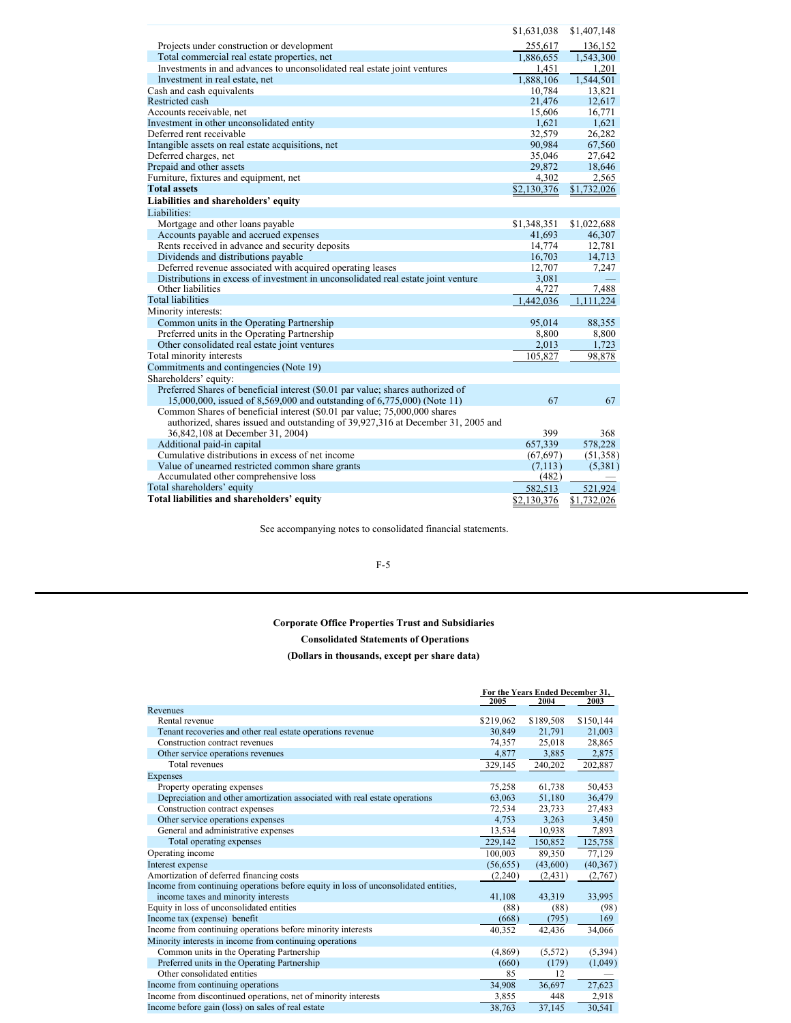|                                                                                   | \$1,631,038 | \$1,407,148 |
|-----------------------------------------------------------------------------------|-------------|-------------|
| Projects under construction or development                                        | 255,617     | 136,152     |
| Total commercial real estate properties, net                                      | 1,886,655   | 1,543,300   |
| Investments in and advances to unconsolidated real estate joint ventures          | 1,451       | 1,201       |
| Investment in real estate, net                                                    | 1,888,106   | 1,544,501   |
| Cash and cash equivalents                                                         | 10,784      | 13,821      |
| Restricted cash                                                                   | 21,476      | 12,617      |
| Accounts receivable, net                                                          | 15,606      | 16,771      |
| Investment in other unconsolidated entity                                         | 1,621       | 1,621       |
| Deferred rent receivable                                                          | 32,579      | 26,282      |
| Intangible assets on real estate acquisitions, net                                | 90,984      | 67,560      |
| Deferred charges, net                                                             | 35,046      | 27,642      |
| Prepaid and other assets                                                          | 29,872      | 18,646      |
| Furniture, fixtures and equipment, net                                            | 4,302       | 2,565       |
| <b>Total assets</b>                                                               | \$2,130,376 | \$1,732,026 |
| Liabilities and shareholders' equity                                              |             |             |
| Liabilities:                                                                      |             |             |
| Mortgage and other loans payable                                                  | \$1,348,351 | \$1,022,688 |
| Accounts payable and accrued expenses                                             | 41,693      | 46,307      |
| Rents received in advance and security deposits                                   | 14,774      | 12,781      |
| Dividends and distributions payable                                               | 16,703      | 14,713      |
| Deferred revenue associated with acquired operating leases                        | 12,707      | 7,247       |
| Distributions in excess of investment in unconsolidated real estate joint venture | 3,081       |             |
| Other liabilities                                                                 | 4,727       | 7,488       |
| <b>Total liabilities</b>                                                          | 1,442,036   | 1,111,224   |
| Minority interests:                                                               |             |             |
| Common units in the Operating Partnership                                         | 95,014      | 88,355      |
| Preferred units in the Operating Partnership                                      | 8,800       | 8,800       |
| Other consolidated real estate joint ventures                                     | 2,013       | 1,723       |
| Total minority interests                                                          | 105,827     | 98,878      |
| Commitments and contingencies (Note 19)                                           |             |             |
| Shareholders' equity:                                                             |             |             |
| Preferred Shares of beneficial interest (\$0.01 par value; shares authorized of   |             |             |
| 15,000,000, issued of 8,569,000 and outstanding of 6,775,000) (Note 11)           | 67          | 67          |
| Common Shares of beneficial interest (\$0.01 par value; 75,000,000 shares         |             |             |
| authorized, shares issued and outstanding of 39,927,316 at December 31, 2005 and  |             |             |
| 36,842,108 at December 31, 2004)                                                  | 399         | 368         |
| Additional paid-in capital                                                        | 657,339     | 578,228     |
| Cumulative distributions in excess of net income                                  | (67, 697)   | (51, 358)   |
| Value of unearned restricted common share grants                                  | (7, 113)    | (5,381)     |
| Accumulated other comprehensive loss                                              | (482)       |             |
| Total shareholders' equity                                                        | 582,513     | 521,924     |
| Total liabilities and shareholders' equity                                        | \$2,130,376 | \$1,732,026 |

See accompanying notes to consolidated financial statements.

# F-5

# <span id="page-42-0"></span>**Corporate Office Properties Trust and Subsidiaries Consolidated Statements of Operations (Dollars in thousands, except per share data)**

|                                                                                              |           | For the Years Ended December 31, |           |
|----------------------------------------------------------------------------------------------|-----------|----------------------------------|-----------|
| Revenues                                                                                     | 2005      | 2004                             | 2003      |
| Rental revenue                                                                               | \$219,062 |                                  |           |
|                                                                                              |           | \$189,508                        | \$150,144 |
| Tenant recoveries and other real estate operations revenue<br>Construction contract revenues | 30.849    | 21,791                           | 21,003    |
|                                                                                              | 74,357    | 25,018                           | 28,865    |
| Other service operations revenues                                                            | 4,877     | 3,885                            | 2,875     |
| Total revenues                                                                               | 329,145   | 240,202                          | 202,887   |
| <b>Expenses</b>                                                                              |           |                                  |           |
| Property operating expenses                                                                  | 75,258    | 61,738                           | 50,453    |
| Depreciation and other amortization associated with real estate operations                   | 63,063    | 51,180                           | 36,479    |
| Construction contract expenses                                                               | 72,534    | 23,733                           | 27,483    |
| Other service operations expenses                                                            | 4,753     | 3,263                            | 3,450     |
| General and administrative expenses                                                          | 13,534    | 10,938                           | 7,893     |
| Total operating expenses                                                                     | 229,142   | 150,852                          | 125,758   |
| Operating income                                                                             | 100,003   | 89.350                           | 77,129    |
| Interest expense                                                                             | (56, 655) | (43,600)                         | (40, 367) |
| Amortization of deferred financing costs                                                     | (2,240)   | (2, 431)                         | (2,767)   |
| Income from continuing operations before equity in loss of unconsolidated entities,          |           |                                  |           |
| income taxes and minority interests                                                          | 41,108    | 43,319                           | 33,995    |
| Equity in loss of unconsolidated entities                                                    | (88)      | (88)                             | (98)      |
| Income tax (expense) benefit                                                                 | (668)     | (795)                            | 169       |
| Income from continuing operations before minority interests                                  | 40,352    | 42,436                           | 34,066    |
| Minority interests in income from continuing operations                                      |           |                                  |           |
| Common units in the Operating Partnership                                                    | (4,869)   | (5,572)                          | (5,394)   |
| Preferred units in the Operating Partnership                                                 | (660)     | (179)                            | (1,049)   |
| Other consolidated entities                                                                  | 85        | 12                               |           |
| Income from continuing operations                                                            | 34,908    | 36,697                           | 27,623    |
| Income from discontinued operations, net of minority interests                               | 3,855     | 448                              | 2,918     |
| Income before gain (loss) on sales of real estate                                            | 38,763    | 37,145                           | 30,541    |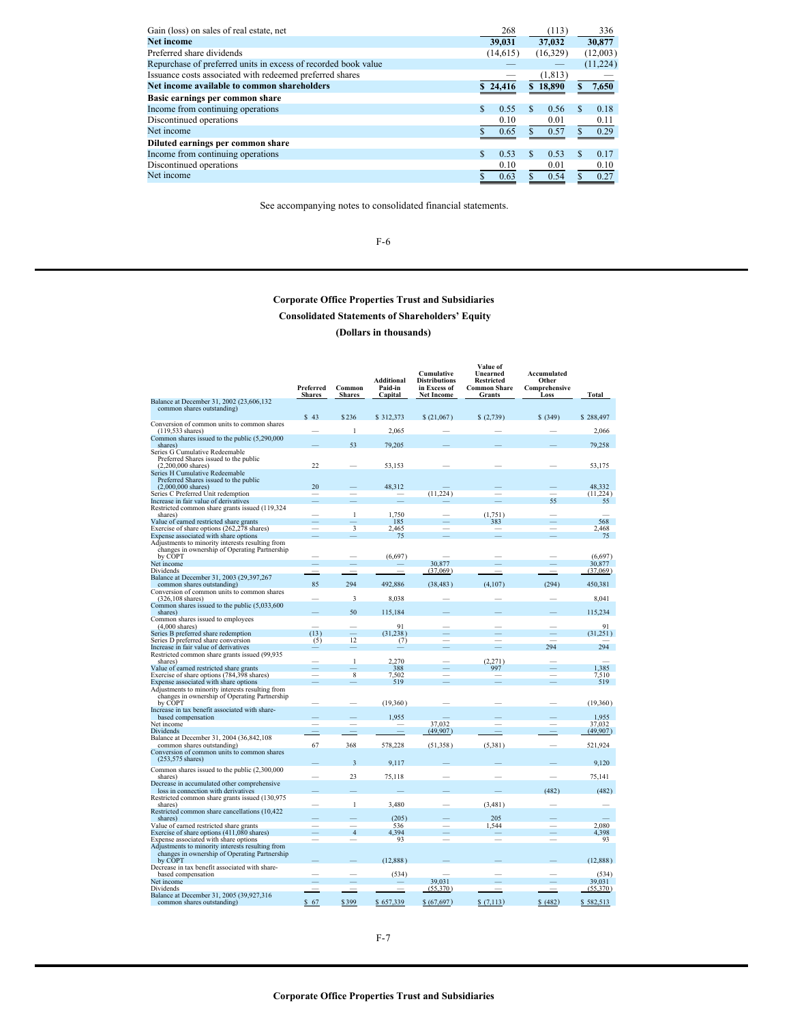| Gain (loss) on sales of real estate, net                       | 268      | (113)     | 336         |
|----------------------------------------------------------------|----------|-----------|-------------|
| <b>Net income</b>                                              | 39,031   | 37,032    | 30,877      |
| Preferred share dividends                                      | (14,615) | (16,329)  | (12,003)    |
| Repurchase of preferred units in excess of recorded book value |          |           | (11,224)    |
| Issuance costs associated with redeemed preferred shares       |          | (1, 813)  |             |
| Net income available to common shareholders                    | \$24,416 | \$18,890  | 7,650       |
| Basic earnings per common share                                |          |           |             |
| Income from continuing operations                              | 0.55     | S<br>0.56 | \$.<br>0.18 |
| Discontinued operations                                        | 0.10     | 0.01      | 0.11        |
| Net income                                                     | 0.65     | 0.57      | 0.29        |
| Diluted earnings per common share                              |          |           |             |
| Income from continuing operations                              | 0.53     | 0.53<br>S | 0.17<br>Я   |
| Discontinued operations                                        | 0.10     | 0.01      | 0.10        |
| Net income                                                     | 0.63     | 0.54      | 0.27        |
|                                                                |          |           |             |

See accompanying notes to consolidated financial statements.

# **Corporate Office Properties Trust and Subsidiaries**

<span id="page-43-0"></span>**Consolidated Statements of Shareholders' Equity**

**(Dollars in thousands)**

|                                                                                                                                            | Preferred<br><b>Shares</b> | Common<br><b>Shares</b> | <b>Additional</b><br>Paid-in<br>Capital | Cumulative<br><b>Distributions</b><br>in Excess of<br>Net Income | Value of<br>Unearned<br>Restricted<br><b>Common Share</b><br>Grants | Accumulated<br>Other<br>Comprehensive<br>Loss | Total              |
|--------------------------------------------------------------------------------------------------------------------------------------------|----------------------------|-------------------------|-----------------------------------------|------------------------------------------------------------------|---------------------------------------------------------------------|-----------------------------------------------|--------------------|
| Balance at December 31, 2002 (23,606,132)                                                                                                  |                            |                         |                                         |                                                                  |                                                                     |                                               |                    |
| common shares outstanding)                                                                                                                 |                            |                         |                                         |                                                                  |                                                                     |                                               |                    |
| Conversion of common units to common shares                                                                                                | \$43                       | \$236                   | \$312,373                               | \$(21,067)                                                       | \$(2,739)                                                           | \$ (349)                                      | \$288,497          |
| $(119, 533$ shares)                                                                                                                        |                            | $\mathbf{1}$            | 2,065                                   |                                                                  |                                                                     |                                               | 2,066              |
| Common shares issued to the public (5,290,000<br>shares)                                                                                   |                            | 53                      | 79,205                                  |                                                                  |                                                                     |                                               | 79,258             |
| Series G Cumulative Redeemable<br>Preferred Shares issued to the public                                                                    | 22                         |                         |                                         |                                                                  |                                                                     |                                               | 53,175             |
| $(2,200,000 \text{ shares})$<br>Series H Cumulative Redeemable<br>Preferred Shares issued to the public                                    |                            |                         | 53,153                                  |                                                                  |                                                                     |                                               |                    |
| $(2,000,000 \text{ shares})$                                                                                                               | 20                         |                         | 48,312                                  |                                                                  |                                                                     |                                               | 48,332             |
| Series C Preferred Unit redemption<br>Increase in fair value of derivatives                                                                |                            |                         |                                         | (11, 224)                                                        |                                                                     | 55                                            | (11, 224)<br>55    |
| Restricted common share grants issued (119,324                                                                                             |                            |                         |                                         |                                                                  |                                                                     |                                               |                    |
| shares)                                                                                                                                    |                            | 1                       | 1,750                                   |                                                                  | (1,751)                                                             |                                               |                    |
| Value of earned restricted share grants                                                                                                    |                            |                         | 185                                     |                                                                  | 383                                                                 |                                               | 568                |
| Exercise of share options (262,278 shares)                                                                                                 |                            | 3                       | 2,465                                   |                                                                  |                                                                     |                                               | 2,468              |
| Expense associated with share options<br>Adjustments to minority interests resulting from<br>changes in ownership of Operating Partnership |                            |                         | 75                                      |                                                                  |                                                                     |                                               | 75                 |
| by COPT                                                                                                                                    |                            |                         | (6, 697)                                |                                                                  |                                                                     |                                               | (6,697)            |
| Net income<br>Dividends                                                                                                                    |                            |                         |                                         | 30,877                                                           |                                                                     |                                               | 30,877             |
| Balance at December 31, 2003 (29,397,267                                                                                                   |                            |                         |                                         | (37,069)                                                         |                                                                     |                                               | (37,069)           |
| common shares outstanding)                                                                                                                 | 85                         | 294                     | 492,886                                 | (38, 483)                                                        | (4, 107)                                                            | (294)                                         | 450,381            |
| Conversion of common units to common shares<br>$(326, 108$ shares)                                                                         |                            | 3                       | 8,038                                   |                                                                  |                                                                     |                                               | 8,041              |
| Common shares issued to the public (5,033,600<br>shares)                                                                                   |                            | 50                      | 115,184                                 |                                                                  |                                                                     |                                               | 115,234            |
| Common shares issued to employees                                                                                                          |                            |                         | 91                                      |                                                                  |                                                                     |                                               | 91                 |
| $(4,000 \text{ shares})$<br>Series B preferred share redemption                                                                            | (13)                       |                         | (31, 238)                               |                                                                  |                                                                     |                                               | (31, 251)          |
| Series D preferred share conversion                                                                                                        | (5)                        | 12                      | (7)                                     |                                                                  |                                                                     |                                               |                    |
| Increase in fair value of derivatives                                                                                                      |                            |                         |                                         |                                                                  |                                                                     | 294                                           | 294                |
| Restricted common share grants issued (99,935)                                                                                             |                            |                         |                                         |                                                                  |                                                                     |                                               |                    |
| shares)                                                                                                                                    |                            | 1                       | 2,270                                   |                                                                  | (2, 271)                                                            |                                               |                    |
| Value of earned restricted share grants                                                                                                    |                            | $\overline{\mathbf{8}}$ | 388                                     |                                                                  | 997                                                                 |                                               | 1,385              |
| Exercise of share options (784,398 shares)<br>Expense associated with share options                                                        |                            |                         | 7,502<br>519                            |                                                                  |                                                                     |                                               | 7,510<br>519       |
| Adjustments to minority interests resulting from<br>changes in ownership of Operating Partnership                                          |                            |                         |                                         |                                                                  |                                                                     |                                               |                    |
| by COPT<br>Increase in tax benefit associated with share-                                                                                  |                            |                         | (19,360)                                |                                                                  |                                                                     |                                               | (19,360)           |
| based compensation                                                                                                                         |                            |                         | 1,955                                   |                                                                  |                                                                     |                                               | 1,955              |
| Net income                                                                                                                                 |                            |                         |                                         | 37.032                                                           |                                                                     |                                               | 37,032             |
| Dividends                                                                                                                                  |                            |                         |                                         | (49, 907)                                                        |                                                                     |                                               | (49, 907)          |
| Balance at December 31, 2004 (36,842,108<br>common shares outstanding)                                                                     | 67                         | 368                     | 578,228                                 | (51, 358)                                                        | (5,381)                                                             |                                               | 521,924            |
| Conversion of common units to common shares<br>$(253, 575 \text{ shares})$                                                                 |                            | $\overline{\mathbf{3}}$ | 9,117                                   |                                                                  |                                                                     |                                               | 9,120              |
| Common shares issued to the public (2,300,000                                                                                              |                            |                         |                                         |                                                                  |                                                                     |                                               |                    |
| shares)<br>Decrease in accumulated other comprehensive                                                                                     |                            | 23                      | 75,118                                  |                                                                  |                                                                     |                                               | 75,141             |
| loss in connection with derivatives                                                                                                        |                            |                         |                                         |                                                                  |                                                                     | (482)                                         | (482)              |
| Restricted common share grants issued (130,975<br>shares)                                                                                  |                            | $\mathbf{1}$            | 3,480                                   |                                                                  | (3,481)                                                             |                                               |                    |
| Restricted common share cancellations (10,422)<br>shares)                                                                                  |                            |                         | (205)                                   |                                                                  | 205                                                                 |                                               |                    |
| Value of earned restricted share grants                                                                                                    |                            | $\overline{4}$          | 536                                     |                                                                  | 1,544                                                               |                                               | 2,080              |
| Exercise of share options (411,080 shares)<br>Expense associated with share options                                                        |                            |                         | 4,394<br>93                             |                                                                  |                                                                     |                                               | 4,398<br>93        |
| Adjustments to minority interests resulting from<br>changes in ownership of Operating Partnership                                          |                            |                         |                                         |                                                                  |                                                                     |                                               |                    |
| by COPT<br>Decrease in tax benefit associated with share-                                                                                  |                            |                         | (12, 888)                               |                                                                  |                                                                     |                                               | (12, 888)          |
| based compensation                                                                                                                         |                            |                         | (534)                                   |                                                                  |                                                                     |                                               | (534)              |
| Net income<br>Dividends                                                                                                                    |                            |                         |                                         | 39,031<br>(55,370)                                               |                                                                     |                                               | 39,031<br>(55,370) |
| Balance at December 31, 2005 (39,927,316                                                                                                   |                            |                         |                                         |                                                                  |                                                                     |                                               |                    |
| common shares outstanding)                                                                                                                 | \$<br>67                   | \$399                   | \$657,339                               | \$ (67,697)                                                      | \$(7,113)                                                           | \$ (482)                                      | \$582,513          |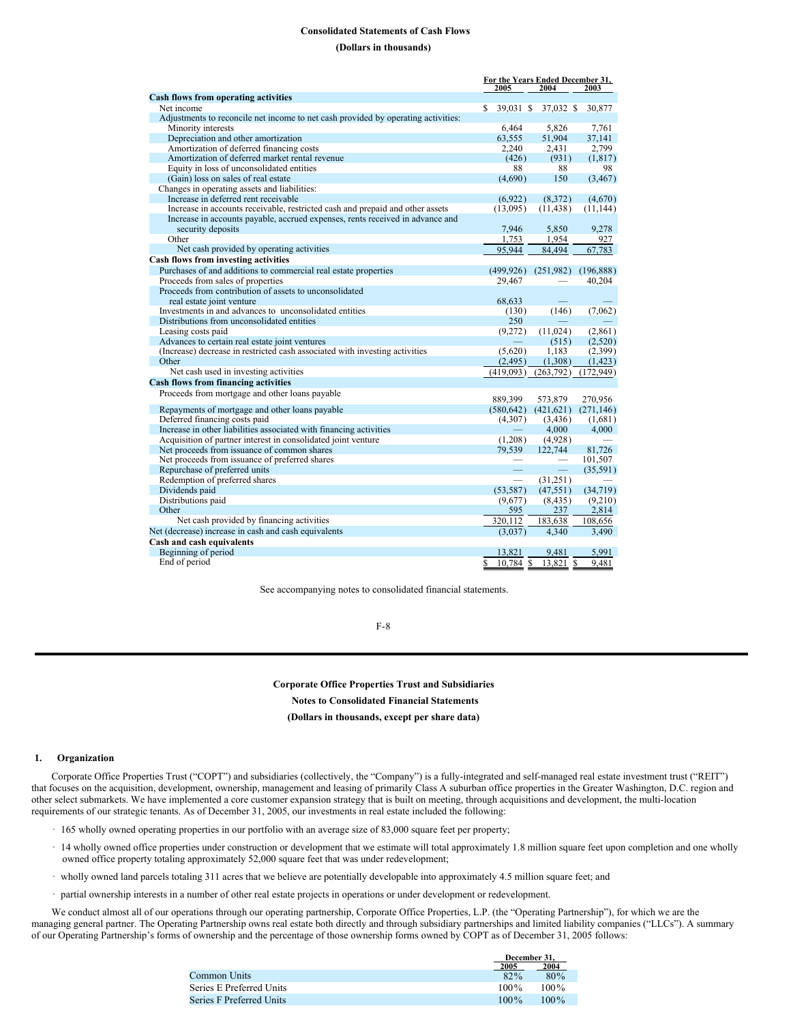# <span id="page-44-0"></span>**Consolidated Statements of Cash Flows**

|  |  | (Dollars in thousands) |
|--|--|------------------------|
|--|--|------------------------|

|                                                                                   | For the Years Ended December 31, |                           |            |
|-----------------------------------------------------------------------------------|----------------------------------|---------------------------|------------|
|                                                                                   | 2005                             | 2004                      | 2003       |
| <b>Cash flows from operating activities</b>                                       |                                  |                           |            |
| Net income                                                                        | 39,031 \$<br>S                   | 37,032 \$                 | 30,877     |
| Adjustments to reconcile net income to net cash provided by operating activities: |                                  |                           |            |
| Minority interests                                                                | 6,464                            | 5,826                     | 7,761      |
| Depreciation and other amortization                                               | 63,555                           | 51,904                    | 37.141     |
| Amortization of deferred financing costs                                          | 2,240                            | 2,431                     | 2,799      |
| Amortization of deferred market rental revenue                                    | (426)                            | (931)                     | (1, 817)   |
| Equity in loss of unconsolidated entities                                         | 88                               | 88                        | 98         |
| (Gain) loss on sales of real estate                                               | (4,690)                          | 150                       | (3, 467)   |
| Changes in operating assets and liabilities:                                      |                                  |                           |            |
| Increase in deferred rent receivable                                              | (6,922)                          | (8,372)                   | (4,670)    |
| Increase in accounts receivable, restricted cash and prepaid and other assets     | (13,095)                         | (11, 438)                 | (11, 144)  |
| Increase in accounts payable, accrued expenses, rents received in advance and     |                                  |                           |            |
| security deposits                                                                 | 7,946                            | 5,850                     | 9,278      |
| Other                                                                             | 1,753                            | 1,954                     | 927        |
| Net cash provided by operating activities                                         | 95,944                           | 84,494                    | 67,783     |
| Cash flows from investing activities                                              |                                  |                           |            |
| Purchases of and additions to commercial real estate properties                   | (499, 926)                       | (251,982)                 | (196, 888) |
| Proceeds from sales of properties                                                 | 29,467                           |                           | 40,204     |
| Proceeds from contribution of assets to unconsolidated                            |                                  |                           |            |
| real estate joint venture                                                         | 68,633                           |                           |            |
| Investments in and advances to unconsolidated entities                            | (130)                            | (146)                     | (7,062)    |
| Distributions from unconsolidated entities                                        | 250                              |                           |            |
| Leasing costs paid                                                                | (9,272)                          | (11,024)                  | (2,861)    |
| Advances to certain real estate joint ventures                                    |                                  | (515)                     | (2,520)    |
| (Increase) decrease in restricted cash associated with investing activities       | (5,620)                          | 1,183                     | (2,399)    |
| Other                                                                             | (2, 495)                         | (1,308)                   | (1, 423)   |
| Net cash used in investing activities                                             | (419,093)                        | (263,792)                 | (172, 949) |
| <b>Cash flows from financing activities</b>                                       |                                  |                           |            |
|                                                                                   |                                  |                           |            |
| Proceeds from mortgage and other loans payable                                    | 889.399                          | 573,879                   | 270,956    |
| Repayments of mortgage and other loans payable                                    |                                  | $(580, 642)$ $(421, 621)$ | (271, 146) |
| Deferred financing costs paid                                                     | (4,307)                          | (3, 436)                  | (1,681)    |
| Increase in other liabilities associated with financing activities                |                                  | 4,000                     | 4,000      |
| Acquisition of partner interest in consolidated joint venture                     | (1,208)                          | (4,928)                   |            |
| Net proceeds from issuance of common shares                                       | 79,539                           | 122,744                   | 81,726     |
| Net proceeds from issuance of preferred shares                                    |                                  | $\overline{\phantom{m}}$  | 101,507    |
| Repurchase of preferred units                                                     |                                  | $\equiv$                  | (35,591)   |
| Redemption of preferred shares                                                    | $\overline{\phantom{0}}$         | (31,251)                  |            |
| Dividends paid                                                                    | (53, 587)                        | (47, 551)                 | (34,719)   |
| Distributions paid                                                                | (9,677)                          | (8, 435)                  | (9,210)    |
| Other                                                                             | 595                              | 237                       | 2,814      |
| Net cash provided by financing activities                                         | 320.112                          | 183,638                   | 108,656    |
| Net (decrease) increase in cash and cash equivalents                              |                                  | 4,340                     | 3,490      |
|                                                                                   | (3,037)                          |                           |            |
| Cash and cash equivalents<br>Beginning of period                                  | 13,821                           |                           |            |
|                                                                                   |                                  | 9,481                     | 5,991      |
| End of period                                                                     | 10,784 \$<br>\$                  | 13,821 \$                 | 9,481      |

See accompanying notes to consolidated financial statements.

F-8

**Corporate Office Properties Trust and Subsidiaries**

<span id="page-44-1"></span>**Notes to Consolidated Financial Statements**

**(Dollars in thousands, except per share data)**

# **1. Organization**

Corporate Office Properties Trust ("COPT") and subsidiaries (collectively, the "Company") is a fully-integrated and self-managed real estate investment trust ("REIT") that focuses on the acquisition, development, ownership, management and leasing of primarily Class A suburban office properties in the Greater Washington, D.C. region and other select submarkets. We have implemented a core customer expansion strategy that is built on meeting, through acquisitions and development, the multi-location requirements of our strategic tenants. As of December 31, 2005, our investments in real estate included the following:

- · 165 wholly owned operating properties in our portfolio with an average size of 83,000 square feet per property;
- · 14 wholly owned office properties under construction or development that we estimate will total approximately 1.8 million square feet upon completion and one wholly owned office property totaling approximately 52,000 square feet that was under redevelopment;
- · wholly owned land parcels totaling 311 acres that we believe are potentially developable into approximately 4.5 million square feet; and
- · partial ownership interests in a number of other real estate projects in operations or under development or redevelopment.

We conduct almost all of our operations through our operating partnership, Corporate Office Properties, L.P. (the "Operating Partnership"), for which we are the managing general partner. The Operating Partnership owns real estate both directly and through subsidiary partnerships and limited liability companies ("LLCs"). A summary of our Operating Partnership's forms of ownership and the percentage of those ownership forms owned by COPT as of December 31, 2005 follows:

|                          |         | December 31. |  |
|--------------------------|---------|--------------|--|
|                          | 2005    | 2004         |  |
| Common Units             | 82%     | 80%          |  |
| Series E Preferred Units | $100\%$ | $100\%$      |  |
| Series F Preferred Units | $100\%$ | $100\%$      |  |
|                          |         |              |  |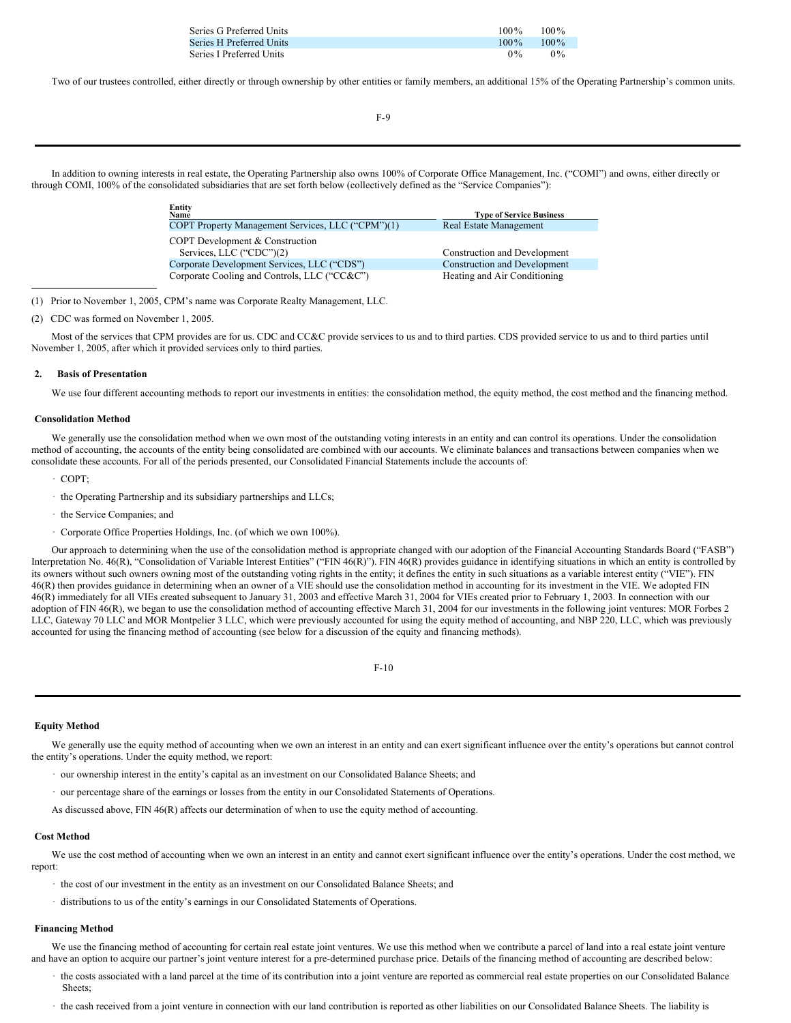| Series G Preferred Units | $100\%$ | $100\%$ |  |
|--------------------------|---------|---------|--|
| Series H Preferred Units | $100\%$ | $100\%$ |  |
| Series I Preferred Units | $0\%$   | $0\%$   |  |

Two of our trustees controlled, either directly or through ownership by other entities or family members, an additional 15% of the Operating Partnership's common units.

In addition to owning interests in real estate, the Operating Partnership also owns 100% of Corporate Office Management, Inc. ("COMI") and owns, either directly or through COMI, 100% of the consolidated subsidiaries that are set forth below (collectively defined as the "Service Companies"):

| Entity<br>Name                                    | <b>Type of Service Business</b>     |
|---------------------------------------------------|-------------------------------------|
| COPT Property Management Services, LLC ("CPM")(1) | Real Estate Management              |
| COPT Development & Construction                   |                                     |
| Services, LLC ("CDC")(2)                          | Construction and Development        |
| Corporate Development Services, LLC ("CDS")       | <b>Construction and Development</b> |
| Corporate Cooling and Controls, LLC ("CC&C")      | Heating and Air Conditioning        |

(1) Prior to November 1, 2005, CPM's name was Corporate Realty Management, LLC.

Most of the services that CPM provides are for us. CDC and CC&C provide services to us and to third parties. CDS provided service to us and to third parties until November 1, 2005, after which it provided services only to third parties.

# **2. Basis of Presentation**

We use four different accounting methods to report our investments in entities: the consolidation method, the equity method, the cost method and the financing method.

# **Consolidation Method**

We generally use the consolidation method when we own most of the outstanding voting interests in an entity and can control its operations. Under the consolidation method of accounting, the accounts of the entity being consolidated are combined with our accounts. We eliminate balances and transactions between companies when we consolidate these accounts. For all of the periods presented, our Consolidated Financial Statements include the accounts of:

- · COPT;
- · the Operating Partnership and its subsidiary partnerships and LLCs;
- · the Service Companies; and
- · Corporate Office Properties Holdings, Inc. (of which we own 100%).

Our approach to determining when the use of the consolidation method is appropriate changed with our adoption of the Financial Accounting Standards Board ("FASB") Interpretation No. 46(R), "Consolidation of Variable Interest Entities" ("FIN 46(R)"). FIN 46(R) provides guidance in identifying situations in which an entity is controlled by its owners without such owners owning most of the outstanding voting rights in the entity; it defines the entity in such situations as a variable interest entity ("VIE"). FIN 46(R) then provides guidance in determining when an owner of a VIE should use the consolidation method in accounting for its investment in the VIE. We adopted FIN 46(R) immediately for all VIEs created subsequent to January 31, 2003 and effective March 31, 2004 for VIEs created prior to February 1, 2003. In connection with our adoption of FIN 46(R), we began to use the consolidation method of accounting effective March 31, 2004 for our investments in the following joint ventures: MOR Forbes 2 LLC, Gateway 70 LLC and MOR Montpelier 3 LLC, which were previously accounted for using the equity method of accounting, and NBP 220, LLC, which was previously accounted for using the financing method of accounting (see below for a discussion of the equity and financing methods).

F-10

# **Equity Method**

We generally use the equity method of accounting when we own an interest in an entity and can exert significant influence over the entity's operations but cannot control the entity's operations. Under the equity method, we report:

- · our ownership interest in the entity's capital as an investment on our Consolidated Balance Sheets; and
- · our percentage share of the earnings or losses from the entity in our Consolidated Statements of Operations.

As discussed above, FIN 46(R) affects our determination of when to use the equity method of accounting.

# **Cost Method**

We use the cost method of accounting when we own an interest in an entity and cannot exert significant influence over the entity's operations. Under the cost method, we report:

- · the cost of our investment in the entity as an investment on our Consolidated Balance Sheets; and
- · distributions to us of the entity's earnings in our Consolidated Statements of Operations.

# **Financing Method**

We use the financing method of accounting for certain real estate joint ventures. We use this method when we contribute a parcel of land into a real estate joint venture and have an option to acquire our partner's joint venture interest for a pre-determined purchase price. Details of the financing method of accounting are described below:

- · the costs associated with a land parcel at the time of its contribution into a joint venture are reported as commercial real estate properties on our Consolidated Balance Sheets;
- · the cash received from a joint venture in connection with our land contribution is reported as other liabilities on our Consolidated Balance Sheets. The liability is

<sup>(2)</sup> CDC was formed on November 1, 2005.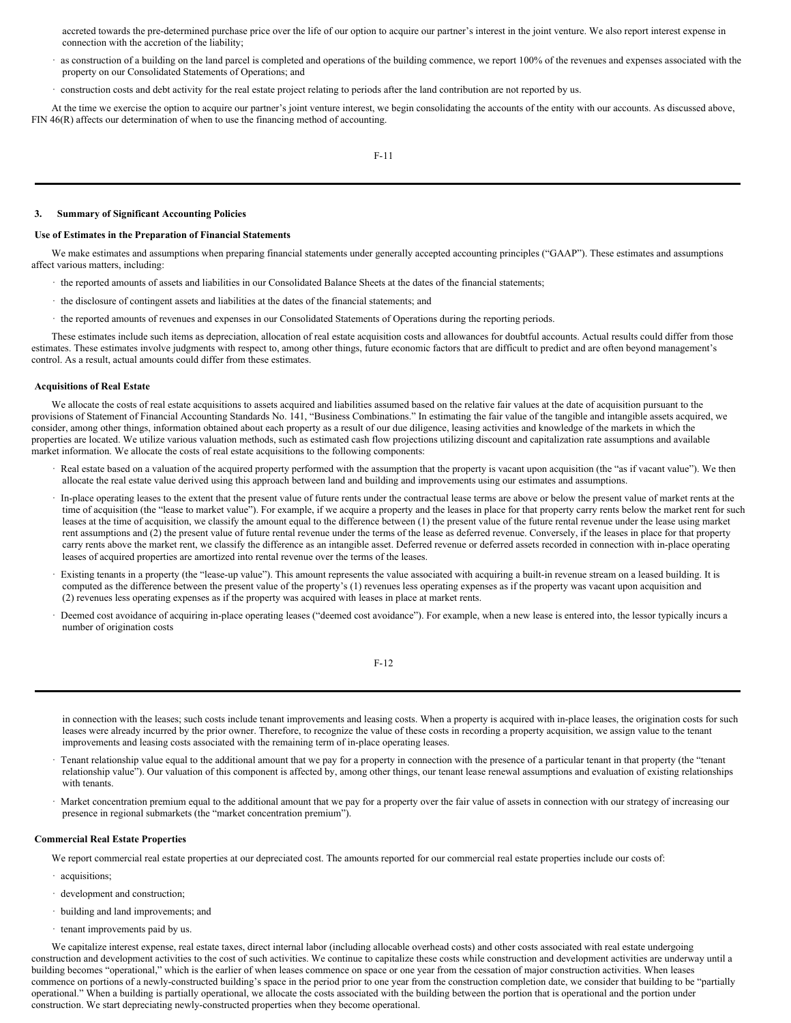accreted towards the pre-determined purchase price over the life of our option to acquire our partner's interest in the joint venture. We also report interest expense in connection with the accretion of the liability;

- · as construction of a building on the land parcel is completed and operations of the building commence, we report 100% of the revenues and expenses associated with the property on our Consolidated Statements of Operations; and
- · construction costs and debt activity for the real estate project relating to periods after the land contribution are not reported by us.

At the time we exercise the option to acquire our partner's joint venture interest, we begin consolidating the accounts of the entity with our accounts. As discussed above, FIN 46(R) affects our determination of when to use the financing method of accounting.

#### **3. Summary of Significant Accounting Policies**

#### **Use of Estimates in the Preparation of Financial Statements**

We make estimates and assumptions when preparing financial statements under generally accepted accounting principles ("GAAP"). These estimates and assumptions affect various matters, including:

- · the reported amounts of assets and liabilities in our Consolidated Balance Sheets at the dates of the financial statements;
- · the disclosure of contingent assets and liabilities at the dates of the financial statements; and
- · the reported amounts of revenues and expenses in our Consolidated Statements of Operations during the reporting periods.

These estimates include such items as depreciation, allocation of real estate acquisition costs and allowances for doubtful accounts. Actual results could differ from those estimates. These estimates involve judgments with respect to, among other things, future economic factors that are difficult to predict and are often beyond management's control. As a result, actual amounts could differ from these estimates.

#### **Acquisitions of Real Estate**

We allocate the costs of real estate acquisitions to assets acquired and liabilities assumed based on the relative fair values at the date of acquisition pursuant to the provisions of Statement of Financial Accounting Standards No. 141, "Business Combinations." In estimating the fair value of the tangible and intangible assets acquired, we consider, among other things, information obtained about each property as a result of our due diligence, leasing activities and knowledge of the markets in which the properties are located. We utilize various valuation methods, such as estimated cash flow projections utilizing discount and capitalization rate assumptions and available market information. We allocate the costs of real estate acquisitions to the following components:

- · Real estate based on a valuation of the acquired property performed with the assumption that the property is vacant upon acquisition (the "as if vacant value"). We then allocate the real estate value derived using this approach between land and building and improvements using our estimates and assumptions.
- · In-place operating leases to the extent that the present value of future rents under the contractual lease terms are above or below the present value of market rents at the time of acquisition (the "lease to market value"). For example, if we acquire a property and the leases in place for that property carry rents below the market rent for such leases at the time of acquisition, we classify the amount equal to the difference between (1) the present value of the future rental revenue under the lease using market rent assumptions and (2) the present value of future rental revenue under the terms of the lease as deferred revenue. Conversely, if the leases in place for that property carry rents above the market rent, we classify the difference as an intangible asset. Deferred revenue or deferred assets recorded in connection with in-place operating leases of acquired properties are amortized into rental revenue over the terms of the leases.
- · Existing tenants in a property (the "lease-up value"). This amount represents the value associated with acquiring a built-in revenue stream on a leased building. It is computed as the difference between the present value of the property's (1) revenues less operating expenses as if the property was vacant upon acquisition and (2) revenues less operating expenses as if the property was acquired with leases in place at market rents.
- · Deemed cost avoidance of acquiring in-place operating leases ("deemed cost avoidance"). For example, when a new lease is entered into, the lessor typically incurs a number of origination costs

in connection with the leases; such costs include tenant improvements and leasing costs. When a property is acquired with in-place leases, the origination costs for such leases were already incurred by the prior owner. Therefore, to recognize the value of these costs in recording a property acquisition, we assign value to the tenant improvements and leasing costs associated with the remaining term of in-place operating leases.

- Tenant relationship value equal to the additional amount that we pay for a property in connection with the presence of a particular tenant in that property (the "tenant relationship value"). Our valuation of this component is affected by, among other things, our tenant lease renewal assumptions and evaluation of existing relationships with tenants.
- Market concentration premium equal to the additional amount that we pay for a property over the fair value of assets in connection with our strategy of increasing our presence in regional submarkets (the "market concentration premium").

#### **Commercial Real Estate Properties**

We report commercial real estate properties at our depreciated cost. The amounts reported for our commercial real estate properties include our costs of:

- · acquisitions;
- · development and construction;
- · building and land improvements; and
- · tenant improvements paid by us.

We capitalize interest expense, real estate taxes, direct internal labor (including allocable overhead costs) and other costs associated with real estate undergoing construction and development activities to the cost of such activities. We continue to capitalize these costs while construction and development activities are underway until a building becomes "operational," which is the earlier of when leases commence on space or one year from the cessation of major construction activities. When leases commence on portions of a newly-constructed building's space in the period prior to one year from the construction completion date, we consider that building to be "partially operational." When a building is partially operational, we allocate the costs associated with the building between the portion that is operational and the portion under construction. We start depreciating newly-constructed properties when they become operational.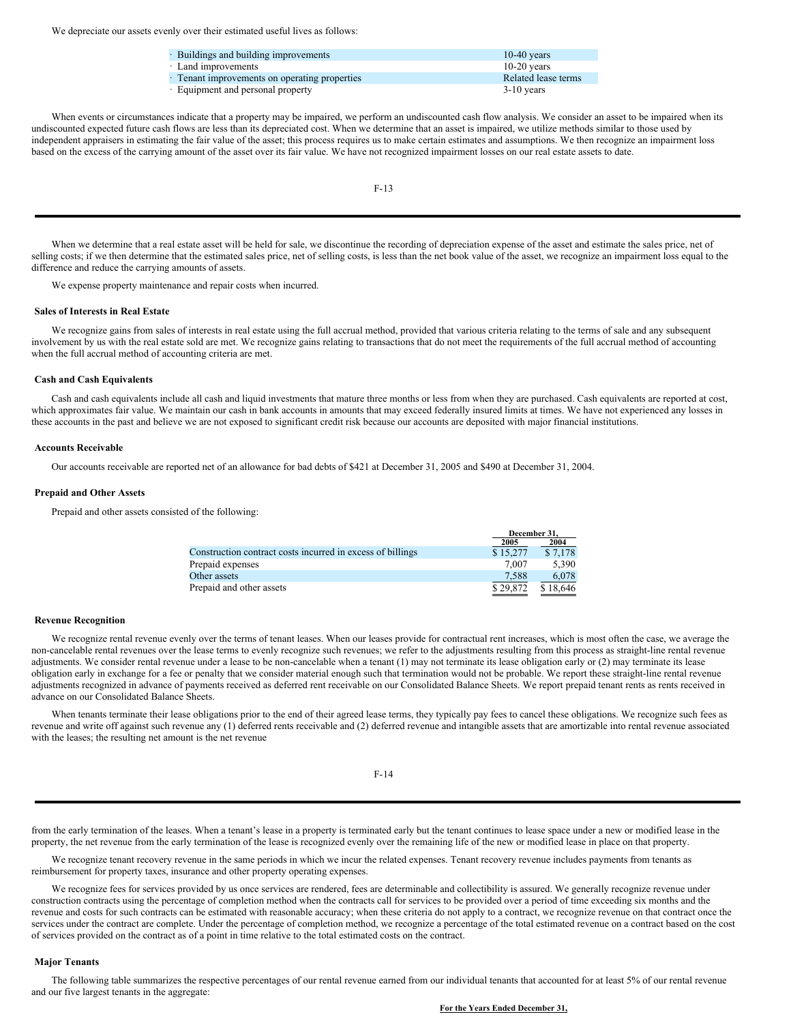We depreciate our assets evenly over their estimated useful lives as follows:

| · Buildings and building improvements         | $10-40$ years       |
|-----------------------------------------------|---------------------|
| Land improvements                             | $10-20$ years       |
| · Tenant improvements on operating properties | Related lease terms |
| Equipment and personal property               | $3-10$ years        |

When events or circumstances indicate that a property may be impaired, we perform an undiscounted cash flow analysis. We consider an asset to be impaired when its undiscounted expected future cash flows are less than its depreciated cost. When we determine that an asset is impaired, we utilize methods similar to those used by independent appraisers in estimating the fair value of the asset; this process requires us to make certain estimates and assumptions. We then recognize an impairment loss based on the excess of the carrying amount of the asset over its fair value. We have not recognized impairment losses on our real estate assets to date.

When we determine that a real estate asset will be held for sale, we discontinue the recording of depreciation expense of the asset and estimate the sales price, net of selling costs; if we then determine that the estimated sales price, net of selling costs, is less than the net book value of the asset, we recognize an impairment loss equal to the difference and reduce the carrying amounts of assets.

We expense property maintenance and repair costs when incurred.

#### **Sales of Interests in Real Estate**

We recognize gains from sales of interests in real estate using the full accrual method, provided that various criteria relating to the terms of sale and any subsequent involvement by us with the real estate sold are met. We recognize gains relating to transactions that do not meet the requirements of the full accrual method of accounting when the full accrual method of accounting criteria are met.

#### **Cash and Cash Equivalents**

Cash and cash equivalents include all cash and liquid investments that mature three months or less from when they are purchased. Cash equivalents are reported at cost, which approximates fair value. We maintain our cash in bank accounts in amounts that may exceed federally insured limits at times. We have not experienced any losses in these accounts in the past and believe we are not exposed to significant credit risk because our accounts are deposited with major financial institutions.

# **Accounts Receivable**

Our accounts receivable are reported net of an allowance for bad debts of \$421 at December 31, 2005 and \$490 at December 31, 2004.

#### **Prepaid and Other Assets**

Prepaid and other assets consisted of the following:

|                                                            |          | December 31. |  |
|------------------------------------------------------------|----------|--------------|--|
|                                                            | 2005     | 2004         |  |
| Construction contract costs incurred in excess of billings | \$15,277 | \$7,178      |  |
| Prepaid expenses                                           | 7.007    | 5.390        |  |
| Other assets                                               | 7.588    | 6.078        |  |
| Prepaid and other assets                                   | \$29,872 | \$18.646     |  |

#### **Revenue Recognition**

We recognize rental revenue evenly over the terms of tenant leases. When our leases provide for contractual rent increases, which is most often the case, we average the non-cancelable rental revenues over the lease terms to evenly recognize such revenues; we refer to the adjustments resulting from this process as straight-line rental revenue adjustments. We consider rental revenue under a lease to be non-cancelable when a tenant (1) may not terminate its lease obligation early or (2) may terminate its lease obligation early in exchange for a fee or penalty that we consider material enough such that termination would not be probable. We report these straight-line rental revenue adjustments recognized in advance of payments received as deferred rent receivable on our Consolidated Balance Sheets. We report prepaid tenant rents as rents received in advance on our Consolidated Balance Sheets.

When tenants terminate their lease obligations prior to the end of their agreed lease terms, they typically pay fees to cancel these obligations. We recognize such fees as revenue and write off against such revenue any (1) deferred rents receivable and (2) deferred revenue and intangible assets that are amortizable into rental revenue associated with the leases; the resulting net amount is the net revenue

F-14

from the early termination of the leases. When a tenant's lease in a property is terminated early but the tenant continues to lease space under a new or modified lease in the property, the net revenue from the early termination of the lease is recognized evenly over the remaining life of the new or modified lease in place on that property.

We recognize tenant recovery revenue in the same periods in which we incur the related expenses. Tenant recovery revenue includes payments from tenants as reimbursement for property taxes, insurance and other property operating expenses.

We recognize fees for services provided by us once services are rendered, fees are determinable and collectibility is assured. We generally recognize revenue under construction contracts using the percentage of completion method when the contracts call for services to be provided over a period of time exceeding six months and the revenue and costs for such contracts can be estimated with reasonable accuracy; when these criteria do not apply to a contract, we recognize revenue on that contract once the services under the contract are complete. Under the percentage of completion method, we recognize a percentage of the total estimated revenue on a contract based on the cost of services provided on the contract as of a point in time relative to the total estimated costs on the contract.

## **Major Tenants**

The following table summarizes the respective percentages of our rental revenue earned from our individual tenants that accounted for at least 5% of our rental revenue and our five largest tenants in the aggregate:

## **For the Years Ended December 31,**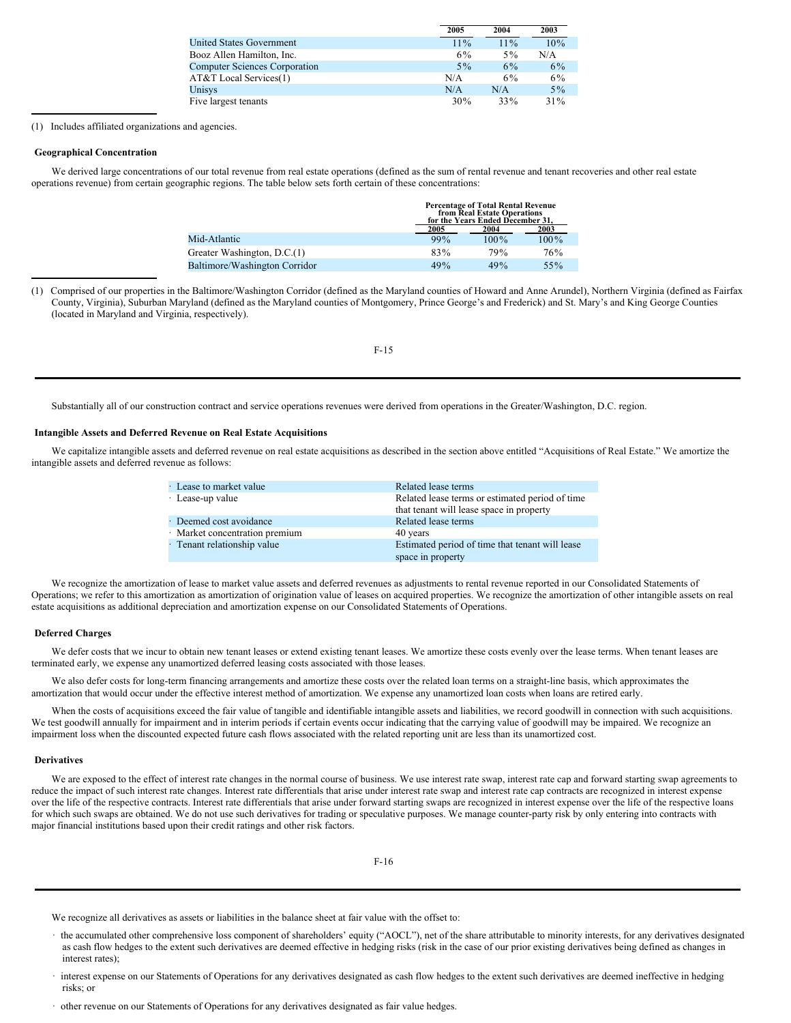|                                      | 2005   | 2004   | 2003   |
|--------------------------------------|--------|--------|--------|
| <b>United States Government</b>      | $11\%$ | $11\%$ | 10%    |
| Booz Allen Hamilton, Inc.            | 6%     | 5%     | N/A    |
| <b>Computer Sciences Corporation</b> | $5\%$  | 6%     | 6%     |
| AT&T Local Services(1)               | N/A    | 6%     | 6%     |
| Unisys                               | N/A    | N/A    | $5\%$  |
| Five largest tenants                 | 30%    | 33%    | $31\%$ |

(1) Includes affiliated organizations and agencies.

#### **Geographical Concentration**

We derived large concentrations of our total revenue from real estate operations (defined as the sum of rental revenue and tenant recoveries and other real estate operations revenue) from certain geographic regions. The table below sets forth certain of these concentrations:

|                               |      | <b>Percentage of Total Rental Revenue</b><br>from Real Estate Operations<br>for the Years Ended December 31. |         |  |
|-------------------------------|------|--------------------------------------------------------------------------------------------------------------|---------|--|
|                               | 2005 | 2004                                                                                                         | 2003    |  |
| Mid-Atlantic                  | 99%  | $100\%$                                                                                                      | $100\%$ |  |
| Greater Washington, D.C.(1)   | 83%  | 79%                                                                                                          | 76%     |  |
| Baltimore/Washington Corridor | 49%  | 49%                                                                                                          | $55\%$  |  |

(1) Comprised of our properties in the Baltimore/Washington Corridor (defined as the Maryland counties of Howard and Anne Arundel), Northern Virginia (defined as Fairfax County, Virginia), Suburban Maryland (defined as the Maryland counties of Montgomery, Prince George's and Frederick) and St. Mary's and King George Counties (located in Maryland and Virginia, respectively).

Substantially all of our construction contract and service operations revenues were derived from operations in the Greater/Washington, D.C. region.

# **Intangible Assets and Deferred Revenue on Real Estate Acquisitions**

We capitalize intangible assets and deferred revenue on real estate acquisitions as described in the section above entitled "Acquisitions of Real Estate." We amortize the intangible assets and deferred revenue as follows:

| · Lease to market value        | Related lease terms                             |
|--------------------------------|-------------------------------------------------|
| · Lease-up value               | Related lease terms or estimated period of time |
|                                | that tenant will lease space in property        |
| · Deemed cost avoidance        | Related lease terms                             |
| · Market concentration premium | 40 years                                        |
| · Tenant relationship value    | Estimated period of time that tenant will lease |
|                                | space in property                               |
|                                |                                                 |

We recognize the amortization of lease to market value assets and deferred revenues as adjustments to rental revenue reported in our Consolidated Statements of Operations; we refer to this amortization as amortization of origination value of leases on acquired properties. We recognize the amortization of other intangible assets on real estate acquisitions as additional depreciation and amortization expense on our Consolidated Statements of Operations.

### **Deferred Charges**

We defer costs that we incur to obtain new tenant leases or extend existing tenant leases. We amortize these costs evenly over the lease terms. When tenant leases are terminated early, we expense any unamortized deferred leasing costs associated with those leases.

We also defer costs for long-term financing arrangements and amortize these costs over the related loan terms on a straight-line basis, which approximates the amortization that would occur under the effective interest method of amortization. We expense any unamortized loan costs when loans are retired early.

When the costs of acquisitions exceed the fair value of tangible and identifiable intangible assets and liabilities, we record goodwill in connection with such acquisitions. We test goodwill annually for impairment and in interim periods if certain events occur indicating that the carrying value of goodwill may be impaired. We recognize an impairment loss when the discounted expected future cash flows associated with the related reporting unit are less than its unamortized cost.

# **Derivatives**

We are exposed to the effect of interest rate changes in the normal course of business. We use interest rate swap, interest rate cap and forward starting swap agreements to reduce the impact of such interest rate changes. Interest rate differentials that arise under interest rate swap and interest rate cap contracts are recognized in interest expense over the life of the respective contracts. Interest rate differentials that arise under forward starting swaps are recognized in interest expense over the life of the respective loans for which such swaps are obtained. We do not use such derivatives for trading or speculative purposes. We manage counter-party risk by only entering into contracts with major financial institutions based upon their credit ratings and other risk factors.

We recognize all derivatives as assets or liabilities in the balance sheet at fair value with the offset to:

· the accumulated other comprehensive loss component of shareholders' equity ("AOCL"), net of the share attributable to minority interests, for any derivatives designated as cash flow hedges to the extent such derivatives are deemed effective in hedging risks (risk in the case of our prior existing derivatives being defined as changes in interest rates);

· interest expense on our Statements of Operations for any derivatives designated as cash flow hedges to the extent such derivatives are deemed ineffective in hedging risks; or

· other revenue on our Statements of Operations for any derivatives designated as fair value hedges.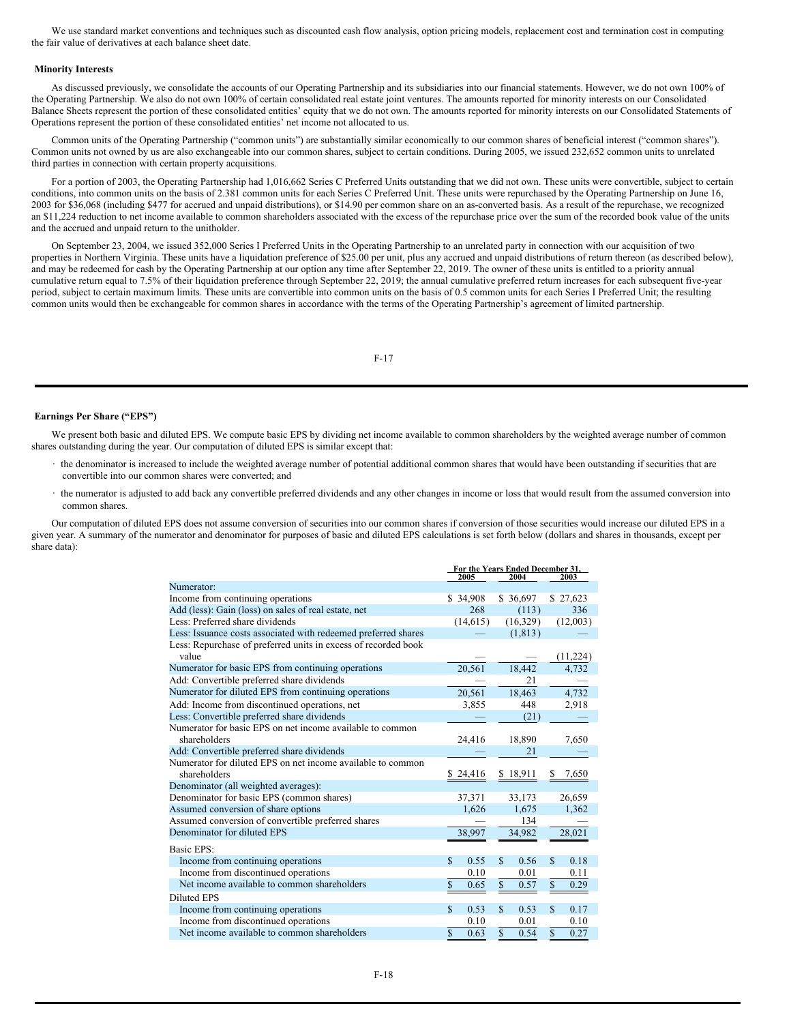We use standard market conventions and techniques such as discounted cash flow analysis, option pricing models, replacement cost and termination cost in computing the fair value of derivatives at each balance sheet date.

## **Minority Interests**

As discussed previously, we consolidate the accounts of our Operating Partnership and its subsidiaries into our financial statements. However, we do not own 100% of the Operating Partnership. We also do not own 100% of certain consolidated real estate joint ventures. The amounts reported for minority interests on our Consolidated Balance Sheets represent the portion of these consolidated entities' equity that we do not own. The amounts reported for minority interests on our Consolidated Statements of Operations represent the portion of these consolidated entities' net income not allocated to us.

Common units of the Operating Partnership ("common units") are substantially similar economically to our common shares of beneficial interest ("common shares"). Common units not owned by us are also exchangeable into our common shares, subject to certain conditions. During 2005, we issued 232,652 common units to unrelated third parties in connection with certain property acquisitions.

For a portion of 2003, the Operating Partnership had 1,016,662 Series C Preferred Units outstanding that we did not own. These units were convertible, subject to certain conditions, into common units on the basis of 2.381 common units for each Series C Preferred Unit. These units were repurchased by the Operating Partnership on June 16, 2003 for \$36,068 (including \$477 for accrued and unpaid distributions), or \$14.90 per common share on an as-converted basis. As a result of the repurchase, we recognized an \$11,224 reduction to net income available to common shareholders associated with the excess of the repurchase price over the sum of the recorded book value of the units and the accrued and unpaid return to the unitholder.

On September 23, 2004, we issued 352,000 Series I Preferred Units in the Operating Partnership to an unrelated party in connection with our acquisition of two properties in Northern Virginia. These units have a liquidation preference of \$25.00 per unit, plus any accrued and unpaid distributions of return thereon (as described below), and may be redeemed for cash by the Operating Partnership at our option any time after September 22, 2019. The owner of these units is entitled to a priority annual cumulative return equal to 7.5% of their liquidation preference through September 22, 2019; the annual cumulative preferred return increases for each subsequent five-year period, subject to certain maximum limits. These units are convertible into common units on the basis of 0.5 common units for each Series I Preferred Unit; the resulting common units would then be exchangeable for common shares in accordance with the terms of the Operating Partnership's agreement of limited partnership.

## F-17

#### **Earnings Per Share ("EPS")**

We present both basic and diluted EPS. We compute basic EPS by dividing net income available to common shareholders by the weighted average number of common shares outstanding during the year. Our computation of diluted EPS is similar except that:

- · the denominator is increased to include the weighted average number of potential additional common shares that would have been outstanding if securities that are convertible into our common shares were converted; and
- · the numerator is adjusted to add back any convertible preferred dividends and any other changes in income or loss that would result from the assumed conversion into common shares.

Our computation of diluted EPS does not assume conversion of securities into our common shares if conversion of those securities would increase our diluted EPS in a given year. A summary of the numerator and denominator for purposes of basic and diluted EPS calculations is set forth below (dollars and shares in thousands, except per share data):

|                                                                         | For the Years Ended December 31, |                       |                      |  |  |  |
|-------------------------------------------------------------------------|----------------------------------|-----------------------|----------------------|--|--|--|
|                                                                         | 2005                             | 2004                  | 2003                 |  |  |  |
| Numerator:                                                              |                                  |                       |                      |  |  |  |
| Income from continuing operations                                       | \$34,908                         | \$ 36,697             | \$27,623             |  |  |  |
| Add (less): Gain (loss) on sales of real estate, net                    | 268                              | (113)                 | 336                  |  |  |  |
| Less: Preferred share dividends                                         | (14, 615)                        | (16,329)              | (12,003)             |  |  |  |
| Less: Issuance costs associated with redeemed preferred shares          |                                  | (1, 813)              |                      |  |  |  |
| Less: Repurchase of preferred units in excess of recorded book<br>value |                                  |                       | (11,224)             |  |  |  |
| Numerator for basic EPS from continuing operations                      | 20,561                           | 18,442                | 4,732                |  |  |  |
| Add: Convertible preferred share dividends                              |                                  | 21                    |                      |  |  |  |
| Numerator for diluted EPS from continuing operations                    | 20,561                           | 18,463                | 4,732                |  |  |  |
| Add: Income from discontinued operations, net                           | 3,855                            | 448                   | 2,918                |  |  |  |
| Less: Convertible preferred share dividends                             |                                  | (21)                  |                      |  |  |  |
| Numerator for basic EPS on net income available to common               |                                  |                       |                      |  |  |  |
| shareholders                                                            | 24,416                           | 18,890                | 7,650                |  |  |  |
| Add: Convertible preferred share dividends                              |                                  | 21                    |                      |  |  |  |
| Numerator for diluted EPS on net income available to common             |                                  |                       |                      |  |  |  |
| shareholders                                                            | \$24,416                         | \$18,911              | 7,650                |  |  |  |
| Denominator (all weighted averages):                                    |                                  |                       |                      |  |  |  |
| Denominator for basic EPS (common shares)                               | 37,371                           | 33,173                | 26,659               |  |  |  |
| Assumed conversion of share options                                     | 1,626                            | 1,675                 | 1,362                |  |  |  |
| Assumed conversion of convertible preferred shares                      |                                  | 134                   |                      |  |  |  |
| Denominator for diluted EPS                                             | 38,997                           | 34,982                | 28,021               |  |  |  |
| Basic EPS:                                                              |                                  |                       |                      |  |  |  |
| Income from continuing operations                                       | 0.55<br>$\mathbf{s}$             | $\mathbf{\$}$<br>0.56 | $\mathbf{s}$<br>0.18 |  |  |  |
| Income from discontinued operations                                     | 0.10                             | 0.01                  | 0.11                 |  |  |  |
| Net income available to common shareholders                             | $\mathbb{S}$<br>0.65             | \$<br>0.57            | $\mathbb{S}$<br>0.29 |  |  |  |
| <b>Diluted EPS</b>                                                      |                                  |                       |                      |  |  |  |
| Income from continuing operations                                       | $\mathbf{s}$<br>0.53             | $\mathbf{\$}$<br>0.53 | \$<br>0.17           |  |  |  |
| Income from discontinued operations                                     | 0.10                             | 0.01                  | 0.10                 |  |  |  |
| Net income available to common shareholders                             | \$<br>0.63                       | $\mathbb{S}$<br>0.54  | \$.<br>0.27          |  |  |  |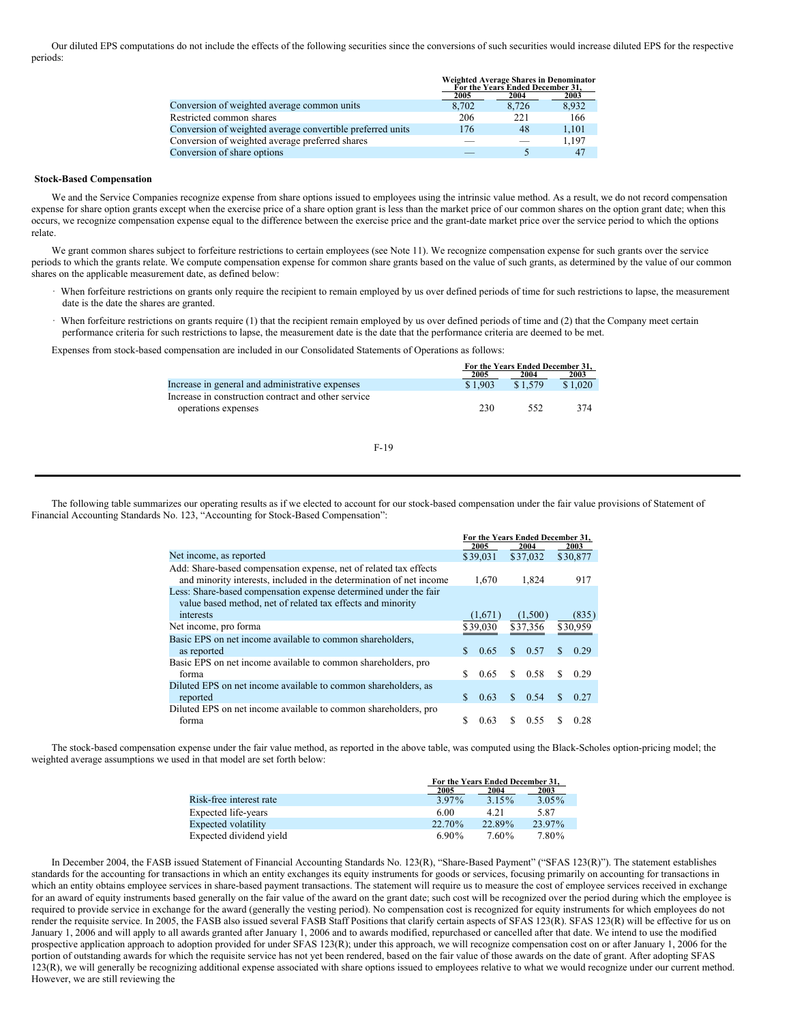Our diluted EPS computations do not include the effects of the following securities since the conversions of such securities would increase diluted EPS for the respective periods:

|                                                            | Weighted Average Shares in Denominator<br>For the Years Ended December 31, |       |       |  |  |
|------------------------------------------------------------|----------------------------------------------------------------------------|-------|-------|--|--|
|                                                            | 2005<br>2003<br>2004                                                       |       |       |  |  |
| Conversion of weighted average common units                | 8.702                                                                      | 8.726 | 8.932 |  |  |
| Restricted common shares                                   | 206                                                                        | 221   | 166   |  |  |
| Conversion of weighted average convertible preferred units | 176                                                                        | 48    | 1.101 |  |  |
| Conversion of weighted average preferred shares            |                                                                            |       | 1.197 |  |  |
| Conversion of share options                                |                                                                            |       | 47    |  |  |

## **Stock-Based Compensation**

We and the Service Companies recognize expense from share options issued to employees using the intrinsic value method. As a result, we do not record compensation expense for share option grants except when the exercise price of a share option grant is less than the market price of our common shares on the option grant date; when this occurs, we recognize compensation expense equal to the difference between the exercise price and the grant-date market price over the service period to which the options relate.

We grant common shares subject to forfeiture restrictions to certain employees (see Note 11). We recognize compensation expense for such grants over the service periods to which the grants relate. We compute compensation expense for common share grants based on the value of such grants, as determined by the value of our common shares on the applicable measurement date, as defined below:

- · When forfeiture restrictions on grants only require the recipient to remain employed by us over defined periods of time for such restrictions to lapse, the measurement date is the date the shares are granted.
- · When forfeiture restrictions on grants require (1) that the recipient remain employed by us over defined periods of time and (2) that the Company meet certain performance criteria for such restrictions to lapse, the measurement date is the date that the performance criteria are deemed to be met.

Expenses from stock-based compensation are included in our Consolidated Statements of Operations as follows:

|                                                     |         | For the Years Ended December 31. |         |  |  |  |
|-----------------------------------------------------|---------|----------------------------------|---------|--|--|--|
|                                                     | 2005    | 2004                             | 2003    |  |  |  |
| Increase in general and administrative expenses     | \$1.903 | \$1.579                          | \$1,020 |  |  |  |
| Increase in construction contract and other service |         |                                  |         |  |  |  |
| operations expenses                                 | 230     | 552                              | 374     |  |  |  |
|                                                     |         |                                  |         |  |  |  |

# F-19

The following table summarizes our operating results as if we elected to account for our stock-based compensation under the fair value provisions of Statement of Financial Accounting Standards No. 123, "Accounting for Stock-Based Compensation":

|                                                                                                                                          | For the Years Ended December 31, |          |     |          |    |          |
|------------------------------------------------------------------------------------------------------------------------------------------|----------------------------------|----------|-----|----------|----|----------|
|                                                                                                                                          |                                  | 2005     |     | 2004     |    | 2003     |
| Net income, as reported                                                                                                                  |                                  | \$39,031 |     | \$37,032 |    | \$30,877 |
| Add: Share-based compensation expense, net of related tax effects<br>and minority interests, included in the determination of net income |                                  | 1.670    |     | 1.824    |    | 917      |
| Less: Share-based compensation expense determined under the fair<br>value based method, net of related tax effects and minority          |                                  |          |     |          |    |          |
| interests                                                                                                                                |                                  | (1,671)  |     | (1,500)  |    | (835)    |
| Net income, pro forma                                                                                                                    |                                  | \$39,030 |     | \$37,356 |    | \$30,959 |
| Basic EPS on net income available to common shareholders,                                                                                |                                  |          |     |          |    |          |
| as reported                                                                                                                              | S                                | 0.65     | \$. | 0.57     | S  | 0.29     |
| Basic EPS on net income available to common shareholders, pro                                                                            |                                  |          |     |          |    |          |
| forma                                                                                                                                    | S                                | 0.65     | S.  | 0.58     | S  | 0.29     |
| Diluted EPS on net income available to common shareholders, as                                                                           |                                  |          |     |          |    |          |
| reported                                                                                                                                 | S                                | 0.63     | \$. | 0.54     | S. | 0.27     |
| Diluted EPS on net income available to common shareholders, pro                                                                          |                                  |          |     |          |    |          |
| forma                                                                                                                                    | S                                | 0.63     | S.  | 0.55     | ς  | 0.28     |

The stock-based compensation expense under the fair value method, as reported in the above table, was computed using the Black-Scholes option-pricing model; the weighted average assumptions we used in that model are set forth below:

|                         | For the Years Ended December 31, |        |          |  |  |
|-------------------------|----------------------------------|--------|----------|--|--|
|                         | 2005                             | 2004   | 2003     |  |  |
| Risk-free interest rate | 3.97%                            | 3.15%  | $3.05\%$ |  |  |
| Expected life-years     | 6.00                             | 4 2 1  | 5.87     |  |  |
| Expected volatility     | 22.70%                           | 22.89% | 23.97%   |  |  |
| Expected dividend yield | $6.90\%$                         | 7.60%  | 7.80%    |  |  |

In December 2004, the FASB issued Statement of Financial Accounting Standards No. 123(R), "Share-Based Payment" ("SFAS 123(R)"). The statement establishes standards for the accounting for transactions in which an entity exchanges its equity instruments for goods or services, focusing primarily on accounting for transactions in which an entity obtains employee services in share-based payment transactions. The statement will require us to measure the cost of employee services received in exchange for an award of equity instruments based generally on the fair value of the award on the grant date; such cost will be recognized over the period during which the employee is required to provide service in exchange for the award (generally the vesting period). No compensation cost is recognized for equity instruments for which employees do not render the requisite service. In 2005, the FASB also issued several FASB Staff Positions that clarify certain aspects of SFAS 123(R). SFAS 123(R) will be effective for us on January 1, 2006 and will apply to all awards granted after January 1, 2006 and to awards modified, repurchased or cancelled after that date. We intend to use the modified prospective application approach to adoption provided for under SFAS 123(R); under this approach, we will recognize compensation cost on or after January 1, 2006 for the portion of outstanding awards for which the requisite service has not yet been rendered, based on the fair value of those awards on the date of grant. After adopting SFAS 123(R), we will generally be recognizing additional expense associated with share options issued to employees relative to what we would recognize under our current method. However, we are still reviewing the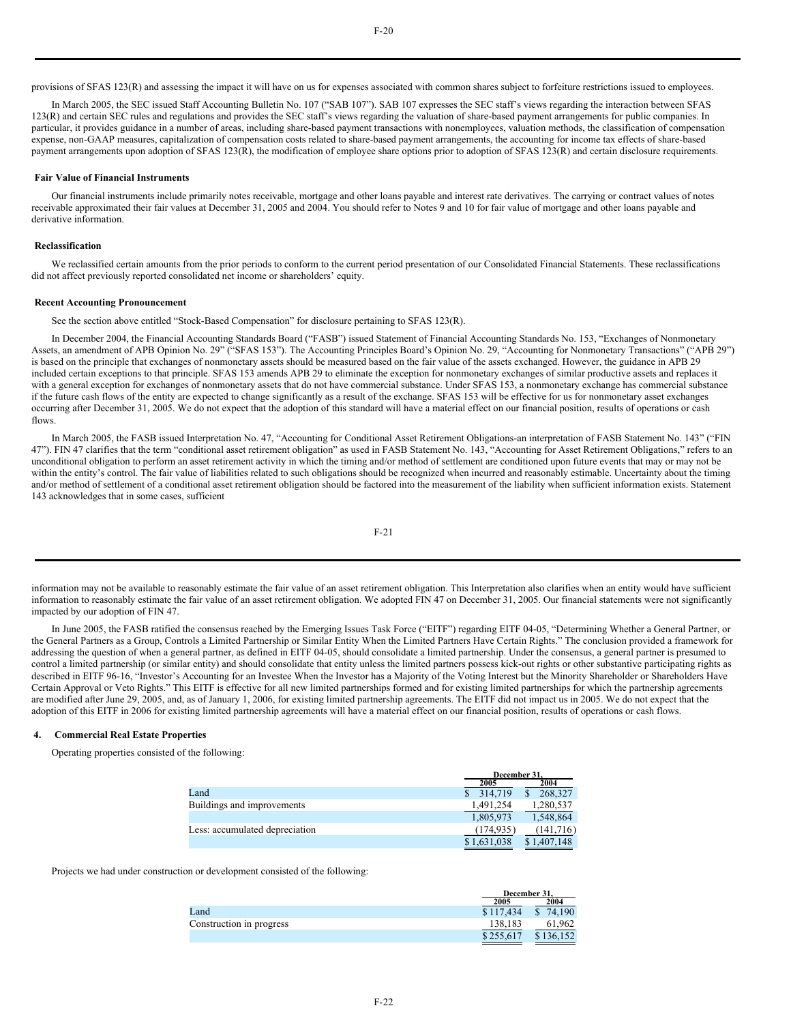provisions of SFAS 123(R) and assessing the impact it will have on us for expenses associated with common shares subject to forfeiture restrictions issued to employees.

In March 2005, the SEC issued Staff Accounting Bulletin No. 107 ("SAB 107"). SAB 107 expresses the SEC staff's views regarding the interaction between SFAS 123(R) and certain SEC rules and regulations and provides the SEC staff's views regarding the valuation of share-based payment arrangements for public companies. In particular, it provides guidance in a number of areas, including share-based payment transactions with nonemployees, valuation methods, the classification of compensation expense, non-GAAP measures, capitalization of compensation costs related to share-based payment arrangements, the accounting for income tax effects of share-based payment arrangements upon adoption of SFAS 123(R), the modification of employee share options prior to adoption of SFAS 123(R) and certain disclosure requirements.

## **Fair Value of Financial Instruments**

Our financial instruments include primarily notes receivable, mortgage and other loans payable and interest rate derivatives. The carrying or contract values of notes receivable approximated their fair values at December 31, 2005 and 2004. You should refer to Notes 9 and 10 for fair value of mortgage and other loans payable and derivative information.

#### **Reclassification**

We reclassified certain amounts from the prior periods to conform to the current period presentation of our Consolidated Financial Statements. These reclassifications did not affect previously reported consolidated net income or shareholders' equity.

#### **Recent Accounting Pronouncement**

See the section above entitled "Stock-Based Compensation" for disclosure pertaining to SFAS 123(R).

In December 2004, the Financial Accounting Standards Board ("FASB") issued Statement of Financial Accounting Standards No. 153, "Exchanges of Nonmonetary Assets, an amendment of APB Opinion No. 29" ("SFAS 153"). The Accounting Principles Board's Opinion No. 29, "Accounting for Nonmonetary Transactions" ("APB 29") is based on the principle that exchanges of nonmonetary assets should be measured based on the fair value of the assets exchanged. However, the guidance in APB 29 included certain exceptions to that principle. SFAS 153 amends APB 29 to eliminate the exception for nonmonetary exchanges of similar productive assets and replaces it with a general exception for exchanges of nonmonetary assets that do not have commercial substance. Under SFAS 153, a nonmonetary exchange has commercial substance if the future cash flows of the entity are expected to change significantly as a result of the exchange. SFAS 153 will be effective for us for nonmonetary asset exchanges occurring after December 31, 2005. We do not expect that the adoption of this standard will have a material effect on our financial position, results of operations or cash flows.

In March 2005, the FASB issued Interpretation No. 47, "Accounting for Conditional Asset Retirement Obligations-an interpretation of FASB Statement No. 143" ("FIN 47"). FIN 47 clarifies that the term "conditional asset retirement obligation" as used in FASB Statement No. 143, "Accounting for Asset Retirement Obligations," refers to an unconditional obligation to perform an asset retirement activity in which the timing and/or method of settlement are conditioned upon future events that may or may not be within the entity's control. The fair value of liabilities related to such obligations should be recognized when incurred and reasonably estimable. Uncertainty about the timing and/or method of settlement of a conditional asset retirement obligation should be factored into the measurement of the liability when sufficient information exists. Statement 143 acknowledges that in some cases, sufficient

$$
F-21
$$

information may not be available to reasonably estimate the fair value of an asset retirement obligation. This Interpretation also clarifies when an entity would have sufficient information to reasonably estimate the fair value of an asset retirement obligation. We adopted FIN 47 on December 31, 2005. Our financial statements were not significantly impacted by our adoption of FIN 47.

In June 2005, the FASB ratified the consensus reached by the Emerging Issues Task Force ("EITF") regarding EITF 04-05, "Determining Whether a General Partner, or the General Partners as a Group, Controls a Limited Partnership or Similar Entity When the Limited Partners Have Certain Rights." The conclusion provided a framework for addressing the question of when a general partner, as defined in EITF 04-05, should consolidate a limited partnership. Under the consensus, a general partner is presumed to control a limited partnership (or similar entity) and should consolidate that entity unless the limited partners possess kick-out rights or other substantive participating rights as described in EITF 96-16, "Investor's Accounting for an Investee When the Investor has a Majority of the Voting Interest but the Minority Shareholder or Shareholders Have Certain Approval or Veto Rights." This EITF is effective for all new limited partnerships formed and for existing limited partnerships for which the partnership agreements are modified after June 29, 2005, and, as of January 1, 2006, for existing limited partnership agreements. The EITF did not impact us in 2005. We do not expect that the adoption of this EITF in 2006 for existing limited partnership agreements will have a material effect on our financial position, results of operations or cash flows.

#### **4. Commercial Real Estate Properties**

Operating properties consisted of the following:

|                                |             | December 31. |  |  |  |  |
|--------------------------------|-------------|--------------|--|--|--|--|
|                                | 2005        | 2004         |  |  |  |  |
| Land                           | 314,719     | 268,327      |  |  |  |  |
| Buildings and improvements     | 1,491,254   | 1,280,537    |  |  |  |  |
|                                | 1.805.973   | 1,548,864    |  |  |  |  |
| Less: accumulated depreciation | (174.935)   | (141,716)    |  |  |  |  |
|                                | \$1,631,038 | \$1,407,148  |  |  |  |  |

Projects we had under construction or development consisted of the following:

|                          | December 31. |              |
|--------------------------|--------------|--------------|
|                          | 2005         | 2004         |
| Land                     | \$117,434    | 74,190<br>\$ |
| Construction in progress | 138.183      | 61.962       |
|                          | \$255,617    | \$136.152    |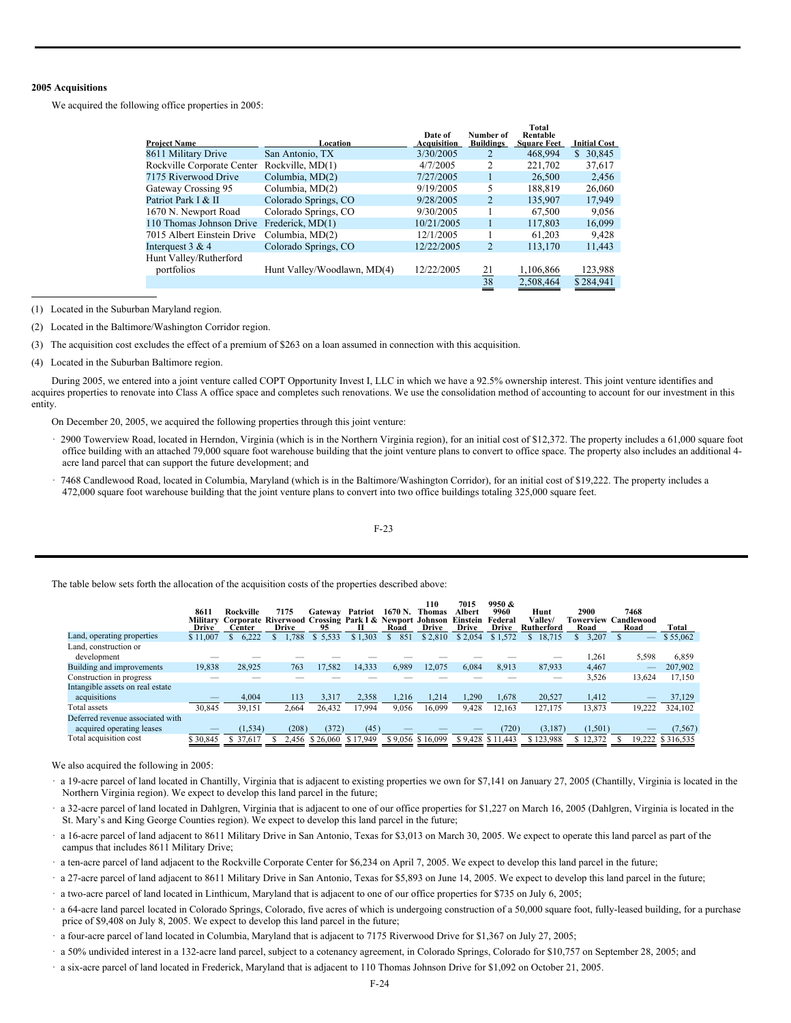# **2005 Acquisitions**

We acquired the following office properties in 2005:

|                            |                             | Date of     | Number of        | Total<br>Rentable  |                     |
|----------------------------|-----------------------------|-------------|------------------|--------------------|---------------------|
| <b>Project Name</b>        | Location                    | Acquisition | <b>Buildings</b> | <b>Square Feet</b> | <b>Initial Cost</b> |
| 8611 Military Drive        | San Antonio, TX             | 3/30/2005   | 2                | 468,994            | \$ 30,845           |
| Rockville Corporate Center | Rockville, MD(1)            | 4/7/2005    | $\overline{c}$   | 221,702            | 37,617              |
| 7175 Riverwood Drive       | Columbia, MD(2)             | 7/27/2005   |                  | 26,500             | 2,456               |
| Gateway Crossing 95        | Columbia, MD(2)             | 9/19/2005   | 5                | 188.819            | 26,060              |
| Patriot Park I & II        | Colorado Springs, CO        | 9/28/2005   | $\overline{c}$   | 135,907            | 17,949              |
| 1670 N. Newport Road       | Colorado Springs, CO        | 9/30/2005   |                  | 67,500             | 9,056               |
| 110 Thomas Johnson Drive   | Frederick, MD(1)            | 10/21/2005  |                  | 117,803            | 16,099              |
| 7015 Albert Einstein Drive | Columbia, MD(2)             | 12/1/2005   |                  | 61.203             | 9,428               |
| Interquest $3 & 4$         | Colorado Springs, CO        | 12/22/2005  | $\overline{2}$   | 113,170            | 11.443              |
| Hunt Valley/Rutherford     |                             |             |                  |                    |                     |
| portfolios                 | Hunt Valley/Woodlawn, MD(4) | 12/22/2005  | 21               | 1,106,866          | 123,988             |
|                            |                             |             | 38               | 2.508.464          | \$284,941           |

(1) Located in the Suburban Maryland region.

(2) Located in the Baltimore/Washington Corridor region.

(3) The acquisition cost excludes the effect of a premium of \$263 on a loan assumed in connection with this acquisition.

(4) Located in the Suburban Baltimore region.

During 2005, we entered into a joint venture called COPT Opportunity Invest I, LLC in which we have a 92.5% ownership interest. This joint venture identifies and acquires properties to renovate into Class A office space and completes such renovations. We use the consolidation method of accounting to account for our investment in this entity.

On December 20, 2005, we acquired the following properties through this joint venture:

- · 2900 Towerview Road, located in Herndon, Virginia (which is in the Northern Virginia region), for an initial cost of \$12,372. The property includes a 61,000 square foot office building with an attached 79,000 square foot warehouse building that the joint venture plans to convert to office space. The property also includes an additional 4 acre land parcel that can support the future development; and
- · 7468 Candlewood Road, located in Columbia, Maryland (which is in the Baltimore/Washington Corridor), for an initial cost of \$19,222. The property includes a 472,000 square foot warehouse building that the joint venture plans to convert into two office buildings totaling 325,000 square feet.

# F-23

The table below sets forth the allocation of the acquisition costs of the properties described above:

| Rockville<br>Center | 7175<br><b>Drive</b>                                                         | 95                                                      |                          | 1670 N.<br>Road                                                                | 110<br>Thomas<br><b>Drive</b> | 7015<br>Albert<br><b>Drive</b>                                                              | 9950 &<br>9960<br><sup>7</sup> ederal<br><b>Drive</b> | Hunt<br><b>Valley</b><br>Rutherford | 2900<br>Road                            | 7468<br>Road                                       | Total                             |
|---------------------|------------------------------------------------------------------------------|---------------------------------------------------------|--------------------------|--------------------------------------------------------------------------------|-------------------------------|---------------------------------------------------------------------------------------------|-------------------------------------------------------|-------------------------------------|-----------------------------------------|----------------------------------------------------|-----------------------------------|
|                     | .788                                                                         | \$5,533                                                 | \$1,303                  | 851                                                                            | \$2,810                       | \$2.054                                                                                     | \$1,572                                               | \$18,715                            | 3.207                                   | $\qquad \qquad -$                                  | \$55,062                          |
|                     |                                                                              |                                                         |                          |                                                                                |                               |                                                                                             |                                                       |                                     | 1,261                                   | 5,598                                              | 6,859                             |
|                     | 763                                                                          | 17,582                                                  | 14.333                   | 6,989                                                                          | 12.075                        | 6.084                                                                                       | 8.913                                                 | 87,933                              | 4,467                                   |                                                    | 207,902                           |
|                     |                                                                              |                                                         |                          |                                                                                |                               |                                                                                             |                                                       |                                     | 3,526                                   | 13,624                                             | 17.150                            |
|                     |                                                                              |                                                         |                          |                                                                                |                               |                                                                                             |                                                       |                                     |                                         |                                                    | 37,129                            |
|                     |                                                                              |                                                         |                          |                                                                                |                               |                                                                                             |                                                       |                                     |                                         |                                                    | 324,102                           |
|                     |                                                                              |                                                         |                          |                                                                                |                               |                                                                                             |                                                       |                                     |                                         |                                                    | (7, 567)                          |
|                     |                                                                              |                                                         |                          |                                                                                |                               |                                                                                             |                                                       |                                     |                                         |                                                    | 19.222 \$316.535                  |
| <b>Drive</b>        | Military<br>\$11,007<br>19,838<br>4.004<br>_<br>30.845<br>39.151<br>\$30,845 | 6.222<br>28.925<br>113<br>2.664<br>(1.534)<br>\$ 37,617 | 3.317<br>26.432<br>(208) | Gateway Patriot<br>2.358<br>17.994<br>(372)<br>(45)<br>2.456 \$26,060 \$17,949 | 1.216<br>9,056                | Corporate Riverwood Crossing Park I & Newport Johnson<br>.214<br>16.099<br>\$9,056 \$16,099 | Einstein<br>.290<br>9.428                             | 1.678<br>12.163<br>\$9,428 \$11,443 | 20,527<br>127.175<br>(720)<br>\$123,988 | 1.412<br>13,873<br>(1, 501)<br>(3,187)<br>\$12,372 | Candlewood<br>Towerview<br>19,222 |

We also acquired the following in 2005:

- · a 19-acre parcel of land located in Chantilly, Virginia that is adjacent to existing properties we own for \$7,141 on January 27, 2005 (Chantilly, Virginia is located in the Northern Virginia region). We expect to develop this land parcel in the future;
- · a 32-acre parcel of land located in Dahlgren, Virginia that is adjacent to one of our office properties for \$1,227 on March 16, 2005 (Dahlgren, Virginia is located in the St. Mary's and King George Counties region). We expect to develop this land parcel in the future;
- · a 16-acre parcel of land adjacent to 8611 Military Drive in San Antonio, Texas for \$3,013 on March 30, 2005. We expect to operate this land parcel as part of the campus that includes 8611 Military Drive;
- · a ten-acre parcel of land adjacent to the Rockville Corporate Center for \$6,234 on April 7, 2005. We expect to develop this land parcel in the future;
- · a 27-acre parcel of land adjacent to 8611 Military Drive in San Antonio, Texas for \$5,893 on June 14, 2005. We expect to develop this land parcel in the future;
- · a two-acre parcel of land located in Linthicum, Maryland that is adjacent to one of our office properties for \$735 on July 6, 2005;
- · a 64-acre land parcel located in Colorado Springs, Colorado, five acres of which is undergoing construction of a 50,000 square foot, fully-leased building, for a purchase price of \$9,408 on July 8, 2005. We expect to develop this land parcel in the future;
- · a four-acre parcel of land located in Columbia, Maryland that is adjacent to 7175 Riverwood Drive for \$1,367 on July 27, 2005;
- · a 50% undivided interest in a 132-acre land parcel, subject to a cotenancy agreement, in Colorado Springs, Colorado for \$10,757 on September 28, 2005; and
- · a six-acre parcel of land located in Frederick, Maryland that is adjacent to 110 Thomas Johnson Drive for \$1,092 on October 21, 2005.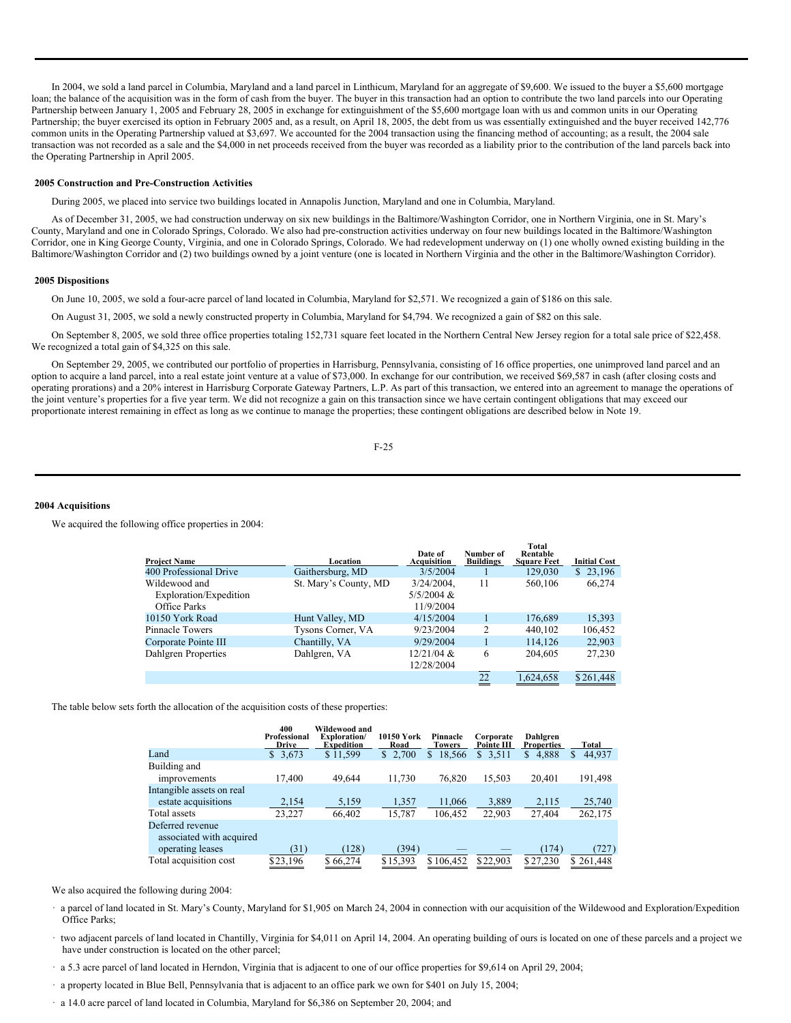In 2004, we sold a land parcel in Columbia, Maryland and a land parcel in Linthicum, Maryland for an aggregate of \$9,600. We issued to the buyer a \$5,600 mortgage loan; the balance of the acquisition was in the form of cash from the buyer. The buyer in this transaction had an option to contribute the two land parcels into our Operating Partnership between January 1, 2005 and February 28, 2005 in exchange for extinguishment of the \$5,600 mortgage loan with us and common units in our Operating Partnership; the buyer exercised its option in February 2005 and, as a result, on April 18, 2005, the debt from us was essentially extinguished and the buyer received 142,776 common units in the Operating Partnership valued at \$3,697. We accounted for the 2004 transaction using the financing method of accounting; as a result, the 2004 sale transaction was not recorded as a sale and the \$4,000 in net proceeds received from the buyer was recorded as a liability prior to the contribution of the land parcels back into the Operating Partnership in April 2005.

#### **2005 Construction and Pre-Construction Activities**

During 2005, we placed into service two buildings located in Annapolis Junction, Maryland and one in Columbia, Maryland.

As of December 31, 2005, we had construction underway on six new buildings in the Baltimore/Washington Corridor, one in Northern Virginia, one in St. Mary's County, Maryland and one in Colorado Springs, Colorado. We also had pre-construction activities underway on four new buildings located in the Baltimore/Washington Corridor, one in King George County, Virginia, and one in Colorado Springs, Colorado. We had redevelopment underway on (1) one wholly owned existing building in the Baltimore/Washington Corridor and (2) two buildings owned by a joint venture (one is located in Northern Virginia and the other in the Baltimore/Washington Corridor).

# **2005 Dispositions**

On June 10, 2005, we sold a four-acre parcel of land located in Columbia, Maryland for \$2,571. We recognized a gain of \$186 on this sale.

On August 31, 2005, we sold a newly constructed property in Columbia, Maryland for \$4,794. We recognized a gain of \$82 on this sale.

On September 8, 2005, we sold three office properties totaling 152,731 square feet located in the Northern Central New Jersey region for a total sale price of \$22,458. We recognized a total gain of \$4,325 on this sale.

On September 29, 2005, we contributed our portfolio of properties in Harrisburg, Pennsylvania, consisting of 16 office properties, one unimproved land parcel and an option to acquire a land parcel, into a real estate joint venture at a value of \$73,000. In exchange for our contribution, we received \$69,587 in cash (after closing costs and operating prorations) and a 20% interest in Harrisburg Corporate Gateway Partners, L.P. As part of this transaction, we entered into an agreement to manage the operations of the joint venture's properties for a five year term. We did not recognize a gain on this transaction since we have certain contingent obligations that may exceed our proportionate interest remaining in effect as long as we continue to manage the properties; these contingent obligations are described below in Note 19.

# F-25

## **2004 Acquisitions**

We acquired the following office properties in 2004:

|                        |                       | Date of       | Number of        | тогат<br>Rentable  |                     |
|------------------------|-----------------------|---------------|------------------|--------------------|---------------------|
| <b>Project Name</b>    | Location              | Acquisition   | <b>Buildings</b> | <b>Square Feet</b> | <b>Initial Cost</b> |
| 400 Professional Drive | Gaithersburg, MD      | 3/5/2004      |                  | 129,030            | \$23,196            |
| Wildewood and          | St. Mary's County, MD | $3/24/2004$ , | 11               | 560,106            | 66,274              |
| Exploration/Expedition |                       | $5/5/2004$ &  |                  |                    |                     |
| Office Parks           |                       | 11/9/2004     |                  |                    |                     |
| 10150 York Road        | Hunt Valley, MD       | 4/15/2004     |                  | 176,689            | 15,393              |
| <b>Pinnacle Towers</b> | Tysons Corner, VA     | 9/23/2004     | 2                | 440,102            | 106,452             |
| Corporate Pointe III   | Chantilly, VA         | 9/29/2004     |                  | 114.126            | 22,903              |
| Dahlgren Properties    | Dahlgren, VA          | 12/21/04 &    | 6                | 204,605            | 27,230              |
|                        |                       | 12/28/2004    |                  |                    |                     |
|                        |                       |               | 22               | 1.624.658          | \$261,448           |

**Total**

The table below sets forth the allocation of the acquisition costs of these properties:

|                           | 400<br>Professional<br>Drive | Wildewood and<br>Exploration/<br><b>Expedition</b> | <b>10150 York</b><br>Road | Pinnacle<br><b>Towers</b> | Corporate<br>Pointe III | Dahlgren<br><b>Properties</b> | Total       |
|---------------------------|------------------------------|----------------------------------------------------|---------------------------|---------------------------|-------------------------|-------------------------------|-------------|
| Land                      | 3,673                        | \$11,599                                           | \$2,700                   | 18,566<br>S.              | 3,511<br>\$             | 4,888<br>S                    | 44,937<br>S |
| Building and              |                              |                                                    |                           |                           |                         |                               |             |
| improvements              | 17.400                       | 49,644                                             | 11,730                    | 76,820                    | 15,503                  | 20.401                        | 191,498     |
| Intangible assets on real |                              |                                                    |                           |                           |                         |                               |             |
| estate acquisitions       | 2,154                        | 5,159                                              | 1,357                     | 11.066                    | 3,889                   | 2,115                         | 25,740      |
| Total assets              | 23,227                       | 66.402                                             | 15,787                    | 106,452                   | 22,903                  | 27.404                        | 262,175     |
| Deferred revenue          |                              |                                                    |                           |                           |                         |                               |             |
| associated with acquired  |                              |                                                    |                           |                           |                         |                               |             |
| operating leases          | (31)                         | (128)                                              | (394)                     |                           |                         | (174)                         | (727)       |
| Total acquisition cost    | \$23.196                     | \$66,274                                           | \$15,393                  | \$106.452                 | \$22,903                | \$27,230                      | \$261,448   |

We also acquired the following during 2004:

- · a parcel of land located in St. Mary's County, Maryland for \$1,905 on March 24, 2004 in connection with our acquisition of the Wildewood and Exploration/Expedition Office Parks;
- · two adjacent parcels of land located in Chantilly, Virginia for \$4,011 on April 14, 2004. An operating building of ours is located on one of these parcels and a project we have under construction is located on the other parcel;
- · a 5.3 acre parcel of land located in Herndon, Virginia that is adjacent to one of our office properties for \$9,614 on April 29, 2004;
- · a property located in Blue Bell, Pennsylvania that is adjacent to an office park we own for \$401 on July 15, 2004;
- · a 14.0 acre parcel of land located in Columbia, Maryland for \$6,386 on September 20, 2004; and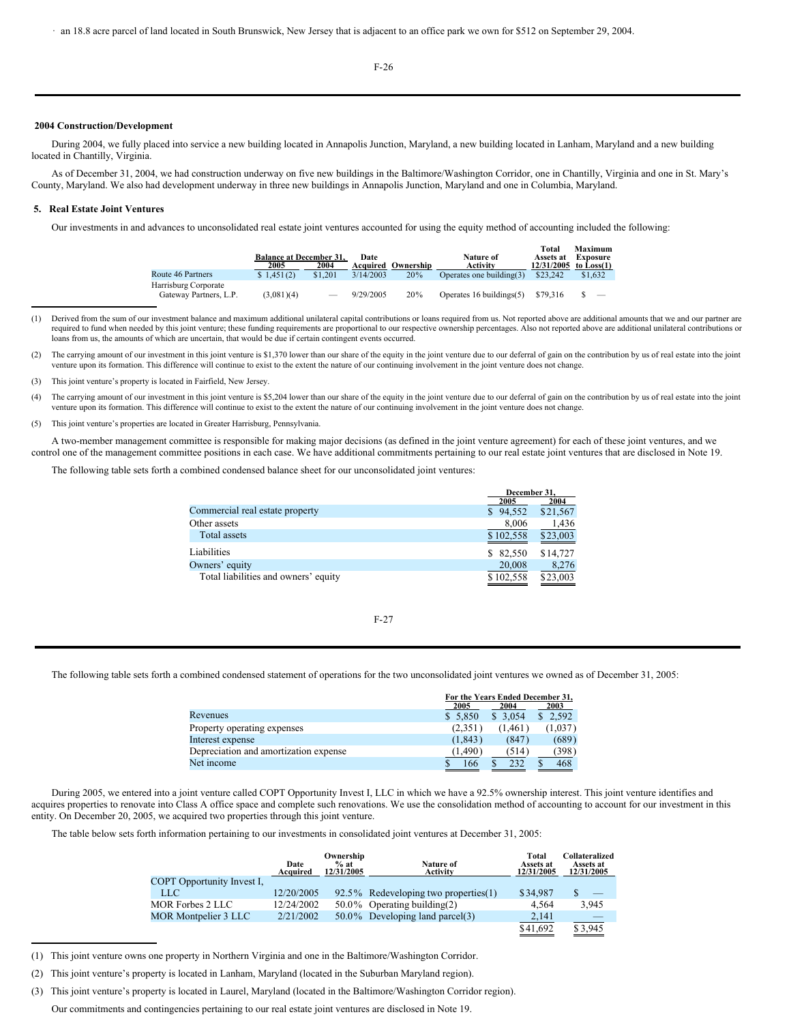F-26

# **2004 Construction/Development**

During 2004, we fully placed into service a new building located in Annapolis Junction, Maryland, a new building located in Lanham, Maryland and a new building located in Chantilly, Virginia.

As of December 31, 2004, we had construction underway on five new buildings in the Baltimore/Washington Corridor, one in Chantilly, Virginia and one in St. Mary's County, Maryland. We also had development underway in three new buildings in Annapolis Junction, Maryland and one in Columbia, Maryland.

#### **5. Real Estate Joint Ventures**

Our investments in and advances to unconsolidated real estate joint ventures accounted for using the equity method of accounting included the following:

|                        | <b>Balance at December 31.</b> |         | Date      |                           | Nature of                     | Total<br>Assets at      | Maximum<br>Exposure |
|------------------------|--------------------------------|---------|-----------|---------------------------|-------------------------------|-------------------------|---------------------|
|                        | 2005                           | 2004    |           | <b>Acquired Ownership</b> | Activity                      | $12/31/2005$ to Loss(1) |                     |
| Route 46 Partners      | \$1,451(2)                     | \$1,201 | 3/14/2003 | 20%                       | Operates one building $(3)$   | \$23,242                | \$1,632             |
| Harrisburg Corporate   |                                |         |           |                           |                               |                         |                     |
| Gateway Partners, L.P. | (3,081)(4)                     |         | 9/29/2005 | 20%                       | Operates $16$ buildings $(5)$ | \$79,316                | $\sim$              |

(1) Derived from the sum of our investment balance and maximum additional unilateral capital contributions or loans required from us. Not reported above are additional amounts that we and our partner are required to fund when needed by this joint venture; these funding requirements are proportional to our respective ownership percentages. Also not reported above are additional unilateral contributions or loans from us, the amounts of which are uncertain, that would be due if certain contingent events occurred.

(2) The carrying amount of our investment in this joint venture is \$1,370 lower than our share of the equity in the joint venture due to our deferral of gain on the contribution by us of real estate into the joint venture upon its formation. This difference will continue to exist to the extent the nature of our continuing involvement in the joint venture does not change.

(3) This joint venture's property is located in Fairfield, New Jersey.

(4) The carrying amount of our investment in this joint venture is \$5,204 lower than our share of the equity in the joint venture due to our deferral of gain on the contribution by us of real estate into the joint venture upon its formation. This difference will continue to exist to the extent the nature of our continuing involvement in the joint venture does not change.

(5) This joint venture's properties are located in Greater Harrisburg, Pennsylvania.

A two-member management committee is responsible for making major decisions (as defined in the joint venture agreement) for each of these joint ventures, and we control one of the management committee positions in each case. We have additional commitments pertaining to our real estate joint ventures that are disclosed in Note 19.

The following table sets forth a combined condensed balance sheet for our unconsolidated joint ventures:

|                                      | December 31. |          |
|--------------------------------------|--------------|----------|
|                                      | 2005         | 2004     |
| Commercial real estate property      | \$94,552     | \$21,567 |
| Other assets                         | 8,006        | 1,436    |
| Total assets                         | \$102,558    | \$23,003 |
| Liabilities                          | \$ 82,550    | \$14,727 |
| Owners' equity                       | 20,008       | 8,276    |
| Total liabilities and owners' equity | \$102,558    | \$23,003 |

#### F-27

The following table sets forth a combined condensed statement of operations for the two unconsolidated joint ventures we owned as of December 31, 2005:

|                                       | For the Years Ended December 31, |         |             |  |
|---------------------------------------|----------------------------------|---------|-------------|--|
|                                       | 2005                             | 2004    | <b>2003</b> |  |
| Revenues                              | \$5.850                          | \$3.054 | \$2.592     |  |
| Property operating expenses           | (2.351)                          | (1.461) | (1.037)     |  |
| Interest expense                      | (1, 843)                         | (847)   | (689)       |  |
| Depreciation and amortization expense | (1.490)                          | (514)   | (398)       |  |
| Net income                            | 166                              | 232     | 468         |  |

During 2005, we entered into a joint venture called COPT Opportunity Invest I, LLC in which we have a 92.5% ownership interest. This joint venture identifies and acquires properties to renovate into Class A office space and complete such renovations. We use the consolidation method of accounting to account for our investment in this entity. On December 20, 2005, we acquired two properties through this joint venture.

The table below sets forth information pertaining to our investments in consolidated joint ventures at December 31, 2005:

|                             | Date<br>Acquired | Ownership<br>$%$ at<br>12/31/2005 | Nature of<br>Activity                   | Total<br>Assets at<br>12/31/2005 | Collateralized<br>Assets at<br>12/31/2005 |
|-----------------------------|------------------|-----------------------------------|-----------------------------------------|----------------------------------|-------------------------------------------|
| COPT Opportunity Invest I.  |                  |                                   |                                         |                                  |                                           |
| LLC                         | 12/20/2005       |                                   | 92.5% Redeveloping two properties $(1)$ | \$34,987                         |                                           |
| <b>MOR Forbes 2 LLC</b>     | 12/24/2002       |                                   | 50.0% Operating building $(2)$          | 4.564                            | 3,945                                     |
| <b>MOR Montpelier 3 LLC</b> | 2/21/2002        |                                   | $50.0\%$ Developing land parcel(3)      | 2,141                            | $-$                                       |
|                             |                  |                                   |                                         | \$41.692                         | \$3.945                                   |

<sup>(1)</sup> This joint venture owns one property in Northern Virginia and one in the Baltimore/Washington Corridor.

Our commitments and contingencies pertaining to our real estate joint ventures are disclosed in Note 19.

<sup>(2)</sup> This joint venture's property is located in Lanham, Maryland (located in the Suburban Maryland region).

<sup>(3)</sup> This joint venture's property is located in Laurel, Maryland (located in the Baltimore/Washington Corridor region).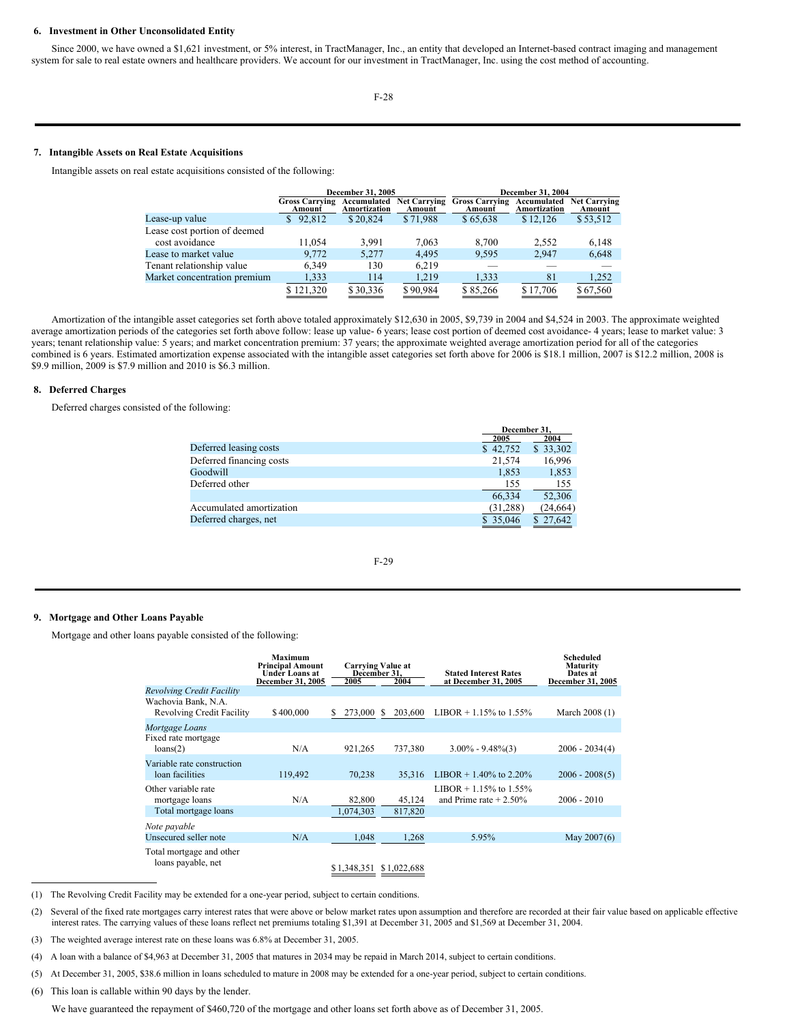#### **6. Investment in Other Unconsolidated Entity**

Since 2000, we have owned a \$1,621 investment, or 5% interest, in TractManager, Inc., an entity that developed an Internet-based contract imaging and management system for sale to real estate owners and healthcare providers. We account for our investment in TractManager, Inc. using the cost method of accounting.

#### **7. Intangible Assets on Real Estate Acquisitions**

Intangible assets on real estate acquisitions consisted of the following:

|                              | <b>December 31, 2005</b>        |                             |                               | <b>December 31, 2004</b>        |                             |                               |
|------------------------------|---------------------------------|-----------------------------|-------------------------------|---------------------------------|-----------------------------|-------------------------------|
|                              | <b>Gross Carrying</b><br>Amount | Accumulated<br>Amortization | <b>Net Carrying</b><br>Amount | <b>Gross Carrying</b><br>Amount | Accumulated<br>Amortization | <b>Net Carrying</b><br>Amount |
| Lease-up value               | \$92,812                        | \$20,824                    | \$71,988                      | \$65,638                        | \$12,126                    | \$53,512                      |
| Lease cost portion of deemed |                                 |                             |                               |                                 |                             |                               |
| cost avoidance               | 11.054                          | 3.991                       | 7.063                         | 8.700                           | 2.552                       | 6,148                         |
| Lease to market value        | 9.772                           | 5.277                       | 4.495                         | 9.595                           | 2.947                       | 6,648                         |
| Tenant relationship value    | 6.349                           | 130                         | 6.219                         |                                 |                             |                               |
| Market concentration premium | 1,333                           | 114                         | 1,219                         | 1,333                           | 81                          | 1,252                         |
|                              | \$121.320                       | \$30,336                    | \$90,984                      | \$85,266                        | \$17,706                    | \$67,560                      |

Amortization of the intangible asset categories set forth above totaled approximately \$12,630 in 2005, \$9,739 in 2004 and \$4,524 in 2003. The approximate weighted average amortization periods of the categories set forth above follow: lease up value- 6 years; lease cost portion of deemed cost avoidance- 4 years; lease to market value: 3 years; tenant relationship value: 5 years; and market concentration premium: 37 years; the approximate weighted average amortization period for all of the categories combined is 6 years. Estimated amortization expense associated with the intangible asset categories set forth above for 2006 is \$18.1 million, 2007 is \$12.2 million, 2008 is \$9.9 million, 2009 is \$7.9 million and 2010 is \$6.3 million.

#### **8. Deferred Charges**

Deferred charges consisted of the following:

|                          | ресення эт. |           |
|--------------------------|-------------|-----------|
|                          | 2005        | 2004      |
| Deferred leasing costs   | \$42,752    | \$33,302  |
| Deferred financing costs | 21,574      | 16,996    |
| Goodwill                 | 1.853       | 1,853     |
| Deferred other           | 155         | 155       |
|                          | 66,334      | 52,306    |
| Accumulated amortization | (31,288)    | (24, 664) |
| Deferred charges, net    | \$35,046    | \$27.642  |

**December 31,**

# F-29

# **9. Mortgage and Other Loans Payable**

Mortgage and other loans payable consisted of the following:

|                                  | Maximum<br><b>Principal Amount</b><br><b>Under Loans at</b><br>December 31, 2005 | 2005          | <b>Carrying Value at</b><br>December 31.<br>2004 | <b>Stated Interest Rates</b><br>at December 31, 2005 | <b>Scheduled</b><br>Maturity<br>Dates at<br>December 31, 2005 |
|----------------------------------|----------------------------------------------------------------------------------|---------------|--------------------------------------------------|------------------------------------------------------|---------------------------------------------------------------|
| Revolving Credit Facility        |                                                                                  |               |                                                  |                                                      |                                                               |
| Wachovia Bank, N.A.              |                                                                                  |               |                                                  |                                                      |                                                               |
| <b>Revolving Credit Facility</b> | \$400,000                                                                        | 273,000<br>S. | 203,600<br>S                                     | LIBOR + 1.15% to 1.55%                               | March 2008 (1)                                                |
| Mortgage Loans                   |                                                                                  |               |                                                  |                                                      |                                                               |
| Fixed rate mortgage              |                                                                                  |               |                                                  |                                                      |                                                               |
| loans(2)                         | N/A                                                                              | 921,265       | 737,380                                          | $3.00\% - 9.48\%$ (3)                                | $2006 - 2034(4)$                                              |
| Variable rate construction       |                                                                                  |               |                                                  |                                                      |                                                               |
| loan facilities                  | 119,492                                                                          | 70,238        | 35.316                                           | LIBOR $+ 1.40\%$ to 2.20%                            | $2006 - 2008(5)$                                              |
| Other variable rate              |                                                                                  |               |                                                  | LIBOR $+ 1.15\%$ to 1.55%                            |                                                               |
| mortgage loans                   | N/A                                                                              | 82,800        | 45,124                                           | and Prime rate $+2.50\%$                             | $2006 - 2010$                                                 |
| Total mortgage loans             |                                                                                  | 1.074.303     | 817,820                                          |                                                      |                                                               |
| Note payable                     |                                                                                  |               |                                                  |                                                      |                                                               |
| Unsecured seller note            | N/A                                                                              | 1,048         | 1,268                                            | 5.95%                                                | May $2007(6)$                                                 |
| Total mortgage and other         |                                                                                  |               |                                                  |                                                      |                                                               |
| loans payable, net               |                                                                                  | \$1,348,351   | \$1,022,688                                      |                                                      |                                                               |

(1) The Revolving Credit Facility may be extended for a one-year period, subject to certain conditions.

(2) Several of the fixed rate mortgages carry interest rates that were above or below market rates upon assumption and therefore are recorded at their fair value based on applicable effective interest rates. The carrying values of these loans reflect net premiums totaling \$1,391 at December 31, 2005 and \$1,569 at December 31, 2004.

(3) The weighted average interest rate on these loans was 6.8% at December 31, 2005.

(4) A loan with a balance of \$4,963 at December 31, 2005 that matures in 2034 may be repaid in March 2014, subject to certain conditions.

(5) At December 31, 2005, \$38.6 million in loans scheduled to mature in 2008 may be extended for a one-year period, subject to certain conditions.

(6) This loan is callable within 90 days by the lender.

We have guaranteed the repayment of \$460,720 of the mortgage and other loans set forth above as of December 31, 2005.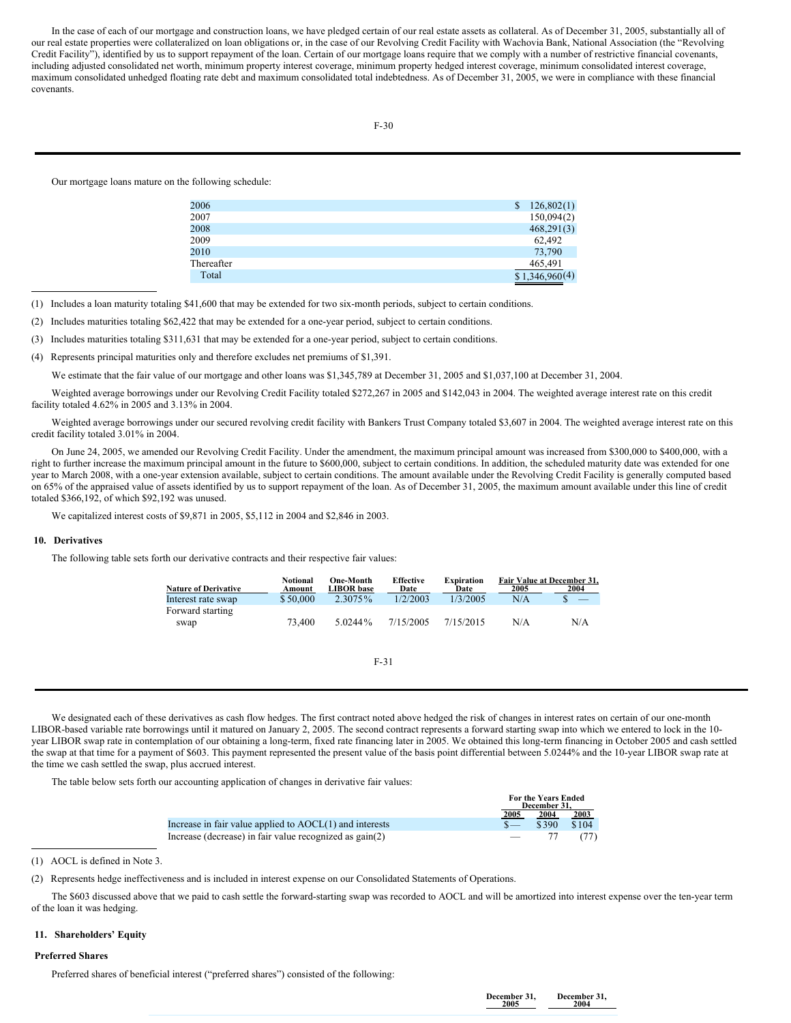In the case of each of our mortgage and construction loans, we have pledged certain of our real estate assets as collateral. As of December 31, 2005, substantially all of our real estate properties were collateralized on loan obligations or, in the case of our Revolving Credit Facility with Wachovia Bank, National Association (the "Revolving Credit Facility"), identified by us to support repayment of the loan. Certain of our mortgage loans require that we comply with a number of restrictive financial covenants, including adjusted consolidated net worth, minimum property interest coverage, minimum property hedged interest coverage, minimum consolidated interest coverage, maximum consolidated unhedged floating rate debt and maximum consolidated total indebtedness. As of December 31, 2005, we were in compliance with these financial covenants.

Our mortgage loans mature on the following schedule:

| 2006       | 126,802(1)<br>S. |  |
|------------|------------------|--|
| 2007       | 150,094(2)       |  |
| 2008       | 468,291(3)       |  |
| 2009       | 62,492           |  |
| 2010       | 73,790           |  |
| Thereafter | 465.491          |  |
| Total      | \$1,346,960      |  |
|            |                  |  |

(1) Includes a loan maturity totaling \$41,600 that may be extended for two six-month periods, subject to certain conditions.

(2) Includes maturities totaling \$62,422 that may be extended for a one-year period, subject to certain conditions.

(3) Includes maturities totaling \$311,631 that may be extended for a one-year period, subject to certain conditions.

(4) Represents principal maturities only and therefore excludes net premiums of \$1,391.

We estimate that the fair value of our mortgage and other loans was \$1,345,789 at December 31, 2005 and \$1,037,100 at December 31, 2004.

Weighted average borrowings under our Revolving Credit Facility totaled \$272,267 in 2005 and \$142,043 in 2004. The weighted average interest rate on this credit facility totaled 4.62% in 2005 and 3.13% in 2004.

Weighted average borrowings under our secured revolving credit facility with Bankers Trust Company totaled \$3,607 in 2004. The weighted average interest rate on this credit facility totaled 3.01% in 2004.

On June 24, 2005, we amended our Revolving Credit Facility. Under the amendment, the maximum principal amount was increased from \$300,000 to \$400,000, with a right to further increase the maximum principal amount in the future to \$600,000, subject to certain conditions. In addition, the scheduled maturity date was extended for one year to March 2008, with a one-year extension available, subject to certain conditions. The amount available under the Revolving Credit Facility is generally computed based on 65% of the appraised value of assets identified by us to support repayment of the loan. As of December 31, 2005, the maximum amount available under this line of credit totaled \$366,192, of which \$92,192 was unused.

We capitalized interest costs of \$9,871 in 2005, \$5,112 in 2004 and \$2,846 in 2003.

## **10. Derivatives**

The following table sets forth our derivative contracts and their respective fair values:

| <b>Nature of Derivative</b><br>Interest rate swap | <b>Notional</b><br>Amount<br>\$50,000 | One-Month<br><b>LIBOR</b> base<br>2.3075% | <b>Effective</b><br>Date<br>1/2/2003 | <b>Expiration</b><br>Date<br>1/3/2005 | 2005<br>N/A | Fair Value at December 31,<br>2004 |
|---------------------------------------------------|---------------------------------------|-------------------------------------------|--------------------------------------|---------------------------------------|-------------|------------------------------------|
| Forward starting<br>swap                          | 73,400                                | $5.0244\%$                                | 7/15/2005                            | 7/15/2015                             | N/A         | N/A                                |
|                                                   |                                       |                                           |                                      |                                       |             |                                    |

F-31

We designated each of these derivatives as cash flow hedges. The first contract noted above hedged the risk of changes in interest rates on certain of our one-month LIBOR-based variable rate borrowings until it matured on January 2, 2005. The second contract represents a forward starting swap into which we entered to lock in the 10 year LIBOR swap rate in contemplation of our obtaining a long-term, fixed rate financing later in 2005. We obtained this long-term financing in October 2005 and cash settled the swap at that time for a payment of \$603. This payment represented the present value of the basis point differential between 5.0244% and the 10-year LIBOR swap rate at the time we cash settled the swap, plus accrued interest.

The table below sets forth our accounting application of changes in derivative fair values:

|                                                         |                          | For the Years Ended<br>December 31. |       |
|---------------------------------------------------------|--------------------------|-------------------------------------|-------|
|                                                         | 2005                     | 2004                                | 2003  |
| Increase in fair value applied to AOCL(1) and interests |                          | \$390                               | \$104 |
| Increase (decrease) in fair value recognized as gain(2) | $\overline{\phantom{a}}$ |                                     |       |

(1) AOCL is defined in Note 3.

(2) Represents hedge ineffectiveness and is included in interest expense on our Consolidated Statements of Operations.

The \$603 discussed above that we paid to cash settle the forward-starting swap was recorded to AOCL and will be amortized into interest expense over the ten-year term of the loan it was hedging.

#### **11. Shareholders' Equity**

## **Preferred Shares**

Preferred shares of beneficial interest ("preferred shares") consisted of the following: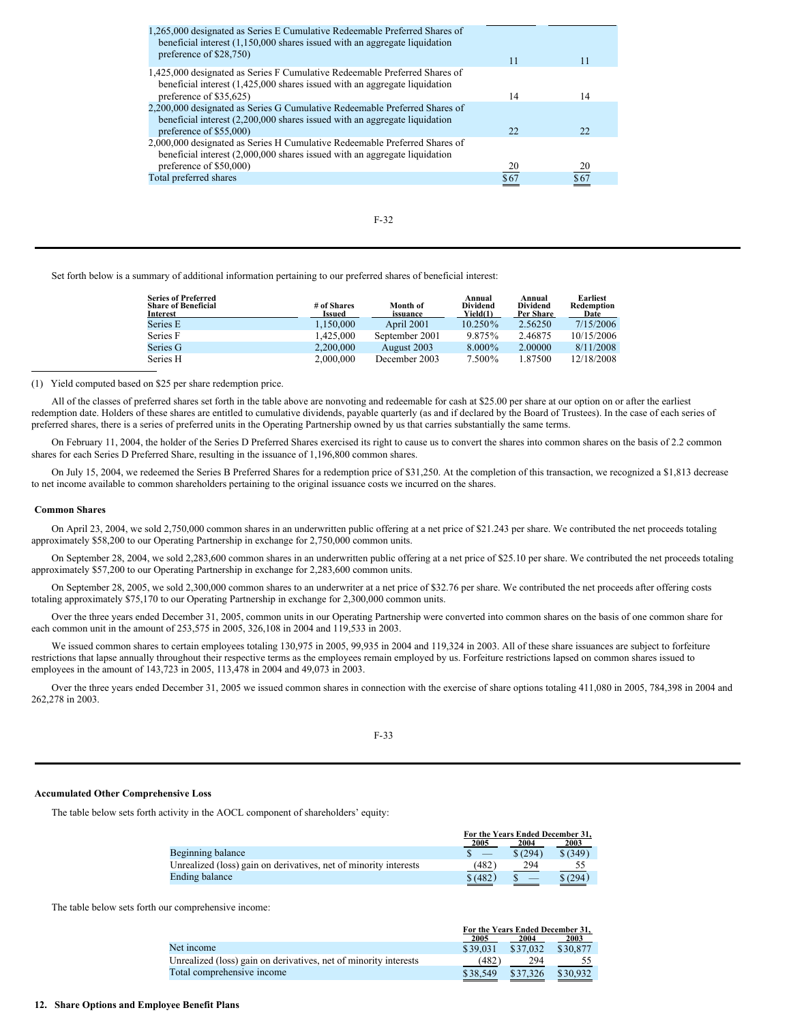| 1,265,000 designated as Series E Cumulative Redeemable Preferred Shares of<br>beneficial interest $(1,150,000)$ shares issued with an aggregate liquidation<br>preference of \$28,750) | 11   | 11   |
|----------------------------------------------------------------------------------------------------------------------------------------------------------------------------------------|------|------|
| 1,425,000 designated as Series F Cumulative Redeemable Preferred Shares of<br>beneficial interest $(1,425,000)$ shares issued with an aggregate liquidation                            |      |      |
| preference of \$35,625)                                                                                                                                                                | 14   | 14   |
| 2,200,000 designated as Series G Cumulative Redeemable Preferred Shares of<br>beneficial interest (2,200,000 shares issued with an aggregate liquidation                               |      |      |
| preference of \$55,000)                                                                                                                                                                | 22   | 22   |
| 2,000,000 designated as Series H Cumulative Redeemable Preferred Shares of<br>beneficial interest $(2,000,000)$ shares issued with an aggregate liquidation                            |      |      |
| preference of \$50,000)                                                                                                                                                                | 20   | 20   |
| Total preferred shares                                                                                                                                                                 | \$67 | \$67 |

Set forth below is a summary of additional information pertaining to our preferred shares of beneficial interest:

| <b>Series of Preferred</b><br><b>Share of Beneficial</b><br>Interest | # of Shares<br>Issued | Month of<br>issuance | Annual<br><b>Dividend</b><br>Yield(1) | Annual<br><b>Dividend</b><br>Per Share | <b>Earliest</b><br>Redemption<br>Date |
|----------------------------------------------------------------------|-----------------------|----------------------|---------------------------------------|----------------------------------------|---------------------------------------|
| Series E                                                             | 1.150.000             | April 2001           | $10.250\%$                            | 2.56250                                | 7/15/2006                             |
| Series F                                                             | 1.425.000             | September 2001       | 9.875%                                | 2.46875                                | 10/15/2006                            |
| Series G                                                             | 2.200,000             | August 2003          | $8.000\%$                             | 2.00000                                | 8/11/2008                             |
| Series H                                                             | 2,000,000             | December 2003        | 7.500%                                | 1.87500                                | 12/18/2008                            |

(1) Yield computed based on \$25 per share redemption price.

All of the classes of preferred shares set forth in the table above are nonvoting and redeemable for cash at \$25.00 per share at our option on or after the earliest redemption date. Holders of these shares are entitled to cumulative dividends, payable quarterly (as and if declared by the Board of Trustees). In the case of each series of preferred shares, there is a series of preferred units in the Operating Partnership owned by us that carries substantially the same terms.

On February 11, 2004, the holder of the Series D Preferred Shares exercised its right to cause us to convert the shares into common shares on the basis of 2.2 common shares for each Series D Preferred Share, resulting in the issuance of 1,196,800 common shares.

On July 15, 2004, we redeemed the Series B Preferred Shares for a redemption price of \$31,250. At the completion of this transaction, we recognized a \$1,813 decrease to net income available to common shareholders pertaining to the original issuance costs we incurred on the shares.

#### **Common Shares**

On April 23, 2004, we sold 2,750,000 common shares in an underwritten public offering at a net price of \$21.243 per share. We contributed the net proceeds totaling approximately \$58,200 to our Operating Partnership in exchange for 2,750,000 common units.

On September 28, 2004, we sold 2,283,600 common shares in an underwritten public offering at a net price of \$25.10 per share. We contributed the net proceeds totaling approximately \$57,200 to our Operating Partnership in exchange for 2,283,600 common units.

On September 28, 2005, we sold 2,300,000 common shares to an underwriter at a net price of \$32.76 per share. We contributed the net proceeds after offering costs totaling approximately \$75,170 to our Operating Partnership in exchange for 2,300,000 common units.

Over the three years ended December 31, 2005, common units in our Operating Partnership were converted into common shares on the basis of one common share for each common unit in the amount of 253,575 in 2005, 326,108 in 2004 and 119,533 in 2003.

We issued common shares to certain employees totaling 130,975 in 2005, 99,935 in 2004 and 119,324 in 2003. All of these share issuances are subject to forfeiture restrictions that lapse annually throughout their respective terms as the employees remain employed by us. Forfeiture restrictions lapsed on common shares issued to employees in the amount of 143,723 in 2005, 113,478 in 2004 and 49,073 in 2003.

Over the three years ended December 31, 2005 we issued common shares in connection with the exercise of share options totaling 411,080 in 2005, 784,398 in 2004 and 262,278 in 2003.

## F-33

# **Accumulated Other Comprehensive Loss**

The table below sets forth activity in the AOCL component of shareholders' equity:

|                                                                  |         | For the Years Ended December 31. |             |
|------------------------------------------------------------------|---------|----------------------------------|-------------|
|                                                                  | 2005    | 2004                             | <b>2003</b> |
| Beginning balance                                                |         | \$(294)                          | \$ (349)    |
| Unrealized (loss) gain on derivatives, net of minority interests | (482)   | 294                              |             |
| Ending balance                                                   | \$(482) |                                  | \$(294)     |

The table below sets forth our comprehensive income:

|                                                                  |          | For the Years Ended December 31, |          |
|------------------------------------------------------------------|----------|----------------------------------|----------|
|                                                                  | 2005     | 2004                             | 2003     |
| Net income                                                       | \$39.031 | \$37.032                         | \$30,877 |
| Unrealized (loss) gain on derivatives, net of minority interests | (482)    | 294                              |          |
| Total comprehensive income                                       | \$38,549 | \$37,326                         | \$30.932 |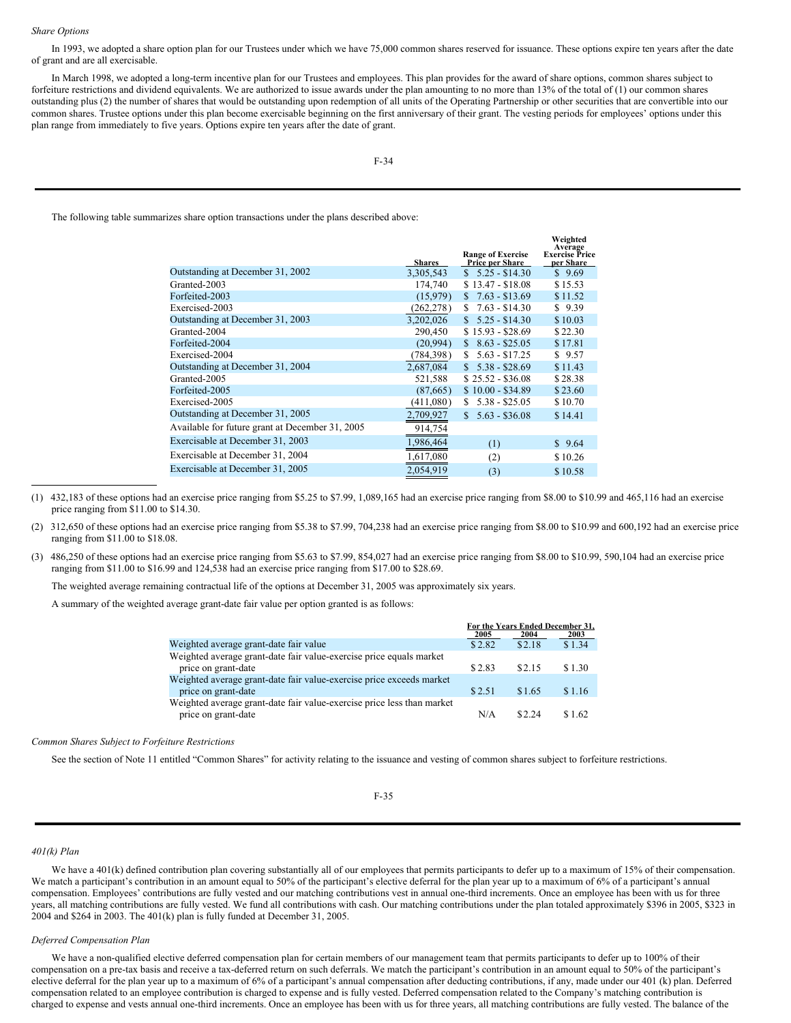#### *Share Options*

In 1993, we adopted a share option plan for our Trustees under which we have 75,000 common shares reserved for issuance. These options expire ten years after the date of grant and are all exercisable.

In March 1998, we adopted a long-term incentive plan for our Trustees and employees. This plan provides for the award of share options, common shares subject to forfeiture restrictions and dividend equivalents. We are authorized to issue awards under the plan amounting to no more than 13% of the total of (1) our common shares outstanding plus (2) the number of shares that would be outstanding upon redemption of all units of the Operating Partnership or other securities that are convertible into our common shares. Trustee options under this plan become exercisable beginning on the first anniversary of their grant. The vesting periods for employees' options under this plan range from immediately to five years. Options expire ten years after the date of grant.

The following table summarizes share option transactions under the plans described above:

|                                                 |               | <b>Range of Exercise</b> | Weighted<br>Average<br><b>Exercise Price</b> |
|-------------------------------------------------|---------------|--------------------------|----------------------------------------------|
|                                                 | <b>Shares</b> | Price per Share          | per Share                                    |
| Outstanding at December 31, 2002                | 3,305,543     | $5.25 - $14.30$<br>\$.   | \$9.69                                       |
| Granted-2003                                    | 174,740       | $$13.47 - $18.08$        | \$15.53                                      |
| Forfeited-2003                                  | (15,979)      | $7.63 - $13.69$<br>\$.   | \$11.52                                      |
| Exercised-2003                                  | (262, 278)    | $7.63 - $14.30$<br>S     | 9.39<br>S.                                   |
| Outstanding at December 31, 2003                | 3,202,026     | $5.25 - $14.30$<br>S.    | \$10.03                                      |
| Granted-2004                                    | 290,450       | $$15.93 - $28.69$        | \$22.30                                      |
| Forfeited-2004                                  | (20,994)      | $8.63 - $25.05$<br>\$.   | \$17.81                                      |
| Exercised-2004                                  | (784,398)     | $5.63 - $17.25$<br>S     | 9.57<br>S.                                   |
| Outstanding at December 31, 2004                | 2,687,084     | $5.38 - $28.69$<br>\$.   | \$11.43                                      |
| Granted-2005                                    | 521,588       | $$25.52 - $36.08$        | \$28.38                                      |
| Forfeited-2005                                  | (87,665)      | $$10.00 - $34.89$        | \$23.60                                      |
| Exercised-2005                                  | (411,080)     | $5.38 - $25.05$<br>S     | \$10.70                                      |
| Outstanding at December 31, 2005                | 2,709,927     | $5.63 - $36.08$<br>S.    | \$14.41                                      |
| Available for future grant at December 31, 2005 | 914,754       |                          |                                              |
| Exercisable at December 31, 2003                | 1,986,464     | (1)                      | \$9.64                                       |
| Exercisable at December 31, 2004                | 1,617,080     | (2)                      | \$10.26                                      |
| Exercisable at December 31, 2005                | 2,054,919     | (3)                      | \$10.58                                      |

(1) 432,183 of these options had an exercise price ranging from \$5.25 to \$7.99, 1,089,165 had an exercise price ranging from \$8.00 to \$10.99 and 465,116 had an exercise price ranging from \$11.00 to \$14.30.

(2) 312,650 of these options had an exercise price ranging from \$5.38 to \$7.99, 704,238 had an exercise price ranging from \$8.00 to \$10.99 and 600,192 had an exercise price ranging from \$11.00 to \$18.08.

(3) 486,250 of these options had an exercise price ranging from \$5.63 to \$7.99, 854,027 had an exercise price ranging from \$8.00 to \$10.99, 590,104 had an exercise price ranging from \$11.00 to \$16.99 and 124,538 had an exercise price ranging from \$17.00 to \$28.69.

The weighted average remaining contractual life of the options at December 31, 2005 was approximately six years.

A summary of the weighted average grant-date fair value per option granted is as follows:

|                                                                        | For the Years Ended December 31. |        |        |  |
|------------------------------------------------------------------------|----------------------------------|--------|--------|--|
|                                                                        | 2005                             | 2004   | 2003   |  |
| Weighted average grant-date fair value                                 | \$2.82                           | \$2.18 | \$1.34 |  |
| Weighted average grant-date fair value-exercise price equals market    |                                  |        |        |  |
| price on grant-date                                                    | \$2.83                           | \$2.15 | \$1.30 |  |
| Weighted average grant-date fair value-exercise price exceeds market   |                                  |        |        |  |
| price on grant-date                                                    | \$2.51                           | \$1.65 | \$1.16 |  |
| Weighted average grant-date fair value-exercise price less than market |                                  |        |        |  |
| price on grant-date                                                    | N/A                              | \$2.24 | \$1.62 |  |

#### *Common Shares Subject to Forfeiture Restrictions*

See the section of Note 11 entitled "Common Shares" for activity relating to the issuance and vesting of common shares subject to forfeiture restrictions.

F-35

# *401(k) Plan*

We have a 401(k) defined contribution plan covering substantially all of our employees that permits participants to defer up to a maximum of 15% of their compensation. We match a participant's contribution in an amount equal to 50% of the participant's elective deferral for the plan year up to a maximum of 6% of a participant's annual compensation. Employees' contributions are fully vested and our matching contributions vest in annual one-third increments. Once an employee has been with us for three years, all matching contributions are fully vested. We fund all contributions with cash. Our matching contributions under the plan totaled approximately \$396 in 2005, \$323 in 2004 and \$264 in 2003. The 401(k) plan is fully funded at December 31, 2005.

#### *Deferred Compensation Plan*

We have a non-qualified elective deferred compensation plan for certain members of our management team that permits participants to defer up to 100% of their compensation on a pre-tax basis and receive a tax-deferred return on such deferrals. We match the participant's contribution in an amount equal to 50% of the participant's elective deferral for the plan year up to a maximum of 6% of a participant's annual compensation after deducting contributions, if any, made under our 401 (k) plan. Deferred compensation related to an employee contribution is charged to expense and is fully vested. Deferred compensation related to the Company's matching contribution is charged to expense and vests annual one-third increments. Once an employee has been with us for three years, all matching contributions are fully vested. The balance of the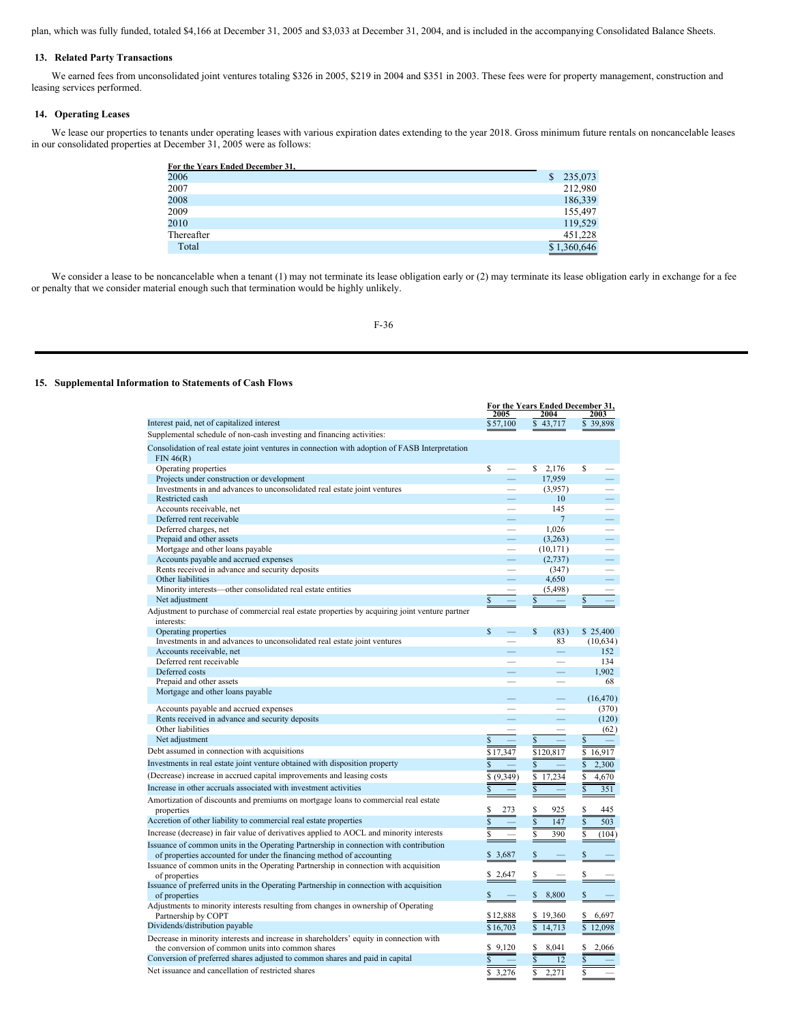plan, which was fully funded, totaled \$4,166 at December 31, 2005 and \$3,033 at December 31, 2004, and is included in the accompanying Consolidated Balance Sheets.

# **13. Related Party Transactions**

We earned fees from unconsolidated joint ventures totaling \$326 in 2005, \$219 in 2004 and \$351 in 2003. These fees were for property management, construction and leasing services performed.

# **14. Operating Leases**

We lease our properties to tenants under operating leases with various expiration dates extending to the year 2018. Gross minimum future rentals on noncancelable leases in our consolidated properties at December 31, 2005 were as follows:

| For the Years Ended December 31, |               |  |
|----------------------------------|---------------|--|
| 2006                             | 235,073<br>\$ |  |
| 2007                             | 212,980       |  |
| 2008                             | 186,339       |  |
| 2009                             | 155,497       |  |
| 2010                             | 119,529       |  |
| Thereafter                       | 451,228       |  |
| Total                            | \$1,360,646   |  |

We consider a lease to be noncancelable when a tenant (1) may not terminate its lease obligation early or (2) may terminate its lease obligation early in exchange for a fee or penalty that we consider material enough such that termination would be highly unlikely.

# F-36

# **15. Supplemental Information to Statements of Cash Flows**

|                                                                                                              | 2005                    | For the Years Ended December 31, | 2003            |
|--------------------------------------------------------------------------------------------------------------|-------------------------|----------------------------------|-----------------|
| Interest paid, net of capitalized interest                                                                   | \$57,100                | 2004<br>\$<br>43,717             | \$<br>39,898    |
| Supplemental schedule of non-cash investing and financing activities:                                        |                         |                                  |                 |
| Consolidation of real estate joint ventures in connection with adoption of FASB Interpretation               |                         |                                  |                 |
| FIN 46(R)                                                                                                    |                         |                                  |                 |
| Operating properties                                                                                         | \$                      | \$2,176                          | \$              |
| Projects under construction or development                                                                   |                         | 17,959                           |                 |
| Investments in and advances to unconsolidated real estate joint ventures                                     |                         | (3,957)                          |                 |
| Restricted cash                                                                                              |                         | 10                               | $\qquad \qquad$ |
| Accounts receivable, net                                                                                     |                         | 145                              |                 |
| Deferred rent receivable                                                                                     |                         | $\overline{7}$                   |                 |
| Deferred charges, net                                                                                        |                         | 1,026                            |                 |
| Prepaid and other assets                                                                                     |                         | (3,263)                          |                 |
| Mortgage and other loans payable                                                                             |                         | (10, 171)                        |                 |
| Accounts payable and accrued expenses                                                                        |                         | (2,737)                          |                 |
| Rents received in advance and security deposits<br>Other liabilities                                         |                         | (347)<br>4,650                   |                 |
| Minority interests-other consolidated real estate entities                                                   |                         | (5, 498)                         |                 |
| Net adjustment                                                                                               | $\overline{\$}$         | \$                               | \$              |
|                                                                                                              |                         |                                  |                 |
| Adjustment to purchase of commercial real estate properties by acquiring joint venture partner<br>interests: |                         |                                  |                 |
| Operating properties                                                                                         | \$                      | $\mathbb{S}$<br>(83)             | \$25,400        |
| Investments in and advances to unconsolidated real estate joint ventures                                     |                         | 83                               | (10, 634)       |
| Accounts receivable, net                                                                                     |                         |                                  | 152             |
| Deferred rent receivable                                                                                     |                         |                                  | 134             |
| Deferred costs                                                                                               |                         |                                  | 1.902           |
| Prepaid and other assets                                                                                     |                         | $\overline{\phantom{a}}$         | 68              |
| Mortgage and other loans payable                                                                             |                         |                                  |                 |
|                                                                                                              |                         |                                  | (16, 470)       |
| Accounts payable and accrued expenses<br>Rents received in advance and security deposits                     |                         |                                  | (370)<br>(120)  |
| Other liabilities                                                                                            |                         |                                  | (62)            |
| Net adjustment                                                                                               | \$                      | \$                               | \$              |
| Debt assumed in connection with acquisitions                                                                 | \$17,347                | \$120,817                        | \$<br>16.917    |
|                                                                                                              |                         |                                  |                 |
| Investments in real estate joint venture obtained with disposition property                                  | \$                      | \$<br>$\equiv$                   | \$<br>2.300     |
| (Decrease) increase in accrued capital improvements and leasing costs                                        | \$ (9,349)              | \$<br>17,234                     | \$<br>4,670     |
| Increase in other accruals associated with investment activities                                             | \$                      | \$                               | \$<br>351       |
| Amortization of discounts and premiums on mortgage loans to commercial real estate                           |                         |                                  |                 |
| properties                                                                                                   | \$<br>273               | 925<br>\$                        | \$<br>445       |
| Accretion of other liability to commercial real estate properties                                            | \$<br>$\qquad \qquad -$ | $\overline{\$}$<br>147           | \$<br>503       |
| Increase (decrease) in fair value of derivatives applied to AOCL and minority interests                      | \$                      | Ŝ<br>390                         | S<br>(104)      |
| Issuance of common units in the Operating Partnership in connection with contribution                        |                         |                                  |                 |
| of properties accounted for under the financing method of accounting                                         | \$3,687                 | \$                               | \$              |
| Issuance of common units in the Operating Partnership in connection with acquisition                         |                         |                                  |                 |
| of properties                                                                                                | \$2,647                 | \$                               | \$              |
| Issuance of preferred units in the Operating Partnership in connection with acquisition                      |                         |                                  |                 |
| of properties                                                                                                | \$                      | S<br>8.800                       |                 |
| Adjustments to minority interests resulting from changes in ownership of Operating                           | \$12,888                | \$19,360                         | \$<br>6,697     |
| Partnership by COPT                                                                                          |                         |                                  |                 |
| Dividends/distribution payable                                                                               | \$16,703                | \$<br>14,713                     | \$<br>12,098    |
| Decrease in minority interests and increase in shareholders' equity in connection with                       | 9,120<br>\$             | 8,041<br>\$                      | \$<br>2,066     |
| the conversion of common units into common shares                                                            |                         |                                  |                 |
| Conversion of preferred shares adjusted to common shares and paid in capital                                 | \$                      | $\overline{\mathbb{S}}$<br>12    | \$              |
| Net issuance and cancellation of restricted shares                                                           | \$<br>3,276             | \$<br>2,271                      | \$              |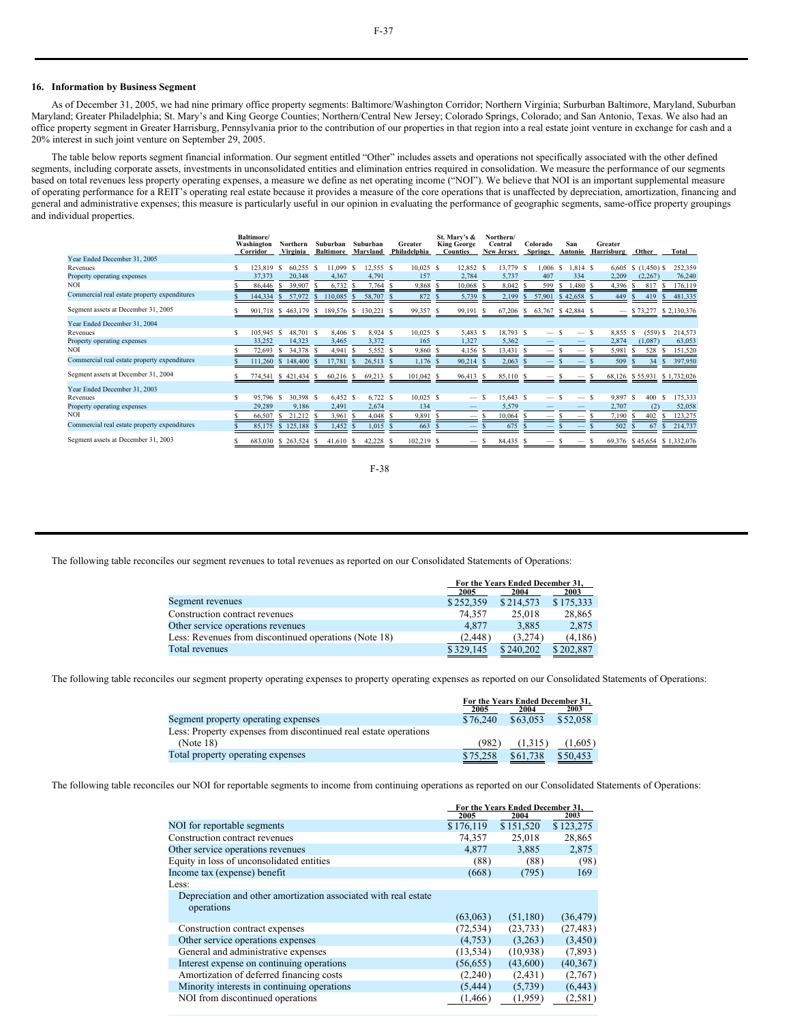#### **16. Information by Business Segment**

As of December 31, 2005, we had nine primary office property segments: Baltimore/Washington Corridor; Northern Virginia; Surburban Baltimore, Maryland, Suburban Maryland; Greater Philadelphia; St. Mary's and King George Counties; Northern/Central New Jersey; Colorado Springs, Colorado; and San Antonio, Texas. We also had an office property segment in Greater Harrisburg, Pennsylvania prior to the contribution of our properties in that region into a real estate joint venture in exchange for cash and a 20% interest in such joint venture on September 29, 2005.

The table below reports segment financial information. Our segment entitled "Other" includes assets and operations not specifically associated with the other defined segments, including corporate assets, investments in unconsolidated entities and elimination entries required in consolidation. We measure the performance of our segments based on total revenues less property operating expenses, a measure we define as net operating income ("NOI"). We believe that NOI is an important supplemental measure of operating performance for a REIT's operating real estate because it provides a measure of the core operations that is unaffected by depreciation, amortization, financing and general and administrative expenses; this measure is particularly useful in our opinion in evaluating the performance of geographic segments, same-office property groupings and individual properties.

|                                              | Baltimore/<br>Washington<br>Corridor | Northern<br>Virginia   | Suburban<br><b>Baltimore</b>          | Suburban<br>Marvland | Greater<br>Philadelphia | St. Mary's &<br><b>King George</b><br><b>Counties</b> | Northern/<br>Central<br><b>New Jersey</b> | Colorado<br><b>Springs</b> | San<br>Antonio           | Greater<br><b>Harrisburg</b> | Other             | Total                       |
|----------------------------------------------|--------------------------------------|------------------------|---------------------------------------|----------------------|-------------------------|-------------------------------------------------------|-------------------------------------------|----------------------------|--------------------------|------------------------------|-------------------|-----------------------------|
| Year Ended December 31, 2005                 |                                      |                        |                                       |                      |                         |                                                       |                                           |                            |                          |                              |                   |                             |
| Revenues                                     | 123,819 \$                           | 60,255 \$              | 11,099 \$                             | 12,555 \$            | $10,025$ \$             | 12,852 \$                                             | 13,779 S                                  | $1,006$ \$                 | 1,814 \$                 | 6,605                        | $$(1,450)$ \$     | 252,359                     |
| Property operating expenses                  | 37,373                               | 20,348                 | 4,367                                 | 4,791                | 157                     | 2,784                                                 | 5,737                                     | 407                        | 334                      | 2,209                        | (2,267)           | 76,240                      |
| NOI                                          | 86,446                               | 39,907                 | 6,732                                 | 7,764                | 9,868                   | 10,068                                                | 8,042                                     | 599                        | 1,480                    | 4,396                        | 817               | 176,119                     |
| Commercial real estate property expenditures | 144,334                              | 57,972<br>$\mathbf{S}$ | 110,085<br>-S                         | 58,707               | 872                     | 5,739                                                 | 2,199                                     | 57,901                     | \$42,658                 | 449                          | 419<br>×          | 481,335                     |
| Segment assets at December 31, 2005          |                                      |                        | 901,718 \$463,179 \$189,576 \$130,221 |                      | 99,357<br>-S            | 99,191 \$                                             | 67,206                                    | S.<br>63,767               | \$42,884                 |                              |                   | $-$ \$73,277 \$2,130,376    |
| Year Ended December 31, 2004                 |                                      |                        |                                       |                      |                         |                                                       |                                           |                            |                          |                              |                   |                             |
| Revenues                                     | 105,945                              | 48,701 \$<br>-S        | 8,406 \$                              | 8,924 \$             | $10,025$ \$             | 5,483 \$                                              | 18,793 \$                                 |                            |                          | 8,855<br><b>S</b>            | $(559)$ \$<br>- S | 214,573                     |
| Property operating expenses                  | 33,252                               | 14,323                 | 3,465                                 | 3,372                | 165                     | 1,327                                                 | 5,362                                     |                            |                          | 2,874                        | (1,087)           | 63,053                      |
| NOI                                          | 72,693                               | 34,378                 | 4,941                                 | 5,552                | 9,860<br>-S             | 4,156 \$                                              | 13,431                                    |                            |                          | 5,981                        | 528<br>N          | 151,520                     |
| Commercial real estate property expenditures | 111,260                              | \$148,400              | 17,781                                | 26,513               | 1,176                   | 90,214                                                | 2,063                                     |                            |                          | 509                          | 34                | 397,950<br>-S               |
| Segment assets at December 31, 2004          |                                      | 774,541 \$421,434      | 60,216<br>-S                          | 69,213<br>-S         | 101,042 \$<br>-S        | 96,413                                                | 85,110<br>- S                             | -8                         |                          |                              | 68,126 \$55,931   | \$1,732,026                 |
| Year Ended December 31, 2003                 |                                      |                        |                                       |                      |                         |                                                       |                                           |                            |                          |                              |                   |                             |
| Revenues                                     | 95,796 \$                            | 30,398 S               | 6,452 \$                              | $6,722$ \$           | $10,025$ \$             |                                                       | 15,643 S<br>$-$ s                         | $\overline{\phantom{0}}$   | $\overline{\phantom{a}}$ | 9,897<br>-S                  | 400<br>- S        | 175,333<br>- S              |
| Property operating expenses                  | 29,289                               | 9,186                  | 2,491                                 | 2,674                | 134                     |                                                       | 5,579                                     |                            |                          | 2,707                        | (2)               | 52,058                      |
| <b>NOI</b>                                   | 66,507                               | 21,212                 | 3,961                                 | 4,048                | 9,891<br>-3             |                                                       | 10,064                                    |                            |                          | 7,190                        | 402               | 123,275                     |
| Commercial real estate property expenditures | 85,175                               | \$125,188              | 1,452                                 | 1,015                | 663                     |                                                       | 675                                       |                            |                          | 502                          | 67                | 214,737<br><b>S</b>         |
| Segment assets at December 31, 2003          |                                      | 683,030 \$ 263,524     | 41.610 S<br>- S                       | 42,228               | 102,219 \$<br>-S        | $\overline{\phantom{0}}$                              | 84.435<br>s                               | -8                         |                          |                              |                   | 69,376 \$45,654 \$1,332,076 |

F-38

The following table reconciles our segment revenues to total revenues as reported on our Consolidated Statements of Operations:

|                                                       |           | For the Years Ended December 31. |           |  |
|-------------------------------------------------------|-----------|----------------------------------|-----------|--|
|                                                       | 2005      | 2004                             | 2003      |  |
| Segment revenues                                      | \$252,359 | \$214,573                        | \$175,333 |  |
| Construction contract revenues                        | 74.357    | 25,018                           | 28,865    |  |
| Other service operations revenues                     | 4.877     | 3.885                            | 2.875     |  |
| Less: Revenues from discontinued operations (Note 18) | (2.448)   | (3.274)                          | (4,186)   |  |
| Total revenues                                        | \$329,145 | \$240,202                        | \$202,887 |  |

The following table reconciles our segment property operating expenses to property operating expenses as reported on our Consolidated Statements of Operations:

|                                                                  |          | For the Years Ended December 31, |          |
|------------------------------------------------------------------|----------|----------------------------------|----------|
|                                                                  | 2005     | 2004                             | 2003     |
| Segment property operating expenses                              | \$76,240 | \$63,053                         | \$52,058 |
| Less: Property expenses from discontinued real estate operations |          |                                  |          |
| (Note 18)                                                        | (982)    | (1.315)                          | (1,605)  |
| Total property operating expenses                                | \$75,258 | \$61,738                         | \$50,453 |

The following table reconciles our NOI for reportable segments to income from continuing operations as reported on our Consolidated Statements of Operations:

|                                                                 | For the Years Ended December 31. |           |           |
|-----------------------------------------------------------------|----------------------------------|-----------|-----------|
|                                                                 | 2005                             | 2004      | 2003      |
| NOI for reportable segments                                     | \$176,119                        | \$151,520 | \$123,275 |
| Construction contract revenues                                  | 74,357                           | 25,018    | 28,865    |
| Other service operations revenues                               | 4,877                            | 3,885     | 2,875     |
| Equity in loss of unconsolidated entities                       | (88)                             | (88)      | (98)      |
| Income tax (expense) benefit                                    | (668)                            | (795)     | 169       |
| Less:                                                           |                                  |           |           |
| Depreciation and other amortization associated with real estate |                                  |           |           |
| operations                                                      |                                  |           |           |
|                                                                 | (63,063)                         | (51,180)  | (36, 479) |
| Construction contract expenses                                  | (72, 534)                        | (23, 733) | (27, 483) |
| Other service operations expenses                               | (4,753)                          | (3,263)   | (3,450)   |
| General and administrative expenses                             | (13, 534)                        | (10,938)  | (7,893)   |
| Interest expense on continuing operations                       | (56, 655)                        | (43,600)  | (40, 367) |
| Amortization of deferred financing costs                        | (2,240)                          | (2, 431)  | (2,767)   |
| Minority interests in continuing operations                     | (5, 444)                         | (5,739)   | (6, 443)  |
| NOI from discontinued operations                                | (1.466)                          | (1,959)   | (2, 581)  |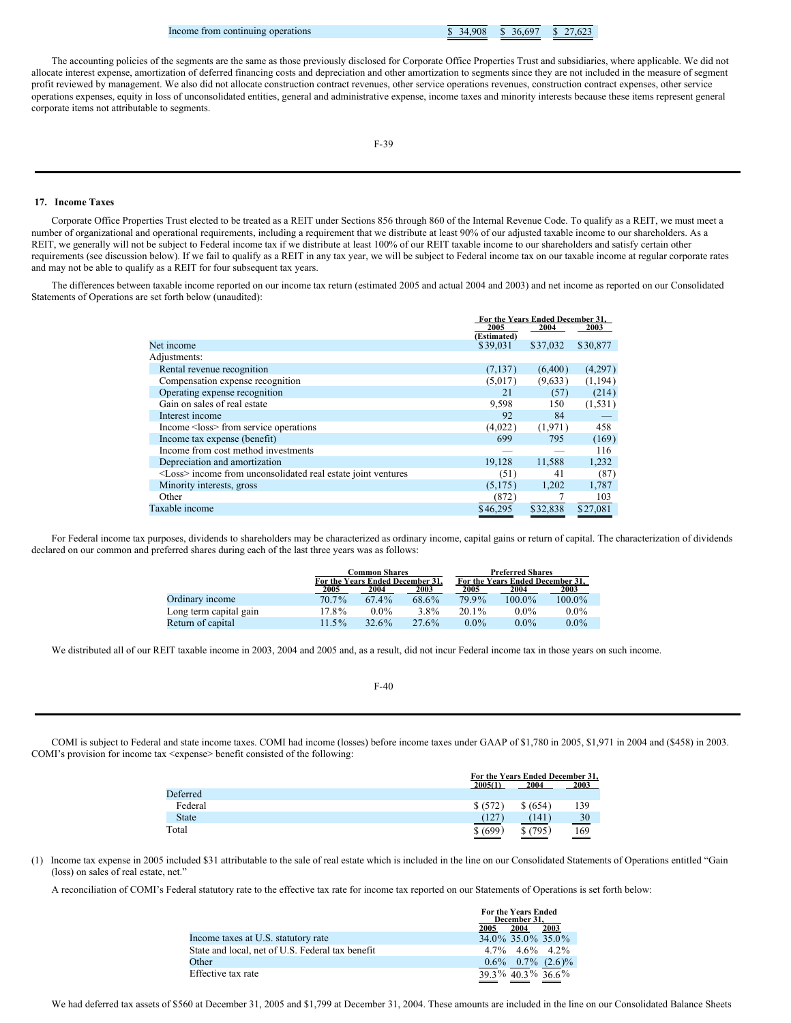| Income from continuing operations | \$ 34,908 \$ 36,697 \$ 27,623 |  |
|-----------------------------------|-------------------------------|--|
|                                   |                               |  |

The accounting policies of the segments are the same as those previously disclosed for Corporate Office Properties Trust and subsidiaries, where applicable. We did not allocate interest expense, amortization of deferred financing costs and depreciation and other amortization to segments since they are not included in the measure of segment profit reviewed by management. We also did not allocate construction contract revenues, other service operations revenues, construction contract expenses, other service operations expenses, equity in loss of unconsolidated entities, general and administrative expense, income taxes and minority interests because these items represent general corporate items not attributable to segments.

# **17. Income Taxes**

Corporate Office Properties Trust elected to be treated as a REIT under Sections 856 through 860 of the Internal Revenue Code. To qualify as a REIT, we must meet a number of organizational and operational requirements, including a requirement that we distribute at least 90% of our adjusted taxable income to our shareholders. As a REIT, we generally will not be subject to Federal income tax if we distribute at least 100% of our REIT taxable income to our shareholders and satisfy certain other requirements (see discussion below). If we fail to qualify as a REIT in any tax year, we will be subject to Federal income tax on our taxable income at regular corporate rates and may not be able to qualify as a REIT for four subsequent tax years.

The differences between taxable income reported on our income tax return (estimated 2005 and actual 2004 and 2003) and net income as reported on our Consolidated Statements of Operations are set forth below (unaudited):

|                                                                     | For the Years Ended December 31. |          |          |  |
|---------------------------------------------------------------------|----------------------------------|----------|----------|--|
|                                                                     | 2005<br>(Estimated)              | 2004     | 2003     |  |
| Net income                                                          | \$39,031                         | \$37,032 | \$30,877 |  |
| Adjustments:                                                        |                                  |          |          |  |
| Rental revenue recognition                                          | (7,137)                          | (6,400)  | (4,297)  |  |
| Compensation expense recognition                                    | (5,017)                          | (9,633)  | (1, 194) |  |
| Operating expense recognition                                       | 21                               | (57)     | (214)    |  |
| Gain on sales of real estate                                        | 9,598                            | 150      | (1, 531) |  |
| Interest income                                                     | 92                               | 84       |          |  |
| Income <loss> from service operations</loss>                        | (4,022)                          | (1,971)  | 458      |  |
| Income tax expense (benefit)                                        | 699                              | 795      | (169)    |  |
| Income from cost method investments                                 |                                  |          | 116      |  |
| Depreciation and amortization                                       | 19,128                           | 11,588   | 1,232    |  |
| <loss> income from unconsolidated real estate joint ventures</loss> | (51)                             | 41       | (87)     |  |
| Minority interests, gross                                           | (5,175)                          | 1,202    | 1,787    |  |
| Other                                                               | (872)                            |          | 103      |  |
| Taxable income                                                      | \$46.295                         | \$32,838 | \$27,081 |  |

For Federal income tax purposes, dividends to shareholders may be characterized as ordinary income, capital gains or return of capital. The characterization of dividends declared on our common and preferred shares during each of the last three years was as follows:

|                        | <b>Common Shares</b> |                                  |       | <b>Preferred Shares</b>          |           |           |  |
|------------------------|----------------------|----------------------------------|-------|----------------------------------|-----------|-----------|--|
|                        |                      | For the Years Ended December 31. |       | For the Years Ended December 31. |           |           |  |
|                        | 2005                 | 2004                             | 2003  | 2005                             | 2004      | 2003      |  |
| Ordinary income        | $70.7\%$             | 674%                             | 68.6% | 79.9%                            | $100.0\%$ | $100.0\%$ |  |
| Long term capital gain | 17.8%                | $0.0\%$                          | 3.8%  | $20.1\%$                         | $0.0\%$   | $0.0\%$   |  |
| Return of capital      | $11.5\%$             | 32.6%                            | 27.6% | $0.0\%$                          | $0.0\%$   | $0.0\%$   |  |

We distributed all of our REIT taxable income in 2003, 2004 and 2005 and, as a result, did not incur Federal income tax in those years on such income.

F-40

COMI is subject to Federal and state income taxes. COMI had income (losses) before income taxes under GAAP of \$1,780 in 2005, \$1,971 in 2004 and (\$458) in 2003. COMI's provision for income tax <expense> benefit consisted of the following:

|              |          | For the Years Ended December 31, |      |  |
|--------------|----------|----------------------------------|------|--|
|              | 2005(1)  | 2004                             | 2003 |  |
| Deferred     |          |                                  |      |  |
| Federal      | \$ (572) | \$ (654)                         | 139  |  |
| <b>State</b> | 127      | (141)                            | 30   |  |
| Total        | \$ (699) | \$(795)                          | 169  |  |

(1) Income tax expense in 2005 included \$31 attributable to the sale of real estate which is included in the line on our Consolidated Statements of Operations entitled "Gain (loss) on sales of real estate, net."

A reconciliation of COMI's Federal statutory rate to the effective tax rate for income tax reported on our Statements of Operations is set forth below:

|                                                  | For the Years Ended<br><b>December 31.</b> |  |  |  |
|--------------------------------------------------|--------------------------------------------|--|--|--|
|                                                  | 2003<br>2005<br>2004                       |  |  |  |
| Income taxes at U.S. statutory rate              | 34.0% 35.0% 35.0%                          |  |  |  |
| State and local, net of U.S. Federal tax benefit | $4.7\%$ $4.6\%$ $4.2\%$                    |  |  |  |
| Other                                            | $0.6\%$ $0.7\%$ $(2.6)\%$                  |  |  |  |
| Effective tax rate                               | 39.3% 40.3% 36.6%                          |  |  |  |

We had deferred tax assets of \$560 at December 31, 2005 and \$1,799 at December 31, 2004. These amounts are included in the line on our Consolidated Balance Sheets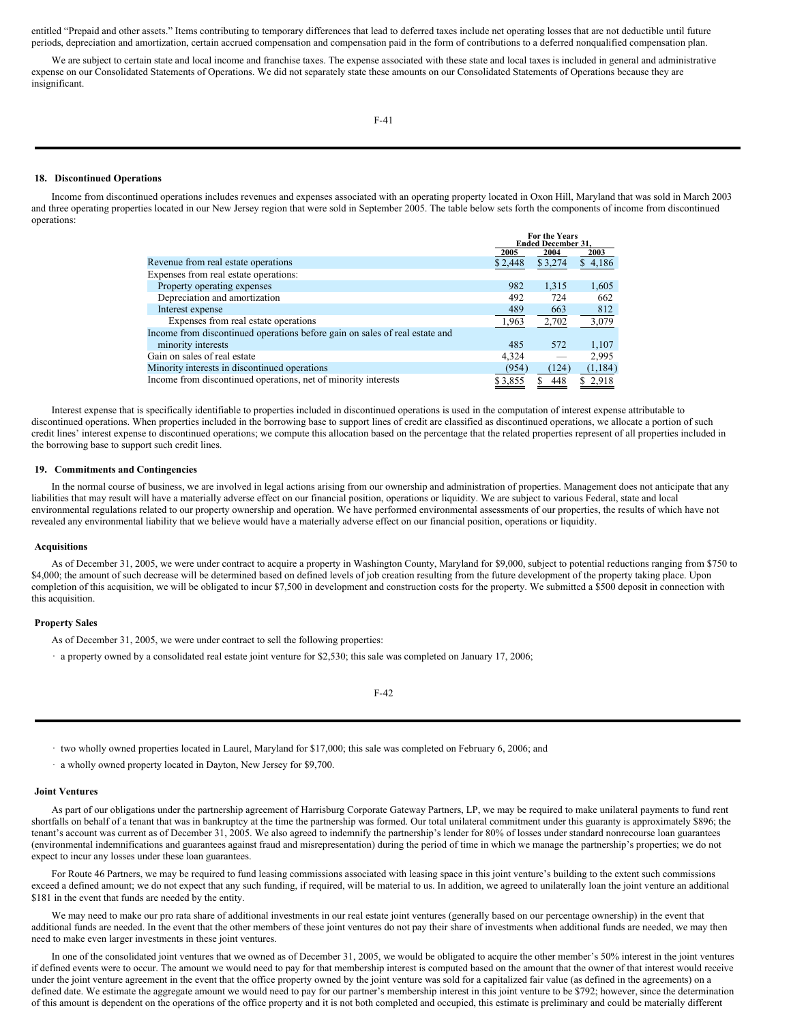entitled "Prepaid and other assets." Items contributing to temporary differences that lead to deferred taxes include net operating losses that are not deductible until future periods, depreciation and amortization, certain accrued compensation and compensation paid in the form of contributions to a deferred nonqualified compensation plan.

We are subject to certain state and local income and franchise taxes. The expense associated with these state and local taxes is included in general and administrative expense on our Consolidated Statements of Operations. We did not separately state these amounts on our Consolidated Statements of Operations because they are insignificant.

#### **18. Discontinued Operations**

Income from discontinued operations includes revenues and expenses associated with an operating property located in Oxon Hill, Maryland that was sold in March 2003 and three operating properties located in our New Jersey region that were sold in September 2005. The table below sets forth the components of income from discontinued operations:

|                                                                             | For the Years<br><b>Ended December 31.</b> |         |                       |
|-----------------------------------------------------------------------------|--------------------------------------------|---------|-----------------------|
|                                                                             | 2005                                       | 2004    | 2003                  |
| Revenue from real estate operations                                         | \$2,448                                    | \$3,274 | 4,186<br>$\mathbf{s}$ |
| Expenses from real estate operations:                                       |                                            |         |                       |
| Property operating expenses                                                 | 982                                        | 1,315   | 1,605                 |
| Depreciation and amortization                                               | 492                                        | 724     | 662                   |
| Interest expense                                                            | 489                                        | 663     | 812                   |
| Expenses from real estate operations                                        | 1,963                                      | 2,702   | 3,079                 |
| Income from discontinued operations before gain on sales of real estate and |                                            |         |                       |
| minority interests                                                          | 485                                        | 572     | 1.107                 |
| Gain on sales of real estate                                                | 4,324                                      |         | 2,995                 |
| Minority interests in discontinued operations                               | (954)                                      | (124)   | (1,184)               |
| Income from discontinued operations, net of minority interests              | \$3,855                                    | 448     | \$2,918               |

Interest expense that is specifically identifiable to properties included in discontinued operations is used in the computation of interest expense attributable to discontinued operations. When properties included in the borrowing base to support lines of credit are classified as discontinued operations, we allocate a portion of such credit lines' interest expense to discontinued operations; we compute this allocation based on the percentage that the related properties represent of all properties included in the borrowing base to support such credit lines.

## **19. Commitments and Contingencies**

In the normal course of business, we are involved in legal actions arising from our ownership and administration of properties. Management does not anticipate that any liabilities that may result will have a materially adverse effect on our financial position, operations or liquidity. We are subject to various Federal, state and local environmental regulations related to our property ownership and operation. We have performed environmental assessments of our properties, the results of which have not revealed any environmental liability that we believe would have a materially adverse effect on our financial position, operations or liquidity.

#### **Acquisitions**

As of December 31, 2005, we were under contract to acquire a property in Washington County, Maryland for \$9,000, subject to potential reductions ranging from \$750 to \$4,000; the amount of such decrease will be determined based on defined levels of job creation resulting from the future development of the property taking place. Upon completion of this acquisition, we will be obligated to incur \$7,500 in development and construction costs for the property. We submitted a \$500 deposit in connection with this acquisition.

# **Property Sales**

As of December 31, 2005, we were under contract to sell the following properties:

· a property owned by a consolidated real estate joint venture for \$2,530; this sale was completed on January 17, 2006;

F-42

· two wholly owned properties located in Laurel, Maryland for \$17,000; this sale was completed on February 6, 2006; and

· a wholly owned property located in Dayton, New Jersey for \$9,700.

# **Joint Ventures**

As part of our obligations under the partnership agreement of Harrisburg Corporate Gateway Partners, LP, we may be required to make unilateral payments to fund rent shortfalls on behalf of a tenant that was in bankruptcy at the time the partnership was formed. Our total unilateral commitment under this guaranty is approximately \$896; the tenant's account was current as of December 31, 2005. We also agreed to indemnify the partnership's lender for 80% of losses under standard nonrecourse loan guarantees (environmental indemnifications and guarantees against fraud and misrepresentation) during the period of time in which we manage the partnership's properties; we do not expect to incur any losses under these loan guarantees.

For Route 46 Partners, we may be required to fund leasing commissions associated with leasing space in this joint venture's building to the extent such commissions exceed a defined amount; we do not expect that any such funding, if required, will be material to us. In addition, we agreed to unilaterally loan the joint venture an additional \$181 in the event that funds are needed by the entity.

We may need to make our pro rata share of additional investments in our real estate joint ventures (generally based on our percentage ownership) in the event that additional funds are needed. In the event that the other members of these joint ventures do not pay their share of investments when additional funds are needed, we may then need to make even larger investments in these joint ventures.

In one of the consolidated joint ventures that we owned as of December 31, 2005, we would be obligated to acquire the other member's 50% interest in the joint ventures if defined events were to occur. The amount we would need to pay for that membership interest is computed based on the amount that the owner of that interest would receive under the joint venture agreement in the event that the office property owned by the joint venture was sold for a capitalized fair value (as defined in the agreements) on a defined date. We estimate the aggregate amount we would need to pay for our partner's membership interest in this joint venture to be \$792; however, since the determination of this amount is dependent on the operations of the office property and it is not both completed and occupied, this estimate is preliminary and could be materially different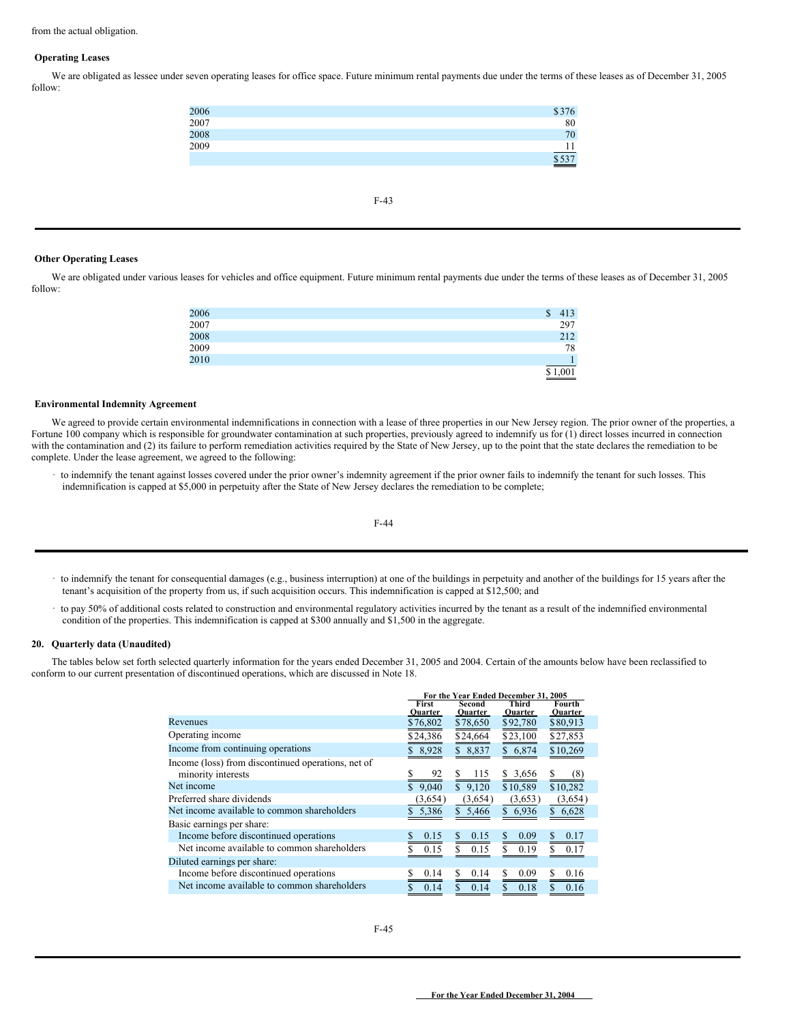#### from the actual obligation.

## **Operating Leases**

We are obligated as lessee under seven operating leases for office space. Future minimum rental payments due under the terms of these leases as of December 31, 2005 follow:

| 2006 | \$376             |
|------|-------------------|
| 2007 | 80                |
| 2008 | 70                |
| 2009 |                   |
|      | $\frac{11}{1537}$ |
|      |                   |



# **Other Operating Leases**

We are obligated under various leases for vehicles and office equipment. Future minimum rental payments due under the terms of these leases as of December 31, 2005 follow:

| 2006 | 413<br>\$    |
|------|--------------|
| 2007 | 297          |
| 2008 | 212          |
| 2009 | 78           |
| 2010 |              |
|      | .001<br>\$1, |

# **Environmental Indemnity Agreement**

We agreed to provide certain environmental indemnifications in connection with a lease of three properties in our New Jersey region. The prior owner of the properties, a Fortune 100 company which is responsible for groundwater contamination at such properties, previously agreed to indemnify us for (1) direct losses incurred in connection with the contamination and (2) its failure to perform remediation activities required by the State of New Jersey, up to the point that the state declares the remediation to be complete. Under the lease agreement, we agreed to the following:

· to indemnify the tenant against losses covered under the prior owner's indemnity agreement if the prior owner fails to indemnify the tenant for such losses. This indemnification is capped at \$5,000 in perpetuity after the State of New Jersey declares the remediation to be complete;

| _ |  |
|---|--|
|---|--|

- · to indemnify the tenant for consequential damages (e.g., business interruption) at one of the buildings in perpetuity and another of the buildings for 15 years after the tenant's acquisition of the property from us, if such acquisition occurs. This indemnification is capped at \$12,500; and
- · to pay 50% of additional costs related to construction and environmental regulatory activities incurred by the tenant as a result of the indemnified environmental condition of the properties. This indemnification is capped at \$300 annually and \$1,500 in the aggregate.

#### **20. Quarterly data (Unaudited)**

The tables below set forth selected quarterly information for the years ended December 31, 2005 and 2004. Certain of the amounts below have been reclassified to conform to our current presentation of discontinued operations, which are discussed in Note 18.

|                                                                          |                         |                          | For the Fear Engel Detember 31, 2003 |                          |
|--------------------------------------------------------------------------|-------------------------|--------------------------|--------------------------------------|--------------------------|
|                                                                          | First<br><b>Ouarter</b> | Second<br><b>Quarter</b> | Third<br><b>Quarter</b>              | Fourth<br><b>Ouarter</b> |
| Revenues                                                                 | \$76,802                | \$78,650                 | \$92,780                             | \$80,913                 |
| Operating income                                                         | \$24,386                | \$24,664                 | \$23,100                             | \$27,853                 |
| Income from continuing operations                                        | 8,928<br>S.             | \$8,837                  | \$6,874                              | \$10,269                 |
| Income (loss) from discontinued operations, net of<br>minority interests | 92                      | S<br>115                 | \$3,656                              | (8)                      |
| Net income                                                               | \$9.040                 | \$9,120                  | \$10,589                             | \$10,282                 |
| Preferred share dividends                                                | (3.654)                 | (3,654)                  | (3,653)                              | (3,654)                  |
| Net income available to common shareholders                              | 5,386                   | 5,466<br>S.              | \$6,936                              | \$6,628                  |
| Basic earnings per share:                                                |                         |                          |                                      |                          |
| Income before discontinued operations                                    | 0.15                    | 0.15<br>S                | S<br>0.09                            | S<br>0.17                |
| Net income available to common shareholders                              | 0.15                    | 0.15<br>ς                | \$<br>0.19                           | \$<br>0.17               |
| Diluted earnings per share:                                              |                         |                          |                                      |                          |
| Income before discontinued operations                                    | 0.14                    | S<br>0.14                | S<br>0.09                            | S<br>0.16                |
| Net income available to common shareholders                              | 0.14                    | 0.14                     | \$<br>0.18                           | \$<br>0.16               |

**For the Year Ended December 31, 2005**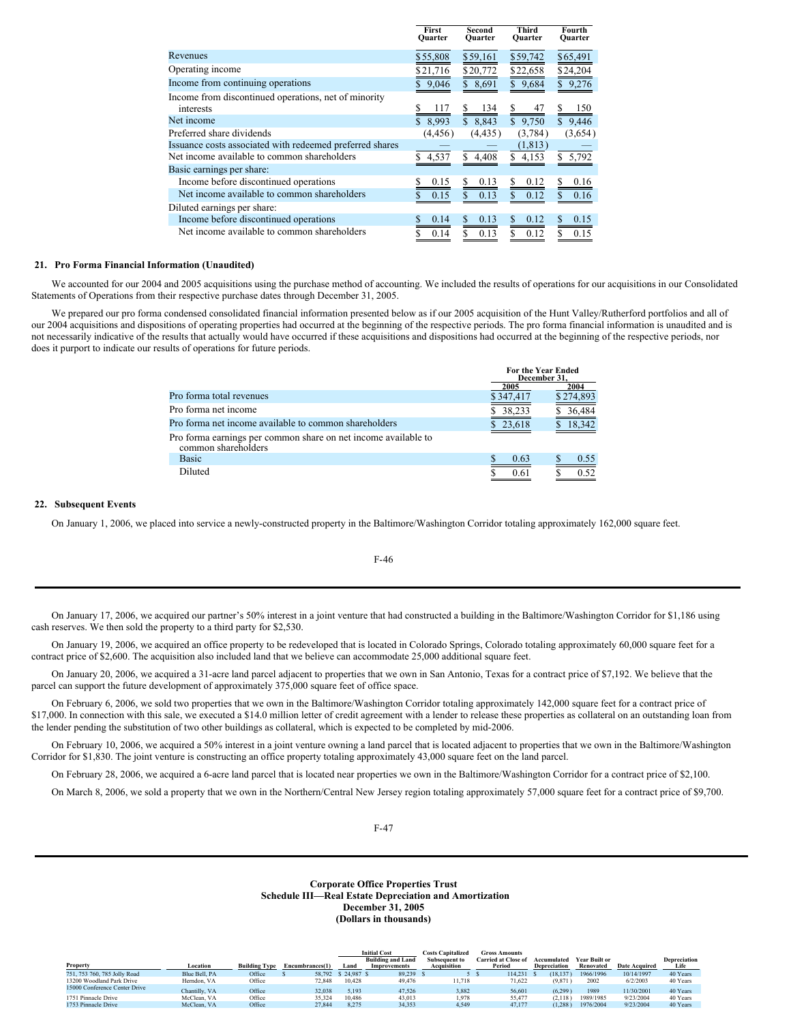|                                                                   | First<br><b>Quarter</b> | Second<br>Ouarter     | Third<br>Ouarter | Fourth<br>Ouarter |
|-------------------------------------------------------------------|-------------------------|-----------------------|------------------|-------------------|
| Revenues                                                          | \$55,808                | \$59,161              | \$59,742         | \$65,491          |
| Operating income                                                  | \$21,716                | \$20,772              | \$22,658         | \$24,204          |
| Income from continuing operations                                 | 9,046                   | \$8,691               | \$9,684          | \$9,276           |
| Income from discontinued operations, net of minority<br>interests | 117                     | S<br>134              | S<br>47          | 150<br>S          |
| Net income                                                        | \$8,993                 | \$8,843               | \$9,750          | \$9,446           |
| Preferred share dividends                                         | (4, 456)                | (4, 435)              | (3,784)          | (3,654)           |
| Issuance costs associated with redeemed preferred shares          |                         |                       | (1, 813)         |                   |
| Net income available to common shareholders                       | 4,537                   | \$4,408               | \$4,153          | \$5,792           |
| Basic earnings per share:                                         |                         |                       |                  |                   |
| Income before discontinued operations                             | 0.15                    | 0.13<br>S             | \$<br>0.12       | S<br>0.16         |
| Net income available to common shareholders                       | 0.15                    | $\mathcal{S}$<br>0.13 | \$<br>0.12       | \$<br>0.16        |
| Diluted earnings per share:                                       |                         |                       |                  |                   |
| Income before discontinued operations                             | 0.14                    | S<br>0.13             | \$<br>0.12       | S<br>0.15         |
| Net income available to common shareholders                       | 0.14                    | 0.13                  | 0.12             | 0.15              |

#### **21. Pro Forma Financial Information (Unaudited)**

We accounted for our 2004 and 2005 acquisitions using the purchase method of accounting. We included the results of operations for our acquisitions in our Consolidated Statements of Operations from their respective purchase dates through December 31, 2005.

We prepared our pro forma condensed consolidated financial information presented below as if our 2005 acquisition of the Hunt Valley/Rutherford portfolios and all of our 2004 acquisitions and dispositions of operating properties had occurred at the beginning of the respective periods. The pro forma financial information is unaudited and is not necessarily indicative of the results that actually would have occurred if these acquisitions and dispositions had occurred at the beginning of the respective periods, nor does it purport to indicate our results of operations for future periods.

|                                                                                       | December 31. | For the Year Ended |
|---------------------------------------------------------------------------------------|--------------|--------------------|
|                                                                                       | 2005         | 2004               |
| Pro forma total revenues                                                              | \$347,417    | \$274,893          |
| Pro forma net income                                                                  | 38.233       | 36,484             |
| Pro forma net income available to common shareholders                                 | 23.618       | 18,342             |
| Pro forma earnings per common share on net income available to<br>common shareholders |              |                    |
| <b>Basic</b>                                                                          | 0.63         | 0.55               |
| Diluted                                                                               | 0.61         | 0.52               |

# **22. Subsequent Events**

On January 1, 2006, we placed into service a newly-constructed property in the Baltimore/Washington Corridor totaling approximately 162,000 square feet.

F-46

On January 17, 2006, we acquired our partner's 50% interest in a joint venture that had constructed a building in the Baltimore/Washington Corridor for \$1,186 using cash reserves. We then sold the property to a third party for \$2,530.

On January 19, 2006, we acquired an office property to be redeveloped that is located in Colorado Springs, Colorado totaling approximately 60,000 square feet for a contract price of \$2,600. The acquisition also included land that we believe can accommodate 25,000 additional square feet.

On January 20, 2006, we acquired a 31-acre land parcel adjacent to properties that we own in San Antonio, Texas for a contract price of \$7,192. We believe that the parcel can support the future development of approximately 375,000 square feet of office space.

On February 6, 2006, we sold two properties that we own in the Baltimore/Washington Corridor totaling approximately 142,000 square feet for a contract price of \$17,000. In connection with this sale, we executed a \$14.0 million letter of credit agreement with a lender to release these properties as collateral on an outstanding loan from the lender pending the substitution of two other buildings as collateral, which is expected to be completed by mid-2006.

On February 10, 2006, we acquired a 50% interest in a joint venture owning a land parcel that is located adjacent to properties that we own in the Baltimore/Washington Corridor for \$1,830. The joint venture is constructing an office property totaling approximately 43,000 square feet on the land parcel.

On February 28, 2006, we acquired a 6-acre land parcel that is located near properties we own in the Baltimore/Washington Corridor for a contract price of \$2,100.

On March 8, 2006, we sold a property that we own in the Northern/Central New Jersey region totaling approximately 57,000 square feet for a contract price of \$9,700.

F-47

# <span id="page-64-0"></span>**Corporate Office Properties Trust Schedule III—Real Estate Depreciation and Amortization December 31, 2005 (Dollars in thousands)**

|                               |               |                      |                 |           | <b>Initial Cost</b>      | <b>Costs Capitalized</b> | <b>Gross Amounts</b>       |                     |                      |                      |                     |
|-------------------------------|---------------|----------------------|-----------------|-----------|--------------------------|--------------------------|----------------------------|---------------------|----------------------|----------------------|---------------------|
|                               |               |                      |                 |           | <b>Building and Land</b> | Subsequent to            | <b>Carried at Close of</b> | Accumulated         | <b>Year Built or</b> |                      | <b>Depreciation</b> |
| Property                      | Location      | <b>Building Type</b> | Encumbrances(1) | Land      | Improvements             | Acquisition              | Period                     | <b>Depreciation</b> | Renovated            | <b>Date Acquired</b> | Life                |
| 751, 753 760, 785 Jolly Road  | Blue Bell, PA | Office               | 58,792          | \$24.987S | 89.239                   |                          | 114.231                    | (18.137)            | 1966/1996            | 10/14/1997           | 40 Years            |
| 13200 Woodland Park Drive     | Herndon, VA   | Office               | 72,848          | 10.428    | 49.476                   | 11.718                   | 71.622                     | (9,871,             | 2002                 | 6/2/2003             | 40 Years            |
| 15000 Conference Center Drive | Chantilly, VA | Office               | 32.038          | 5.193     | 47.526                   | 3.882                    | 56.601                     | (6,299)             | 1989                 | 11/30/2001           | 40 Years            |
| 1751 Pinnacle Drive           | McClean, VA   | Office               | 35.324          | 10.486    | 43.013                   | 1.978                    | 55.477                     | (2.118)             | 1989/1985            | 9/23/2004            | 40 Years            |
| 1753 Pinnacle Drive           | McClean, VA   | Office               | 27,844          | 8.275     | 34.353                   | 4.549                    | 47.177                     | (1, 288)            | 1976/2004            | 9/23/2004            | 40 Years            |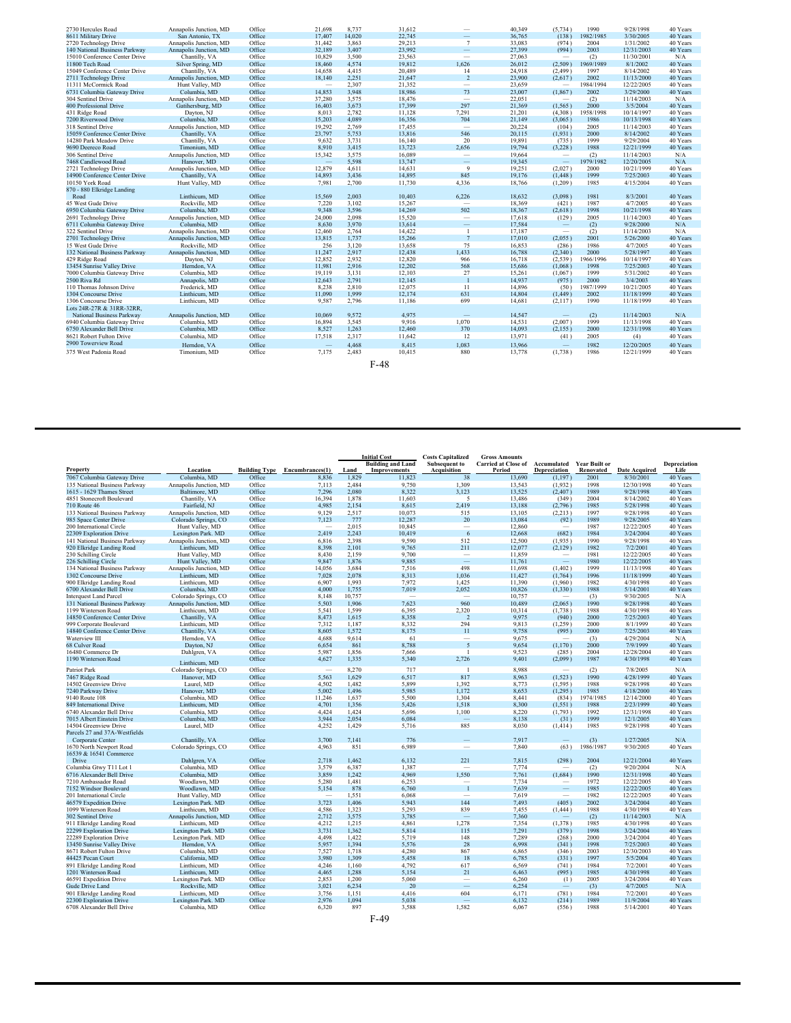| 2730 Hercules Road            | Annapolis Junction, MD | Office | 21.698                   | 8.737  | 31.612 | $\overline{\phantom{a}}$ | 40.349 | (5.734)                  | 1990      | 9/28/1998  | 40 Years |
|-------------------------------|------------------------|--------|--------------------------|--------|--------|--------------------------|--------|--------------------------|-----------|------------|----------|
| 8611 Military Drive           | San Antonio, TX        | Office | 17,407                   | 14,020 | 22,745 |                          | 36,765 | (138)                    | 1982/1985 | 3/30/2005  | 40 Years |
| 2720 Technology Drive         | Annapolis Junction, MD | Office | 31,442                   | 3,863  | 29,213 | $7\phantom{.0}$          | 33,083 | (974)                    | 2004      | 1/31/2002  | 40 Years |
| 140 National Business Parkway | Annapolis Junction, MD | Office | 32.189                   | 3,407  | 23,992 | $\qquad \qquad$          | 27,399 | (994)                    | 2003      | 12/31/2003 | 40 Years |
| 15010 Conference Center Drive | Chantilly, VA          | Office | 10,829                   | 3,500  | 23,563 | $\overline{\phantom{m}}$ | 27,063 | $\overline{\phantom{a}}$ | (2)       | 11/30/2001 | N/A      |
| 11800 Tech Road               | Silver Spring, MD      | Office | 18,460                   | 4,574  | 19,812 | 1.626                    | 26,012 | (2,509)                  | 1969/1989 | 8/1/2002   | 40 Years |
| 15049 Conference Center Drive | Chantilly, VA          | Office | 14,658                   | 4,415  | 20,489 | 14                       | 24,918 | (2, 499)                 | 1997      | 8/14/2002  | 40 Years |
| 2711 Technology Drive         | Annapolis Junction, MD | Office | 18,140                   | 2,251  | 21.647 | $\overline{c}$           | 23,900 | (2,617)                  | 2002      | 11/13/2000 | 40 Years |
| 11311 McCormick Road          | Hunt Valley, MD        | Office | $\overline{\phantom{a}}$ | 2,307  | 21.352 | $\overline{\phantom{m}}$ | 23,659 | $\overline{\phantom{0}}$ | 1984/1994 | 12/22/2005 | 40 Years |
| 6731 Columbia Gateway Drive   | Columbia, MD           | Office | 14.853                   | 3,948  | 18,986 | 73                       | 23,007 | (1, 867)                 | 2002      | 3/29/2000  | 40 Years |
| 304 Sentinel Drive            | Annapolis Junction, MD | Office | 37,280                   | 3,575  | 18,476 | $\overline{\phantom{0}}$ | 22,051 |                          | (2)       | 11/14/2003 | N/A      |
| 400 Professional Drive        | Gatihersburg, MD       | Office | 16,403                   | 3,673  | 17,399 | 297                      | 21,369 | (1, 565)                 | 2000      | 3/5/2004   | 40 Years |
| 431 Ridge Road                | Dayton, NJ             | Office | 8,013                    | 2,782  | 11,128 | 7,291                    | 21,201 | (4,308)                  | 1958/1998 | 10/14/1997 | 40 Years |
| 7200 Riverwood Drive          | Columbia, MD           | Office | 15,203                   | 4,089  | 16,356 | 704                      | 21,149 | (3,065)                  | 1986      | 10/13/1998 | 40 Years |
| 318 Sentinel Drive            | Annapolis Junction, MD | Office | 19,292                   | 2,769  | 17,455 |                          | 20,224 | (104)                    | 2005      | 11/14/2003 | 40 Years |
| 15059 Conference Center Drive | Chantilly, VA          | Office | 23,797                   | 5,753  | 13,816 | 546                      | 20,115 | (1,931)                  | 2000      | 8/14/2002  | 40 Years |
| 14280 Park Meadow Drive       | Chantilly, VA          | Office | 9.632                    | 3,731  | 16.140 | 20                       | 19,891 | (735)                    | 1999      | 9/29/2004  | 40 Years |
| 9690 Deereco Road             | Timonium, MD           | Office | 8.910                    | 3,415  | 13,723 | 2.656                    | 19,794 | (3,228)                  | 1988      | 12/21/1999 | 40 Years |
| 306 Sentinel Drive            | Annapolis Junction, MD | Office | 15,342                   | 3,575  | 16,089 | $\overline{\phantom{m}}$ | 19,664 | $\overline{\phantom{m}}$ | (2)       | 11/14/2003 | N/A      |
| 7468 Candlewood Road          | Hanover, MD            | Office |                          | 5,598  | 13,747 | $\qquad \qquad$          | 19,345 | $\qquad \qquad$          | 1979/1982 | 12/20/2005 | N/A      |
| 2721 Technology Drive         | Annapolis Junction, MD | Office | 12,879                   | 4,611  | 14,631 | 9                        | 19,251 | (2,027)                  | 2000      | 10/21/1999 | 40 Years |
| 14900 Conference Center Drive | Chantilly, VA          | Office | 14,893                   | 3,436  | 14,895 | 845                      | 19,176 | (1, 448)                 | 1999      | 7/25/2003  | 40 Years |
| 10150 York Road               | Hunt Valley, MD        | Office | 7.981                    | 2,700  | 11,730 | 4.336                    | 18.766 | (1,209)                  | 1985      | 4/15/2004  | 40 Years |
| 870 - 880 Elkridge Landing    |                        |        |                          |        |        |                          |        |                          |           |            |          |
| Road                          | Linthicum, MD          | Office | 15,569                   | 2,003  | 10,403 | 6,226                    | 18,632 | (3,098)                  | 1981      | 8/3/2001   | 40 Years |
| 45 West Gude Drive            | Rockville, MD          | Office | 7.220                    | 3,102  | 15.267 | $\overline{\phantom{a}}$ | 18,369 | (421)                    | 1987      | 4/7/2005   | 40 Years |
| 6950 Columbia Gateway Drive   | Columbia, MD           | Office | 9,348                    | 3,596  | 14,269 | 502                      | 18,367 | (2,618)                  | 1998      | 10/21/1998 | 40 Years |
| 2691 Technology Drive         | Annapolis Junction, MD | Office | 24,000                   | 2,098  | 15,520 | $\overline{\phantom{m}}$ | 17,618 | (129)                    | 2005      | 11/14/2003 | 40 Years |
| 6711 Columbia Gateway Drive   | Columbia, MD           | Office | 8.630                    | 3,970  | 13,614 | $\overline{\phantom{0}}$ | 17,584 |                          | (2)       | 9/28/2000  | N/A      |
| 322 Sentinel Drive            | Annapolis Junction, MD | Office | 12,460                   | 2,764  | 14,422 | $\overline{1}$           | 17,187 | $\overline{\phantom{m}}$ | (2)       | 11/14/2003 | N/A      |
| 2701 Technology Drive         | Annapolis Junction, MD | Office | 13,815                   | 1,737  | 15,266 | $\overline{7}$           | 17,010 | (2,055)                  | 2001      | 5/26/2000  | 40 Years |
| 15 West Gude Drive            | Rockville, MD          | Office | 256                      | 3,120  | 13,658 | 75                       | 16,853 | (286)                    | 1986      | 4/7/2005   | 40 Years |
| 132 National Business Parkway | Annapolis Junction, MD | Office | 11,247                   | 2,917  | 12,438 | 1,433                    | 16,788 | (2,340)                  | 2000      | 5/28/1997  | 40 Years |
| 429 Ridge Road                | Dayton, NJ             | Office | 12,852                   | 2,932  | 12,820 | 966                      | 16,718 | (2,539)                  | 1966/1996 | 10/14/1997 | 40 Years |
| 13454 Sunrise Valley Drive    | Herndon, VA            | Office | 11,981                   | 2,916  | 12,202 | 568                      | 15,686 | (1,068)                  | 1998      | 7/25/2003  | 40 Years |
| 7000 Columbia Gateway Drive   | Columbia, MD           | Office | 19.119                   | 3,131  | 12.103 | 27                       | 15,261 | (1,067)                  | 1999      | 5/31/2002  | 40 Years |
| 2500 Riva Rd                  | Annapolis, MD          | Office | 12,643                   | 2,791  | 12,145 |                          | 14,937 | (975)                    | 2000      | 3/4/2003   | 40 Years |
| 110 Thomas Johnson Drive      |                        |        |                          |        |        |                          |        |                          |           |            |          |
|                               | Frederick, MD          | Office | 8,238                    | 2,810  | 12,075 | 11                       | 14,896 | (50)                     | 1987/1999 | 10/21/2005 | 40 Years |
| 1304 Concourse Drive          | Linthicum, MD          | Office | 11.090                   | 1,999  | 12.174 | 631                      | 14,804 | (1,449)                  | 2002      | 11/18/1999 | 40 Years |
| 1306 Concourse Drive          | Linthicum, MD          | Office | 9,587                    | 2,796  | 11,186 | 699                      | 14,681 | (2, 117)                 | 1990      | 11/18/1999 | 40 Years |
| Lots 24R-27R & 31RR-32RR,     |                        |        |                          |        |        |                          |        |                          |           |            |          |
| National Business Parkway     | Annapolis Junction, MD | Office | 10,069                   | 9,572  | 4,975  |                          | 14,547 |                          | (2)       | 11/14/2003 | N/A      |
| 6940 Columbia Gateway Drive   | Columbia, MD           | Office | 16,894                   | 3,545  | 9,916  | 1,070                    | 14,531 | (2,007)                  | 1999      | 11/13/1998 | 40 Years |
| 6750 Alexander Bell Drive     | Columbia, MD           | Office | 8,527                    | 1,263  | 12,460 | 370                      | 14,093 | (2,155)                  | 2000      | 12/31/1998 | 40 Years |
| 8621 Robert Fulton Drive      | Columbia, MD           | Office | 17,518                   | 2,317  | 11,642 | 12                       | 13,971 | (41)                     | 2005      | (4)        | 40 Years |
| 2900 Towerview Road           | Herndon, VA            | Office |                          | 4.468  | 8,415  | 1.083                    | 13.966 |                          | 1982      | 12/20/2005 | 40 Years |

F-48

|                                                            |                                      |                  |                                      |                 | <b>Initial Cost</b>                      | <b>Costs Capitalized</b>            | <b>Gross Amounts</b>                 |                                    |                                   |                        |                      |
|------------------------------------------------------------|--------------------------------------|------------------|--------------------------------------|-----------------|------------------------------------------|-------------------------------------|--------------------------------------|------------------------------------|-----------------------------------|------------------------|----------------------|
| Property                                                   | Location                             |                  | <b>Building Type Encumbrances(1)</b> | Land            | <b>Building and Land</b><br>Improvements | <b>Subsequent to</b><br>Acquisition | <b>Carried at Close of</b><br>Period | Accumulated<br><b>Depreciation</b> | <b>Year Built or</b><br>Renovated | <b>Date Acquired</b>   | Depreciation<br>Life |
| 7067 Columbia Gateway Drive                                | Columbia, MD                         | Office           | 8.836                                | 1,829           | 11.823                                   | 38                                  | 13,690                               | (1, 197)                           | 2001                              | 8/30/2001              | 40 Years             |
| 135 National Business Parkway                              | Annapolis Junction, MD               | Office           | 7,113                                | 2,484           | 9,750                                    | 1,309                               | 13,543                               | (1,932)                            | 1998                              | 12/30/1998             | 40 Years             |
| 1615 - 1629 Thames Street                                  | Baltimore, MD                        | Office           | 7,296                                | 2,080           | 8.322                                    | 3.123                               | 13,525                               | (2, 407)                           | 1989                              | 9/28/1998              | 40 Years             |
| 4851 Stonecroft Boulevard                                  | Chantilly, VA                        | Office           | 16,394                               | 1,878           | 11,603                                   | 5                                   | 13,486                               | (349)                              | 2004                              | 8/14/2002              | 40 Years             |
| 710 Route 46                                               | Fairfield, NJ                        | Office           | 4,985                                | 2.154           | 8,615                                    | 2,419                               | 13,188                               | (2,796)                            | 1985                              | 5/28/1998              | 40 Years             |
| 133 National Business Parkway                              | Annapolis Junction, MD               | Office           | 9,129                                | 2,517           | 10,073                                   | 515                                 | 13,105                               | (2, 213)                           | 1997                              | 9/28/1998              | 40 Years             |
| 985 Space Center Drive                                     | Colorado Springs, CO                 | Office           | 7,123                                | 777             | 12,287                                   | 20                                  | 13.084                               | (92)                               | 1989                              | 9/28/2005              | 40 Years             |
| 200 International Circle                                   | Hunt Valley, MD                      | Office           |                                      | 2,015           | 10,845                                   | -                                   | 12,860                               |                                    | 1987                              | 12/22/2005             | 40 Years             |
| 22309 Exploration Drive                                    | Lexington Park. MD                   | Office           | 2,419                                | 2,243           | 10,419                                   | 6                                   | 12,668                               | (682)                              | 1984                              | 3/24/2004              | 40 Years             |
| 141 National Business Parkway                              | Annapolis Junction, MD               | Office           | 6,816                                | 2,398           | 9,590                                    | 512                                 | 12,500                               | (1,935)                            | 1990                              | 9/28/1998              | 40 Years             |
| 920 Elkridge Landing Road                                  | Linthicum, MD                        | Office           | 8,398                                | 2,101           | 9.765                                    | 211                                 | 12,077                               | (2, 129)                           | 1982                              | 7/2/2001               | 40 Years             |
| 230 Schilling Circle                                       | Hunt Valley, MD                      | Office           | 8,430                                | 2,159           | 9.700                                    | $\overline{\phantom{m}}$            | 11,859                               | $\overline{\phantom{a}}$           | 1981                              | 12/22/2005             | 40 Years             |
| 226 Schilling Circle                                       | Hunt Valley, MD                      | Office           | 9,847                                | 1,876           | 9,885                                    |                                     | 11,761                               |                                    | 1980                              | 12/22/2005             | 40 Years             |
| 134 National Business Parkway                              | Annapolis Junction, MD               | Office           | 14.056                               | 3.684           | 7.516                                    | 498                                 | 11.698                               | (1.402)                            | 1999                              | 11/13/1998             | 40 Years             |
| 1302 Concourse Drive                                       | Linthicum, MD                        | Office           | 7,028                                | 2,078<br>1.993  | 8,313                                    | 1,036                               | 11,427<br>11.390                     | (1,764)                            | 1996<br>1982                      | 11/18/1999             | 40 Years             |
| 900 Elkridge Landing Road                                  | Linthicum, MD                        | Office           | 6.907                                |                 | 7.972                                    | 1.425                               |                                      | (1,960)                            |                                   | 4/30/1998              | 40 Years             |
| 6700 Alexander Bell Drive<br><b>Interquest Land Parcel</b> | Columbia, MD<br>Colorado Springs, CO | Office<br>Office | 4,000<br>8.148                       | 1,755<br>10.757 | 7,019                                    | 2,052                               | 10,826<br>10.757                     | (1, 330)                           | 1988                              | 5/14/2001<br>9/30/2005 | 40 Years<br>N/A      |
| 131 National Business Parkway                              | Annapolis Junction, MD               | Office           | 5,503                                | 1,906           | 7,623                                    | 960                                 | 10,489                               | (2,065)                            | (3)<br>1990                       | 9/28/1998              | 40 Years             |
| 1199 Winterson Road                                        | Linthicum, MD                        | Office           | 5.541                                | 1.599           | 6.395                                    | 2.320                               | 10.314                               | (1.738)                            | 1988                              | 4/30/1998              | 40 Years             |
| 14850 Conference Center Drive                              | Chantilly, VA                        | Office           | 8,473                                | 1,615           | 8,358                                    | $\mathfrak{D}$                      | 9.975                                | (940)                              | 2000                              | 7/25/2003              | 40 Years             |
| 999 Corporate Boulevard                                    | Linthicum, MD                        | Office           | 7,312                                | 1,187           | 8,332                                    | 294                                 | 9,813                                | (1,259)                            | 2000                              | 8/1/1999               | 40 Years             |
| 14840 Conference Center Drive                              | Chantilly, VA                        | Office           | 8,605                                | 1,572           | 8,175                                    | 11                                  | 9,758                                | (995)                              | 2000                              | 7/25/2003              | 40 Years             |
| Waterview III                                              | Herndon, VA                          | Office           | 4,688                                | 9,614           | 61                                       | $\overline{\phantom{a}}$            | 9,675                                |                                    | (3)                               | 4/29/2004              | N/A                  |
| 68 Culver Road                                             | Davton, NJ                           | Office           | 6.654                                | 861             | 8.788                                    | $\overline{5}$                      | 9.654                                | (1,170)                            | 2000                              | 7/9/1999               | 40 Years             |
| 16480 Commerce Dr                                          | Dahlgren, VA                         | Office           | 5,987                                | 1,856           | 7,666                                    | $\overline{1}$                      | 9,523                                | (285)                              | 2004                              | 12/28/2004             | 40 Years             |
| 1190 Winterson Road                                        |                                      | Office           | 4,627                                | 1,335           | 5,340                                    | 2,726                               | 9.401                                | (2,099)                            | 1987                              | 4/30/1998              | 40 Years             |
|                                                            | Linthicum, MD                        |                  |                                      |                 |                                          |                                     |                                      |                                    |                                   |                        |                      |
| <b>Patriot Park</b>                                        | Colorado Springs, CO                 | Office           |                                      | 8.270           | 717                                      | $\overline{1}$                      | 8.988                                |                                    | (2)                               | 7/8/2005               | N/A                  |
| 7467 Ridge Road                                            | Hanover, MD                          | Office           | 5,563                                | 1,629           | 6,517                                    | 817                                 | 8,963                                | (1, 523)                           | 1990                              | 4/28/1999              | 40 Years             |
| 14502 Greenview Drive                                      | Laurel, MD                           | Office           | 4.502                                | 1.482           | 5.899                                    | 1.392                               | 8.773                                | (1.595)                            | 1988                              | 9/28/1998              | 40 Years             |
| 7240 Parkway Drive                                         | Hanover, MD                          | Office           | 5,002                                | 1,496           | 5,985                                    | 1,172                               | 8,653                                | (1, 295)                           | 1985                              | 4/18/2000              | 40 Years             |
| 9140 Route 108                                             | Columbia, MD                         | Office           | 11.246                               | 1.637           | 5.500                                    | 1.304                               | 8.441                                | (834)                              | 1974/1985                         | 12/14/2000             | 40 Years             |
| 849 International Drive                                    | Linthicum, MD                        | Office           | 4,701                                | 1,356           | 5,426                                    | 1.518                               | 8.300                                | (1, 551)                           | 1988                              | 2/23/1999              | 40 Years             |
| 6740 Alexander Bell Drive                                  | Columbia, MD                         | Office           | 4,424                                | 1,424           | 5,696                                    | 1,100                               | 8,220                                | (1,793)                            | 1992                              | 12/31/1998             | 40 Years             |
| 7015 Albert Einstein Drive<br>14504 Greenview Drive        | Columbia, MD<br>Laurel, MD           | Office<br>Office | 3,944<br>4,252                       | 2,054<br>1,429  | 6,084<br>5,716                           | 885                                 | 8,138<br>8,030                       | (31)                               | 1999<br>1985                      | 12/1/2005<br>9/28/1998 | 40 Years<br>40 Years |
| Parcels 27 and 37A-Westfields                              |                                      |                  |                                      |                 |                                          |                                     |                                      | (1, 414)                           |                                   |                        |                      |
| Corporate Center                                           | Chantilly, VA                        | Office           | 3,700                                | 7,141           | 776                                      |                                     | 7,917                                |                                    | (3)                               | 1/27/2005              | N/A                  |
| 1670 North Newport Road                                    | Colorado Springs, CO                 | Office           | 4,963                                | 851             | 6,989                                    |                                     | 7,840                                | (63)                               | 1986/1987                         | 9/30/2005              | 40 Years             |
| 16539 & 16541 Commerce                                     |                                      |                  |                                      |                 |                                          |                                     |                                      |                                    |                                   |                        |                      |
| Drive                                                      | Dahlgren, VA                         | Office           | 2,718                                | 1,462           | 6,132                                    | 221                                 | 7,815                                | (298)                              | 2004                              | 12/21/2004             | 40 Years             |
| Columbia Gtwy T11 Lot 1                                    | Columbia, MD                         | Office           | 3,579                                | 6,387           | 1,387                                    |                                     | 7,774                                |                                    | (2)                               | 9/20/2004              | N/A                  |
| 6716 Alexander Bell Drive                                  | Columbia, MD                         | Office           | 3,859                                | 1,242           | 4,969                                    | 1,550                               | 7,761                                | (1,684)                            | 1990                              | 12/31/1998             | 40 Years             |
| 7210 Ambassador Road                                       | Woodlawn, MD                         | Office           | 5.280                                | 1,481           | 6,253                                    | $\overline{\phantom{a}}$            | 7.734                                | $\hspace{0.1mm}-\hspace{0.1mm}$    | 1972                              | 12/22/2005             | 40 Years             |
| 7152 Windsor Boulevard                                     | Woodlawn, MD                         | Office           | 5,154                                | 878             | 6,760                                    | $\overline{1}$                      | 7,639                                |                                    | 1985                              | 12/22/2005             | 40 Years             |
| 201 International Circle                                   | Hunt Valley, MD                      | Office           |                                      | 1.551           | 6.068                                    | $\overline{\phantom{a}}$            | 7.619                                |                                    | 1982                              | 12/22/2005             | 40 Years             |
| 46579 Expedition Drive                                     | <b>Lexington Park. MD</b>            | Office           | 3,723                                | 1,406           | 5,943                                    | 144                                 | 7,493                                | (405)                              | 2002                              | 3/24/2004              | 40 Years             |
| 1099 Winterson Road                                        | Linthicum, MD                        | Office           | 4,586                                | 1,323           | 5,293                                    | 839                                 | 7,455                                | (1,444)                            | 1988                              | 4/30/1998              | 40 Years             |
| 302 Sentinel Drive                                         | Annapolis Junction, MD               | Office           | 2,712                                | 3,575           | 3,785                                    |                                     | 7,360                                |                                    | (2)                               | 11/14/2003             | N/A                  |
| 911 Elkridge Landing Road                                  | Linthicum, MD                        | Office           | 4,212                                | 1,215           | 4.861                                    | 1.278                               | 7,354                                | (1,378)                            | 1985                              | 4/30/1998              | 40 Years             |
| 22299 Exploration Drive                                    | Lexington Park. MD                   | Office           | 3,731                                | 1,362           | 5,814                                    | 115                                 | 7,291                                | (379)                              | 1998                              | 3/24/2004              | 40 Years             |
| 22289 Exploration Drive                                    | Lexington Park. MD                   | Office           | 4.498                                | 1.422           | 5.719                                    | 148                                 | 7,289                                | (268)                              | 2000                              | 3/24/2004              | 40 Years             |
| 13450 Sunrise Valley Drive                                 | Herndon, VA                          | Office           | 5,957                                | 1,394           | 5,576                                    | 28                                  | 6,998                                | (341)                              | 1998                              | 7/25/2003              | 40 Years             |
| 8671 Robert Fulton Drive                                   | Columbia, MD                         | Office           | 7,527                                | 1,718           | 4,280                                    | 867                                 | 6,865                                | (346)                              | 2003                              | 12/30/2003             | 40 Years             |
| 44425 Pecan Court                                          | California, MD                       | Office           | 3,980                                | 1,309           | 5,458                                    | 18                                  | 6,785                                | (331)                              | 1997                              | 5/5/2004               | 40 Years             |
| 891 Elkridge Landing Road                                  | Linthicum, MD                        | Office           | 4,246                                | 1,160           | 4,792                                    | 617                                 | 6,569                                | (741)                              | 1984                              | 7/2/2001               | 40 Years             |
| 1201 Winterson Road                                        | Linthicum, MD                        | Office           | 4,465                                | 1,288           | 5,154                                    | 21                                  | 6,463                                | (995)                              | 1985                              | 4/30/1998              | 40 Years             |
| 46591 Expedition Drive                                     | Lexington Park. MD                   | Office           | 2.853                                | 1.200           | 5,060                                    | $\overline{\phantom{a}}$            | 6,260                                | (1)                                | 2005                              | 3/24/2004              | 40 Years             |
| Gude Drive Land                                            | Rockville, MD                        | Office           | 3,021                                | 6,234           | 20                                       |                                     | 6,254                                |                                    | (3)                               | 4/7/2005               | N/A                  |
| 901 Elkridge Landing Road                                  | Linthicum, MD                        | Office           | 3,756                                | 1.151           | 4,416                                    | 604                                 | 6.171                                | (781)                              | 1984                              | 7/2/2001               | 40 Years             |
| 22300 Exploration Drive                                    | Lexington Park. MD                   | Office           | 2,976                                | 1.094           | 5.038                                    |                                     | 6,132                                | (214)                              | 1989                              | 11/9/2004              | 40 Years             |
| 6708 Alexander Bell Drive                                  | Columbia, MD                         | Office           | 6.320                                | 897             | 3.588                                    | 1.582                               | 6.067                                | (556)                              | 1988                              | 5/14/2001              | 40 Years             |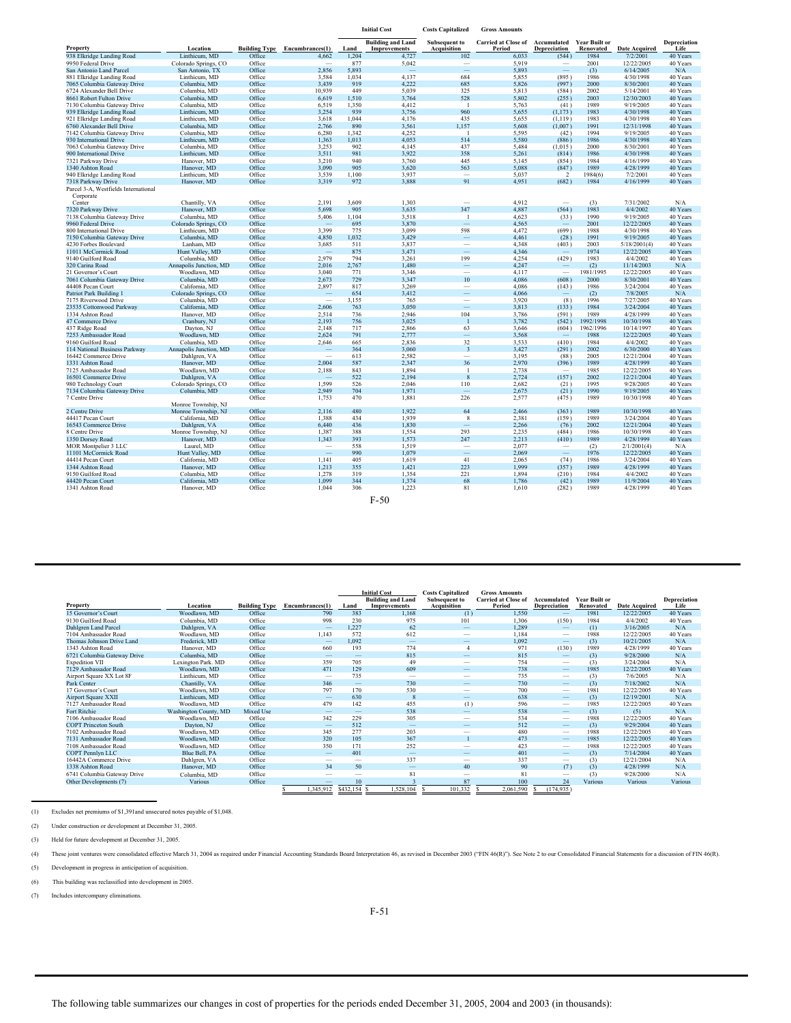| Property                             | Location                   | <b>Building Type</b> | Encumbrances(1)                       | Land  | <b>Building and Land</b><br><b>Improvements</b> | Subsequent to<br>Acquisition | Carried at Close of Accumulated Year Built or<br>Period | Depreciation             | Renovated | <b>Date Acquired</b>       | <b>Depreciation</b><br>Life |
|--------------------------------------|----------------------------|----------------------|---------------------------------------|-------|-------------------------------------------------|------------------------------|---------------------------------------------------------|--------------------------|-----------|----------------------------|-----------------------------|
| 938 Elkridge Landing Road            | Linthicum, MD              | Office               | 4.662                                 | 1.204 | 4.727                                           | 102                          | 6.033                                                   | (544)                    | 1984      | 7/2/2001                   | 40 Years                    |
| 9950 Federal Drive                   | Colorado Springs, CO       | Office               |                                       | 877   | 5,042                                           |                              | 5,919                                                   |                          | 2001      | 12/22/2005                 | 40 Years                    |
| San Antonio Land Parcel              | San Antonio, TX            | Office               | 2,856                                 | 5,893 |                                                 |                              | 5,893                                                   |                          | (3)       | 6/14/2005                  | N/A                         |
| 881 Elkridge Landing Road            | Linthicum, MD              | Office               | 3,584                                 | 1,034 | 4,137                                           | 684                          | 5,855                                                   | (895)                    | 1986      | 4/30/1998                  | 40 Years                    |
| 7065 Columbia Gateway Drive          | Columbia, MD               | Office               | 3,439                                 | 919   | 4,222                                           | 685                          | 5,826                                                   | (997)                    | 2000      | 8/30/2001                  | 40 Years                    |
| 6724 Alexander Bell Drive            | Columbia, MD               | Office               | 10,939                                | 449   | 5,039                                           | 325                          | 5,813                                                   | (584)                    | 2002      | 5/14/2001                  | 40 Years                    |
| 8661 Robert Fulton Drive             | Columbia, MD               | Office               | 6,619                                 | 1,510 | 3,764                                           | 528                          | 5,802                                                   | (255)                    | 2003      | 12/30/2003                 | 40 Years                    |
| 7130 Columbia Gateway Drive          | Columbia, MD               | Office               | 6.519                                 | 1.350 | 4,412                                           | -1                           | 5,763                                                   | (41)                     | 1989      | 9/19/2005                  | 40 Years                    |
| 939 Elkridge Landing Road            | Linthicum, MD              | Office               | 3,254                                 | 939   | 3,756                                           | 960                          | 5,655                                                   | (1, 173)                 | 1983      | 4/30/1998                  | 40 Years                    |
| 921 Elkridge Landing Road            | Linthicum, MD              | Office               | 3.618                                 | 1.044 | 4,176                                           | 435                          | 5.655                                                   | (1, 119)                 | 1983      | 4/30/1998                  | 40 Years                    |
| 6760 Alexander Bell Drive            | Columbia, MD               | Office               | 2,766                                 | 890   | 3,561                                           | 1,157                        | 5,608                                                   | (1,007)                  | 1991      | 12/31/1998                 | 40 Years                    |
| 7142 Columbia Gateway Drive          | Columbia, MD               | Office               | 6,280                                 | 1,342 | 4,252                                           | -1                           | 5,595                                                   | (42)                     | 1994      | 9/19/2005                  | 40 Years                    |
| 930 International Drive              | Linthicum, MD              | Office               | 1.363                                 | 1.013 | 4.053                                           | 514                          | 5.580                                                   | (886)                    | 1986      | 4/30/1998                  | 40 Years                    |
| 7063 Columbia Gateway Drive          | Columbia, MD               | Office               | 3,253                                 | 902   | 4,145                                           | 437                          | 5,484                                                   | (1,015)                  | 2000      | 8/30/2001                  | 40 Years                    |
| 900 International Drive              | Linthicum, MD              | Office               | 3,511                                 | 981   | 3,922                                           | 358                          | 5,261                                                   | (814)                    | 1986      | 4/30/1998                  | 40 Years                    |
| 7321 Parkway Drive                   | Hanover, MD                | Office               | 3,210                                 | 940   | 3,760                                           | 445                          | 5,145                                                   | (854)                    | 1984      | 4/16/1999                  | 40 Years                    |
| 1340 Ashton Road                     | Hanover, MD                | Office               | 3,090                                 | 905   | 3,620                                           | 563                          | 5,088                                                   | (847)                    | 1989      | 4/28/1999                  | 40 Years                    |
| 940 Elkridge Landing Road            | Linthicum, MD              | Office               | 3,539                                 | 1,100 | 3,937                                           | $\overline{\phantom{a}}$     | 5,037                                                   | 2                        | 1984(6)   | 7/2/2001                   | 40 Years                    |
| 7318 Parkway Drive                   | Hanover, MD                | Office               | 3,319                                 | 972   | 3,888                                           | 91                           | 4,951                                                   | (682)                    | 1984      | 4/16/1999                  | 40 Years                    |
| Parcel 3-A, Westfields International |                            |                      |                                       |       |                                                 |                              |                                                         |                          |           |                            |                             |
| Corporate                            |                            |                      |                                       |       |                                                 |                              |                                                         |                          |           |                            |                             |
| Center                               | Chantilly, VA              | Office               | 2,191                                 | 3,609 | 1,303                                           |                              | 4,912                                                   |                          | (3)       | 7/31/2002                  | N/A                         |
| 7320 Parkway Drive                   | Hanover, MD                | Office               | 5,698                                 | 905   | 3,635                                           | 347                          | 4.887                                                   | (564)                    | 1983      | 4/4/2002                   | 40 Years                    |
| 7138 Columbia Gateway Drive          | Columbia, MD               | Office               | 5,406                                 | 1,104 | 3,518                                           | $\overline{1}$               | 4,623                                                   | (33)                     | 1990      | 9/19/2005                  | 40 Years                    |
| 9960 Federal Drive                   | Colorado Springs, CO       | Office               |                                       | 695   | 3,870                                           |                              | 4,565                                                   |                          | 2001      | 12/22/2005                 | 40 Years                    |
| 800 International Drive              | Linthicum, MD              | Office               | 3,399                                 | 775   | 3.099                                           | 598                          | 4,472                                                   | (699)                    | 1988      | 4/30/1998                  | 40 Years                    |
| 7150 Columbia Gateway Drive          |                            | Office               | 4,850                                 | 1,032 | 3,429                                           |                              | 4,461                                                   | (28)                     | 1991      | 9/19/2005                  | 40 Years                    |
| 4230 Forbes Boulevard                | Columbia, MD<br>Lanham, MD | Office               |                                       | 511   | 3,837                                           | $\overline{\phantom{a}}$     | 4,348                                                   |                          | 2003      |                            | 40 Years                    |
| 11011 McCormick Road                 | Hunt Valley, MD            | Office               | 3,685                                 | 875   | 3,471                                           |                              | 4,346                                                   | (403)                    | 1974      | 5/18/2001(4)<br>12/22/2005 | 40 Years                    |
| 9140 Guilford Road                   | Columbia, MD               | Office               | 2.979                                 | 794   | 3,261                                           | 199                          | 4,254                                                   | (429)                    | 1983      | 4/4/2002                   | 40 Years                    |
| 320 Carina Road                      | Annapolis Junction, MD     | Office               | 2,016                                 | 2,767 | 1,480                                           | -                            | 4,247                                                   |                          | (2)       | 11/14/2003                 | N/A                         |
| 21 Governor's Court                  | Woodlawn, MD               | Office               | 3,040                                 | 771   | 3,346                                           | $\overline{\phantom{a}}$     | 4,117                                                   | $\qquad \qquad -$        | 1981/1995 | 12/22/2005                 | 40 Years                    |
| 7061 Columbia Gateway Drive          | Columbia, MD               | Office               | 2.673                                 | 729   | 3.347                                           | 10                           | 4.086                                                   | (608)                    | 2000      | 8/30/2001                  | 40 Years                    |
| 44408 Pecan Court                    | California, MD             | Office               | 2,897                                 | 817   | 3,269                                           |                              | 4,086                                                   | (143)                    | 1986      | 3/24/2004                  | 40 Years                    |
| Patriot Park Building 1              | Colorado Springs, CO       | Office               |                                       | 654   | 3,412                                           | $\overline{\phantom{a}}$     | 4,066                                                   |                          | (2)       | 7/8/2005                   | N/A                         |
| 7175 Riverwood Drive                 | Columbia, MD               | Office               | $\overline{\phantom{a}}$              | 3,155 | 765                                             | $\overline{\phantom{a}}$     | 3,920                                                   | (8)                      | 1996      | 7/27/2005                  | 40 Years                    |
| 23535 Cottonwood Parkway             | California, MD             | Office               | 2,606                                 | 763   | 3,050                                           | ۳                            | 3,813                                                   | (133)                    | 1984      | 3/24/2004                  | 40 Years                    |
| 1334 Ashton Road                     | Hanover, MD                | Office               | 2,514                                 | 736   | 2,946                                           | 104                          | 3,786                                                   | (591)                    | 1989      | 4/28/1999                  | 40 Years                    |
| 47 Commerce Drive                    | Cranbury, NJ               | Office               | 2,193                                 | 756   | 3,025                                           | -1                           | 3,782                                                   | (542)                    | 1992/1998 | 10/30/1998                 | 40 Years                    |
| 437 Ridge Road                       | Dayton, NJ                 | Office               | 2,148                                 | 717   | 2,866                                           | 63                           | 3,646                                                   | (604)                    | 1962/1996 | 10/14/1997                 | 40 Years                    |
| 7253 Ambassador Road                 | Woodlawn, MD               | Office               | 2.624                                 | 791   | 2,777                                           |                              | 3,568                                                   |                          | 1988      | 12/22/2005                 | 40 Years                    |
| 9160 Guilford Road                   | Columbia, MD               | Office               | 2,646                                 | 665   | 2,836                                           | 32                           | 3,533                                                   | (410)                    | 1984      | 4/4/2002                   | 40 Years                    |
| 114 National Business Parkway        | Annapolis Junction, MD     | Office               |                                       | 364   | 3,060                                           | $\overline{3}$               | 3,427                                                   | (291)                    | 2002      | 6/30/2000                  | 40 Years                    |
| 16442 Commerce Drive                 | Dahlgren, VA               | Office               |                                       | 613   | 2,582                                           |                              | 3,195                                                   | (88)                     | 2005      | 12/21/2004                 | 40 Years                    |
| 1331 Ashton Road                     | Hanover, MD                | Office               | 2,004                                 | 587   | 2,347                                           | 36                           | 2,970                                                   | (396)                    | 1989      | 4/28/1999                  | 40 Years                    |
| 7125 Ambassador Road                 | Woodlawn, MD               | Office               | 2,188                                 | 843   | 1,894                                           | $\overline{1}$               | 2,738                                                   |                          | 1985      | 12/22/2005                 | 40 Years                    |
| 16501 Commerce Drive                 | Dahlgren, VA               | Office               |                                       | 522   | 2,194                                           | $\mathbf{\mathbf{R}}$        | 2,724                                                   | (157)                    | 2002      | 12/21/2004                 | 40 Years                    |
| 980 Technology Court                 | Colorado Springs, CO       | Office               | 1.599                                 | 526   | 2.046                                           | 110                          | 2,682                                                   | (21)                     | 1995      | 9/28/2005                  | 40 Years                    |
| 7134 Columbia Gateway Drive          | Columbia, MD               | Office               | 2,949                                 | 704   | 1,971                                           |                              | 2,675                                                   | (21)                     | 1990      | 9/19/2005                  | 40 Years                    |
| 7 Centre Drive                       |                            | Office               | 1,753                                 | 470   | 1,881                                           | 226                          | 2,577                                                   | (475)                    | 1989      | 10/30/1998                 | 40 Years                    |
|                                      | Monroe Township, NJ        |                      |                                       |       |                                                 |                              |                                                         |                          |           |                            |                             |
| 2 Centre Drive                       | Monroe Township, NJ        | Office               | 2,116                                 | 480   | 1,922                                           | 64                           | 2,466                                                   | (363)                    | 1989      | 10/30/1998                 | 40 Years                    |
| 44417 Pecan Court                    | California, MD             | Office               | 1,388                                 | 434   | 1,939                                           | 8                            | 2,381                                                   | (159)                    | 1989      | 3/24/2004                  | 40 Years                    |
| 16543 Commerce Drive                 | Dahlgren, VA               | Office               | 6,440                                 | 436   | 1,830                                           |                              | 2,266                                                   | (76)                     | 2002      | 12/21/2004                 | 40 Years                    |
| 8 Centre Drive                       | Monroe Township, NJ        | Office               | 1,387                                 | 388   | 1,554                                           | 293                          | 2,235                                                   | (484)                    | 1986      | 10/30/1998                 | 40 Years                    |
| 1350 Dorsey Road                     | Hanover, MD                | Office               | 1.343                                 | 393   | 1,573                                           | 247                          | 2,213                                                   | (410)                    | 1989      | 4/28/1999                  | 40 Years                    |
| MOR Montpelier 3 LLC                 | Laurel, MD                 | Office               | $\hspace{1.0cm} \rule{1.5cm}{0.15cm}$ | 558   | 1,519                                           | $\sim$                       | 2.077                                                   | $\overline{\phantom{a}}$ | (2)       | 2/1/2001(4)                | N/A                         |
| 11101 McCormick Road                 | Hunt Valley, MD            | Office               |                                       | 990   | 1,079                                           | -                            | 2.069                                                   |                          | 1976      | 12/22/2005                 | 40 Years                    |
| 44414 Pecan Court                    | California, MD             | Office               | 1,141                                 | 405   | 1,619                                           | 41                           | 2,065                                                   | (74)                     | 1986      | 3/24/2004                  | 40 Years                    |
| 1344 Ashton Road                     | Hanover, MD                | Office               | 1,213                                 | 355   | 1,421                                           | 223                          | 1,999                                                   | (357)                    | 1989      | 4/28/1999                  | 40 Years                    |
| 9150 Guilford Road                   | Columbia, MD               | Office               | 1,278                                 | 319   | 1,354                                           | 221                          | 1,894                                                   | (210)                    | 1984      | 4/4/2002                   | 40 Years                    |
| 44420 Pecan Court                    | California, MD             | Office               | 1,099                                 | 344   | 1,374                                           | 68                           | 1,786                                                   | (42)                     | 1989      | 11/9/2004                  | 40 Years                    |
| 1341 Ashton Road                     | Hanover, MD                | Office               | 1.044                                 | 306   | 1,223                                           | 81                           | 1.610                                                   | (282)                    | 1989      | 4/28/1999                  | 40 Years                    |

**Initial Cost Costs Capitalized Gross Amounts**

F-50

|                             |                       |                      |                          | <b>Initial Cost</b><br><b>Building and Land</b> |                          | <b>Costs Capitalized</b><br><b>Subsequent to</b> | <b>Gross Amounts</b><br><b>Carried at Close of</b> | Accumulated              | <b>Year Built or</b> |                      | <b>Depreciation</b> |
|-----------------------------|-----------------------|----------------------|--------------------------|-------------------------------------------------|--------------------------|--------------------------------------------------|----------------------------------------------------|--------------------------|----------------------|----------------------|---------------------|
| Property                    | Location              | <b>Building Type</b> | Encumbrances(1)          | Land                                            | <b>Improvements</b>      | Acquisition                                      | Period                                             | Depreciation             | Renovated            | <b>Date Acquired</b> | Life                |
| 15 Governor's Court         | Woodlawn, MD          | Office               | 790                      | 383                                             | 1,168                    | (1)                                              | 1,550                                              | $\overline{\phantom{0}}$ | 1981                 | 12/22/2005           | 40 Years            |
| 9130 Guilford Road          | Columbia, MD          | Office               | 998                      | 230                                             | 975                      | 101                                              | 1.306                                              | (150)                    | 1984                 | 4/4/2002             | 40 Years            |
| Dahlgren Land Parcel        | Dahlgren, VA          | Office               | $\qquad \qquad -$        | 1.227                                           | 62                       | $\overline{\phantom{a}}$                         | 1,289                                              |                          | (1)                  | 3/16/2005            | N/A                 |
| 7104 Ambassador Road        | Woodlawn, MD          | Office               | 1,143                    | 572                                             | 612                      | $\overline{\phantom{a}}$                         | 1.184                                              | $\overline{\phantom{a}}$ | 1988                 | 12/22/2005           | 40 Years            |
| Thomas Johnson Drive Land   | Frederick, MD         | Office               | $\overline{\phantom{a}}$ | 1.092                                           | $\overline{\phantom{a}}$ | $\overline{\phantom{a}}$                         | 1.092                                              |                          | (3)                  | 10/21/2005           | N/A                 |
| 1343 Ashton Road            | Hanover, MD           | Office               | 660                      | 193                                             | 774                      | 4                                                | 971                                                | (130)                    | 1989                 | 4/28/1999            | 40 Years            |
| 6721 Columbia Gateway Drive | Columbia, MD          | Office               | $\overline{\phantom{a}}$ | $\overline{\phantom{a}}$                        | 815                      |                                                  | 815                                                |                          | (3)                  | 9/28/2000            | N/A                 |
| <b>Expedition VII</b>       | Lexington Park. MD    | Office               | 359                      | 705                                             | 49                       | $\overline{\phantom{a}}$                         | 754                                                | $\overline{\phantom{a}}$ | (3)                  | 3/24/2004            | N/A                 |
| 7129 Ambassador Road        | Woodlawn, MD          | Office               | 471                      | 129                                             | 609                      | -                                                | 738                                                |                          | 1985                 | 12/22/2005           | 40 Years            |
| Airport Square XX Lot 8F    | Linthicum, MD         | Office               | $\overline{\phantom{a}}$ | 735                                             | $\overline{\phantom{a}}$ | $\overline{\phantom{a}}$                         | 735                                                | $\overline{\phantom{a}}$ | (3)                  | 7/6/2005             | N/A                 |
| Park Center                 | Chantilly, VA         | Office               | 346                      | $\overline{\phantom{a}}$                        | 730                      | $\overline{\phantom{a}}$                         | 730                                                |                          | (3)                  | 7/18/2002            | N/A                 |
| 17 Governor's Court         | Woodlawn, MD          | Office               | 797                      | 170                                             | 530                      | $\overline{\phantom{a}}$                         | 700                                                | $\overline{\phantom{a}}$ | 1981                 | 12/22/2005           | 40 Years            |
| Airport Square XXII         | Linthicum, MD         | Office               | $\overline{\phantom{a}}$ | 630                                             | $\overline{\mathbf{8}}$  | $\overline{\phantom{a}}$                         | 638                                                |                          | (3)                  | 12/19/2001           | N/A                 |
| 7127 Ambassador Road        | Woodlawn, MD          | Office               | 479                      | 142                                             | 455                      | (1)                                              | 596                                                | $\overline{\phantom{a}}$ | 1985                 | 12/22/2005           | 40 Years            |
| Fort Ritchie                | Washington County, MD | Mixed Use            | $\overline{\phantom{a}}$ | $\overline{\phantom{a}}$                        | 538                      | $\overline{\phantom{a}}$                         | 538                                                | $\overline{\phantom{0}}$ | (3)                  | (5)                  | N/A                 |
| 7106 Ambassador Road        | Woodlawn, MD          | Office               | 342                      | 229                                             | 305                      | $\overline{\phantom{a}}$                         | 534                                                | $\overline{\phantom{a}}$ | 1988                 | 12/22/2005           | 40 Years            |
| <b>COPT Princeton South</b> | Dayton, NJ            | Office               |                          | 512                                             | $\overline{\phantom{a}}$ |                                                  | 512                                                | $\overline{\phantom{0}}$ | (3)                  | 9/29/2004            | 40 Years            |
| 7102 Ambassador Road        | Woodlawn, MD          | Office               | 345                      | 277                                             | 203                      | $\overline{\phantom{a}}$                         | 480                                                | $\overline{\phantom{a}}$ | 1988                 | 12/22/2005           | 40 Years            |
| 7131 Ambassador Road        | Woodlawn, MD          | Office               | 320                      | 105                                             | 367                      |                                                  | 473                                                |                          | 1985                 | 12/22/2005           | 40 Years            |
| 7108 Ambassador Road        | Woodlawn, MD          | Office               | 350                      | 171                                             | 252                      | $\overline{\phantom{a}}$                         | 423                                                | $\overline{\phantom{a}}$ | 1988                 | 12/22/2005           | 40 Years            |
| <b>COPT Pennlyn LLC</b>     | Blue Bell, PA         | Office               | $\overline{\phantom{a}}$ | 401                                             | $\overline{\phantom{a}}$ | $\overline{\phantom{a}}$                         | 401                                                |                          | (3)                  | 7/14/2004            | 40 Years            |
| 16442A Commerce Drive       | Dahlgren, VA          | Office               | $\overline{\phantom{a}}$ | $\overline{\phantom{a}}$                        | 337                      | $\overline{\phantom{a}}$                         | 337                                                | $\overline{\phantom{a}}$ | (3)                  | 12/21/2004           | N/A                 |
| 1338 Ashton Road            | Hanover, MD           | Office               | 34                       | 50                                              | $\overline{\phantom{a}}$ | 40                                               | 90                                                 | (7)                      | (3)                  | 4/28/1999            | N/A                 |
| 6741 Columbia Gateway Drive | Columbia, MD          | Office               | $\overline{\phantom{a}}$ | $\overline{\phantom{a}}$                        | 81                       | $\overline{\phantom{a}}$                         | 81                                                 | $\overline{\phantom{a}}$ | (3)                  | 9/28/2000            | N/A                 |
| Other Developments (7)      | Various               | Office               | $\overline{\phantom{a}}$ | 10                                              |                          | 87                                               | 100                                                | 24                       | Various              | Various              | Various             |

\$ 1,345,912 \$432,154 \$ 1,528,104 \$ 101,332 \$ 2,061,590 \$ (174,935)

(1) Excludes net premiums of \$1,391and unsecured notes payable of \$1,048.

(2) Under construction or development at December 31, 2005.

(3) Held for future development at December 31, 2005.

(4) These joint ventures were consolidated effective March 31, 2004 as required under Financial Accounting Standards Board Interpretation 46, as revised in December 2003 ("FIN 46(R)"). See Note 2 to our Consolidated Financ

(5) Development in progress in anticipation of acquisition.

(6) This building was reclassified into development in 2005.

(7) Includes intercompany eliminations.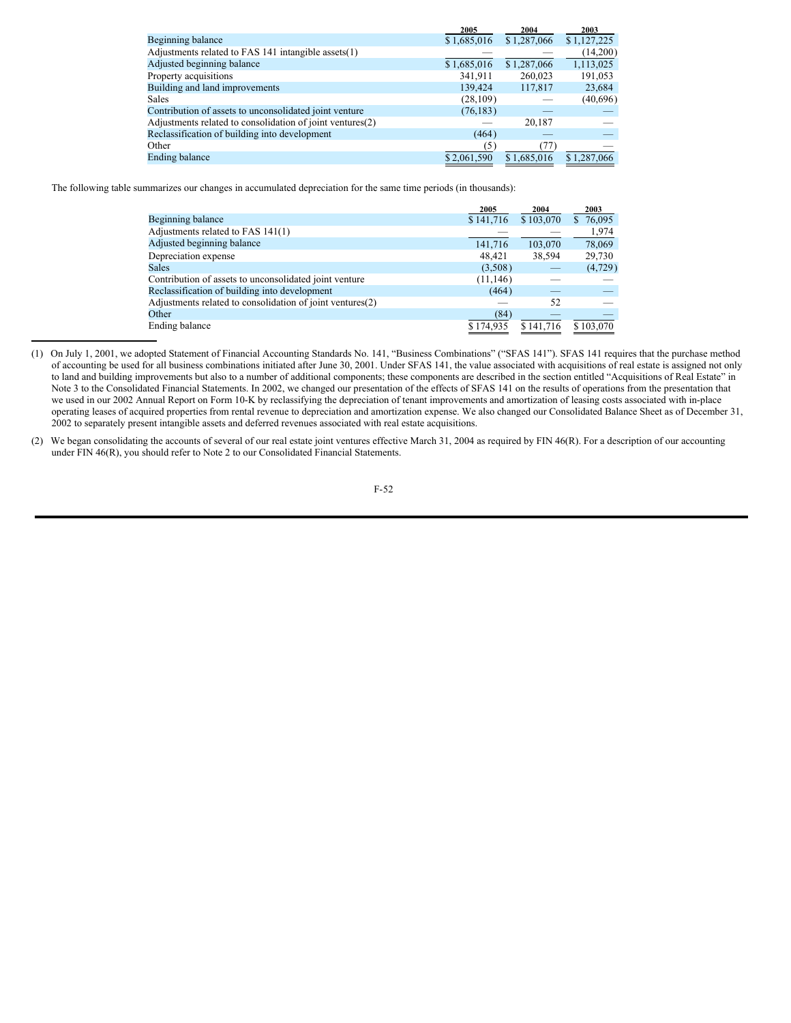|                                                           | 2005        | 2004        | 2003        |
|-----------------------------------------------------------|-------------|-------------|-------------|
| Beginning balance                                         | \$1,685,016 | \$1,287,066 | \$1,127,225 |
| Adjustments related to FAS 141 intangible assets(1)       |             |             | (14,200)    |
| Adjusted beginning balance                                | \$1,685,016 | \$1,287,066 | 1,113,025   |
| Property acquisitions                                     | 341,911     | 260,023     | 191,053     |
| Building and land improvements                            | 139,424     | 117,817     | 23,684      |
| <b>Sales</b>                                              | (28, 109)   |             | (40,696)    |
| Contribution of assets to unconsolidated joint venture    | (76, 183)   | _           |             |
| Adjustments related to consolidation of joint ventures(2) |             | 20.187      |             |
| Reclassification of building into development             | (464)       |             |             |
| Other                                                     | (5)         | (77)        |             |
| <b>Ending balance</b>                                     | \$2,061,590 | \$1,685,016 | \$1,287,066 |

The following table summarizes our changes in accumulated depreciation for the same time periods (in thousands):

|                                                           | 2005      | 2004      | 2003         |
|-----------------------------------------------------------|-----------|-----------|--------------|
| Beginning balance                                         | \$141,716 | \$103,070 | 76,095<br>S. |
| Adjustments related to FAS 141(1)                         |           |           | 1,974        |
| Adjusted beginning balance                                | 141,716   | 103,070   | 78,069       |
| Depreciation expense                                      | 48,421    | 38,594    | 29,730       |
| <b>Sales</b>                                              | (3,508)   |           | (4,729)      |
| Contribution of assets to unconsolidated joint venture    | (11, 146) |           |              |
| Reclassification of building into development             | (464)     |           |              |
| Adjustments related to consolidation of joint ventures(2) | __        | 52        |              |
| Other                                                     | (84)      | _         |              |
| Ending balance                                            | \$174,935 | \$141,716 | \$103,070    |

(1) On July 1, 2001, we adopted Statement of Financial Accounting Standards No. 141, "Business Combinations" ("SFAS 141"). SFAS 141 requires that the purchase method of accounting be used for all business combinations initiated after June 30, 2001. Under SFAS 141, the value associated with acquisitions of real estate is assigned not only to land and building improvements but also to a number of additional components; these components are described in the section entitled "Acquisitions of Real Estate" in Note 3 to the Consolidated Financial Statements. In 2002, we changed our presentation of the effects of SFAS 141 on the results of operations from the presentation that we used in our 2002 Annual Report on Form 10-K by reclassifying the depreciation of tenant improvements and amortization of leasing costs associated with in-place operating leases of acquired properties from rental revenue to depreciation and amortization expense. We also changed our Consolidated Balance Sheet as of December 31, 2002 to separately present intangible assets and deferred revenues associated with real estate acquisitions.

(2) We began consolidating the accounts of several of our real estate joint ventures effective March 31, 2004 as required by FIN 46(R). For a description of our accounting under FIN 46(R), you should refer to Note 2 to our Consolidated Financial Statements.

F-52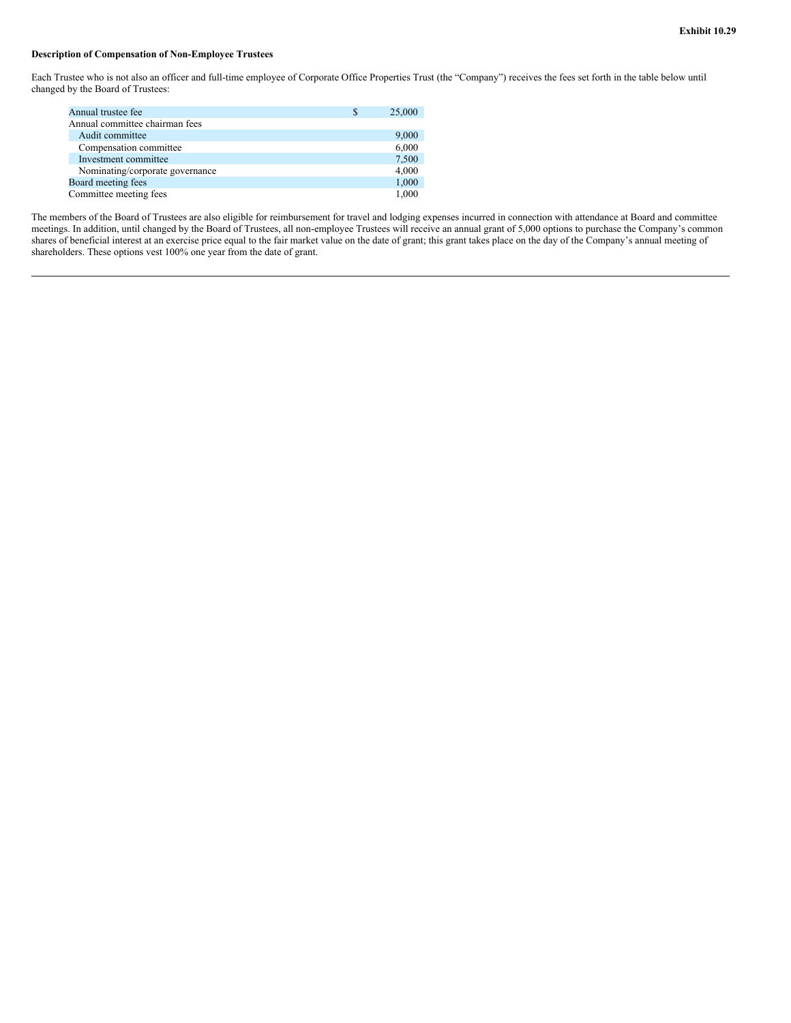# **Description of Compensation of Non-Employee Trustees**

Each Trustee who is not also an officer and full-time employee of Corporate Office Properties Trust (the "Company") receives the fees set forth in the table below until changed by the Board of Trustees:

| Annual trustee fee              | S | 25,000 |
|---------------------------------|---|--------|
| Annual committee chairman fees  |   |        |
| Audit committee                 |   | 9,000  |
| Compensation committee          |   | 6,000  |
| Investment committee            |   | 7,500  |
| Nominating/corporate governance |   | 4,000  |
| Board meeting fees              |   | 1,000  |
| Committee meeting fees          |   | 1,000  |

The members of the Board of Trustees are also eligible for reimbursement for travel and lodging expenses incurred in connection with attendance at Board and committee meetings. In addition, until changed by the Board of Trustees, all non-employee Trustees will receive an annual grant of 5,000 options to purchase the Company's common shares of beneficial interest at an exercise price equal to the fair market value on the date of grant; this grant takes place on the day of the Company's annual meeting of shareholders. These options vest 100% one year from the date of grant.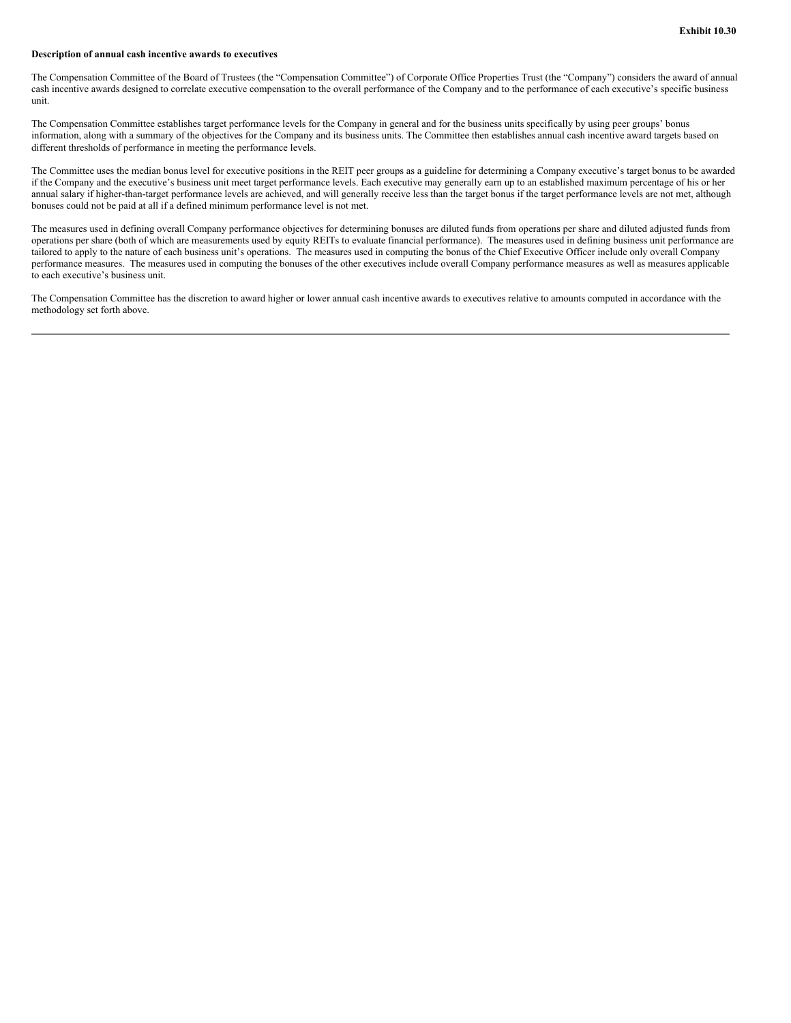# **Description of annual cash incentive awards to executives**

The Compensation Committee of the Board of Trustees (the "Compensation Committee") of Corporate Office Properties Trust (the "Company") considers the award of annual cash incentive awards designed to correlate executive compensation to the overall performance of the Company and to the performance of each executive's specific business unit.

The Compensation Committee establishes target performance levels for the Company in general and for the business units specifically by using peer groups' bonus information, along with a summary of the objectives for the Company and its business units. The Committee then establishes annual cash incentive award targets based on different thresholds of performance in meeting the performance levels.

The Committee uses the median bonus level for executive positions in the REIT peer groups as a guideline for determining a Company executive's target bonus to be awarded if the Company and the executive's business unit meet target performance levels. Each executive may generally earn up to an established maximum percentage of his or her annual salary if higher-than-target performance levels are achieved, and will generally receive less than the target bonus if the target performance levels are not met, although bonuses could not be paid at all if a defined minimum performance level is not met.

The measures used in defining overall Company performance objectives for determining bonuses are diluted funds from operations per share and diluted adjusted funds from operations per share (both of which are measurements used by equity REITs to evaluate financial performance). The measures used in defining business unit performance are tailored to apply to the nature of each business unit's operations. The measures used in computing the bonus of the Chief Executive Officer include only overall Company performance measures. The measures used in computing the bonuses of the other executives include overall Company performance measures as well as measures applicable to each executive's business unit.

The Compensation Committee has the discretion to award higher or lower annual cash incentive awards to executives relative to amounts computed in accordance with the methodology set forth above.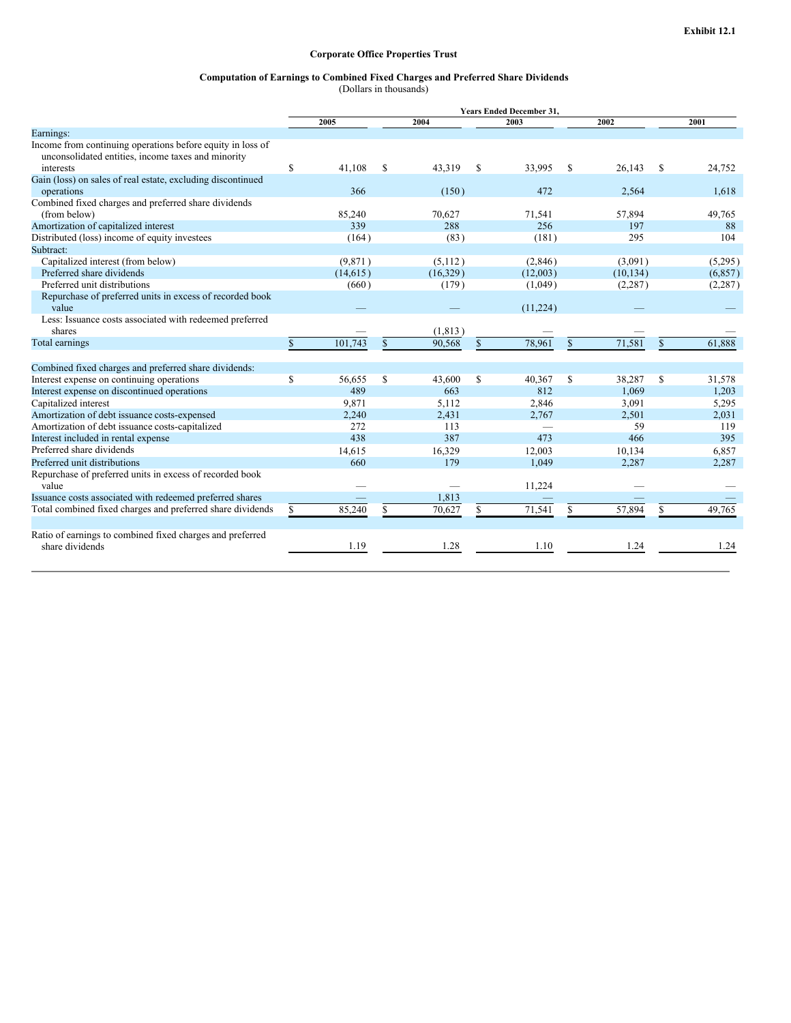# **Corporate Office Properties Trust**

#### **Computation of Earnings to Combined Fixed Charges and Preferred Share Dividends**

(Dollars in thousands)

|                                                             |              |           |               |           |    | <b>Years Ended December 31,</b> |              |           |               |          |
|-------------------------------------------------------------|--------------|-----------|---------------|-----------|----|---------------------------------|--------------|-----------|---------------|----------|
|                                                             |              | 2005      |               | 2004      |    | 2003                            |              | 2002      |               | 2001     |
| Earnings:                                                   |              |           |               |           |    |                                 |              |           |               |          |
| Income from continuing operations before equity in loss of  |              |           |               |           |    |                                 |              |           |               |          |
| unconsolidated entities, income taxes and minority          |              |           |               |           |    |                                 |              |           |               |          |
| interests                                                   | S            | 41,108    | <sup>\$</sup> | 43,319    | \$ | 33,995                          | S            | 26,143    | <sup>\$</sup> | 24,752   |
| Gain (loss) on sales of real estate, excluding discontinued |              |           |               |           |    |                                 |              |           |               |          |
| operations                                                  |              | 366       |               | (150)     |    | 472                             |              | 2,564     |               | 1.618    |
| Combined fixed charges and preferred share dividends        |              |           |               |           |    |                                 |              |           |               |          |
| (from below)                                                |              | 85,240    |               | 70,627    |    | 71,541                          |              | 57,894    |               | 49.765   |
| Amortization of capitalized interest                        |              | 339       |               | 288       |    | 256                             |              | 197       |               | 88       |
| Distributed (loss) income of equity investees               |              | (164)     |               | (83)      |    | (181)                           |              | 295       |               | 104      |
| Subtract:                                                   |              |           |               |           |    |                                 |              |           |               |          |
| Capitalized interest (from below)                           |              | (9,871)   |               | (5,112)   |    | (2,846)                         |              | (3,091)   |               | (5,295)  |
| Preferred share dividends                                   |              | (14, 615) |               | (16, 329) |    | (12,003)                        |              | (10, 134) |               | (6,857)  |
| Preferred unit distributions                                |              | (660)     |               | (179)     |    | (1,049)                         |              | (2, 287)  |               | (2, 287) |
| Repurchase of preferred units in excess of recorded book    |              |           |               |           |    |                                 |              |           |               |          |
| value                                                       |              |           |               |           |    | (11,224)                        |              |           |               |          |
| Less: Issuance costs associated with redeemed preferred     |              |           |               |           |    |                                 |              |           |               |          |
| shares                                                      |              |           |               | (1, 813)  |    |                                 |              |           |               |          |
| Total earnings                                              | $\mathbb{S}$ | 101,743   | $\mathbb{S}$  | 90,568    | \$ | 78,961                          | $\mathbf{s}$ | 71,581    | $\mathbb{S}$  | 61,888   |
| Combined fixed charges and preferred share dividends:       |              |           |               |           |    |                                 |              |           |               |          |
| Interest expense on continuing operations                   | S            | 56,655    | $\mathbb{S}$  | 43.600    | S  | 40,367                          | S            | 38,287    | \$            | 31,578   |
| Interest expense on discontinued operations                 |              | 489       |               | 663       |    | 812                             |              | 1,069     |               | 1,203    |
| Capitalized interest                                        |              | 9,871     |               | 5,112     |    | 2,846                           |              | 3,091     |               | 5,295    |
| Amortization of debt issuance costs-expensed                |              | 2,240     |               | 2,431     |    | 2,767                           |              | 2,501     |               | 2,031    |
| Amortization of debt issuance costs-capitalized             |              | 272       |               | 113       |    |                                 |              | 59        |               | 119      |
| Interest included in rental expense                         |              | 438       |               | 387       |    | 473                             |              | 466       |               | 395      |
| Preferred share dividends                                   |              | 14.615    |               | 16.329    |    | 12.003                          |              | 10.134    |               | 6.857    |
| Preferred unit distributions                                |              | 660       |               | 179       |    | 1,049                           |              | 2,287     |               | 2,287    |
| Repurchase of preferred units in excess of recorded book    |              |           |               |           |    |                                 |              |           |               |          |
| value                                                       |              |           |               |           |    | 11,224                          |              |           |               |          |
| Issuance costs associated with redeemed preferred shares    |              |           |               | 1,813     |    |                                 |              |           |               |          |
| Total combined fixed charges and preferred share dividends  | S.           | 85,240    | \$            | 70.627    | S  | 71,541                          | S.           | 57,894    | \$            | 49.765   |
|                                                             |              |           |               |           |    |                                 |              |           |               |          |
| Ratio of earnings to combined fixed charges and preferred   |              |           |               |           |    |                                 |              |           |               |          |
| share dividends                                             |              | 1.19      |               | 1.28      |    | 1.10                            |              | 1.24      |               | 1.24     |
|                                                             |              |           |               |           |    |                                 |              |           |               |          |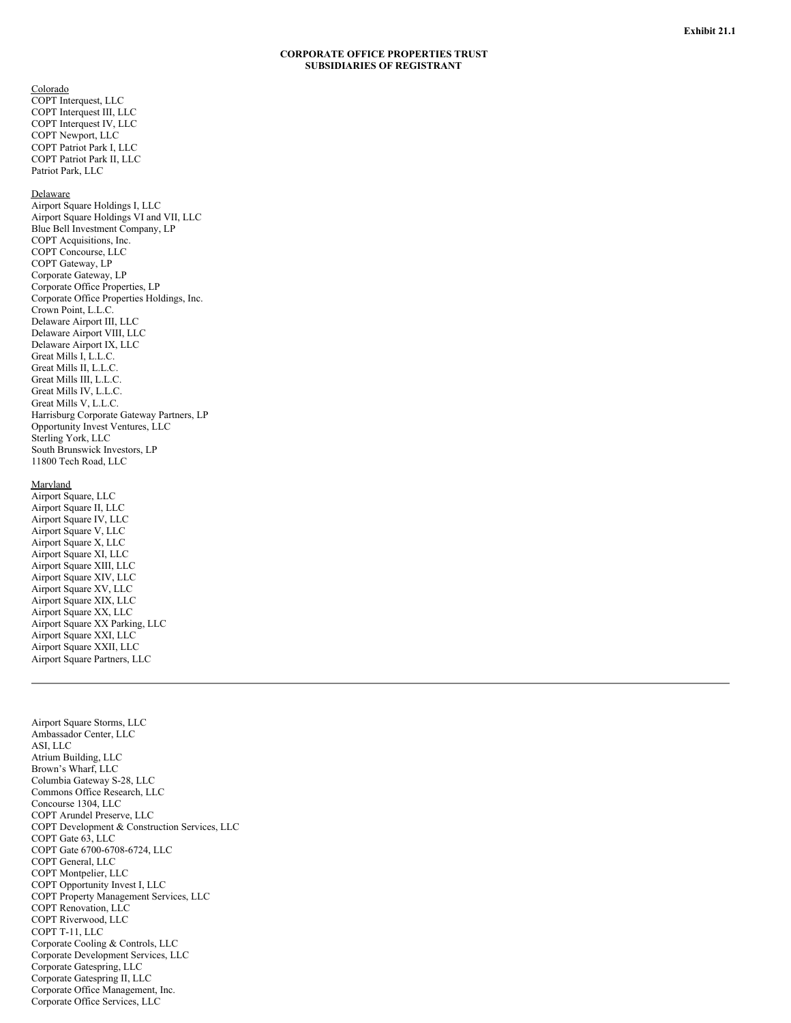# **CORPORATE OFFICE PROPERTIES TRUST** SUBSIDIARIES OF REGISTRANT

# Colorado

COPT Interquest, LLC COPT Interquest III, LLC COPT Interquest IV, LLC COPT Newport, LLC COPT Patriot Park I, LLC COPT Patriot Park II, LLC Patriot Park, LLC

# Delaware

Airport Square Holdings I, LLC Airport Square Holdings VI and VII, LLC Blue Bell Investment Company, LP COPT Acquisitions, Inc. COPT Concourse, LLC COPT Gateway, LP Corporate Gateway, LP Corporate Office Properties, LP Corporate Office Properties Holdings, Inc. Crown Point, L.L.C. Delaware Airport III, LLC Delaware Airport VIII, LLC Delaware Airport IX, LLC Great Mills I, L.L.C. Great Mills II, L.L.C. Great Mills III, L.L.C. Great Mills IV, L.L.C. Great Mills V, L.L.C. Harrisburg Corporate Gateway Partners, L P Opportunity Invest Ventures, LLC Sterling York, LLC South Brunswick Investors, LP 11800 Tech Road, LLC

# Maryland

Airport Square, LLC Airport Square II, LLC Airport Square IV, LLC Airport Square V, LLC Airport Square X, LLC Airport Square XI, LLC Airport Square XIII, LLC Airport Square XIV, LLC Airport Square XV, LLC Airport Square XIX, LLC Airport Square XX, LLC Airport Square XX Parking, LLC Airport Square XXI, LLC Airport Square XXII, LLC Airport Square Partners, LLC

Airport Square Storms, LLC Ambassador Center, LLC A S I, L L C Atrium Building, LLC Brown's Wharf, LLC Columbia Gateway S-28, LLC Commons Office Research, LLC Concourse 1304, LLC COPT Arundel Preserve, LLC COPT Development & Construction Services, LLC COPT Gate 63, LLC COPT Gate 6700-6708-6724, LLC COPT General, LLC COPT Montpelier, LLC COPT Opportunity Invest I, LLC COPT Property Management Services, LLC COPT Renovation, LLC COPT Riverwood, LLC C O P T T - 1 1, L L C Corporate Cooling & Controls, LLC Corporate Development Services, LLC Corporate Gatespring, LLC Corporate Gatespring II, LLC Corporate Office Management, Inc. Corporate Office Services, LLC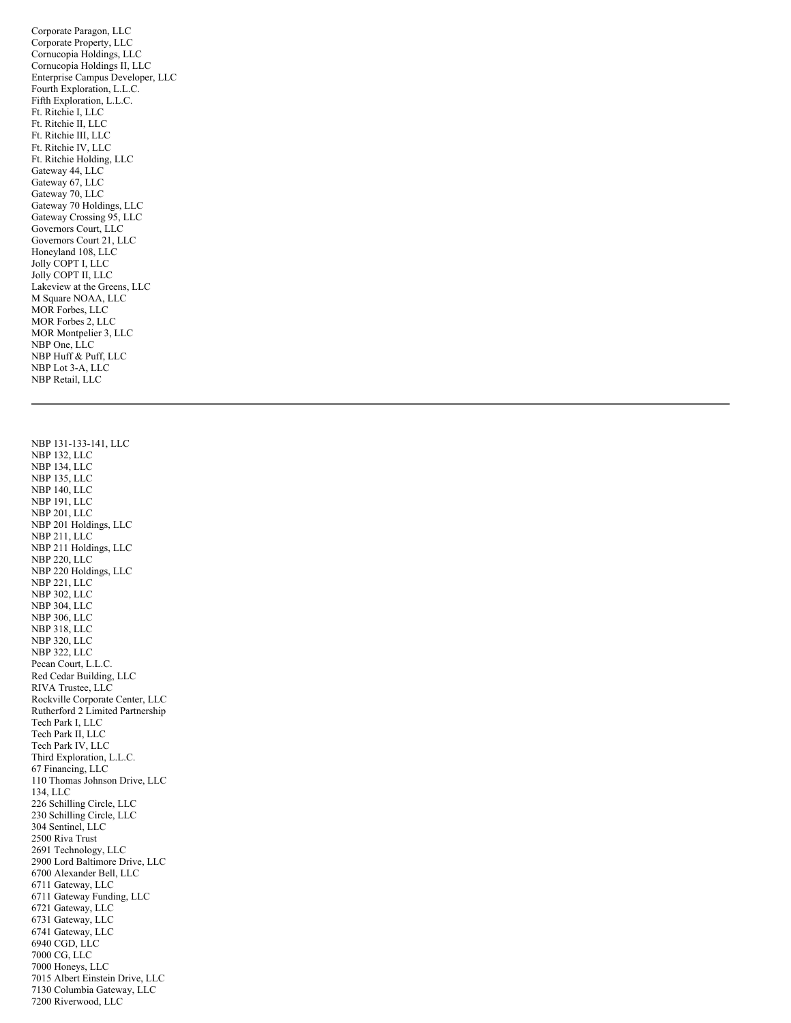Corporate Paragon, LLC Corporate Property, LLC Cornucopia Holdings, LLC Cornucopia Holdings II, LLC Enterprise Campus Developer, LLC Fourth Exploration, L.L.C. Fifth Exploration, L.L.C. Ft. Ritchie I, LLC Ft. Ritchie II, LLC Ft. Ritchie III, LLC Ft. Ritchie IV, LLC Ft. Ritchie Holding, LLC Gateway 44, LLC Gateway 67, LLC Gateway 70, LLC Gateway 70 Holdings, LLC Gateway Crossing 95, LLC Governors Court, LLC Governors Court 21, LLC Honeyland 108, LLC Jolly COPT I, LLC Jolly COPT II, LLC Lakeview at the Greens, LLC M Square NOAA, LLC MOR Forbes, LLC MOR Forbes 2, LLC MOR Montpelier 3, LLC NBP One, LLC NBP Huff & Puff, LLC NBP Lot 3-A, LLC NBP Retail, LLC

NBP 131-133-141, LLC

NBP 132, LLC NBP 134, LLC NBP 135, LLC NBP 140, LLC NBP 191, LLC NBP 201, LLC NBP 201 Holdings, LLC NBP 211, LLC NBP 211 Holdings, LLC NBP 220, LLC NBP 220 Holdings, LLC NBP 221, LLC NBP 302, LLC NBP 304, LLC NBP 306, LLC NBP 318, LLC NBP 320, LLC NBP 322, LLC Pecan Court, L.L.C. Red Cedar Building, LLC RIVA Trustee, LLC Rockville Corporate Center, LLC Rutherford 2 Limited Partnership Tech Park I, LLC Tech Park II, LLC Tech Park IV, LLC Third Exploration, L.L.C. 67 Financing, LLC 110 Thomas Johnson Drive, LLC 134, LLC 226 Schilling Circle, LLC 230 Schilling Circle, LLC 304 Sentinel, LLC 2500 Riva Trust 2691 Technology, LLC 2900 Lord Baltimore Drive, LLC 6700 Alexander Bell, LLC 6711 Gateway, LLC 6711 Gateway Funding, LLC 6721 Gateway, LLC 6731 Gateway, LLC 6741 Gateway, LLC 6940 CGD, LLC 7000 CG, LLC 7000 Honeys, LLC 7015 Albert Einstein Drive, LLC 7130 Columbia Gateway, LLC 7200 Riverwood, LLC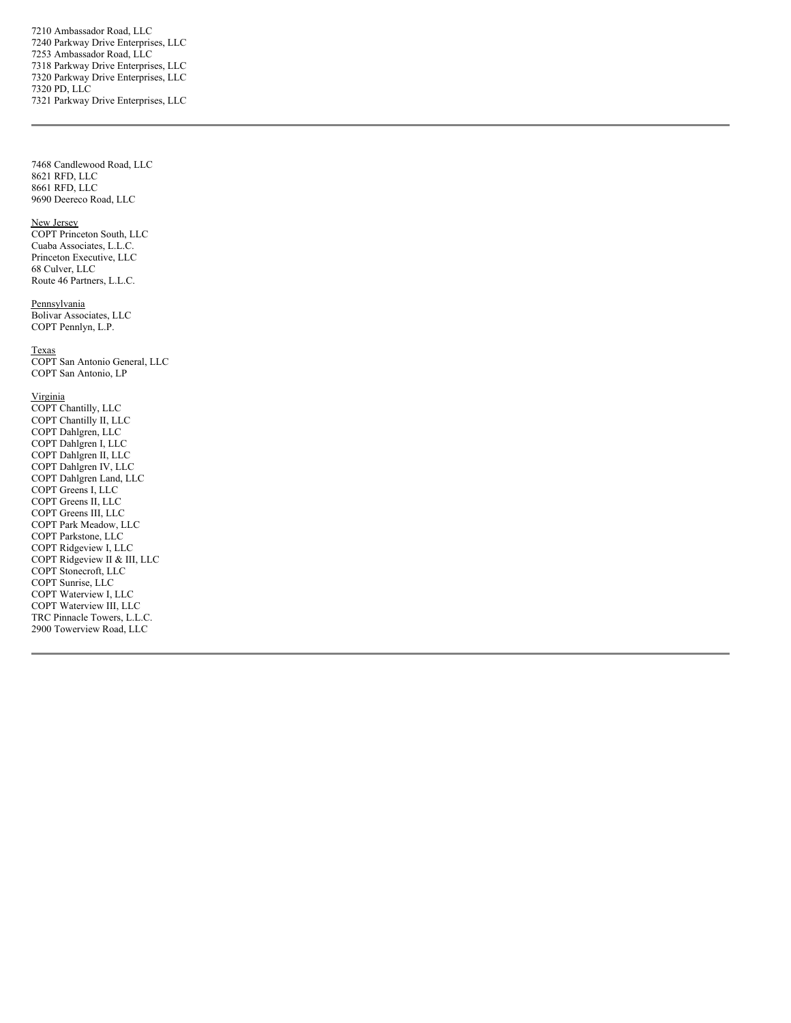Ambassador Road, LLC Parkway Drive Enterprises, LLC Ambassador Road, LLC Parkway Drive Enterprises, LLC Parkway Drive Enterprises, LLC 7320 PD, LLC Parkway Drive Enterprises, LLC

7468 Candlewood Road, LLC 8621 RFD, LLC 8661 RFD, LLC 9690 Deereco Road, LLC

# New Jersey

COPT Princeton South, LLC Cuaba Associates, L.L.C. Princeton Executive, LLC 68 Culver, LLC Route 46 Partners, L.L.C.

### **Pennsylvania**

Bolivar Associates, LLC COPT Pennlyn, L.P.

#### Texas

COPT San Antonio General, LLC COPT San Antonio, LP

# Virginia

COPT Chantilly, LLC COPT Chantilly II, LLC COPT Dahlgren, LLC COPT Dahlgren I, LLC COPT Dahlgren II, LLC COPT Dahlgren IV, LLC COPT Dahlgren Land, LLC COPT Greens I, LLC COPT Greens II, LLC COPT Greens III, LLC COPT Park Meadow, LLC COPT Parkstone, LLC COPT Ridgeview I, LLC COPT Ridgeview II & III, LLC COPT Stonecroft, LLC COPT Sunrise, LLC COPT Waterview I, LLC COPT Waterview III, LLC TRC Pinnacle Towers, L.L.C. 2900 Towerview Road, LLC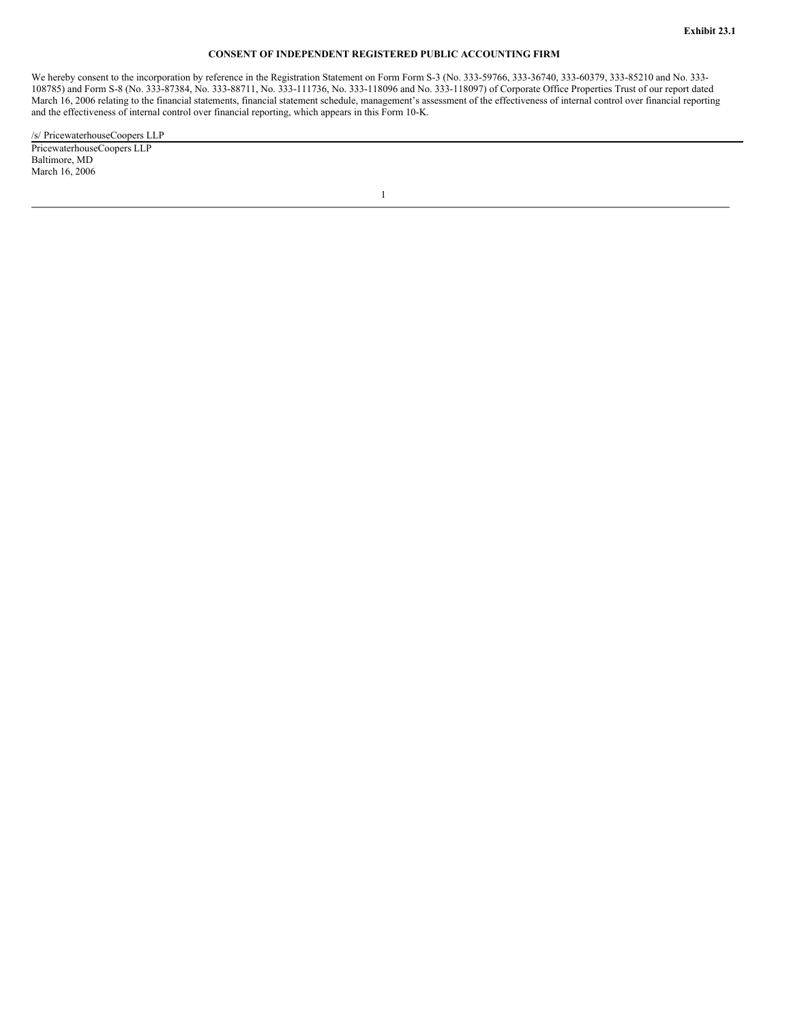### **CONSENT OF INDEPENDENT REGISTERED PUBLIC ACCOUNTING FIRM**

We hereby consent to the incorporation by reference in the Registration Statement on Form Form S-3 (No. 333-59766, 333-36740, 333-60379, 333-85210 and No. 333- 108785) and Form S-8 (No. 333-87384, No. 333-88711, No. 333-111736, No. 333-118096 and No. 333-118097) of Corporate Office Properties Trust of our report dated March 16, 2006 relating to the financial statements, financial statement schedule, management's assessment of the effectiveness of internal control over financial reporting and the effectiveness of internal control over financial reporting, which appears in this Form 10-K.

/s/ PricewaterhouseCoopers LLP

PricewaterhouseCoopers LLP Baltimore, MD March 16, 2006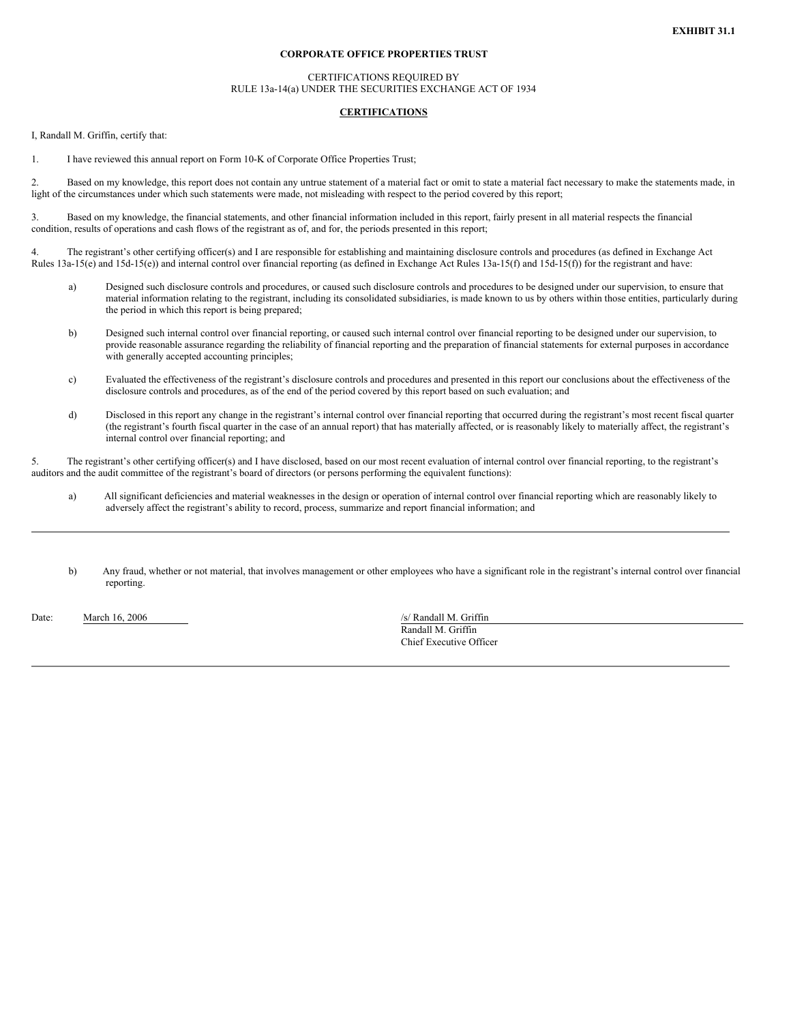## CERTIFICATIONS REQUIRED BY RULE 13a-14(a) UNDER THE SECURITIES EXCHANGE ACT OF 1934

### **CERTIFICATIONS**

I, Randall M. Griffin, certify that:

1. I have reviewed this annual report on Form 10-K of Corporate Office Properties Trust;

2. Based on my knowledge, this report does not contain any untrue statement of a material fact or omit to state a material fact necessary to make the statements made, in light of the circumstances under which such statements were made, not misleading with respect to the period covered by this report;

3. Based on my knowledge, the financial statements, and other financial information included in this report, fairly present in all material respects the financial condition, results of operations and cash flows of the registrant as of, and for, the periods presented in this report;

4. The registrant's other certifying officer(s) and I are responsible for establishing and maintaining disclosure controls and procedures (as defined in Exchange Act Rules 13a-15(e) and 15d-15(e)) and internal control over financial reporting (as defined in Exchange Act Rules 13a-15(f) and 15d-15(f)) for the registrant and have:

- a) Designed such disclosure controls and procedures, or caused such disclosure controls and procedures to be designed under our supervision, to ensure that material information relating to the registrant, including its consolidated subsidiaries, is made known to us by others within those entities, particularly during the period in which this report is being prepared;
- b) Designed such internal control over financial reporting, or caused such internal control over financial reporting to be designed under our supervision, to provide reasonable assurance regarding the reliability of financial reporting and the preparation of financial statements for external purposes in accordance with generally accepted accounting principles;
- c) Evaluated the effectiveness of the registrant's disclosure controls and procedures and presented in this report our conclusions about the effectiveness of the disclosure controls and procedures, as of the end of the period covered by this report based on such evaluation; and
- d) Disclosed in this report any change in the registrant's internal control over financial reporting that occurred during the registrant's most recent fiscal quarter (the registrant's fourth fiscal quarter in the case of an annual report) that has materially affected, or is reasonably likely to materially affect, the registrant's internal control over financial reporting; and

5. The registrant's other certifying officer(s) and I have disclosed, based on our most recent evaluation of internal control over financial reporting, to the registrant's auditors and the audit committee of the registrant's board of directors (or persons performing the equivalent functions):

- a) All significant deficiencies and material weaknesses in the design or operation of internal control over financial reporting which are reasonably likely to adversely affect the registrant's ability to record, process, summarize and report financial information; and
- b) Any fraud, whether or not material, that involves management or other employees who have a significant role in the registrant's internal control over financial reporting.

Date: March 16, 2006 /s/ Randall M. Griffin

Randall M. Griffin Chief Executive Officer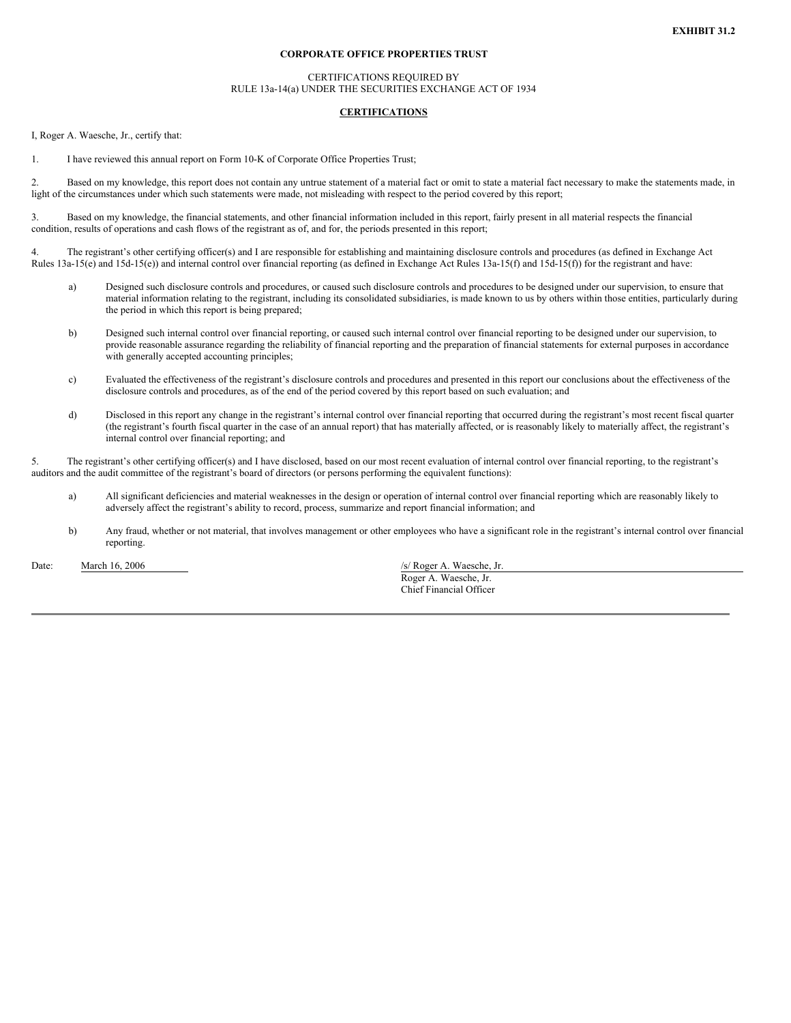## CERTIFICATIONS REQUIRED BY RULE 13a-14(a) UNDER THE SECURITIES EXCHANGE ACT OF 1934

#### **CERTIFICATIONS**

I, Roger A. Waesche, Jr., certify that:

1. I have reviewed this annual report on Form 10-K of Corporate Office Properties Trust;

2. Based on my knowledge, this report does not contain any untrue statement of a material fact or omit to state a material fact necessary to make the statements made, in light of the circumstances under which such statements were made, not misleading with respect to the period covered by this report;

3. Based on my knowledge, the financial statements, and other financial information included in this report, fairly present in all material respects the financial condition, results of operations and cash flows of the registrant as of, and for, the periods presented in this report;

4. The registrant's other certifying officer(s) and I are responsible for establishing and maintaining disclosure controls and procedures (as defined in Exchange Act Rules 13a-15(e) and 15d-15(e)) and internal control over financial reporting (as defined in Exchange Act Rules 13a-15(f) and 15d-15(f)) for the registrant and have:

- a) Designed such disclosure controls and procedures, or caused such disclosure controls and procedures to be designed under our supervision, to ensure that material information relating to the registrant, including its consolidated subsidiaries, is made known to us by others within those entities, particularly during the period in which this report is being prepared;
- b) Designed such internal control over financial reporting, or caused such internal control over financial reporting to be designed under our supervision, to provide reasonable assurance regarding the reliability of financial reporting and the preparation of financial statements for external purposes in accordance with generally accepted accounting principles;
- c) Evaluated the effectiveness of the registrant's disclosure controls and procedures and presented in this report our conclusions about the effectiveness of the disclosure controls and procedures, as of the end of the period covered by this report based on such evaluation; and
- d) Disclosed in this report any change in the registrant's internal control over financial reporting that occurred during the registrant's most recent fiscal quarter (the registrant's fourth fiscal quarter in the case of an annual report) that has materially affected, or is reasonably likely to materially affect, the registrant's internal control over financial reporting; and

5. The registrant's other certifying officer(s) and I have disclosed, based on our most recent evaluation of internal control over financial reporting, to the registrant's auditors and the audit committee of the registrant's board of directors (or persons performing the equivalent functions):

- a) All significant deficiencies and material weaknesses in the design or operation of internal control over financial reporting which are reasonably likely to adversely affect the registrant's ability to record, process, summarize and report financial information; and
- b) Any fraud, whether or not material, that involves management or other employees who have a significant role in the registrant's internal control over financial reporting.

Date: March 16, 2006 /s/ Roger A. Waesche, Jr.

Roger A. Waesche, Jr. Chief Financial Officer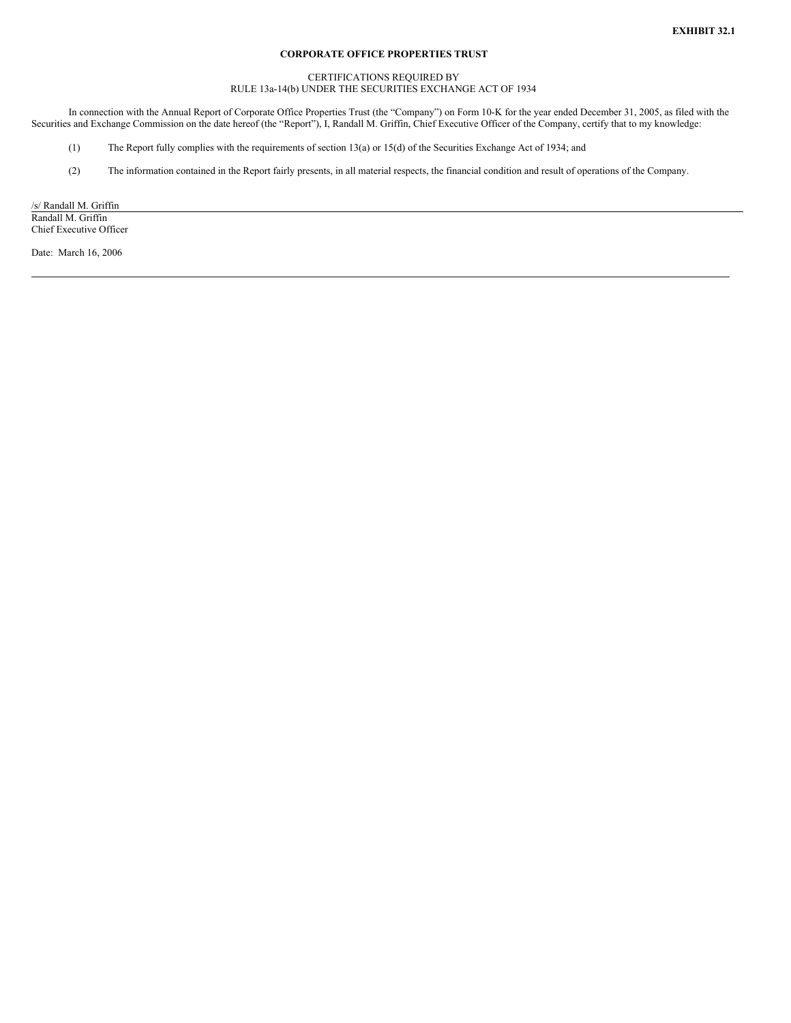## CERTIFICATIONS REQUIRED BY RULE 13a-14(b) UNDER THE SECURITIES EXCHANGE ACT OF 1934

In connection with the Annual Report of Corporate Office Properties Trust (the "Company") on Form 10-K for the year ended December 31, 2005, as filed with the Securities and Exchange Commission on the date hereof (the "Report"), I, Randall M. Griffin, Chief Executive Officer of the Company, certify that to my knowledge:

- (1) The Report fully complies with the requirements of section 13(a) or 15(d) of the Securities Exchange Act of 1934; and
- (2) The information contained in the Report fairly presents, in all material respects, the financial condition and result of operations of the Company.

/s/ Randall M. Griffin Randall M. Griffin Chief Executive Officer

Date: March 16, 2006